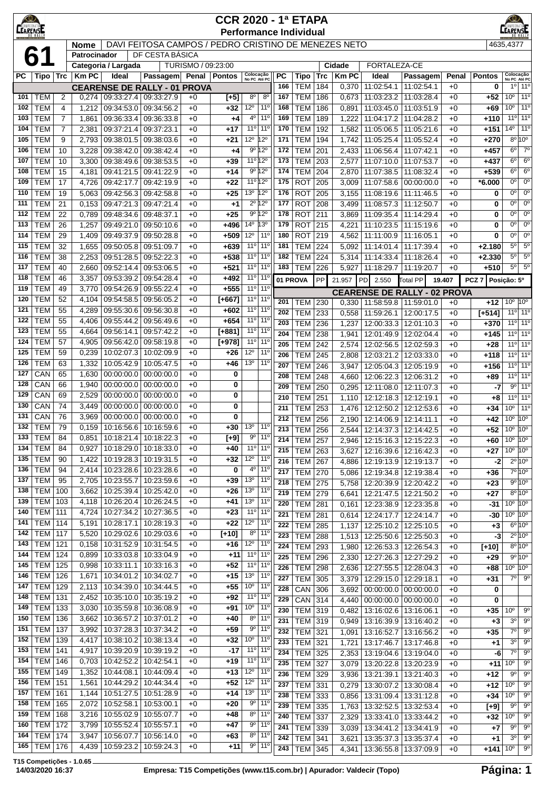|            | <b>CEARENEE</b><br>$\bigcirc$<br><b>CCR 2020 - 1ª ETAPA</b><br><b>EARENSE</b><br><b>Performance Individual</b><br>DAVI FEITOSA CAMPOS / PEDRO CRISTINO DE MENEZES NETO<br>4635.4377 |                |                             |                          |                                     |                    |                  |                                    |                                    |                  |                                  |            |                |                                                    |                          |              |                    |                                       |                                          |
|------------|-------------------------------------------------------------------------------------------------------------------------------------------------------------------------------------|----------------|-----------------------------|--------------------------|-------------------------------------|--------------------|------------------|------------------------------------|------------------------------------|------------------|----------------------------------|------------|----------------|----------------------------------------------------|--------------------------|--------------|--------------------|---------------------------------------|------------------------------------------|
|            |                                                                                                                                                                                     |                |                             |                          |                                     |                    |                  |                                    |                                    |                  |                                  |            |                |                                                    |                          |              |                    |                                       |                                          |
|            | 6                                                                                                                                                                                   |                | <b>Nome</b><br>Patrocinador |                          | DF CESTA BÁSICA                     |                    |                  |                                    |                                    |                  |                                  |            |                |                                                    |                          |              |                    |                                       |                                          |
|            |                                                                                                                                                                                     |                |                             | Categoria / Largada      |                                     | TURISMO / 09:23:00 |                  |                                    |                                    |                  |                                  |            | Cidade         | FORTALEZA-CE                                       |                          |              |                    |                                       |                                          |
| PC         | Tipo   Trc                                                                                                                                                                          |                | <b>Km PC</b>                | Ideal                    | Passagem                            |                    | Penal   Pontos   | Colocação<br>No PC Até PC          |                                    | <b>PC</b>        | Tipo                             | <b>Trc</b> | <b>Km PC</b>   | Ideal                                              | Passagem                 | Penal        | <b>Pontos</b>      | Colocação<br>No PC Até PC             |                                          |
|            |                                                                                                                                                                                     |                |                             |                          | <b>CEARENSE DE RALLY - 01 PROVA</b> |                    |                  |                                    |                                    | 166              | <b>TEM</b>                       | 184        | 0,370          | 11:02:54.1                                         | 11:02:54.1               | $+0$         | 0                  |                                       | 10 110                                   |
| 101<br>102 | <b>TEM</b><br><b>TEM</b>                                                                                                                                                            | 2<br>4         | 0,274<br>1,212              | 09:34:53.0               | 09:33:27.4 09:33:27.9<br>09:34:56.2 | $+0$               | $[+5]$<br>$+32$  | $8^{\circ}$<br>$12^{\circ}$        | $8^{\circ}$<br>$11^{\circ}$        | 167<br>168       | <b>TEM</b><br><b>TEM</b>         | 186<br>186 | 0,673<br>0,891 | 11:03:23.2<br>11:03:45.0                           | 11:03:28.4<br>11:03:51.9 | $+0$<br>$+0$ | $+52$              | 10 <sup>o</sup><br>10 <sup>o</sup>    | 11 <sup>o</sup><br>11 <sup>0</sup>       |
| 103        | <b>TEM</b>                                                                                                                                                                          | $\overline{7}$ | 1,861                       | 09:36:33.4               | 09:36:33.8                          | $+0$<br>$+0$       | +4               | $4^{\circ}$                        | 11 <sup>0</sup>                    | 169              | <b>TEM</b>                       | 189        | 1,222          | 11:04:17.2                                         | 11:04:28.2               | $+0$         | +69<br>$+110$      |                                       | $11°$ 11 <sup>°</sup>                    |
| 104        | <b>TEM</b>                                                                                                                                                                          | $\overline{7}$ | 2,381                       | 09:37:21.4               | 09:37:23.1                          | $+0$               | $+17$            | 11°                                | $11^{\circ}$                       | 170              | <b>TEM</b>                       | 192        | 1,582          | 11:05:06.5                                         | 11:05:21.6               | $+0$         | $+151$             | $14^{\circ}$                          | 11 <sup>0</sup>                          |
| 105        | <b>TEM</b>                                                                                                                                                                          | 9              | 2,793                       | 09:38:01.5               | 09:38:03.6                          | $+0$               | $+21$            | $12^{\circ}$                       | $12^{\circ}$                       | 171              | <b>TEM</b>                       | 194        | 1,742          | 11:05:25.4                                         | 11:05:52.4               | $+0$         | $+270$             |                                       | $8^{\circ}10^{\circ}$                    |
| 106        | <b>TEM</b>                                                                                                                                                                          | 10             | 3,228                       | 09:38:42.0               | 09:38:42.4                          | $+0$               | +4               |                                    | 9º 12º                             | 172              | <b>TEM</b>                       | 201        | 2,433          | 11:06:56.4                                         | 11:07:42.1               | $+0$         | $+457$             | $6^{\circ}$                           | $7^\circ$                                |
| 107        | <b>TEM</b>                                                                                                                                                                          | 10             | 3,300                       | 09:38:49.6               | 09:38:53.5                          | $+0$               | $+39$            | 11 <sup>o</sup> 12 <sup>o</sup>    |                                    | 173              | <b>TEM</b>                       | 203        | 2,577          | 11:07:10.0                                         | 11:07:53.7               | $+0$         | $+437$             | $6^{\circ}$                           | $6^{\circ}$                              |
| 108<br>109 | <b>TEM</b><br><b>TEM</b>                                                                                                                                                            | 15<br>17       | 4,181<br>4,726              | 09:41:21.5<br>09:42:17.7 | 09:41:22.9<br>09:42:19.9            | $+0$<br>$+0$       | $+14$<br>$+22$   | 11 <sup>o</sup> 12 <sup>o</sup>    | 9º 12º                             | 174<br>175       | <b>TEM</b><br><b>ROT</b>         | 204<br>205 | 2,870<br>3,009 | 11:07:38.5<br>11:07:58.6                           | 11:08:32.4<br>00:00:00.0 | $+0$<br>$+0$ | $+539$<br>$*6.000$ | 6 <sup>°</sup><br>0 <sup>o</sup>      | 6 <sup>o</sup><br>$0^{\circ}$            |
| 110        | <b>TEM</b>                                                                                                                                                                          | 19             | 5,063                       | 09:42:56.3               | 09:42:58.8                          | $+0$               | $+25$            | $13^{\circ}$                       | $12^{\circ}$                       | 176              | <b>ROT</b>                       | 205        | 3,155          | 11:08:19.6                                         | 11:11:46.5               | $+0$         | 0                  | $0^{\circ}$                           | $0^{\circ}$                              |
| 111        | <b>TEM</b>                                                                                                                                                                          | 21             | 0,153                       | 09:47:21.3               | 09:47:21.4                          | $+0$               | $+1$             |                                    | $2^{\circ}$ 12 <sup>°</sup>        | 177              | <b>ROT</b>                       | 208        | 3,499          | 11:08:57.3                                         | 11:12:50.7               | $+0$         | 0                  | 0°                                    | $0^{\circ}$                              |
| 112        | <b>TEM</b>                                                                                                                                                                          | 22             | 0,789                       | 09:48:34.6               | 09:48:37.1                          | $+0$               | $+25$            | $9^{\circ}$                        | $12^{\circ}$                       | 178              | <b>ROT</b>                       | 211        | 3,869          | 11:09:35.4                                         | 11:14:29.4               | $+0$         | 0                  | $0^{\circ}$                           | $0^{\circ}$                              |
| 113        | <b>TEM</b>                                                                                                                                                                          | 26             | 1,257                       | 09:49:21.0               | 09:50:10.6                          | $+0$               | +496             | $14^{\circ}$                       | 13 <sup>o</sup>                    | 179              | <b>ROT</b>                       | 215        | 4,221          | 11:10:23.5                                         | 11:15:19.6               | $+0$         | 0                  | 0 <sup>o</sup>                        | $0^{\circ}$                              |
| 114        | <b>TEM</b>                                                                                                                                                                          | 29             | 1,409                       | 09:49:37.9               | 09:50:28.8                          | $+0$               | $+509$           | $12^{\circ}$                       | $11^{\circ}$                       | 180              | <b>ROT</b>                       | 219        | 4,562          | 11:11:00.9                                         | 11:16:05.1               | $+0$         | 0                  | $0^{\circ}$                           | $0^{\circ}$                              |
| 115        | <b>TEM</b>                                                                                                                                                                          | 32             | 1,655                       | 09:50:05.8               | 09:51:09.7                          | $+0$               | +639             | 11 <sup>0</sup>                    | 11 <sup>0</sup>                    | 181              | <b>TEM</b>                       | 224        | 5,092          | 11:14:01.4                                         | 11:17:39.4               | $+0$         | $+2.180$           | $5^{\circ}$                           | $5^{\circ}$                              |
| 116<br>117 | <b>TEM</b><br><b>TEM</b>                                                                                                                                                            | 38<br>40       | 2,253<br>2,660              | 09:51:28.5<br>09:52:14.4 | 09:52:22.3<br>09:53:06.5            | $+0$<br>$+0$       | $+538$<br>$+521$ | 11 <sup>0</sup><br>11 <sup>o</sup> | $11^{\circ}$<br>11 <sup>0</sup>    | 182<br>183       | <b>TEM</b><br><b>TEM</b>         | 224<br>226 | 5,314          | 11:14:33.4<br>11:18:29.7                           | 11:18:26.4<br>11:19:20.7 | $+0$<br>$+0$ | $+2.330$<br>$+510$ | $5^{\circ}$<br>$5^{\circ}$            | $5^{\circ}$<br>$5^{\circ}$               |
| 118        | <b>TEM</b>                                                                                                                                                                          | 46             | 3,357                       | 09:53:39.2               | 09:54:28.4                          | $+0$               | $+492$           | 11 <sup>0</sup>                    | $11^{\circ}$                       |                  |                                  |            | 5,927          |                                                    |                          |              |                    |                                       |                                          |
| 119        | <b>TEM</b>                                                                                                                                                                          | 49             | 3,770                       | 09:54:26.9               | 09:55:22.4                          | $+0$               | $+555$           | 11°                                | 11 <sup>0</sup>                    | 01 PROVA         |                                  | PP         | 21.957         | 2.550<br><b>PD</b>                                 | Total PP                 | 19.407       | PCZ <sub>7</sub>   | Posição: 5º                           |                                          |
| 120        | <b>TEM</b>                                                                                                                                                                          | 52             | 4,104                       | 09:54:58.5               | 09:56:05.2                          | $+0$               | $[+667]$         | 11 <sup>°</sup>                    | $11^{\circ}$                       | 201              | <b>TEM</b>                       | 230        | 0,330          | <b>CEARENSE DE RALLY - 02 PROVA</b>                | 11:58:59.8   11:59:01.0  | $+0$         | +12                | $10^{\circ}$ 10 $^{\circ}$            |                                          |
| 121        | <b>TEM</b>                                                                                                                                                                          | 55             | 4,289                       | 09:55:30.6               | 09:56:30.8                          | $+0$               | +602             | 11 <sup>0</sup>                    | 11 <sup>o</sup>                    | 202              | <b>TEM</b>                       | 233        | 0,558          | 11:59:26.1                                         | 12:00:17.5               | $+0$         | $[-514]$           |                                       | 11 <sup>o</sup> 11 <sup>o</sup>          |
| 122        | <b>TEM</b>                                                                                                                                                                          | 55             | 4,406                       | 09:55:44.2               | 09:56:49.6                          | $+0$               | $+654$           | 11°                                | $11^{\circ}$                       | 203              | <b>TEM</b>                       | 236        | 1,237          | 12:00:33.3                                         | 12:01:10.3               | $+0$         | $+370$             |                                       | 11 <sup>o</sup> 11 <sup>o</sup>          |
| 123        | <b>TEM</b>                                                                                                                                                                          | 55             | 4,664                       | 09:56:14.1               | 09:57:42.2                          | $+0$               | $[+881]$         | 11°                                | $11^{\circ}$                       | 204              | <b>TEM</b>                       | 238        | 1,941          | 12:01:49.9                                         | 12:02:04.4               | $+0$         | $+145$             |                                       | $11°$ 11°                                |
| 124        | <b>TEM</b>                                                                                                                                                                          | 57             | 4,905                       | 09:56:42.0               | 09:58:19.8                          | $+0$               | $[+978]$         | $11^{\circ}$                       | 11 <sup>0</sup>                    | 205              | <b>TEM</b>                       | 242        | 2,574          | 12:02:56.5                                         | 12:02:59.3               | $+0$         | +28                |                                       | $11°$ 11 <sup>o</sup>                    |
| 125<br>126 | <b>TEM</b><br><b>TEM</b>                                                                                                                                                            | 59<br>63       | 0,239                       | 10:02:07.3<br>10:05:42.9 | 10:02:09.9<br>10:05:47.5            | $+0$               | $+26$            | $12^{\circ}$<br>13 <sup>0</sup>    | 11 <sup>0</sup><br>11 <sup>0</sup> | 206              | <b>TEM</b>                       | 245        | 2,808          | 12:03:21.2                                         | 12:03:33.0               | $+0$         | $+118$             |                                       | 11 <sup>o</sup> 11 <sup>o</sup>          |
| 127        | CAN                                                                                                                                                                                 | 65             | 1,332<br>1,630              | 00:00:00.0               | 00:00:00.0                          | $+0$<br>$+0$       | $+46$<br>0       |                                    |                                    | 207              | <b>TEM</b>                       | 246        | 3,947          | 12:05:04.3                                         | 12:05:19.9               | $+0$         | $+156$             |                                       | $11°$ 11 <sup>°</sup>                    |
| 128        | CAN                                                                                                                                                                                 | 66             | 1,940                       | 00:00:00.0               | 00:00:00.0                          | $+0$               | 0                |                                    |                                    | 208<br>209       | <b>TEM</b>                       | 248        | 4,660          | 12:06:22.3                                         | 12:06:31.2               | $+0$         | +89                |                                       | $11^{\circ}$ 11 <sup>°</sup><br>$9°$ 11° |
| 129        | CAN                                                                                                                                                                                 | 69             | 2,529                       | 00:00:00.0               | 00:00:00.0                          | $+0$               | 0                |                                    |                                    | 210              | <b>TEM</b><br><b>TEM</b>         | 250<br>251 | 0,295<br>1,110 | 12:11:08.0<br>12:12:18.3                           | 12:11:07.3<br>12:12:19.1 | $+0$<br>$+0$ | -7<br>+8           | 11°                                   | 11 <sup>0</sup>                          |
| 130        | CAN                                                                                                                                                                                 | 74             | 3,449                       | 00:00:00.0               | 00:00:00.0                          | $+0$               | 0                |                                    |                                    | 211              | <b>TEM</b>                       | 253        | 1,476          | 12:12:50.2                                         | 12:12:53.6               | $+0$         | $+34$              | 10 <sup>o</sup>                       | 11 <sup>o</sup>                          |
| 131        | CAN                                                                                                                                                                                 | 76             | 3,969                       | 00:00:00.0               | 00:00:00.0                          | $+0$               | 0                |                                    |                                    | 212              | <b>TEM</b>                       | 256        | 2,190          | 12:14:06.9                                         | 12:14:11.1               | $+0$         | $+42$              | $10^{\circ}$ $10^{\circ}$             |                                          |
| 132        | <b>TEM</b>                                                                                                                                                                          | 79             | 0,159                       | 10:16:56.6               | 10:16:59.6                          | $+0$               | $+30$            | 13 <sup>o</sup>                    | 11 <sup>0</sup>                    | $\overline{213}$ | <b>TEM</b>                       | 256        | 2,544          | 12:14:37.3 12:14:42.5                              |                          | $+0$         |                    | $+52$ 10 <sup>°</sup> 10 <sup>°</sup> |                                          |
|            | 133   TEM                                                                                                                                                                           | 84             | 0,851                       |                          | 10:18:21.4   10:18:22.3             | +0                 | $[+9]$           | 90                                 | $11^{\circ}$                       | 214              | <b>TEM 257</b>                   |            | 2,946          |                                                    | 12:15:16.3   12:15:22.3  | $+0$         | +60                | $10^{\circ}$ 10 <sup>°</sup>          |                                          |
| 134<br>135 | <b>TEM</b><br><b>TEM</b>                                                                                                                                                            | 84             | 0,927                       | 10:18:29.0               | 10:18:33.0                          | $+0$               | $+40$            | 11°<br>$12^{\circ}$                | $11^{\circ}$                       | 215              | <b>TEM 263</b>                   |            | 3,627          |                                                    | 12:16:39.6   12:16:42.3  | $+0$         | $+27$              | $10^{\circ}$ $10^{\circ}$             |                                          |
| 136        | <b>TEM</b>                                                                                                                                                                          | 90<br>94       | 1,422<br>2,414              | 10:19:28.3<br>10:23:28.6 | 10:19:31.5<br>10:23:28.6            | $+0$<br>$+0$       | $+32$<br>0       | $4^{\circ}$                        | $11^{\circ}$<br>11 <sup>0</sup>    | 216              | <b>TEM 267</b>                   |            | 4,886          |                                                    | 12:19:13.9   12:19:13.7  | $+0$         | $-2$               |                                       | $2^{\circ}$ 10 $^{\circ}$                |
| 137        | <b>TEM</b>                                                                                                                                                                          | 95             | 2,705                       | 10:23:55.7               | 10:23:59.6                          | $+0$               | $+39$            | $13^{o}$                           | 11 <sup>0</sup>                    | 217<br>218       | <b>TEM 270</b><br><b>TEM 275</b> |            | 5,086<br>5,758 | 12:19:34.8 12:19:38.4                              | 12:20:39.9 12:20:42.2    | $+0$<br>$+0$ | +36<br>$+23$       |                                       | 7°10°<br>9°10°                           |
| 138        | <b>TEM</b>                                                                                                                                                                          | 100            | 3,662                       | 10:25:39.4               | 10:25:42.0                          | $+0$               | +26              | 13 <sup>o</sup>                    | $11^{\circ}$                       | 219              | <b>TEM 279</b>                   |            | 6,641          |                                                    | 12:21:47.5   12:21:50.2  | $+0$         | $+27$              |                                       | $8^{\circ}10^{\circ}$                    |
| 139        | <b>TEM</b>                                                                                                                                                                          | 103            | 4,118                       | 10:26:20.4               | 10:26:24.5                          | $+0$               | $+41$            | 13 <sup>0</sup>                    | 11 <sup>0</sup>                    | 220              | TEM                              | 281        | 0,161          |                                                    | 12:23:38.9   12:23:35.8  | $+0$         | -31                | $10^{\circ}$ 10 <sup>°</sup>          |                                          |
| 140        | <b>TEM</b>                                                                                                                                                                          | 111            | 4,724                       | 10:27:34.2               | 10:27:36.5                          | $+0$               | $+23$            | 11 <sup>0</sup>                    | 11 <sup>0</sup>                    | 221              | TEM                              | 281        | 0,614          | 12:24:17.7                                         | 12:24:14.7               | $+0$         | -30                | $10^{\circ}$ 10 <sup>°</sup>          |                                          |
| 141        | TEM                                                                                                                                                                                 | 114            | 5,191                       | 10:28:17.1               | 10:28:19.3                          | $+0$               | $+22$            | $12^{\circ}$                       | $11^{\circ}$                       | 222              | TEM                              | 285        | 1,137          | 12:25:10.2   12:25:10.5                            |                          | $+0$         | $+3$               |                                       | $6^{\circ}$ 10 $^{\circ}$                |
| 142        | TEM                                                                                                                                                                                 | 117            | 5,520                       | 10:29:02.6               | 10:29:03.6                          | $+0$               | $[+10]$          | $8^{\circ}$                        | $11^{\circ}$                       | 223              | TEM                              | 288        | 1,513          | 12:25:50.6                                         | 12:25:50.3               | $+0$         | -3                 |                                       | $2^{\circ}$ 10 $^{\circ}$                |
| 143<br>144 | TEM<br>TEM                                                                                                                                                                          | 121<br>124     | 0,158<br>0,899              | 10:31:52.9<br>10:33:03.8 | 10:31:54.5<br>10:33:04.9            | $+0$<br>$+0$       | $+16$<br>$+11$   | $12^{\circ}$<br>$11^{\circ}$       | $11^{\circ}$<br>11 <sup>0</sup>    | 224              | TEM                              | 293        | 1,980          |                                                    | 12:26:53.3   12:26:54.3  | $+0$         | $[+10]$            |                                       | $8^{\circ}$ 10°                          |
| 145        | TEM                                                                                                                                                                                 | 125            | 0,998                       | 10:33:11.1               | 10:33:16.3                          | $+0$               | $+52$            | $11^{\circ}$                       | 11 <sup>0</sup>                    | 225              | TEM                              | 296        | 2,330          |                                                    | 12:27:26.3   12:27:29.2  | $+0$         | $+29$              | $10^{\circ}$ 10 <sup>°</sup>          | 9°10°                                    |
| 146        | <b>TEM</b>                                                                                                                                                                          | 126            | 1,671                       | 10:34:01.2               | 10:34:02.7                          | $+0$               | $+15$            | 13 <sup>o</sup>                    | $11^{\circ}$                       | 226<br>227       | <b>TEM 298</b><br><b>TEM</b>     | 305        | 2,636<br>3,379 | 12:27:55.5   12:28:04.3<br>12:29:15.0   12:29:18.1 |                          | $+0$<br>$+0$ | +88<br>+31         |                                       | $\overline{7^0}$ 9 <sup>o</sup>          |
| 147        | <b>TEM</b>                                                                                                                                                                          | 129            | 2,113                       | 10:34:39.0               | 10:34:44.5                          | $+0$               | +55              | 10 <sup>o</sup>                    | $11^{\circ}$                       | 228              | CAN                              | 306        | 3,692          | $00:00:00.0$ 00:00:00.0                            |                          | $+0$         | 0                  |                                       |                                          |
| 148        | <b>TEM</b>                                                                                                                                                                          | 131            | 2,452                       | 10:35:10.0               | 10:35:19.2                          | $+0$               | $+92$            | $11^{\circ}$                       | 11 <sup>0</sup>                    | 229              | CAN                              | 314        | 4,440          | $00:00:00.0$ 00:00:00.0                            |                          | $+0$         | 0                  |                                       |                                          |
| 149        | TEM                                                                                                                                                                                 | 133            | 3,030                       | 10:35:59.8               | 10:36:08.9                          | $+0$               | +91              | 10 <sup>o</sup>                    | 11 <sup>0</sup>                    | 230              | TEM 319                          |            | 0,482          | 13:16:02.6                                         | 13:16:06.1               | $+0$         | +35                | $10^{\circ}$                          | $9^{\circ}$                              |
| 150        | TEM                                                                                                                                                                                 | 136            | 3,662                       | 10:36:57.2 10:37:01.2    |                                     | $+0$               | $+40$            | $8^{\circ}$                        | 11 <sup>o</sup>                    | 231              | TEM 319                          |            | 0,949          | 13:16:39.9   13:16:40.2                            |                          | $+0$         | $+3$               | 3 <sup>o</sup>                        | $9^{\circ}$                              |
| 151        | TEM                                                                                                                                                                                 | 137            | 3,992                       | 10:37:28.3               | 10:37:34.2                          | $+0$               | $+59$            | 90                                 | 11 <sup>0</sup>                    | 232              | <b>TEM</b>                       | 321        | 1,091          | 13:16:52.7                                         | 13:16:56.2               | $+0$         | +35                | $7^{\circ}$                           | $9^{\circ}$                              |
| 152<br>153 | TEM<br><b>TEM</b>                                                                                                                                                                   | 139<br>141     | 4,417<br>4,917              | 10:38:10.2<br>10:39:20.9 | 10:38:13.4<br>10:39:19.2            | $+0$<br>$+0$       | $+32$<br>$-17$   | 10 <sup>o</sup><br>$11^{\circ}$    | $11^{\circ}$<br>11 <sup>0</sup>    | 233              | TEM                              | 321        | 1,721          | 13:17:46.7                                         | 13:17:46.8               | $+0$         | +1                 | $3^{\circ}$                           | $9^{\circ}$                              |
| 154        | <b>TEM</b>                                                                                                                                                                          | 146            | 0,703                       | 10:42:52.2               | 10:42:54.1                          | $+0$               | $+19$            | $11^{\circ}$                       | 11 <sup>o</sup>                    | 234              | TEM                              | 325        | 2,353          |                                                    | 13:19:04.6   13:19:04.0  | $+0$         | -6                 | $7^{\circ}$<br>$10^{\circ}$           | $9^{\circ}$<br>9 <sup>o</sup>            |
| 155        | <b>TEM</b>                                                                                                                                                                          | 149            | 1,352                       | 10:44:08.1               | 10:44:09.4                          | $+0$               | $+13$            | $12^{\circ}$                       | $11^{\circ}$                       | 235<br>236       | <b>TEM 327</b><br>TEM 329        |            | 3,079<br>3,936 | 13:20:22.8   13:20:23.9<br>13:21:39.1   13:21:40.3 |                          | $+0$<br>$+0$ | $+11$<br>+12       | $9^{\circ}$                           | $9^{\circ}$                              |
| 156        | <b>TEM</b>                                                                                                                                                                          | 151            | 1,561                       | 10:44:29.2               | 10:44:34.4                          | $+0$               | $+52$            | $12^{\circ}$                       | $11^{\circ}$                       | 237              | <b>TEM</b>                       | 331        | 0,279          |                                                    | 13:30:07.2   13:30:08.4  | $+0$         | +12                | 10 <sup>o</sup>                       | $9^{\circ}$                              |
| 157        | <b>TEM</b>                                                                                                                                                                          | 161            | 1,144                       | 10:51:27.5               | 10:51:28.9                          | $+0$               | +14              | 13 <sup>o</sup>                    | $11^{\circ}$                       | 238              | <b>TEM</b>                       | 333        | 0,856          |                                                    | 13:31:09.4   13:31:12.8  | $+0$         | $+34$              | 10 <sup>o</sup>                       | 90                                       |
| 158        | <b>TEM</b>                                                                                                                                                                          | 165            | 2,072                       | 10:52:58.1               | 10:53:00.1                          | $+0$               | +20              | 9 <sup>o</sup>                     | 11 <sup>o</sup>                    | 239              | TEM 335                          |            | 1,763          | 13:32:52.5                                         | 13:32:53.4               | $+0$         | [+9]               | $9^{\circ}$                           | $9^{\circ}$                              |
| 159        | <b>TEM</b>                                                                                                                                                                          | 168            | 3,216                       | 10:55:02.9               | 10:55:07.7                          | $+0$               | +48              | $8^{\circ}$                        | $11^{\circ}$                       | 240              | TEM                              | 337        | 2,329          | 13:33:41.0   13:33:44.2                            |                          | $+0$         | +32                | $10^{\circ}$                          | $9^{\circ}$                              |
| 160        | <b>TEM 172</b>                                                                                                                                                                      |                | 3,799                       | 10:55:52.4               | 10:55:57.1                          | $+0$               | $+47$            | 90                                 | $11^{\circ}$                       | 241              | <b>TEM</b>                       | 339        | 3,039          |                                                    | 13:34:41.2   13:34:41.9  | $+0$         | $+7$               | $9^{\circ}$                           | $9^{\circ}$                              |
| 164<br>165 | <b>TEM 174</b><br><b>TEM 176</b>                                                                                                                                                    |                | 3,947<br>4,439              | 10:56:07.7<br>10:59:23.2 | 10:56:14.0<br>10:59:24.3            | $+0$<br>$+0$       | +63<br>$+11$     | 80<br>90                           | $11^{\circ}$<br>$11^{\circ}$       | 242              | <b>TEM 341</b>                   |            | 3,621          |                                                    | 13:35:37.3   13:35:37.4  | $+0$         | +1                 | $3^{\circ}$                           | $9^{\circ}$                              |
|            |                                                                                                                                                                                     |                |                             |                          |                                     |                    |                  |                                    |                                    | 243              | <b>TEM 345</b>                   |            | 4,341          | 13:36:55.8   13:37:09.9                            |                          | $+0$         | $+141$ 10°         |                                       | $9^{\circ}$                              |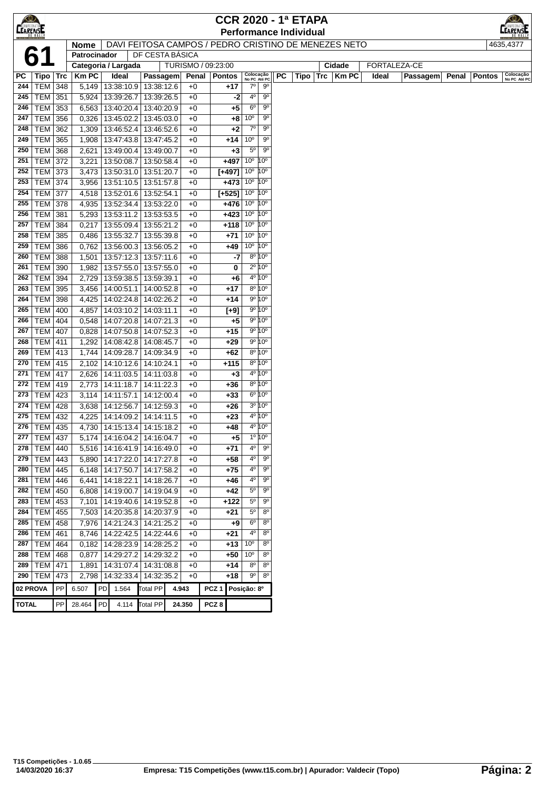| <b>LEARENSE</b> |                             |     |                     |           |                          |                                                            |                                                      |                  |                                          |                            |                                  |    | <b>CCR 2020 - 1ª ETAPA</b><br><b>Performance Individual</b> |               |              |          |       |               | EARENSE                   |
|-----------------|-----------------------------|-----|---------------------|-----------|--------------------------|------------------------------------------------------------|------------------------------------------------------|------------------|------------------------------------------|----------------------------|----------------------------------|----|-------------------------------------------------------------|---------------|--------------|----------|-------|---------------|---------------------------|
|                 |                             |     | <b>Nome</b>         |           |                          |                                                            | DAVI FEITOSA CAMPOS / PEDRO CRISTINO DE MENEZES NETO |                  |                                          |                            |                                  |    |                                                             |               |              |          |       |               | 4635,4377                 |
|                 | 6                           |     | Patrocinador        |           |                          |                                                            | DF CESTA BÁSICA                                      |                  |                                          |                            |                                  |    |                                                             |               |              |          |       |               |                           |
|                 |                             |     | Categoria / Largada |           |                          |                                                            | TURISMO / 09:23:00                                   |                  |                                          |                            |                                  |    |                                                             | Cidade        | FORTALEZA-CE |          |       |               |                           |
| РC              | Tipo                        | Trc | <b>KmPC</b>         |           | Ideal                    | Passagem                                                   | Penal                                                |                  | <b>Pontos</b>                            | Colocação<br>No PC Até PC  |                                  | РC | Tipo                                                        | $Trc$   Km PC | Ideal        | Passagem | Penal | <b>Pontos</b> | Colocação<br>No PC Até PC |
| 244             | <b>TEM 348</b>              |     | 5,149               |           |                          | 13:38:10.9   13:38:12.6                                    | $+0$                                                 |                  | +17                                      | $7^\circ$                  | $9^{\circ}$                      |    |                                                             |               |              |          |       |               |                           |
| 245             | TEM 351                     |     | 5,924               |           | 13:39:26.7               | 13:39:26.5                                                 | $+0$                                                 |                  | -2                                       | $4^{\circ}$                | 90                               |    |                                                             |               |              |          |       |               |                           |
| 246             | $TEM$ 353                   |     | 6,563               |           | 13:40:20.4               | 13:40:20.9                                                 | $+0$                                                 |                  | +5                                       | 6 <sup>o</sup>             | $9^{\circ}$                      |    |                                                             |               |              |          |       |               |                           |
| 247             | TEM 356                     |     | 0,326               |           | 13:45:02.2               | 13:45:03.0                                                 | $+0$                                                 |                  | +8                                       | 10 <sup>o</sup>            | $9^{\circ}$                      |    |                                                             |               |              |          |       |               |                           |
| 248             | <b>TEM 362</b>              |     | 1,309               |           | 13:46:52.4               | 13:46:52.6                                                 | $+0$                                                 |                  | +2                                       | $7^{\circ}$                | $9^{\circ}$                      |    |                                                             |               |              |          |       |               |                           |
| 249             | <b>TEM 365</b>              |     | 1,908               |           | 13:47:43.8               | 13:47:45.2                                                 | $+0$                                                 |                  | +14                                      | 10 <sup>o</sup>            | $9^{\circ}$                      |    |                                                             |               |              |          |       |               |                           |
| 250             | <b>TEM</b>                  | 368 | 2,621               |           | 13:49:00.4               | 13:49:00.7                                                 | $+0$                                                 |                  | $+3$                                     | $5^{\circ}$                | $9^{\circ}$                      |    |                                                             |               |              |          |       |               |                           |
| 251             | <b>TEM</b>                  | 372 | 3,221               |           | 13:50:08.7               | 13:50:58.4                                                 | $+0$                                                 |                  | $+497$                                   | 10 <sup>o</sup>            | 10°                              |    |                                                             |               |              |          |       |               |                           |
| 252             | TEM 373                     |     | 3,473               |           |                          | 13:50:31.0 13:51:20.7                                      | $+0$                                                 |                  | $[+497]$ 10°                             |                            | 10 <sup>o</sup>                  |    |                                                             |               |              |          |       |               |                           |
| 253             | <b>TEM 374</b>              |     | 3,956               |           |                          | 13:51:10.5   13:51:57.8                                    | $+0$                                                 |                  | $+473$ 10 <sup>o</sup>                   |                            | 10 <sup>o</sup>                  |    |                                                             |               |              |          |       |               |                           |
| 254             | <b>TEM 377</b>              |     | 4,518               |           |                          | 13:52:01.6   13:52:54.1                                    | $+0$                                                 |                  | $[+525]$ 10 <sup>°</sup> 10 <sup>°</sup> |                            |                                  |    |                                                             |               |              |          |       |               |                           |
| 255             | <b>TEM 378</b>              |     | 4,935               |           | 13:52:34.4               | 13:53:22.0                                                 | $+0$                                                 |                  | $+476$ 10 <sup>o</sup>                   |                            | 10 <sup>o</sup>                  |    |                                                             |               |              |          |       |               |                           |
| 256             | <b>TEM 381</b>              |     | 5,293               |           | 13:53:11.2               | 13:53:53.5                                                 | $+0$                                                 |                  | $+423$                                   | $10^{\circ}$ $10^{\circ}$  |                                  |    |                                                             |               |              |          |       |               |                           |
| 257             | <b>TEM 384</b>              |     | 0,217               |           | 13:55:09.4               | 13:55:21.2                                                 | $+0$                                                 |                  | $+118$                                   | 10 <sup>o</sup>            | 10 <sup>o</sup>                  |    |                                                             |               |              |          |       |               |                           |
| 258             | <b>TEM</b>                  | 385 | 0,486               |           | 13:55:32.7               | 13:55:39.8                                                 | $+0$                                                 |                  | $+71$                                    | 10 <sup>o</sup>            | $10^{\circ}$                     |    |                                                             |               |              |          |       |               |                           |
| 259             | <b>TEM</b>                  | 386 | 0,762               |           | 13:56:00.3               | 13:56:05.2                                                 | $+0$                                                 |                  | +49                                      | 10 <sup>o</sup>            | 10 <sup>o</sup>                  |    |                                                             |               |              |          |       |               |                           |
| 260             | <b>TEM</b>                  | 388 | 1,501               |           | 13:57:12.3<br>13:57:55.0 | 13:57:11.6                                                 | $+0$<br>$+0$                                         |                  | -7                                       |                            | 8º 10°<br>$2^{\circ} 10^{\circ}$ |    |                                                             |               |              |          |       |               |                           |
| 261<br>262      | <b>TEM</b>                  | 390 | 1,982               |           |                          | 13:57:55.0                                                 |                                                      |                  | 0                                        |                            | 4º 10º                           |    |                                                             |               |              |          |       |               |                           |
| 263             | TEM   394<br><b>TEM 395</b> |     | 2,729<br>3,456      |           | 13:59:38.5<br>14:00:51.1 | 13:59:39.1<br>14:00:52.8                                   | $+0$<br>$+0$                                         |                  | +6<br>$+17$                              |                            | $8^{\circ} 10^{\circ}$           |    |                                                             |               |              |          |       |               |                           |
| 264             | <b>TEM 398</b>              |     | 4,425               |           | 14:02:24.8               | 14:02:26.2                                                 | $+0$                                                 |                  | +14                                      |                            | $9^{\circ} 10^{\circ}$           |    |                                                             |               |              |          |       |               |                           |
| 265             | <b>TEM 400</b>              |     | 4,857               |           | 14:03:10.2               | 14:03:11.1                                                 | $+0$                                                 |                  | $[+9]$                                   |                            | $9^{\circ} 10^{\circ}$           |    |                                                             |               |              |          |       |               |                           |
| 266             | <b>TEM 404</b>              |     | 0,548               |           | 14:07:20.8               | 14:07:21.3                                                 | $+0$                                                 |                  | $+5$                                     |                            | $9^{\circ} 10^{\circ}$           |    |                                                             |               |              |          |       |               |                           |
| 267             | <b>TEM 407</b>              |     | 0,828               |           | 14:07:50.8               | 14:07:52.3                                                 | $+0$                                                 |                  | $+15$                                    |                            | $9^{\circ} 10^{\circ}$           |    |                                                             |               |              |          |       |               |                           |
| 268             | <b>TEM</b>                  | 411 | 1,292               |           | 14:08:42.8               | 14:08:45.7                                                 | $+0$                                                 |                  | $+29$                                    |                            | $9^{\circ} 10^{\circ}$           |    |                                                             |               |              |          |       |               |                           |
| 269             | <b>TEM 413</b>              |     | 1,744               |           | 14:09:28.7               | 14:09:34.9                                                 | $+0$                                                 |                  | +62                                      |                            | $8^{\circ} 10^{\circ}$           |    |                                                             |               |              |          |       |               |                           |
| 270             | <b>TEM 415</b>              |     | 2,102               |           | 14:10:12.6               | 14:10:24.1                                                 | $+0$                                                 |                  | $+115$                                   |                            | $8^{\circ} 10^{\circ}$           |    |                                                             |               |              |          |       |               |                           |
| 271             | <b>TEM 417</b>              |     | 2,626               |           | 14:11:03.5               | 14:11:03.8                                                 | $+0$                                                 |                  | $+3$                                     |                            | $4^{\circ} 10^{\circ}$           |    |                                                             |               |              |          |       |               |                           |
| 272             | <b>TEM 419</b>              |     | 2,773               |           | 14:11:18.7               | 14:11:22.3                                                 | $+0$                                                 |                  | $+36$                                    |                            | $8^{\circ} 10^{\circ}$           |    |                                                             |               |              |          |       |               |                           |
| 273             | TEM 423                     |     | 3,114               |           | 14:11:57.1               | 14:12:00.4                                                 | $+0$                                                 |                  | $+33$                                    |                            | $6^{\circ}10^{\circ}$            |    |                                                             |               |              |          |       |               |                           |
| 274             | <b>TEM 428</b>              |     | 3,638               |           | 14:12:56.7               | 14:12:59.3                                                 | $+0$                                                 |                  | +26                                      |                            | $3^{\circ} 10^{\circ}$           |    |                                                             |               |              |          |       |               |                           |
| 275             | <b>TEM 432</b>              |     | 4,225               |           | 14:14:09.2               | 14:14:11.5                                                 | $+0$                                                 |                  | $+23$                                    |                            | 4 <sup>o</sup> 10 <sup>o</sup>   |    |                                                             |               |              |          |       |               |                           |
|                 | 276   TEM   435             |     |                     |           |                          | 4,730   14:15:13.4   14:15:18.2                            | $+0$                                                 |                  | $+48$                                    |                            | $4^{\circ} 10^{\circ}$           |    |                                                             |               |              |          |       |               |                           |
| 277             | <b>TEM 437</b>              |     | 5,174               |           |                          | 14:16:04.2   14:16:04.7                                    | $+0$                                                 |                  | +5                                       |                            | 1°10°                            |    |                                                             |               |              |          |       |               |                           |
| 278             | <b>TEM</b>                  | 440 | 5,516               |           |                          | 14:16:41.9 14:16:49.0                                      | $+0$                                                 |                  | $+71$                                    | 4º                         | 90                               |    |                                                             |               |              |          |       |               |                           |
| 279             | <b>TEM</b>                  | 443 | 5,890               |           |                          | 14:17:22.0 14:17:27.8                                      | $+0$                                                 |                  | $+58$                                    | 4 <sup>o</sup>             | $9^{\circ}$                      |    |                                                             |               |              |          |       |               |                           |
| 280             | <b>TEM 445</b>              |     |                     |           |                          | 6,148   14:17:50.7   14:17:58.2                            | $+0$                                                 |                  | +75                                      | 4 <sup>0</sup>             | $9^{\circ}$<br>$9^{\circ}$       |    |                                                             |               |              |          |       |               |                           |
| 281             | TEM   446                   |     |                     |           |                          | 6,441 14:18:22.1 14:18:26.7                                | $+0$                                                 |                  | +46                                      | $4^{\circ}$<br>$5^{\circ}$ | $9^{\circ}$                      |    |                                                             |               |              |          |       |               |                           |
| 282<br>283      | TEM   450<br>TEM   453      |     | 6,808               |           |                          | 14:19:00.7   14:19:04.9                                    | $+0$                                                 |                  | +42<br>$+122$                            | $5^{\circ}$                | $9^{\circ}$                      |    |                                                             |               |              |          |       |               |                           |
| 284             | TEM 455                     |     | 7,503               |           |                          | 7,101   14:19:40.6   14:19:52.8<br>14:20:35.8   14:20:37.9 | $+0$<br>$+0$                                         |                  | $+21$                                    | $5^{\circ}$                | $8^{\circ}$                      |    |                                                             |               |              |          |       |               |                           |
| 285             | <b>TEM 458</b>              |     | 7,976               |           |                          | 14:21:24.3 14:21:25.2                                      | $+0$                                                 |                  | $+9$                                     | 6 <sup>o</sup>             | 8 <sup>o</sup>                   |    |                                                             |               |              |          |       |               |                           |
| 286             | <b>TEM</b>                  | 461 | 8,746               |           |                          | 14:22:42.5 14:22:44.6                                      | $+0$                                                 |                  | $+21$                                    | $4^{\circ}$                | $8^{\circ}$                      |    |                                                             |               |              |          |       |               |                           |
| 287             | <b>TEM</b>                  | 464 |                     |           | 0,182   14:28:23.9       | 14:28:25.2                                                 | $+0$                                                 |                  | +13                                      | 10 <sup>o</sup>            | $8^{\circ}$                      |    |                                                             |               |              |          |       |               |                           |
| 288             | <b>TEM</b>                  | 468 | 0,877               |           | 14:29:27.2               | 14:29:32.2                                                 | $+0$                                                 |                  | +50                                      | 10 <sup>o</sup>            | $8^{\circ}$                      |    |                                                             |               |              |          |       |               |                           |
| 289             | TEM   471                   |     | 1,891               |           |                          | 14:31:07.4   14:31:08.8                                    | $+0$                                                 |                  | $+14$                                    | $8^{\circ}$                | 8 <sup>o</sup>                   |    |                                                             |               |              |          |       |               |                           |
| 290             | <b>TEM</b>                  | 473 |                     |           | 2,798 14:32:33.4         | 14:32:35.2                                                 | $+0$                                                 |                  | $+18$                                    | $9^{\circ}$                | $8^{\circ}$                      |    |                                                             |               |              |          |       |               |                           |
| 02 PROVA        |                             | PP  | 6.507               | <b>PD</b> | 1.564                    | <b>Total PP</b>                                            | 4.943                                                | PCZ <sub>1</sub> |                                          | Posição: 8º                |                                  |    |                                                             |               |              |          |       |               |                           |
|                 |                             |     |                     |           |                          |                                                            |                                                      |                  |                                          |                            |                                  |    |                                                             |               |              |          |       |               |                           |
| <b>TOTAL</b>    |                             | PP  | 28.464              | PD        | 4.114                    | <b>Total PP</b>                                            | 24.350                                               | PCZ <sub>8</sub> |                                          |                            |                                  |    |                                                             |               |              |          |       |               |                           |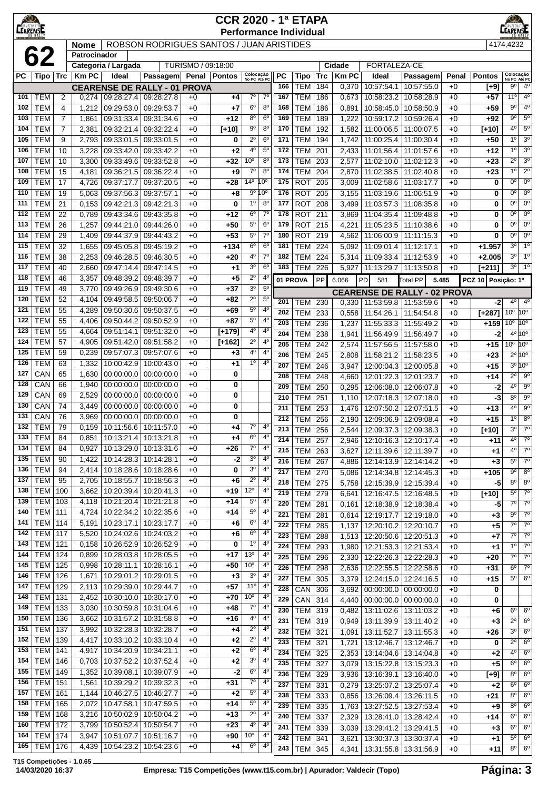| $\bigcirc$<br><b>CEARENSE</b> |                                                                                                                                                                                                                                                                                                                                                                                                                                                                                                                                                                                                                                                                                                                                                                                                                                                                                                                                                                                                                                                                                                                                                                                                                   |                     |                             |                                 |                                          |                    | <b>CCR 2020 - 1ª ETAPA</b> |                                    |                                  |            | <b>Performance Individual</b> |            |                |                                                    |                         |              |                  | <b>EARENSE</b>                                  |                               |
|-------------------------------|-------------------------------------------------------------------------------------------------------------------------------------------------------------------------------------------------------------------------------------------------------------------------------------------------------------------------------------------------------------------------------------------------------------------------------------------------------------------------------------------------------------------------------------------------------------------------------------------------------------------------------------------------------------------------------------------------------------------------------------------------------------------------------------------------------------------------------------------------------------------------------------------------------------------------------------------------------------------------------------------------------------------------------------------------------------------------------------------------------------------------------------------------------------------------------------------------------------------|---------------------|-----------------------------|---------------------------------|------------------------------------------|--------------------|----------------------------|------------------------------------|----------------------------------|------------|-------------------------------|------------|----------------|----------------------------------------------------|-------------------------|--------------|------------------|-------------------------------------------------|-------------------------------|
|                               | 62                                                                                                                                                                                                                                                                                                                                                                                                                                                                                                                                                                                                                                                                                                                                                                                                                                                                                                                                                                                                                                                                                                                                                                                                                |                     | <b>Nome</b><br>Patrocinador |                                 | ROBSON RODRIGUES SANTOS / JUAN ARISTIDES |                    |                            |                                    |                                  |            |                               |            |                |                                                    |                         |              |                  | 4174,4232                                       |                               |
|                               |                                                                                                                                                                                                                                                                                                                                                                                                                                                                                                                                                                                                                                                                                                                                                                                                                                                                                                                                                                                                                                                                                                                                                                                                                   |                     |                             | Categoria / Largada             |                                          | TURISMO / 09:18:00 |                            |                                    |                                  |            |                               |            | Cidade         | <b>FORTALEZA-CE</b>                                |                         |              |                  |                                                 |                               |
| РC                            | Tipo   Trc                                                                                                                                                                                                                                                                                                                                                                                                                                                                                                                                                                                                                                                                                                                                                                                                                                                                                                                                                                                                                                                                                                                                                                                                        |                     | <b>Km PC</b>                | Ideal                           | Passagem                                 |                    | Penal   Pontos             | Colocação<br>No PC Até PC          |                                  | РC         | Tipo                          | Trc        | <b>Km PC</b>   | Ideal                                              | Passagem                | Penal        | <b>Pontos</b>    | Colocação<br>No PC Até PC                       |                               |
|                               |                                                                                                                                                                                                                                                                                                                                                                                                                                                                                                                                                                                                                                                                                                                                                                                                                                                                                                                                                                                                                                                                                                                                                                                                                   |                     |                             |                                 | <b>CEARENSE DE RALLY - 01</b>            | <b>PROVA</b>       |                            |                                    |                                  | 166        | TEM                           | 184        | 0,370          | 10:57:54.1                                         | 10:57:55.0              | +0           | $[+9]$           | 9º                                              | $4^{\circ}$                   |
| 101                           | TEM                                                                                                                                                                                                                                                                                                                                                                                                                                                                                                                                                                                                                                                                                                                                                                                                                                                                                                                                                                                                                                                                                                                                                                                                               | 2                   | 0,274                       | 09:28:27.4                      | 09:28:27.8                               | $+0$               | +4                         | 70                                 | $7^{\circ}$                      | 167        | <b>TEM</b>                    | 186        | 0,673          | 10:58:23.2   10:58:28.9                            |                         | $+0$         | +57              | $11^{\circ}$                                    | $4^{\circ}$                   |
| 102<br>103                    | <b>TEM</b><br><b>TEM</b>                                                                                                                                                                                                                                                                                                                                                                                                                                                                                                                                                                                                                                                                                                                                                                                                                                                                                                                                                                                                                                                                                                                                                                                          | 4<br>$\overline{7}$ | 1,212                       | 09:29:53.0                      | 09:29:53.7<br>09:31:34.6                 | $+0$<br>$+0$       | +7                         | 6 <sup>o</sup><br>$8^{\circ}$      | $8^{\circ}$<br>6 <sup>o</sup>    | 168<br>169 | <b>TEM</b><br><b>TEM</b>      | 186<br>189 | 0,891<br>1,222 | 10:59:17.2 10:59:26.4                              | 10:58:45.0   10:58:50.9 | $+0$<br>$+0$ | +59<br>+92       | $9^{\circ}$<br>$9^{\circ}$                      | 4 <sup>0</sup><br>$5^{\circ}$ |
| 104                           | <b>TEM</b>                                                                                                                                                                                                                                                                                                                                                                                                                                                                                                                                                                                                                                                                                                                                                                                                                                                                                                                                                                                                                                                                                                                                                                                                        | $\overline{7}$      | 1,861<br>2,381              | 09:31:33.4<br>09:32:21.4        | 09:32:22.4                               | $+0$               | +12<br>$[+10]$             | 9 <sup>o</sup>                     | $8^{\circ}$                      | 170        | <b>TEM</b>                    | 192        | 1,582          | 11:00:06.5   11:00:07.5                            |                         | $+0$         | $[+10]$          | $4^{\circ}$                                     | 5 <sup>0</sup>                |
| 105                           | <b>TEM</b>                                                                                                                                                                                                                                                                                                                                                                                                                                                                                                                                                                                                                                                                                                                                                                                                                                                                                                                                                                                                                                                                                                                                                                                                        | 9                   | 2,793                       | 09:33:01.5                      | 09:33:01.5                               | $+0$               | 0                          | $2^{\circ}$                        | 6 <sup>o</sup>                   | 171        | <b>TEM</b>                    | 194        | 1,742          | 11:00:25.4 11:00:30.4                              |                         | $+0$         | $+50$            | 1 <sup>0</sup>                                  | 3 <sup>o</sup>                |
| 106                           | <b>TEM</b>                                                                                                                                                                                                                                                                                                                                                                                                                                                                                                                                                                                                                                                                                                                                                                                                                                                                                                                                                                                                                                                                                                                                                                                                        | 10                  | 3,228                       | 09:33:42.0                      | 09:33:42.2                               | $+0$               | +2                         | 4°                                 | $5^{\circ}$                      | 172        | <b>TEM</b>                    | 201        | 2,433          | 11:01:56.4                                         | 11:01:57.6              | $+0$         | +12              | 1°                                              | 3 <sup>o</sup>                |
| 107                           | <b>TEM</b>                                                                                                                                                                                                                                                                                                                                                                                                                                                                                                                                                                                                                                                                                                                                                                                                                                                                                                                                                                                                                                                                                                                                                                                                        | 10                  | 3,300                       | 09:33:49.6                      | 09:33:52.8                               | $+0$               | +32                        | 10 <sup>o</sup>                    | 8 <sup>o</sup>                   | 173        | <b>TEM</b>                    | 203        | 2,577          | 11:02:10.0                                         | 11:02:12.3              | $+0$         | $+23$            | $2^{\circ}$                                     | 3 <sup>o</sup>                |
| 108                           | <b>TEM</b>                                                                                                                                                                                                                                                                                                                                                                                                                                                                                                                                                                                                                                                                                                                                                                                                                                                                                                                                                                                                                                                                                                                                                                                                        | 15                  | 4,181                       | 09:36:21.5                      | 09:36:22.4                               | $+0$               | $+9$                       | $7^\circ$                          | 8 <sup>o</sup>                   | 174        | TEM                           | 204        | 2,870          | 11:02:38.5   11:02:40.8                            |                         | $+0$         | $+23$            | $1^{\circ}$                                     | 2 <sup>0</sup>                |
| 109                           | <b>TEM</b>                                                                                                                                                                                                                                                                                                                                                                                                                                                                                                                                                                                                                                                                                                                                                                                                                                                                                                                                                                                                                                                                                                                                                                                                        | 17                  | 4,726                       | 09:37:17.7                      | 09:37:20.5                               | $+0$               | +28                        | 14°                                | 10 <sup>o</sup>                  | 175        | <b>ROT</b>                    | 205        | 3,009          | 11:02:58.6   11:03:17.7                            |                         | $+0$         | 0                | $0^{\circ}$                                     | $0^{\circ}$                   |
| 110                           | <b>TEM</b>                                                                                                                                                                                                                                                                                                                                                                                                                                                                                                                                                                                                                                                                                                                                                                                                                                                                                                                                                                                                                                                                                                                                                                                                        | 19                  | 5,063                       | 09:37:56.3                      | 09:37:57.1                               | $+0$               | +8                         |                                    | $9^{\circ} 10^{\circ}$           | 176        | <b>ROT</b>                    | 205        | 3,155          | 11:03:19.6 11:06:51.9                              |                         | $+0$         | 0                | $0^{\circ}$<br>$0^{\circ}$                      | $0^{\circ}$<br>$0^{\circ}$    |
| 111<br>112                    | <b>TEM</b><br><b>TEM</b>                                                                                                                                                                                                                                                                                                                                                                                                                                                                                                                                                                                                                                                                                                                                                                                                                                                                                                                                                                                                                                                                                                                                                                                          | 21<br>22            | 0,153<br>0,789              | 09:42:21.3<br>09:43:34.6        | 09:42:21.3<br>09:43:35.8                 | $+0$<br>$+0$       | 0<br>+12                   | 1 <sup>0</sup><br>6 <sup>o</sup>   | $8^{\circ}$<br>$7^{\circ}$       | 177<br>178 | <b>ROT</b><br><b>ROT</b>      | 208<br>211 | 3.499<br>3,869 | 11:03:57.3<br>11:04:35.4   11:09:48.8              | 11:08:35.8              | $+0$<br>$+0$ | 0<br>0           | $0^{\circ}$                                     | $0^{\circ}$                   |
| 113                           | <b>TEM</b>                                                                                                                                                                                                                                                                                                                                                                                                                                                                                                                                                                                                                                                                                                                                                                                                                                                                                                                                                                                                                                                                                                                                                                                                        | 26                  | 1,257                       | 09:44:21.0                      | 09:44:26.0                               | $+0$               | $+50$                      | 5 <sup>0</sup>                     | 6 <sup>o</sup>                   | 179        | <b>ROT</b>                    | 215        | 4,221          | 11:05:23.5 11:10:38.6                              |                         | $+0$         | 0                | $0^{\circ}$                                     | $0^{\circ}$                   |
| 114                           | <b>TEM</b>                                                                                                                                                                                                                                                                                                                                                                                                                                                                                                                                                                                                                                                                                                                                                                                                                                                                                                                                                                                                                                                                                                                                                                                                        | 29                  | 1,409                       | 09:44:37.9                      | 09:44:43.2                               | $+0$               | $+53$                      | $5^{\circ}$                        | $7^{\circ}$                      | 180        | <b>ROT</b>                    | 219        | 4,562          | 11:06:00.9                                         | 11:11:15.3              | $+0$         | $\bf{0}$         | $0^{\circ}$                                     | $0^{\circ}$                   |
| 115                           | <b>TEM</b>                                                                                                                                                                                                                                                                                                                                                                                                                                                                                                                                                                                                                                                                                                                                                                                                                                                                                                                                                                                                                                                                                                                                                                                                        | 32                  | 1,655                       | 09:45:05.8                      | 09:45:19.2                               | $+0$               | +134                       | 6 <sup>o</sup>                     | 6 <sup>o</sup>                   | 181        | <b>TEM</b>                    | 224        | 5,092          | 11:09:01.4                                         | 11:12:17.1              | $+0$         | $+1.957$         | $3^{\circ}$                                     | 1 <sup>0</sup>                |
| 116                           | <b>TEM</b>                                                                                                                                                                                                                                                                                                                                                                                                                                                                                                                                                                                                                                                                                                                                                                                                                                                                                                                                                                                                                                                                                                                                                                                                        | 38                  | 2,253                       | 09:46:28.5                      | 09:46:30.5                               | $+0$               | $+20$                      | $4^{\circ}$                        | $7^\circ$                        | 182        | TEM                           | 224        | 5,314          | 11:09:33.4   11:12:53.9                            |                         | $+0$         | $+2.005$         | $3^{\circ}$                                     | 1 <sup>0</sup>                |
| 117                           | <b>TEM</b>                                                                                                                                                                                                                                                                                                                                                                                                                                                                                                                                                                                                                                                                                                                                                                                                                                                                                                                                                                                                                                                                                                                                                                                                        | 40                  | 2,660                       | 09:47:14.4                      | 09:47:14.5                               | $+0$               | $+1$                       | 3 <sup>o</sup>                     | 6 <sup>o</sup>                   | 183        | <b>TEM 226</b>                |            | 5,927          | 11:13:29.7                                         | 11:13:50.8              | $+0$         | $[+211]$         | $3^{\circ}$                                     | 1 <sup>o</sup>                |
| 118                           |                                                                                                                                                                                                                                                                                                                                                                                                                                                                                                                                                                                                                                                                                                                                                                                                                                                                                                                                                                                                                                                                                                                                                                                                                   |                     |                             |                                 |                                          |                    |                            |                                    |                                  |            |                               | PP         | 6.066          | 581                                                |                         |              |                  | Posição: 1º                                     |                               |
| 119<br>120                    |                                                                                                                                                                                                                                                                                                                                                                                                                                                                                                                                                                                                                                                                                                                                                                                                                                                                                                                                                                                                                                                                                                                                                                                                                   |                     |                             |                                 |                                          |                    |                            |                                    |                                  |            |                               |            |                |                                                    |                         |              |                  |                                                 |                               |
| 121                           | $2^{\circ}$<br>$4^{\circ}$<br><b>TEM</b><br>09:48:39.7<br>$+0$<br>+5<br>46<br>3,357<br>09:48:39.2<br>01 PROVA<br>5.485<br><b>PCZ 10</b><br>PD<br>Total PP<br><b>TEM</b><br>$+37$<br>3 <sup>o</sup><br>$5^{\circ}$<br>49<br>3,770<br>09:49:26.9<br>09:49:30.6<br>$+0$<br><b>CEARENSE DE RALLY - 02 PROVA</b><br>$2^{\circ}$<br><b>TEM</b><br>$5^{\circ}$<br>52<br>09:49:58.5<br>09:50:06.7<br>$+0$<br>+82<br>4,104<br>201<br><b>TEM</b><br>230<br>0,330<br>11:53:59.8   11:53:59.6<br>$+0$<br>5 <sup>o</sup><br><b>TEM</b><br>$+69$<br>$4^{\circ}$<br>55<br>4,289<br>09:50:30.6<br>09:50:37.5<br>$+0$<br>202<br><b>TEM</b><br>233<br>0,558<br>11:54:26.1<br>11:54:54.8<br>$+0$<br>$5^{\circ}$<br>4 <sup>0</sup><br><b>TEM</b><br>55<br>09:50:44.2<br>09:50:52.9<br>$+0$<br>+87<br>4,406<br>203<br><b>TEM</b><br>236<br>1,237<br>11:55:33.3   11:55:49.2<br>$+0$<br><b>TEM</b><br>55<br>09:51:32.0<br>$+0$<br>4°<br>$4^{\circ}$<br>4,664<br>09:51:14.1<br>$[+179]$<br>204<br><b>TEM</b><br>238<br>11:56:49.9 11:56:49.7<br>1,941<br>$+0$<br><b>TEM</b><br>09:51:58.2<br>$2^{\circ}$<br>57<br>09:51:42.0<br>$+0$<br>$[+162]$<br>4°<br>4,905<br>205<br><b>TEM</b><br>242<br>2,574<br>11:57:56.5<br>11:57:58.0<br>$+0$ |                     |                             |                                 |                                          |                    |                            |                                    |                                  |            |                               |            |                |                                                    | -2                      | $4^{\circ}$  | 4 <sup>o</sup>   |                                                 |                               |
| 122                           |                                                                                                                                                                                                                                                                                                                                                                                                                                                                                                                                                                                                                                                                                                                                                                                                                                                                                                                                                                                                                                                                                                                                                                                                                   |                     |                             |                                 |                                          |                    |                            |                                    |                                  |            |                               |            |                |                                                    |                         |              | $[+287]$<br>+159 | 10 <sup>o</sup><br>$10^{\circ}$ 10 <sup>°</sup> | 10 <sup>o</sup>               |
| 123                           |                                                                                                                                                                                                                                                                                                                                                                                                                                                                                                                                                                                                                                                                                                                                                                                                                                                                                                                                                                                                                                                                                                                                                                                                                   |                     |                             |                                 |                                          |                    |                            |                                    |                                  |            |                               |            |                |                                                    |                         |              | $-2$             |                                                 | $4^{\circ} 10^{\circ}$        |
| 124                           |                                                                                                                                                                                                                                                                                                                                                                                                                                                                                                                                                                                                                                                                                                                                                                                                                                                                                                                                                                                                                                                                                                                                                                                                                   |                     |                             |                                 |                                          |                    |                            |                                    |                                  |            |                               |            |                |                                                    |                         |              | $+15$            | $10^{\circ}$ 10 <sup>°</sup>                    |                               |
| 125                           | <b>TEM</b>                                                                                                                                                                                                                                                                                                                                                                                                                                                                                                                                                                                                                                                                                                                                                                                                                                                                                                                                                                                                                                                                                                                                                                                                        | 59                  | 0,239                       | 09:57:07.3                      | 09:57:07.6                               | $+0$               | $+3$                       | 4º                                 | $4^{\circ}$                      | 206        | <b>TEM</b>                    | 245        | 2,808          | 11:58:21.2                                         | 11:58:23.5              | $+0$         | +23              |                                                 | $2^{\circ}$ 10°               |
| 126                           | <b>TEM</b>                                                                                                                                                                                                                                                                                                                                                                                                                                                                                                                                                                                                                                                                                                                                                                                                                                                                                                                                                                                                                                                                                                                                                                                                        | 63                  | 1,332                       | 10:00:42.9                      | 10:00:43.0                               | $+0$               | +1                         | 1 <sup>0</sup>                     | 4 <sup>0</sup>                   | 207        | <b>TEM</b>                    | 246        | 3,947          | 12:00:04.3   12:00:05.8                            |                         | $+0$         | $+15$            |                                                 | $3^{\circ}$ 10°               |
| 127                           | CAN                                                                                                                                                                                                                                                                                                                                                                                                                                                                                                                                                                                                                                                                                                                                                                                                                                                                                                                                                                                                                                                                                                                                                                                                               | 65                  | 1,630                       | 00:00:00.0                      | 00:00:00.0                               | $+0$               | 0                          |                                    |                                  | 208        | <b>TEM</b>                    | 248        | 4,660          | 12:01:22.3 12:01:23.7                              |                         | $+0$         | +14              | $2^{\circ}$                                     | $9^{\circ}$                   |
| 128<br>129                    | CAN<br>CAN                                                                                                                                                                                                                                                                                                                                                                                                                                                                                                                                                                                                                                                                                                                                                                                                                                                                                                                                                                                                                                                                                                                                                                                                        | 66<br>69            | 1,940<br>2,529              | 00:00:00.0<br>00:00:00.0        | 00:00:00.0<br>00:00:00.0                 | $+0$<br>$+0$       | 0<br>0                     |                                    |                                  | 209        | <b>TEM</b>                    | 250        | 0,295          | 12:06:08.0 12:06:07.8                              |                         | $+0$         | -2               | $4^{\circ}$                                     | 9 <sup>o</sup>                |
| 130                           | CAN                                                                                                                                                                                                                                                                                                                                                                                                                                                                                                                                                                                                                                                                                                                                                                                                                                                                                                                                                                                                                                                                                                                                                                                                               | 74                  | 3,449                       | 00:00:00.0                      | 00:00:00.0                               | $+0$               | 0                          |                                    |                                  | 210        | <b>TEM</b>                    | 251        | 1,110          |                                                    | 12:07:18.3 12:07:18.0   | $+0$         | -3               | $8^{\circ}$<br>$4^{\circ}$                      | $9^{\circ}$                   |
| 131                           | CAN                                                                                                                                                                                                                                                                                                                                                                                                                                                                                                                                                                                                                                                                                                                                                                                                                                                                                                                                                                                                                                                                                                                                                                                                               | 76                  | 3,969                       | 00:00:00.0                      | 00:00:00.0                               | $+0$               | 0                          |                                    |                                  | 211<br>212 | <b>TEM</b><br><b>TEM</b>      | 253<br>256 | 1,476<br>2.190 | 12:07:50.2<br>12:09:06.9   12:09:08.4              | 12:07:51.5              | $+0$<br>$+0$ | $+13$<br>$+15$   | 1 <sup>°</sup>                                  | $9^{\circ}$<br>8 <sup>o</sup> |
| 132                           | <b>TEM</b>                                                                                                                                                                                                                                                                                                                                                                                                                                                                                                                                                                                                                                                                                                                                                                                                                                                                                                                                                                                                                                                                                                                                                                                                        | 79                  | 0,159                       | 10:11:56.6                      | 10:11:57.0                               | $+0$               | +4                         | $7^\circ$                          | $4^{\circ}$                      | 213        | <b>TEM</b>                    | 256        |                | 2.544 12:09:37.3 12:09:38.3                        |                         | $+0$         | $[+10]$          | $3^{\circ}$                                     | $7^\circ$                     |
| 133                           | TEM                                                                                                                                                                                                                                                                                                                                                                                                                                                                                                                                                                                                                                                                                                                                                                                                                                                                                                                                                                                                                                                                                                                                                                                                               | 84                  |                             | 0,851   10:13:21.4   10:13:21.8 |                                          | $+0$               | +4                         | 6 <sup>o</sup>                     | 4°                               | 214        | <b>TEM 257</b>                |            | 2,946          | 12:10:16.3   12:10:17.4                            |                         | +0           | +11              | $4^{\circ}$                                     | $7^\circ$                     |
| 134                           | <b>TEM</b>                                                                                                                                                                                                                                                                                                                                                                                                                                                                                                                                                                                                                                                                                                                                                                                                                                                                                                                                                                                                                                                                                                                                                                                                        | 84                  | 0,927                       | 10:13:29.0                      | 10:13:31.6                               | $+0$               | +26                        | $7^{\circ}$                        | $4^{\circ}$                      | 215        | <b>TEM 263</b>                |            | 3,627          | 12:11:39.6   12:11:39.7                            |                         | $+0$         | $+1$             | $4^{\circ}$                                     | $7^\circ$                     |
| 135                           | <b>TEM</b>                                                                                                                                                                                                                                                                                                                                                                                                                                                                                                                                                                                                                                                                                                                                                                                                                                                                                                                                                                                                                                                                                                                                                                                                        | 90                  | 1,422                       | 10:14:28.3                      | 10:14:28.1                               | $+0$               | $-2$                       | 3 <sup>o</sup>                     | $4^{\circ}$                      | 216        | <b>TEM 267</b>                |            | 4,886          | 12:14:13.9 12:14:14.2                              |                         | +0           | $+3$             | $5^{\circ}$                                     | $7^\circ$                     |
| 136<br>137                    | <b>TEM</b><br><b>TEM</b>                                                                                                                                                                                                                                                                                                                                                                                                                                                                                                                                                                                                                                                                                                                                                                                                                                                                                                                                                                                                                                                                                                                                                                                          | 94<br>95            | 2,414                       | 10:18:28.6                      | 10:18:28.6                               | $+0$<br>$+0$       | $\mathbf 0$<br>$+6$        | 3 <sup>o</sup><br>$2^{\circ}$      | 4 <sup>0</sup><br>$4^{\circ}$    | 217        | <b>TEM 270</b>                |            | 5,086          | 12:14:34.8 12:14:45.3                              |                         | $+0$         | +105             | $9^{\circ}$                                     | $8^{\circ}$                   |
| 138                           | <b>TEM</b>                                                                                                                                                                                                                                                                                                                                                                                                                                                                                                                                                                                                                                                                                                                                                                                                                                                                                                                                                                                                                                                                                                                                                                                                        | 100                 | 2,705<br>3,662              | 10:18:55.7<br>10:20:39.4        | 10:18:56.3<br>10:20:41.3                 | $+0$               | $+19$                      | $12^{\circ}$                       | $4^{\circ}$                      | 218        | <b>TEM 275</b>                |            |                | 5,758   12:15:39.9   12:15:39.4                    |                         | $+0$         | $-5$             | $8^{\circ}$                                     | $8^{\circ}$                   |
| 139                           | <b>TEM</b>                                                                                                                                                                                                                                                                                                                                                                                                                                                                                                                                                                                                                                                                                                                                                                                                                                                                                                                                                                                                                                                                                                                                                                                                        | 103                 | 4,118                       | 10:21:20.4                      | 10:21:21.8                               | $+0$               | $+14$                      | $5^{\circ}$                        | $4^{\circ}$                      | 219<br>220 | $TEM$ 279<br>TEM 281          |            | 6,641<br>0,161 | 12:16:47.5   12:16:48.5<br>12:18:38.9 12:18:38.4   |                         | $+0$<br>$+0$ | $[+10]$<br>-5    | $5^{\circ}$<br>$7^{\circ}$                      | $7^\circ$<br>$7^\circ$        |
| 140                           | TEM                                                                                                                                                                                                                                                                                                                                                                                                                                                                                                                                                                                                                                                                                                                                                                                                                                                                                                                                                                                                                                                                                                                                                                                                               | 111                 | 4,724                       | 10:22:34.2                      | 10:22:35.6                               | $+0$               | $+14$                      | 5 <sup>o</sup>                     | 4 <sup>0</sup>                   | 221        | <b>TEM</b> 281                |            | 0,614          | 12:19:17.7   12:19:18.0                            |                         | $+0$         | $+3$             | $9^{\circ}$                                     | $7^\circ$                     |
| 141                           | <b>TEM 114</b>                                                                                                                                                                                                                                                                                                                                                                                                                                                                                                                                                                                                                                                                                                                                                                                                                                                                                                                                                                                                                                                                                                                                                                                                    |                     | 5,191                       | 10:23:17.1                      | 10:23:17.7                               | $+0$               | $+6$                       | 6 <sup>o</sup>                     | $4^{\circ}$                      | 222        | <b>TEM 285</b>                |            |                | 1,137   12:20:10.2   12:20:10.7                    |                         | $+0$         | $+5$             | 7°                                              | $7^\circ$                     |
| 142                           | <b>TEM 117</b>                                                                                                                                                                                                                                                                                                                                                                                                                                                                                                                                                                                                                                                                                                                                                                                                                                                                                                                                                                                                                                                                                                                                                                                                    |                     | 5,520                       | 10:24:02.6                      | 10:24:03.2                               | $+0$               | $+6$                       | 6 <sup>o</sup>                     | 4°                               | 223        | TEM                           | 288        | 1,513          | 12:20:50.6   12:20:51.3                            |                         | $+0$         | $+7$             | 7°                                              | $7^\circ$                     |
| 143                           | <b>TEM 121</b>                                                                                                                                                                                                                                                                                                                                                                                                                                                                                                                                                                                                                                                                                                                                                                                                                                                                                                                                                                                                                                                                                                                                                                                                    |                     | 0,158                       | 10:26:52.9                      | 10:26:52.9                               | $+0$               | 0                          | $1^{\circ}$                        | 4°                               | 224        | <b>TEM</b>                    | 293        | 1,980          | 12:21:53.3 12:21:53.4                              |                         | $+0$         | $+1$             | $1^{\circ}$                                     | $7^\circ$                     |
| 144                           | $TEM$ 124                                                                                                                                                                                                                                                                                                                                                                                                                                                                                                                                                                                                                                                                                                                                                                                                                                                                                                                                                                                                                                                                                                                                                                                                         |                     | 0,899                       | 10:28:03.8                      | 10:28:05.5                               | $+0$               | $+17$                      | 13 <sup>0</sup><br>10 <sup>o</sup> | $4^{\circ}$<br>4 <sup>0</sup>    | 225        | <b>TEM</b>                    | 296        | 2,330          |                                                    | 12:22:26.3   12:22:28.3 | $+0$         | $+20$            | $7^{\circ}$                                     | $\overline{7^{\circ}}$        |
| 145<br>146                    | <b>TEM 125</b><br><b>TEM 126</b>                                                                                                                                                                                                                                                                                                                                                                                                                                                                                                                                                                                                                                                                                                                                                                                                                                                                                                                                                                                                                                                                                                                                                                                  |                     | 0,998<br>1,671              | 10:28:11.1<br>10:29:01.2        | 10:28:16.1<br>10:29:01.5                 | $+0$<br>$+0$       | +50<br>$+3$                | 3 <sup>o</sup>                     | $4^{\circ}$                      | 226        | <b>TEM 298</b>                |            | 2,636          |                                                    | 12:22:55.5   12:22:58.6 | $+0$         | +31              | $6^{\circ}$                                     | $7^\circ$                     |
| 147                           | TEM                                                                                                                                                                                                                                                                                                                                                                                                                                                                                                                                                                                                                                                                                                                                                                                                                                                                                                                                                                                                                                                                                                                                                                                                               | 129                 | 2,113                       | 10:29:39.0                      | 10:29:44.7                               | $+0$               | $+57$                      | 11 <sup>°</sup>                    | $4^{\circ}$                      | 227<br>228 | TEM 305<br>CAN                | 306        | 3,692          | 3,379   12:24:15.0   12:24:16.5                    | $00:00:00.0$ 00:00:00.0 | $+0$<br>+0   | +15<br>0         | $5^{\circ}$                                     | $6^{\circ}$                   |
| 148                           | TEM                                                                                                                                                                                                                                                                                                                                                                                                                                                                                                                                                                                                                                                                                                                                                                                                                                                                                                                                                                                                                                                                                                                                                                                                               | 131                 | 2,452                       | 10:30:10.0                      | 10:30:17.0                               | $+0$               | +70                        | 10 <sup>o</sup>                    | $4^{\circ}$                      | 229        | CAN                           | 314        | 4,440          | $00:00:00.0$ 00:00:00.00                           |                         | $+0$         | 0                |                                                 |                               |
| 149                           | TEM                                                                                                                                                                                                                                                                                                                                                                                                                                                                                                                                                                                                                                                                                                                                                                                                                                                                                                                                                                                                                                                                                                                                                                                                               | 133                 | 3,030                       | 10:30:59.8                      | 10:31:04.6                               | $+0$               | +48                        | $7^\circ$                          | 4 <sup>0</sup>                   | 230        | $TEM$ 319                     |            | 0,482          | 13:11:02.6   13:11:03.2                            |                         | $+0$         | $+6$             | $6^{\circ}$                                     | 6 <sup>o</sup>                |
| 150                           | <b>TEM 136</b>                                                                                                                                                                                                                                                                                                                                                                                                                                                                                                                                                                                                                                                                                                                                                                                                                                                                                                                                                                                                                                                                                                                                                                                                    |                     | 3,662                       | 10:31:57.2                      | 10:31:58.8                               | $+0$               | $+16$                      | 4 <sup>0</sup>                     | 4 <sup>0</sup>                   | 231        | TEM 319                       |            | 0,949          | 13:11:39.9   13:11:40.2                            |                         | +0           | $+3$             | $2^{\circ}$                                     | 6 <sup>o</sup>                |
| 151                           | <b>TEM 137</b>                                                                                                                                                                                                                                                                                                                                                                                                                                                                                                                                                                                                                                                                                                                                                                                                                                                                                                                                                                                                                                                                                                                                                                                                    |                     | 3,992                       |                                 | 10:32:28.3   10:32:28.7                  | $+0$               | $+4$                       | $2^{\circ}$                        | $4^{\circ}$                      | 232        | TEM 321                       |            | 1,091          | 13:11:52.7   13:11:55.3                            |                         | $+0$         | +26              | $3^{\circ}$                                     | 6 <sup>o</sup>                |
| 152                           | <b>TEM 139</b>                                                                                                                                                                                                                                                                                                                                                                                                                                                                                                                                                                                                                                                                                                                                                                                                                                                                                                                                                                                                                                                                                                                                                                                                    |                     | 4,417                       | 10:33:10.2                      | 10:33:10.4                               | $+0$               | $+2$                       | $2^{\circ}$                        | $4^{\circ}$                      | 233        | <b>TEM</b>                    | 321        | 1,721          | 13:12:46.7   13:12:46.7                            |                         | $+0$         | 0                | $2^{\circ}$                                     | $6^{\circ}$                   |
| 153<br>154                    | <b>TEM 141</b><br><b>TEM 146</b>                                                                                                                                                                                                                                                                                                                                                                                                                                                                                                                                                                                                                                                                                                                                                                                                                                                                                                                                                                                                                                                                                                                                                                                  |                     | 4,917<br>0,703              | 10:34:20.9<br>10:37:52.2        | 10:34:21.1<br>10:37:52.4                 | $+0$<br>$+0$       | $+2$<br>$+2$               | 6 <sup>o</sup><br>3 <sup>o</sup>   | 4 <sup>0</sup><br>4 <sup>0</sup> | 234        | <b>TEM 325</b>                |            | 2,353          | 13:14:04.6   13:14:04.8                            |                         | $+0$         | $+2$             | $4^{\circ}$                                     | 6 <sup>o</sup>                |
| 155                           | <b>TEM 149</b>                                                                                                                                                                                                                                                                                                                                                                                                                                                                                                                                                                                                                                                                                                                                                                                                                                                                                                                                                                                                                                                                                                                                                                                                    |                     | 1,352                       | 10:39:08.1                      | 10:39:07.9                               | $+0$               | $-2$                       | 6 <sup>o</sup>                     | $4^{\circ}$                      | 235        | <b>TEM 327</b>                |            | 3,079          | 13:15:22.8   13:15:23.3                            |                         | $+0$         | $+5$             | $6^{\circ}$                                     | 6 <sup>o</sup>                |
| 156                           | TEM                                                                                                                                                                                                                                                                                                                                                                                                                                                                                                                                                                                                                                                                                                                                                                                                                                                                                                                                                                                                                                                                                                                                                                                                               | 151                 | 1,561                       | 10:39:29.2                      | 10:39:32.3                               | $+0$               | $+31$                      | $7^\circ$                          | $4^{\circ}$                      | 236<br>237 | TEM 329<br>TEM 331            |            | 0,279          | 3,936   13:16:39.1   13:16:40.0                    |                         | $+0$<br>$+0$ | $[+9]$<br>$+2$   | $8^{\circ}$<br>$6^{\circ}$                      | $6^{\circ}$<br>$6^{\circ}$    |
| 157                           | TEM                                                                                                                                                                                                                                                                                                                                                                                                                                                                                                                                                                                                                                                                                                                                                                                                                                                                                                                                                                                                                                                                                                                                                                                                               | 161                 | 1,144                       | 10:46:27.5                      | 10:46:27.7                               | $+0$               | $+2$                       | $5^{\circ}$                        | 4 <sup>0</sup>                   | 238        | TEM 333                       |            | 0,856          | 13:25:07.2   13:25:07.4<br>13:26:09.4   13:26:11.5 |                         | $+0$         | +21              | $8^{\circ}$                                     | 6 <sup>o</sup>                |
| 158                           | TEM                                                                                                                                                                                                                                                                                                                                                                                                                                                                                                                                                                                                                                                                                                                                                                                                                                                                                                                                                                                                                                                                                                                                                                                                               | 165                 | 2,072                       | 10:47:58.1                      | 10:47:59.5                               | $+0$               | $+14$                      | $5^{\circ}$                        | 4 <sup>0</sup>                   | 239        | TEM 335                       |            | 1,763          | 13:27:52.5   13:27:53.4                            |                         | $+0$         | $+9$             | $8^{\circ}$                                     | 6 <sup>o</sup>                |
| 159                           | TEM                                                                                                                                                                                                                                                                                                                                                                                                                                                                                                                                                                                                                                                                                                                                                                                                                                                                                                                                                                                                                                                                                                                                                                                                               | 168                 | 3,216                       | 10:50:02.9                      | 10:50:04.2                               | $+0$               | $+13$                      | $2^{\circ}$                        | 4 <sup>0</sup>                   | 240        | <b>TEM 337</b>                |            | 2,329          | 13:28:41.0   13:28:42.4                            |                         | +0           | $+14$            | $6^{\circ}$                                     | 6 <sup>o</sup>                |
| 160                           | <b>TEM 172</b>                                                                                                                                                                                                                                                                                                                                                                                                                                                                                                                                                                                                                                                                                                                                                                                                                                                                                                                                                                                                                                                                                                                                                                                                    |                     | 3,799                       | 10:50:52.4                      | 10:50:54.7                               | $+0$               | $+23$                      | $4^{\circ}$                        | 4°                               | 241        | $TEM$ 339                     |            | 3,039          | 13:29:41.2   13:29:41.5                            |                         | $+0$         | $+3$             | $6^{\circ}$                                     | $6^{\circ}$                   |
| 164<br>165                    | <b>TEM 174</b><br><b>TEM 176</b>                                                                                                                                                                                                                                                                                                                                                                                                                                                                                                                                                                                                                                                                                                                                                                                                                                                                                                                                                                                                                                                                                                                                                                                  |                     | 3,947<br>4,439              | 10:51:07.7                      | 10:51:16.7<br>10:54:23.6                 | $+0$<br>$+0$       | +90                        | 10°<br>6 <sup>o</sup>              | 4°<br>4 <sup>0</sup>             | 242        | <b>TEM 341</b>                |            | 3,621          |                                                    | 13:30:37.3   13:30:37.4 | +0           | $+1$             | $5^{\circ}$                                     | $6^{\circ}$                   |
|                               |                                                                                                                                                                                                                                                                                                                                                                                                                                                                                                                                                                                                                                                                                                                                                                                                                                                                                                                                                                                                                                                                                                                                                                                                                   |                     |                             | 10:54:23.2                      |                                          |                    | $+4$                       |                                    |                                  | 243        | <b>TEM 345</b>                |            |                | 4,341 13:31:55.8 13:31:56.9                        |                         | $+0$         | $+11$            | $8^{\circ}$                                     | 6 <sup>o</sup>                |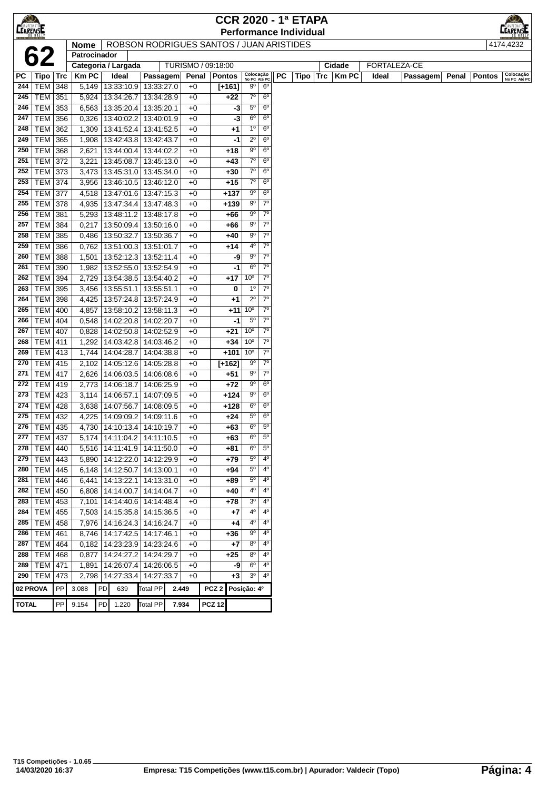| $\bigotimes$    |                       |            |                |                                       |                 |              |                                          |                           |                            | <b>CCR 2020 - 1ª ETAPA</b>    |      |              |              |          |       |               | K©∕                       |
|-----------------|-----------------------|------------|----------------|---------------------------------------|-----------------|--------------|------------------------------------------|---------------------------|----------------------------|-------------------------------|------|--------------|--------------|----------|-------|---------------|---------------------------|
| <b>CEARENSE</b> |                       |            |                |                                       |                 |              |                                          |                           |                            | <b>Performance Individual</b> |      |              |              |          |       |               | <b>EARENSE</b>            |
|                 |                       |            | <b>Nome</b>    |                                       |                 |              | ROBSON RODRIGUES SANTOS / JUAN ARISTIDES |                           |                            |                               |      |              |              |          |       | 4174,4232     |                           |
|                 | 62                    |            | Patrocinador   |                                       |                 |              |                                          |                           |                            |                               |      |              |              |          |       |               |                           |
|                 |                       |            |                | Categoria / Largada                   |                 |              | TURISMO / 09:18:00                       |                           |                            |                               |      | Cidade       | FORTALEZA-CE |          |       |               |                           |
| РC              | Tipo   Trc            |            | <b>Km PC</b>   | Ideal                                 | Passagem        | Penal        | Pontos                                   | Colocação<br>No PC Até PC |                            | РC                            | Tipo | Km PC<br>Trc | Ideal        | Passagem | Penal | <b>Pontos</b> | Colocação<br>No PC Até PC |
| 244             | <b>TEM 348</b>        |            | 5,149          | 13:33:10.9 13:33:27.0                 |                 | $+0$         | $[+161]$                                 | $9^{\circ}$               | 6 <sup>o</sup>             |                               |      |              |              |          |       |               |                           |
| 245             | TEM 351               |            | 5,924          | 13:34:26.7                            | 13:34:28.9      | $+0$         | +22                                      | $7^\circ$                 | 6 <sup>o</sup>             |                               |      |              |              |          |       |               |                           |
| 246             | TEM                   | 353        | 6,563          | 13:35:20.4                            | 13:35:20.1      | $+0$         | $-3$                                     | $5^{\circ}$               | $6^{\circ}$                |                               |      |              |              |          |       |               |                           |
| 247             | <b>TEM</b>            | 356        | 0,326          | 13:40:02.2                            | 13:40:01.9      | $+0$         | -3                                       | $6^{\circ}$               | $6^{\circ}$                |                               |      |              |              |          |       |               |                           |
| 248             | <b>TEM</b>            | 362        | 1,309          | 13:41:52.4                            | 13:41:52.5      | $+0$         | +1                                       | 1 <sup>0</sup>            | $6^{\circ}$                |                               |      |              |              |          |       |               |                           |
| 249             | <b>TEM</b>            | 365        | 1,908          | 13:42:43.8                            | 13:42:43.7      | $+0$         | -1                                       | $2^{\circ}$               | 6 <sup>o</sup>             |                               |      |              |              |          |       |               |                           |
| 250             | TEM                   | 368        | 2,621          | 13:44:00.4   13:44:02.2               |                 | $+0$         | +18                                      | $9^{\rm o}$               | $6^{\circ}$                |                               |      |              |              |          |       |               |                           |
| 251             | TEM                   | 372        | 3,221          | 13:45:08.7                            | 13:45:13.0      | $+0$         | +43                                      | $7^\circ$<br>$7^\circ$    | $6^{\circ}$<br>$6^{\circ}$ |                               |      |              |              |          |       |               |                           |
| 252<br>253      | TEM                   | 373        | 3,473          | 13:45:31.0   13:45:34.0               |                 | $+0$         | +30                                      | $7^\circ$                 | $6^{\circ}$                |                               |      |              |              |          |       |               |                           |
|                 | <b>TEM 374</b>        |            | 3,956          | 13:46:10.5                            | 13:46:12.0      | $+0$         | $+15$                                    | 90                        | 6 <sup>o</sup>             |                               |      |              |              |          |       |               |                           |
| 254<br>255      | <b>TEM 377</b>        |            | 4,518          | 13:47:01.6   13:47:15.3               |                 | $+0$         | $+137$                                   | $9^{\circ}$               | $7^\circ$                  |                               |      |              |              |          |       |               |                           |
| 256             | <b>TEM 378</b><br>TEM |            | 4,935          | 13:47:34.4<br>13:48:11.2   13:48:17.8 | 13:47:48.3      | $+0$         | $+139$                                   | 90                        | $7^{\circ}$                |                               |      |              |              |          |       |               |                           |
| 257             | <b>TEM</b>            | 381<br>384 | 5,293<br>0,217 | 13:50:09.4   13:50:16.0               |                 | $+0$<br>$+0$ | +66<br>+66                               | $9^{\circ}$               | $7^{\circ}$                |                               |      |              |              |          |       |               |                           |
| 258             | TEM                   | 385        | 0,486          | 13:50:32.7                            | 13:50:36.7      | $+0$         | +40                                      | $9^{\circ}$               | $7^{\circ}$                |                               |      |              |              |          |       |               |                           |
| 259             | <b>TEM</b>            | 386        | 0,762          | 13:51:00.3 13:51:01.7                 |                 | $+0$         | +14                                      | $4^{\rm o}$               | $7^\circ$                  |                               |      |              |              |          |       |               |                           |
| 260             | TEM                   | 388        | 1,501          | 13:52:12.3 13:52:11.4                 |                 | $+0$         | -9                                       | $9^{\circ}$               | $7^\circ$                  |                               |      |              |              |          |       |               |                           |
| 261             | <b>TEM</b>            | 390        | 1,982          | 13:52:55.0   13:52:54.9               |                 | $+0$         | -1                                       | $6^{\circ}$               | $7^{\circ}$                |                               |      |              |              |          |       |               |                           |
| 262             | <b>TEM</b>            | 394        | 2,729          | 13:54:38.5                            | 13:54:40.2      | $+0$         | $+17$                                    | $10^{\circ}$              | $7^{\circ}$                |                               |      |              |              |          |       |               |                           |
| 263             | TEM                   | 395        | 3,456          | 13:55:51.1                            | 13:55:51.1      | $+0$         | 0                                        | $1^{\circ}$               | $7^{\circ}$                |                               |      |              |              |          |       |               |                           |
| 264             | <b>TEM</b>            | 398        | 4,425          | 13:57:24.8                            | 13:57:24.9      | $+0$         | $^{+1}$                                  | $2^{\circ}$               | $7^\circ$                  |                               |      |              |              |          |       |               |                           |
| 265             | <b>TEM</b>            | 400        | 4,857          | 13:58:10.2                            | 13:58:11.3      | $+0$         | $+11$                                    | $10^{\circ}$              | $7^{\circ}$                |                               |      |              |              |          |       |               |                           |
| 266             | <b>TEM</b>            | 404        | 0,548          | 14:02:20.8                            | 14:02:20.7      | $+0$         | -1                                       | $5^{\circ}$               | $7^\circ$                  |                               |      |              |              |          |       |               |                           |
| 267             | <b>TEM</b>            | 407        | 0,828          | 14:02:50.8                            | 14:02:52.9      | $+0$         | $+21$                                    | 10 <sup>o</sup>           | $7^\circ$                  |                               |      |              |              |          |       |               |                           |
| 268             | TEM                   | 411        | 1,292          | 14:03:42.8                            | 14:03:46.2      | $+0$         | $+34$                                    | 10 <sup>o</sup>           | $7^{\circ}$                |                               |      |              |              |          |       |               |                           |
| 269             | <b>TEM 413</b>        |            | 1,744          | 14:04:28.7                            | 14:04:38.8      | $+0$         | +101                                     | 10 <sup>o</sup>           | $7^\circ$                  |                               |      |              |              |          |       |               |                           |
| 270             | <b>TEM 415</b>        |            | 2,102          | 14:05:12.6   14:05:28.8               |                 | $+0$         | [+162]                                   | 90                        | $7^{\circ}$                |                               |      |              |              |          |       |               |                           |
| 271             | TEM                   | 417        | 2,626          | 14:06:03.5                            | 14:06:08.6      | $+0$         | +51                                      | $9^{\circ}$               | $7^{\circ}$                |                               |      |              |              |          |       |               |                           |
| 272             | <b>TEM 419</b>        |            | 2,773          | 14:06:18.7                            | 14:06:25.9      | $+0$         | $+72$                                    | $9^{\circ}$               | 6 <sup>o</sup>             |                               |      |              |              |          |       |               |                           |
| 273             | <b>TEM 423</b>        |            | 3,114          | 14:06:57.1                            | 14:07:09.5      | $+0$         | $+124$                                   | $9^{\circ}$               | $6^{\circ}$                |                               |      |              |              |          |       |               |                           |
| 274             | <b>TEM</b>            | 428        |                | 3,638 14:07:56.7                      | 14:08:09.5      | $+0$         | $+128$                                   | $6^{\circ}$               | $6^{\circ}$                |                               |      |              |              |          |       |               |                           |
| 275             | TEM                   | 432        | 4,225          | 14:09:09.2                            | 14:09:11.6      | $+0$         | +24                                      | $5^{\circ}$               | $6^{\circ}$                |                               |      |              |              |          |       |               |                           |
| 276             | TEM 435               |            |                | 4,730   14:10:13.4   14:10:19.7       |                 | $+0$         | +63                                      | $6^{\circ}$               | $5^{\circ}$                |                               |      |              |              |          |       |               |                           |
|                 | 277 TEM 437           |            |                | 5,174 14:11:04.2 14:11:10.5           |                 | $+0$         | $+63$                                    | $6^{\circ}$               | $5^{\circ}$                |                               |      |              |              |          |       |               |                           |
|                 | 278   TEM   440       |            |                | 5,516   14:11:41.9   14:11:50.0       |                 | $+0$         | +81                                      | $6^{\circ}$               | $5^{\circ}$                |                               |      |              |              |          |       |               |                           |
| 279             | TEM 443               |            |                | 5,890   14:12:22.0   14:12:29.9       |                 | $+0$         | $+79$                                    | $5^{\circ}$               | 4°                         |                               |      |              |              |          |       |               |                           |
| 280             | TEM   445             |            | 6,148          | 14:12:50.7   14:13:00.1               |                 | $+0$         | +94                                      | $5^{\circ}$               | $4^{\rm o}$                |                               |      |              |              |          |       |               |                           |
| 281             | <b>TEM 446</b>        |            | 6,441          | 14:13:22.1                            | 14:13:31.0      | $+0$         | +89                                      | $5^{\rm o}$               | $4^{\circ}$                |                               |      |              |              |          |       |               |                           |
| 282             | TEM 450               |            | 6,808          | 14:14:00.7                            | 14:14:04.7      | $+0$         | +40                                      | 4 <sup>0</sup>            | $4^{\circ}$                |                               |      |              |              |          |       |               |                           |
| 283             | TEM 453               |            | 7,101          | 14:14:40.6 14:14:48.4                 |                 | $+0$         | +78                                      | 3 <sup>o</sup>            | $4^{\circ}$                |                               |      |              |              |          |       |               |                           |
| 284             | <b>TEM</b>            | 455        | 7,503          | 14:15:35.8                            | 14:15:36.5      | $+0$         | +7                                       | 4°                        | $4^{\circ}$                |                               |      |              |              |          |       |               |                           |
| 285             | <b>TEM</b>            | 458        |                | 7,976   14:16:24.3   14:16:24.7       |                 | $+0$         | +4                                       | 4 <sup>0</sup>            | $4^{\circ}$                |                               |      |              |              |          |       |               |                           |
| 286             | <b>TEM</b>            | 461        |                | 8,746   14:17:42.5                    | 14:17:46.1      | $+0$         | +36                                      | $9^{\circ}$               | 4 <sup>0</sup>             |                               |      |              |              |          |       |               |                           |
| 287             | <b>TEM 464</b>        |            |                | 0,182   14:23:23.9   14:23:24.6       |                 | $+0$         | $+7$                                     | $8^{\circ}$               | $4^{\circ}$                |                               |      |              |              |          |       |               |                           |
| 288             | TEM 468               |            | 0,877          | 14:24:27.2 14:24:29.7                 |                 | $+0$         | +25                                      | $8^{\circ}$               | 4°                         |                               |      |              |              |          |       |               |                           |
| 289             | <b>TEM 471</b>        |            | 1,891          | 14:26:07.4   14:26:06.5               |                 | $+0$         | -9                                       | $6^{\circ}$               | $4^{\circ}$                |                               |      |              |              |          |       |               |                           |
| 290             | <b>TEM</b>            | 473        | 2,798          | 14:27:33.4 14:27:33.7                 |                 | $+0$         | $+3$                                     | $3^{\circ}$               | 4 <sup>0</sup>             |                               |      |              |              |          |       |               |                           |
| 02 PROVA        |                       | PP         | 3.088          | <b>PD</b><br>639                      | <b>Total PP</b> | 2.449        | PCZ <sub>2</sub>                         | Posição: 4º               |                            |                               |      |              |              |          |       |               |                           |
| <b>TOTAL</b>    |                       | PP         | 9.154          | PD<br>1.220                           | <b>Total PP</b> | 7.934        | <b>PCZ 12</b>                            |                           |                            |                               |      |              |              |          |       |               |                           |
|                 |                       |            |                |                                       |                 |              |                                          |                           |                            |                               |      |              |              |          |       |               |                           |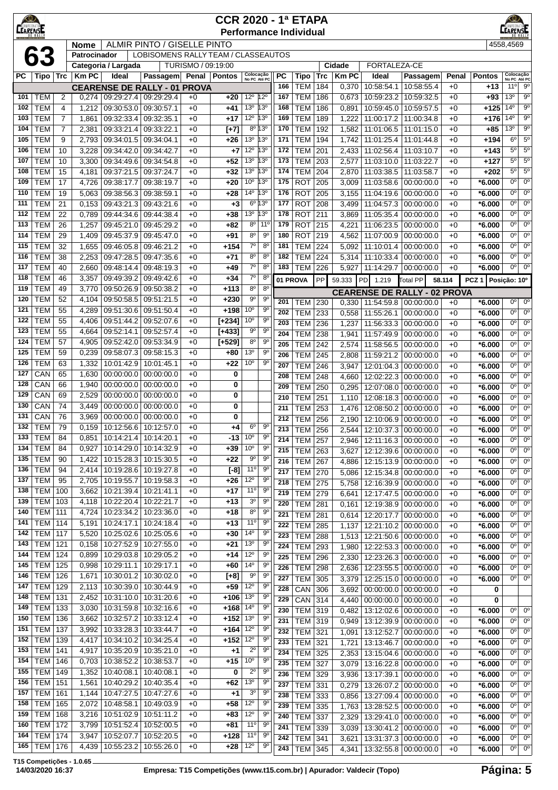| $\bigcirc$<br>AMPEONA<br><b>CEARENSE</b> |                          | <b>CCR 2020 - 1ª ETAPA</b><br><b>RENSE</b><br><b>Performance Individual</b><br><b>ALMIR PINTO / GISELLE PINTO</b><br>4558,4569<br><b>Nome</b><br>LOBISOMENS RALLY TEAM / CLASSEAUTOS<br>Patrocinador |                |                          |                                                 |                    |                |                                    |                                    |            |                           |            |                        |                          |                                                              |               |                      |                                  |                                       |
|------------------------------------------|--------------------------|------------------------------------------------------------------------------------------------------------------------------------------------------------------------------------------------------|----------------|--------------------------|-------------------------------------------------|--------------------|----------------|------------------------------------|------------------------------------|------------|---------------------------|------------|------------------------|--------------------------|--------------------------------------------------------------|---------------|----------------------|----------------------------------|---------------------------------------|
|                                          |                          |                                                                                                                                                                                                      |                |                          |                                                 |                    |                |                                    |                                    |            |                           |            |                        |                          |                                                              |               |                      |                                  |                                       |
|                                          | 63                       |                                                                                                                                                                                                      |                |                          |                                                 |                    |                |                                    |                                    |            |                           |            |                        |                          |                                                              |               |                      |                                  |                                       |
|                                          |                          |                                                                                                                                                                                                      | <b>KmPC</b>    | Categoria / Largada      |                                                 | TURISMO / 09:19:00 |                |                                    |                                    | PC         |                           |            | Cidade<br><b>Km PC</b> | FORTALEZA-CE             |                                                              |               |                      |                                  |                                       |
| РC                                       | Tipo   Trc               |                                                                                                                                                                                                      |                | Ideal                    | Passagem<br><b>CEARENSE DE RALLY - 01 PROVA</b> | Penal              | Pontos         | Colocação<br>No PC Até PC          |                                    | 166        | <b>Tipo</b><br><b>TEM</b> | Trc<br>184 | 0,370                  | Ideal<br>10:58:54.1      | Passagem<br>10:58:55.4                                       | Penal<br>$+0$ | <b>Pontos</b><br>+13 | Colocação<br>No PC Até PC<br>11° | $9^{\circ}$                           |
| 101                                      | <b>TEM</b>               | 2                                                                                                                                                                                                    |                |                          | 0.274 09:29:27.4 09:29:29.4                     | $+0$               | +20            | $12^{\circ}$                       | $12^{\circ}$                       | 167        | TEM                       | 186        | 0,673                  | 10:59:23.2               | 10:59:32.5                                                   | $+0$          | +93                  | 13 <sup>o</sup>                  | 9 <sup>o</sup>                        |
| 102                                      | <b>TEM</b>               | 4                                                                                                                                                                                                    |                | 1,212 09:30:53.0         | 09:30:57.1                                      | $+0$               | +41            | 13 <sup>o</sup>                    | 13 <sup>o</sup>                    | 168        | <b>TEM</b>                | 186        | 0,891                  | 10:59:45.0               | 10:59:57.5                                                   | $+0$          | +125                 | $14^{o}$                         | $9^{\rm o}$                           |
| 103                                      | <b>TEM</b>               | 7                                                                                                                                                                                                    | 1,861          | 09:32:33.4               | 09:32:35.1                                      | $+0$               | +17            | $12^{\circ}$                       | 13 <sup>o</sup>                    | 169        | <b>TEM</b>                | 189        | 1,222                  | 11:00:17.2               | 11:00:34.8                                                   | $+0$          | +176                 | 14 <sup>°</sup>                  | $9^{\rm o}$                           |
| 104                                      | <b>TEM</b>               | 7                                                                                                                                                                                                    | 2,381          | 09:33:21.4               | 09:33:22.1                                      | $+0$               | $[+7]$         |                                    | 8º 13º                             | 170        | <b>TEM</b>                | 192        | 1,582                  | 11:01:06.5               | 11:01:15.0                                                   | $+0$          | $+85$                | 13 <sup>o</sup>                  | 9 <sup>0</sup>                        |
| 105                                      | TEM                      | 9                                                                                                                                                                                                    | 2,793          | 09:34:01.5               | 09:34:04.1                                      | $+0$               | $+26$          | 13 <sup>0</sup>                    | 13°                                | 171        | TEM                       | 194        | 1,742                  | 11:01:25.4               | 11:01:44.8                                                   | $+0$          | +194                 | 6 <sup>o</sup>                   | $5^{\circ}$                           |
| 106                                      | <b>TEM</b>               | 10                                                                                                                                                                                                   | 3,228          | 09:34:42.0               | 09:34:42.7                                      | $+0$               | +7             | $12^{\circ}$                       | 13°                                | 172        | <b>TEM</b>                | 201        | 2,433                  | 11:02:56.4               | 11:03:10.7                                                   | $+0$          | +143                 | $5^{\circ}$                      | $5^{\circ}$                           |
| 107<br>108                               | TEM<br><b>TEM</b>        | 10<br>15                                                                                                                                                                                             | 3,300<br>4,181 | 09:34:49.6<br>09:37:21.5 | 09:34:54.8<br>09:37:24.7                        | $+0$<br>$+0$       | $+52$<br>+32   | 13 <sup>o</sup><br>13 <sup>0</sup> | 13 <sup>o</sup><br>13 <sup>o</sup> | 173<br>174 | <b>TEM</b><br><b>TEM</b>  | 203<br>204 | 2,577<br>2,870         | 11:03:10.0<br>11:03:38.5 | 11:03:22.7<br>11:03:58.7                                     | $+0$<br>$+0$  | +127<br>$+202$       | $5^{\circ}$<br>$5^{\circ}$       | $5^{\circ}$<br>$5^{\circ}$            |
| 109                                      | <b>TEM</b>               | 17                                                                                                                                                                                                   | 4,726          | 09:38:17.7               | 09:38:19.7                                      | $+0$               | +20            | 10 <sup>o</sup>                    | 13°                                | 175        | <b>ROT</b>                | 205        | 3,009                  | 11:03:58.6               | 00:00:00.0                                                   | $+0$          | $*6.000$             | 0 <sup>o</sup>                   | 0 <sup>o</sup>                        |
| 110                                      | <b>TEM</b>               | 19                                                                                                                                                                                                   | 5,063          | 09:38:56.3               | 09:38:59.1                                      | $+0$               | +28            | 14 <sup>°</sup>                    | $13^{\circ}$                       | 176        | <b>ROT</b>                | 205        | 3,155                  | 11:04:19.6               | 00:00:00.0                                                   | $+0$          | $*6.000$             | 0°                               | $0^{\circ}$                           |
| 111                                      | <b>TEM</b>               | 21                                                                                                                                                                                                   | 0,153          | 09:43:21.3               | 09:43:21.6                                      | $+0$               | +3             | $6^{\circ}$                        | 13°                                | 177        | <b>ROT</b>                | 208        | 3,499                  | 11:04:57.3               | 00:00:00.0                                                   | $+0$          | *6.000               | 0°                               | $0^{\rm o}$                           |
| 112                                      | <b>TEM</b>               | 22                                                                                                                                                                                                   | 0,789          | 09:44:34.6               | 09:44:38.4                                      | $+0$               | +38            | 13 <sup>o</sup>                    | $13^{\circ}$                       | 178        | <b>ROT</b>                | 211        | 3,869                  | 11:05:35.4               | 00:00:00.0                                                   | $+0$          | *6.000               | 0°                               | $0^{\circ}$                           |
| 113                                      | <b>TEM</b>               | 26                                                                                                                                                                                                   | 1,257          | 09:45:21.0               | 09:45:29.2                                      | $+0$               | +82            | $8^{\circ}$                        | $11^{\circ}$                       | 179        | <b>ROT</b>                | 215        | 4,221                  | 11:06:23.5               | 00:00:00.0                                                   | +0            | $*6.000$             | 0°                               | $0^{\circ}$                           |
| 114                                      | <b>TEM</b>               | 29                                                                                                                                                                                                   | 1,409          | 09:45:37.9               | 09:45:47.0                                      | $+0$               | +91            | $8^{\circ}$                        | 90                                 | 180        | <b>ROT</b>                | 219        | 4,562                  | 11:07:00.9               | 00:00:00.0                                                   | $+0$          | $*6.000$             | 0°                               | $\overline{0^{\circ}}$                |
| 115                                      | <b>TEM</b>               | 32                                                                                                                                                                                                   | 1,655          | 09:46:05.8               | 09:46:21.2                                      | $+0$               | $+154$         | $7^\circ$<br>$8^{\circ}$           | $8^{\circ}$                        | 181        | <b>TEM</b>                | 224        | 5,092                  | 11:10:01.4               | 00:00:00.0                                                   | $+0$          | *6.000               | 0°<br>0°                         | $0^{\circ}$<br>$0^{\circ}$            |
| 116<br>117                               | <b>TEM</b><br><b>TEM</b> | 38<br>40                                                                                                                                                                                             | 2,253<br>2,660 | 09:47:28.5<br>09:48:14.4 | 09:47:35.6<br>09:48:19.3                        | $+0$<br>$+0$       | +71<br>+49     | $7^\circ$                          | $8^{\circ}$<br>$8^{\circ}$         | 182<br>183 | <b>TEM</b><br>TEM         | 224<br>226 | 5,314<br>5,927         | 11:10:33.4<br>11:14:29.7 | 00:00:00.0<br>00:00:00.0                                     | $+0$<br>$+0$  | *6.000<br>$*6.000$   | 0°                               | $0^{\circ}$                           |
| 118                                      | <b>TEM</b>               | 46                                                                                                                                                                                                   | 3,357          | 09:49:39.2               | 09:49:42.6                                      | $+0$               | +34            | $7^\circ$                          | $8^{\circ}$                        | 01 PROVA   |                           | PP         | 59.333                 |                          | Total PP                                                     |               | PCZ <sub>1</sub>     | Posição: 10°                     |                                       |
| 119                                      | <b>TEM</b>               | 49                                                                                                                                                                                                   | 3,770          | 09:50:26.9               | 09:50:38.2                                      | $+0$               | $+113$         | $8^{\circ}$                        | $8^{\circ}$                        |            |                           |            |                        | <b>PD</b><br>1.219       |                                                              | 58.114        |                      |                                  |                                       |
| 120                                      | <b>TEM</b>               | 52                                                                                                                                                                                                   | 4,104          | 09:50:58.5               | 09:51:21.5                                      | $+0$               | $+230$         | $9^{\circ}$                        | 90                                 | 201        | TEM                       | 230        | 0,330                  |                          | <b>CEARENSE DE RALLY - 02 PROVA</b><br>11:54:59.8 00:00:00.0 | +0            | *6.000               | 0 <sup>o</sup>                   | $0^{\circ}$                           |
| 121                                      | <b>TEM</b>               | 55                                                                                                                                                                                                   | 4,289          | 09:51:30.6               | 09:51:50.4                                      | $+0$               | $+198$         | 10 <sup>o</sup>                    | $9^{\circ}$                        | 202        | <b>TEM</b>                | 233        | 0,558                  | 11:55:26.1               | 00:00:00.0                                                   | $+0$          | *6.000               | 0 <sup>o</sup>                   | $0^{\circ}$                           |
| 122                                      | <b>TEM</b>               | 55                                                                                                                                                                                                   | 4,406          | 09:51:44.2               | 09:52:07.6                                      | $+0$               | $[+234]$       | $10^{\circ}$                       | $9^{\circ}$                        | 203        | <b>TEM</b>                | 236        | 1,237                  | 11:56:33.3               | 00:00:00.0                                                   | $+0$          | *6.000               | $0^{\circ}$                      | $\overline{0^{\circ}}$                |
| 123                                      | <b>TEM</b>               | 55                                                                                                                                                                                                   | 4,664          | 09:52:14.1               | 09:52:57.4                                      | $+0$               | $[+433]$       | $9^{\circ}$                        | $9^{\circ}$                        | 204        | <b>TEM</b>                | 238        | 1,941                  | 11:57:49.9               | 00:00:00.0                                                   | $+0$          | $*6.000$             | 0 <sup>o</sup>                   | $\overline{0^{\circ}}$                |
| 124                                      | <b>TEM</b>               | 57                                                                                                                                                                                                   | 4,905          | 09:52:42.0               | 09:53:34.9                                      | $+0$               | $[+529]$       | $8^{\circ}$                        | 9 <sup>o</sup>                     | 205        | <b>TEM</b>                | 242        | 2,574                  | 11:58:56.5               | 00:00:00.0                                                   | $+0$          | *6.000               | 0°                               | $0^{\circ}$                           |
| 125<br>126                               | <b>TEM</b><br><b>TEM</b> | 59<br>63                                                                                                                                                                                             | 0,239<br>1,332 | 09:58:07.3<br>10:01:42.9 | 09:58:15.3<br>10:01:45.1                        | $+0$<br>$+0$       | +80<br>+22     | $13^{\circ}$<br>10 <sup>o</sup>    | 90<br>$9^{\circ}$                  | 206        | <b>TEM</b>                | 245        | 2,808                  | 11:59:21.2               | 00:00:00.0                                                   | $+0$          | *6.000               | 0°                               | $0^{\rm o}$                           |
| 127                                      | CAN                      | 65                                                                                                                                                                                                   | 1,630          | 00:00:00.0               | 00:00:00.0                                      | $+0$               | 0              |                                    |                                    | 207        | <b>TEM</b>                | 246        | 3,947                  | 12:01:04.3               | 00:00:00.0                                                   | $+0$          | $*6.000$             | 0°<br>0 <sup>o</sup>             | $0^{\rm o}$<br>$\overline{0^{\circ}}$ |
| 128                                      | CAN                      | 66                                                                                                                                                                                                   | 1,940          | 00:00:00.0               | 00:00:00.0                                      | $+0$               | 0              |                                    |                                    | 208<br>209 | <b>TEM</b><br><b>TEM</b>  | 248<br>250 | 4,660<br>0,295         | 12:02:22.3<br>12:07:08.0 | 00:00:00.0<br>00:00:00.0                                     | $+0$<br>$+0$  | $*6.000$<br>$*6.000$ | 0°                               | $0^{\circ}$                           |
| 129                                      | CAN                      | 69                                                                                                                                                                                                   | 2,529          | 00:00:00.0               | 00:00:00.0                                      | $+0$               | 0              |                                    |                                    | 210        | <b>TEM</b>                | 251        | 1,110                  | 12:08:18.3               | 00:00:00.0                                                   | $+0$          | *6.000               | 0°                               | $0^{\circ}$                           |
| 130                                      | CAN                      | 74                                                                                                                                                                                                   | 3,449          | 00:00:00.0               | 00:00:00.0                                      | $+0$               | 0              |                                    |                                    | 211        | <b>TEM</b>                | 253        | 1,476                  | 12:08:50.2               | 00:00:00.0                                                   | $+0$          | *6.000               | 0°                               | $0^{\circ}$                           |
| 131                                      | CAN                      | 76                                                                                                                                                                                                   | 3,969          | 00:00:00.0               | 00:00:00.0                                      | $+0$               | 0              |                                    |                                    | 212        | <b>TEM</b>                | 256        | 2,190                  | 12:10:06.9               | 00:00:00.0                                                   | $+0$          | *6.000               | 0°                               | $0^{\circ}$                           |
| 132                                      | <b>TEM</b>               | 79                                                                                                                                                                                                   | 0,159          | 10:12:56.6               | 10:12:57.0                                      | $+0$               | +4             | $6^{\circ}$                        | $9^{\circ}$                        | 213        | <b>TEM</b>                | 256        | 2,544                  |                          | 12:10:37.3 00:00:00.0                                        | $+0$          | $*6.000$             | 0 <sup>o</sup>                   | $0^{\circ}$                           |
| 133                                      | TEM                      | 84                                                                                                                                                                                                   | 0,851          | 10:14:21.4               | 10:14:20.1                                      | $+0$               | -13            | 10 <sup>o</sup>                    | 9 <sup>o</sup>                     | 214        | <b>TEM 257</b>            |            | 2,946                  |                          | 12:11:16.3 00:00:00.0                                        | $+0$          | $*6.000$             | 0°                               | $0^{\circ}$                           |
| 134<br>135                               | <b>TEM</b><br><b>TEM</b> | 84<br>90                                                                                                                                                                                             | 0,927<br>1,422 | 10:14:29.0<br>10:15:28.3 | 10:14:32.9<br>10:15:30.5                        | $+0$<br>$+0$       | $+39$<br>$+22$ | 10 <sup>o</sup><br>90              | 90<br>90                           | 215        | <b>TEM</b>                | 263        | 3,627                  |                          | 12:12:39.6 00:00:00.0                                        | $+0$          | $*6.000$             | 0°                               | $\overline{0^{\circ}}$                |
| 136                                      | <b>TEM</b>               | 94                                                                                                                                                                                                   | 2,414          | 10:19:28.6               | 10:19:27.8                                      | $+0$               | $[-8]$         | 11 <sup>0</sup>                    | $9^{\circ}$                        | 216<br>217 | $TEM$ 267                 |            | 4,886                  | 12:15:13.9               | 00:00:00.0                                                   | $+0$          | $*6.000$             | 0°<br>0°                         | $0^{\circ}$<br>$\overline{0^{\circ}}$ |
| 137                                      | <b>TEM</b>               | 95                                                                                                                                                                                                   | 2,705          | 10:19:55.7               | 10:19:58.3                                      | $+0$               | $+26$          | $12^{\circ}$                       | $9^{\circ}$                        | 218        | <b>TEM</b><br><b>TEM</b>  | 270<br>275 | 5,086<br>5,758         | 12:15:34.8<br>12:16:39.9 | 00:00:00.0<br>00:00:00.0                                     | $+0$<br>$+0$  | $*6.000$<br>$*6.000$ | 0°                               | $0^{\circ}$                           |
| 138                                      | TEM                      | 100                                                                                                                                                                                                  | 3,662          | 10:21:39.4               | 10:21:41.1                                      | $+0$               | $+17$          | $11^{\circ}$                       | 9 <sup>o</sup>                     | 219        | <b>TEM</b>                | 279        | 6,641                  | 12:17:47.5               | 00:00:00.0                                                   | $+0$          | *6.000               | 0°                               | $0^{\circ}$                           |
| 139                                      | TEM                      | 103                                                                                                                                                                                                  | 4,118          | 10:22:20.4               | 10:22:21.7                                      | $+0$               | $+13$          | 3 <sup>o</sup>                     | 90                                 | 220        | <b>TEM</b>                | 281        | 0,161                  | 12:19:38.9               | 00:00:00.0                                                   | $+0$          | $*6.000$             | 0°                               | $0^{\circ}$                           |
| 140                                      | TEM                      | 111                                                                                                                                                                                                  | 4,724          | 10:23:34.2               | 10:23:36.0                                      | $+0$               | $+18$          | $8^{\circ}$                        | $9^{\circ}$                        | 221        | <b>TEM</b>                | 281        | 0,614                  | 12:20:17.7               | 00:00:00.0                                                   | $+0$          | $*6.000$             | 0°                               | $0^{\circ}$                           |
| 141                                      | <b>TEM</b>               | 114                                                                                                                                                                                                  | 5,191          | 10:24:17.1               | 10:24:18.4                                      | $+0$               | $+13$          | 11 <sup>0</sup>                    | 90                                 | 222        | <b>TEM</b>                | 285        | 1,137                  | 12:21:10.2               | 00:00:00.0                                                   | $+0$          | $*6.000$             | 0 <sup>o</sup>                   | $\overline{0^{\circ}}$                |
| 142<br>143                               | TEM<br>TEM               | 117<br>121                                                                                                                                                                                           | 5,520<br>0,158 | 10:25:02.6<br>10:27:52.9 | 10:25:05.6<br>10:27:55.0                        | $+0$<br>$+0$       | $+30$<br>$+21$ | $14^{\circ}$<br>13 <sup>0</sup>    | 9 <sup>o</sup><br>$9^{\circ}$      | 223        | <b>TEM</b>                | 288        | 1,513                  |                          | 12:21:50.6 00:00:00.0                                        | $+0$          | $*6.000$             | 0 <sup>o</sup>                   | $0^{\circ}$                           |
| 144                                      | TEM                      | 124                                                                                                                                                                                                  | 0,899          | 10:29:03.8               | 10:29:05.2                                      | $+0$               | +14            | $12^{\circ}$                       | 90                                 | 224<br>225 | <b>TEM</b>                | 293        | 1,980                  | 12:22:53.3               | 00:00:00.0                                                   | $+0$          | $*6.000$             | 0° <br>0°                        | $0^{\circ}$<br>0 <sup>o</sup>         |
| 145                                      | TEM                      | 125                                                                                                                                                                                                  | 0,998          | 10:29:11.1               | 10:29:17.1                                      | $+0$               | +60            | 14 <sup>°</sup>                    | $9^{\circ}$                        | 226        | <b>TEM</b><br><b>TEM</b>  | 296<br>298 | 2,330<br>2,636         | 12:23:26.3<br>12:23:55.5 | 00:00:00.0<br>00:00:00.0                                     | $+0$<br>$+0$  | $*6.000$<br>$*6.000$ | 0°                               | $0^{\circ}$                           |
| 146                                      | TEM                      | 126                                                                                                                                                                                                  | 1,671          | 10:30:01.2               | 10:30:02.0                                      | $+0$               | $[+8]$         | 9 <sup>o</sup>                     | 9 <sup>o</sup>                     | 227        | <b>TEM</b>                | 305        | 3,379                  | 12:25:15.0               | 00:00:00.0                                                   | $+0$          | $*6.000$             | 0°                               | $0^{\circ}$                           |
| 147                                      | <b>TEM 129</b>           |                                                                                                                                                                                                      |                | 2,113 10:30:39.0         | 10:30:44.9                                      | $+0$               | $+59$          | $12^{\circ}$                       | $9^{\circ}$                        | 228        | CAN                       | 306        | 3,692                  | 00:00:00.0               | 00:00:00.0                                                   | $+0$          | 0                    |                                  |                                       |
| 148                                      | <b>TEM 131</b>           |                                                                                                                                                                                                      |                | 2,452 10:31:10.0         | 10:31:20.6                                      | $+0$               | $+106$         | 13 <sup>o</sup>                    | 90                                 | 229        | CAN                       | 314        | 4,440                  | 00:00:00.0               | 00:00:00.0                                                   | +0            | 0                    |                                  |                                       |
| 149                                      | <b>TEM</b>               | 133                                                                                                                                                                                                  | 3,030          | 10:31:59.8               | 10:32:16.6                                      | $+0$               | $+168$         | $14^{\circ}$                       | $9^{\circ}$                        | 230        | <b>TEM</b>                | 319        | 0,482                  | 13:12:02.6               | 00:00:00.0                                                   | +0            | $*6.000$             | 0°                               | $0^{\circ}$                           |
| 150                                      | TEM                      | 136                                                                                                                                                                                                  | 3,662          | 10:32:57.2               | 10:33:12.4                                      | $+0$               | $+152$         | $13^{o}$                           | 9 <sup>o</sup>                     | 231        | <b>TEM 319</b>            |            | 0,949                  | 13:12:39.9               | 00:00:00.0                                                   | +0            | $*6.000$             | 0°                               | $0^{\circ}$                           |
| 151                                      | TEM                      | 137                                                                                                                                                                                                  | 3,992          | 10:33:28.3               | 10:33:44.7                                      | $+0$               | $+164$         | $12^{\circ}$                       | $9^{\circ}$                        | 232        | TEM                       | 321        | 1,091                  | 13:12:52.7               | 00:00:00.0                                                   | $+0$          | $*6.000$             | 0°                               | 0 <sup>o</sup>                        |
| 152<br>153                               | TEM<br>TEM               | 139<br>141                                                                                                                                                                                           | 4,417<br>4,917 | 10:34:10.2<br>10:35:20.9 | 10:34:25.4<br>10:35:21.0                        | $+0$<br>$+0$       | $+152$<br>+1   | $12^{\circ}$<br>$2^{\circ}$        | 90<br>90                           | 233        | <b>TEM</b>                | 321        | 1,721                  | 13:13:46.7               | 00:00:00.0                                                   | $+0$          | $*6.000$             | 0°                               | $0^{\circ}$                           |
| 154                                      | <b>TEM</b>               | 146                                                                                                                                                                                                  | 0,703          | 10:38:52.2               | 10:38:53.7                                      | $+0$               | $+15$          | 10 <sup>o</sup>                    | 9 <sup>o</sup>                     | 234        | <b>TEM</b>                | 325        | 2,353                  | 13:15:04.6               | 00:00:00.0                                                   | $+0$          | $*6.000$             | 0°<br>0°                         | $0^{\circ}$<br>$0^{\circ}$            |
| 155                                      | TEM                      | 149                                                                                                                                                                                                  | 1,352          | 10:40:08.1               | 10:40:08.1                                      | $+0$               | 0              | $2^{\circ}$                        | $9^{\circ}$                        | 235<br>236 | <b>TEM</b><br>TEM         | 327<br>329 | 3,079<br>3,936         | 13:16:22.8<br>13:17:39.1 | 00:00:00.0<br>00:00:00.0                                     | $+0$<br>$+0$  | $*6.000$<br>$*6.000$ | 0°                               | 0 <sup>o</sup>                        |
| 156                                      | TEM                      | 151                                                                                                                                                                                                  | 1,561          | 10:40:29.2               | 10:40:35.4                                      | $+0$               | $+62$          | 13 <sup>0</sup>                    | $9^{\circ}$                        | 237        | <b>TEM</b>                | 331        | 0,279                  | 13:26:07.2               | 00:00:00.0                                                   | $+0$          | $*6.000$             | 0°                               | 0 <sup>o</sup>                        |
| 157                                      | TEM                      | 161                                                                                                                                                                                                  | 1,144          | 10:47:27.5               | 10:47:27.6                                      | $+0$               | +1             | 3 <sup>o</sup>                     | 90                                 | 238        | <b>TEM</b>                | 333        | 0,856                  | 13:27:09.4               | 00:00:00.0                                                   | $+0$          | $*6.000$             | 0°                               | $0^{\circ}$                           |
| 158                                      | <b>TEM</b>               | 165                                                                                                                                                                                                  | 2,072          | 10:48:58.1               | 10:49:03.9                                      | $+0$               | $+58$          | $12^{\circ}$                       | $9^{\rm o}$                        | 239        | <b>TEM</b>                | 335        | 1,763                  | 13:28:52.5               | 00:00:00.0                                                   | $+0$          | $*6.000$             | 0°                               | $0^{\circ}$                           |
| 159                                      | TEM                      | 168                                                                                                                                                                                                  | 3,216          | 10:51:02.9               | 10:51:11.2                                      | $+0$               | $+83$          | $12^{\circ}$                       | $9^{\circ}$                        | 240        | <b>TEM</b>                | 337        | 2,329                  | 13:29:41.0               | 00:00:00.0                                                   | $+0$          | $*6.000$             | 0 <sup>o</sup>                   | $0^{\circ}$                           |
| 160<br>164                               | TEM<br><b>TEM</b>        | 172<br>174                                                                                                                                                                                           | 3,799<br>3,947 | 10:51:52.4<br>10:52:07.7 | 10:52:00.5<br>10:52:20.5                        | $+0$               | +81<br>$+128$  | $11^{\circ}$<br>$11^{\circ}$       | 90<br>90                           | 241        | <b>TEM</b>                | 339        | 3,039                  | 13:30:41.2               | 00:00:00.0                                                   | $+0$          | $*6.000$             | 0°                               | 0 <sup>o</sup>                        |
| 165                                      | TEM                      | 176                                                                                                                                                                                                  | 4,439          | 10:55:23.2               | 10:55:26.0                                      | $+0$<br>$+0$       | +28            | $12^{\circ}$                       | 90                                 | 242        | <b>TEM</b>                | 341        | 3,621                  |                          | 13:31:37.3 00:00:00.0                                        | $+0$          | $*6.000$             | 0°                               | $0^{\circ}$<br>0 <sup>o</sup>         |
|                                          |                          |                                                                                                                                                                                                      |                |                          |                                                 |                    |                |                                    |                                    | 243        | $TEM$ 345                 |            | 4,341                  |                          | 13:32:55.8 00:00:00.0                                        | $+0$          | $*6.000$             | 0 <sup>0</sup>                   |                                       |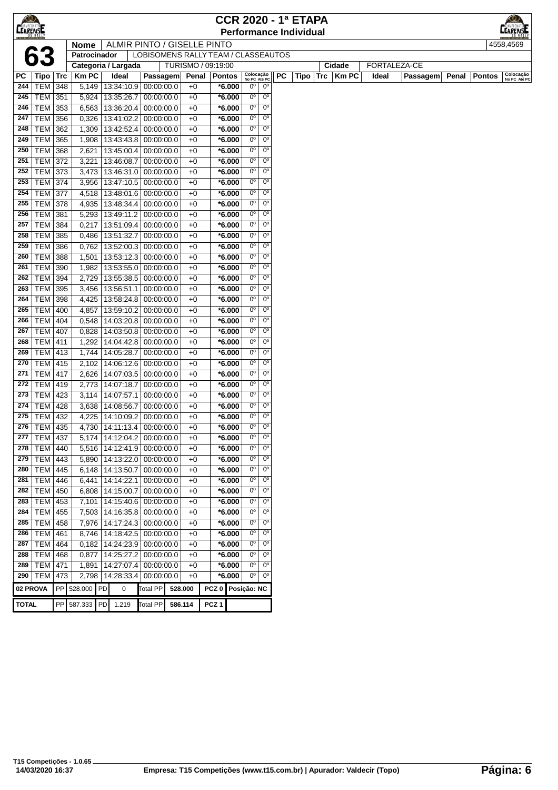| <b>CEARENSE</b> |                                  |     |                |                                                |                             |              |                                     |                           |                                  | <b>CCR 2020 - 1ª ETAPA</b>    |                     |              |          |       | <u>KO)</u>                                 |
|-----------------|----------------------------------|-----|----------------|------------------------------------------------|-----------------------------|--------------|-------------------------------------|---------------------------|----------------------------------|-------------------------------|---------------------|--------------|----------|-------|--------------------------------------------|
|                 |                                  |     |                |                                                |                             |              |                                     |                           |                                  | <b>Performance Individual</b> |                     |              |          |       | <b>CAMPEONATO</b>                          |
|                 |                                  |     | <b>Nome</b>    |                                                | ALMIR PINTO / GISELLE PINTO |              |                                     |                           |                                  |                               |                     |              |          |       | 4558,4569                                  |
|                 | 63                               |     | Patrocinador   |                                                |                             |              | LOBISOMENS RALLY TEAM / CLASSEAUTOS |                           |                                  |                               |                     |              |          |       |                                            |
|                 |                                  |     |                | Categoria / Largada                            |                             |              | TURISMO / 09:19:00                  |                           |                                  |                               | Cidade              | FORTALEZA-CE |          |       |                                            |
| PС              | $ $ Tipo $ $ Trc                 |     | <b>Km PC</b>   | Ideal                                          | Passagem                    | Penal        | <b>Pontos</b>                       | Colocação<br>No PC Até PC |                                  | PC<br>Tipo                    | Trc<br><b>Km PC</b> | Ideal        | Passagem | Penal | Colocação<br>No PC Até PC<br><b>Pontos</b> |
| 244             | TEM 348                          |     | 5,149          | 13:34:10.9 00:00:00.0                          |                             | $+0$         | *6.000                              | 0°                        | $0^{\rm o}$                      |                               |                     |              |          |       |                                            |
| 245             | <b>TEM 351</b>                   |     | 5,924          | 13:35:26.7                                     | 00:00:00.0                  | $+0$         | $*6.000$                            | $0^{\circ}$               | $0^{\circ}$                      |                               |                     |              |          |       |                                            |
| 246             | TEM 353                          |     | 6,563          | 13:36:20.4                                     | 00:00:00.0                  | $+0$         | *6.000                              | $0^{\circ}$               | $0^{\circ}$                      |                               |                     |              |          |       |                                            |
| 247             | <b>TEM 356</b>                   |     | 0,326          | 13:41:02.2 00:00:00.0                          |                             | $+0$         | $*6.000$                            | 0°                        | $0^{\circ}$                      |                               |                     |              |          |       |                                            |
| 248             | <b>TEM</b>                       | 362 | 1,309          | 13:42:52.4 00:00:00.0                          |                             | $+0$         | *6.000                              | $0^{\circ}$               | $0^{\circ}$                      |                               |                     |              |          |       |                                            |
| 249             | <b>TEM 365</b>                   |     | 1,908          | 13:43:43.8 00:00:00.0                          |                             | $+0$         | $*6.000$                            | $0^{\circ}$               | $0^{\circ}$                      |                               |                     |              |          |       |                                            |
| 250             | <b>TEM 368</b>                   |     | 2,621          | 13:45:00.4 00:00:00.0                          |                             | $+0$         | $*6.000$                            | $0^{\circ}$               | $0^{\circ}$                      |                               |                     |              |          |       |                                            |
| 251             | <b>TEM 372</b>                   |     | 3,221          | 13:46:08.7 00:00:00.0                          |                             | $+0$         | $*6.000$                            | 0°                        | $0^{\circ}$                      |                               |                     |              |          |       |                                            |
| 252             | TEM 373                          |     | 3,473          | 13:46:31.0 00:00:00.0                          |                             | $+0$         | $*6.000$                            | 0°                        | $0^{\circ}$                      |                               |                     |              |          |       |                                            |
| 253             | <b>TEM 374</b>                   |     | 3,956          | 13:47:10.5 00:00:00.0                          |                             | $+0$         | *6.000                              | 0°                        | $0^{\circ}$                      |                               |                     |              |          |       |                                            |
| 254             | <b>TEM 377</b>                   |     | 4,518          | 13:48:01.6 00:00:00.0                          |                             | $+0$         | $*6.000$                            | $0^{\circ}$               | $0^{\circ}$                      |                               |                     |              |          |       |                                            |
| 255             | <b>TEM 378</b>                   |     | 4,935          | 13:48:34.4   00:00:00.0                        |                             | $+0$         | *6.000                              | $0^{\circ}$<br>0°         | $0^{\circ}$<br>$0^{\circ}$       |                               |                     |              |          |       |                                            |
| 256<br>257      | <b>TEM 381</b>                   |     | 5,293          | 13:49:11.2 00:00:00.0                          |                             | $+0$         | *6.000                              | 0°                        | $0^{\circ}$                      |                               |                     |              |          |       |                                            |
| 258             | <b>TEM</b>                       | 384 | 0,217          | 13:51:09.4   00:00:00.0                        |                             | $+0$         | *6.000                              | $0^{\circ}$               | $0^{\circ}$                      |                               |                     |              |          |       |                                            |
| 259             | <b>TEM 385</b><br><b>TEM 386</b> |     | 0,486          | 13:51:32.7 00:00:00.0<br>13:52:00.3 00:00:00.0 |                             | $+0$<br>$+0$ | *6.000<br>$*6.000$                  | $0^{\circ}$               | $0^{\circ}$                      |                               |                     |              |          |       |                                            |
| 260             | <b>TEM 388</b>                   |     | 0,762<br>1,501 | 13:53:12.3 00:00:00.0                          |                             | $+0$         | $*6.000$                            | 0°                        | $0^{\circ}$                      |                               |                     |              |          |       |                                            |
| 261             | TEM 390                          |     | 1,982          | 13:53:55.0 00:00:00.0                          |                             | $+0$         | $*6.000$                            | 0°                        | $0^{\circ}$                      |                               |                     |              |          |       |                                            |
| 262             | <b>TEM 394</b>                   |     | 2,729          | 13:55:38.5 00:00:00.0                          |                             | $+0$         | $*6.000$                            | 0°                        | $0^{\circ}$                      |                               |                     |              |          |       |                                            |
| 263             | TEM 395                          |     | 3,456          | 13:56:51.1                                     | 00:00:00.0                  | $+0$         | $*6.000$                            | $0^{\circ}$               | $0^{\circ}$                      |                               |                     |              |          |       |                                            |
| 264             | TEM   398                        |     | 4,425          | 13:58:24.8 00:00:00.0                          |                             | $+0$         | *6.000                              | $0^{\circ}$               | $0^{\circ}$                      |                               |                     |              |          |       |                                            |
| 265             | <b>TEM</b>                       | 400 | 4,857          | 13:59:10.2 00:00:00.0                          |                             | $+0$         | $*6.000$                            | 0°                        | $0^{\circ}$                      |                               |                     |              |          |       |                                            |
| 266             | TEM                              | 404 | 0,548          | 14:03:20.8 00:00:00.0                          |                             | $+0$         | $*6.000$                            | $0^{\circ}$               | $0^{\circ}$                      |                               |                     |              |          |       |                                            |
| 267             | <b>TEM</b>                       | 407 | 0,828          | 14:03:50.8 00:00:00.0                          |                             | $+0$         | *6.000                              | $0^{\circ}$               | $0^{\circ}$                      |                               |                     |              |          |       |                                            |
| 268             | TEM   411                        |     | 1,292          | 14:04:42.8 00:00:00.0                          |                             | $+0$         | $*6.000$                            | $0^{\circ}$               | $0^{\circ}$                      |                               |                     |              |          |       |                                            |
| 269             | <b>TEM 413</b>                   |     | 1,744          | 14:05:28.7 00:00:00.0                          |                             | $+0$         | $*6.000$                            | 0°                        | $0^{\circ}$                      |                               |                     |              |          |       |                                            |
| 270             | <b>TEM 415</b>                   |     | 2,102          | 14:06:12.6 00:00:00.0                          |                             | $+0$         | $*6.000$                            | 0°                        | $0^{\circ}$                      |                               |                     |              |          |       |                                            |
| 271             | <b>TEM 417</b>                   |     | 2,626          | 14:07:03.5 00:00:00.0                          |                             | $+0$         | *6.000                              | 0°                        | $0^{\circ}$                      |                               |                     |              |          |       |                                            |
| 272             | <b>TEM 419</b>                   |     | 2.773          | 14:07:18.7                                     | 00:00:00.0                  | $+0$         | $*6.000$                            | $0^{\circ}$               | $0^{\circ}$                      |                               |                     |              |          |       |                                            |
| 273             | TEM   423                        |     | 3,114          | 14:07:57.1                                     | 00:00:00.0                  | $+0$         | *6.000                              | $0^{\circ}$               | $0^{\circ}$                      |                               |                     |              |          |       |                                            |
| 274             | <b>TEM 428</b>                   |     | 3,638          | 14:08:56.7                                     | 00:00:00.0                  | $+0$         | *6.000                              | $0^{\circ}$               | $0^{\circ}$                      |                               |                     |              |          |       |                                            |
| 275             | TEM   432                        |     | 4,225          | 14:10:09.2 00:00:00.0                          |                             | $+0$         | *6.000                              | 0°                        | $0^{\circ}$                      |                               |                     |              |          |       |                                            |
| 276             | TEM 435                          |     | 4,730          | 14:11:13.4 00:00:00.0                          |                             | $+0$         | $*6.000$                            | $0^{\circ}$               | $0^{\circ}$                      |                               |                     |              |          |       |                                            |
|                 | 277 TEM 437                      |     |                | 5,174 14:12:04.2 00:00:00.0                    |                             | $+0$         | $*6.000$                            |                           | $00$ 0 $0$                       |                               |                     |              |          |       |                                            |
| 278             | TEM   440                        |     | 5,516          | 14:12:41.9 00:00:00.0                          |                             | $+0$         | $*6.000$                            | $0^{\circ}$               | 0 <sup>o</sup>                   |                               |                     |              |          |       |                                            |
| 279             | TEM   443                        |     | 5,890          | 14:13:22.0 00:00:00.0                          |                             | $+0$         | $*6.000$                            | 0°                        | $0^{\circ}$                      |                               |                     |              |          |       |                                            |
| 280             | $TEM$ 445                        |     | 6,148          | 14:13:50.7 00:00:00.0                          |                             | $+0$         | $*6.000$                            | $0^{\circ}$               | 0 <sup>o</sup>                   |                               |                     |              |          |       |                                            |
| 281             | TEM   446                        |     | 6,441          | 14:14:22.1 00:00:00.0                          |                             | $+0$         | $*6.000$                            | $0^{\circ}$               | 0 <sup>o</sup>                   |                               |                     |              |          |       |                                            |
| 282             | <b>TEM 450</b>                   |     | 6,808          | 14:15:00.7                                     | 00:00:00.0                  | $+0$         | $*6.000$                            | $0o$                      | 0 <sup>o</sup>                   |                               |                     |              |          |       |                                            |
| 283             | $TEM$ 453                        |     | 7,101          | 14:15:40.6 00:00:00.0                          |                             | $+0$         | *6.000                              | 0°                        | 0 <sup>o</sup>                   |                               |                     |              |          |       |                                            |
| 284             | <b>TEM 455</b>                   |     | 7,503          | 14:16:35.8 00:00:00.0                          |                             | $+0$         | $*6.000$                            | 0°                        | 0 <sup>o</sup>                   |                               |                     |              |          |       |                                            |
| 285             | <b>TEM 458</b>                   |     | 7,976          | 14:17:24.3 00:00:00.0                          |                             | $+0$         | $*6.000$                            | $0^{\circ}$               | 0 <sup>o</sup>                   |                               |                     |              |          |       |                                            |
| 286             | TEM   461                        |     | 8,746          | 14:18:42.5 00:00:00.0                          |                             | $+0$         | $*6.000$                            | $0^{\circ}$               | 0 <sup>o</sup><br>0 <sup>o</sup> |                               |                     |              |          |       |                                            |
| 287             | <b>TEM 464</b>                   |     | 0,182          | 14:24:23.9 00:00:00.0                          |                             | $+0$         | $*6.000$                            | $0^{\circ}$<br>0°         |                                  |                               |                     |              |          |       |                                            |
| 288<br>289      | <b>TEM 468</b><br><b>TEM 471</b> |     | 0,877          | 14:25:27.2 00:00:00.0                          |                             | $+0$<br>$+0$ | $*6.000$<br>$*6.000$                | $0^{\circ}$               | $0^{\circ}$<br>0 <sup>o</sup>    |                               |                     |              |          |       |                                            |
| 290             | $TEM$ 473                        |     | 1,891<br>2,798 | 14:27:07.4 00:00:00.0<br>14:28:33.4 00:00:00.0 |                             | $+0$         | $*6.000$                            | $\overline{0}$            | 0 <sup>o</sup>                   |                               |                     |              |          |       |                                            |
|                 |                                  |     |                |                                                |                             |              |                                     |                           |                                  |                               |                     |              |          |       |                                            |
| 02 PROVA        |                                  |     | PP 528.000 PD  | 0                                              | Total PP                    | 528.000      | PCZ <sub>0</sub>                    | Posição: NC               |                                  |                               |                     |              |          |       |                                            |
| <b>TOTAL</b>    |                                  |     | PP 587.333 PD  | 1.219                                          | <b>Total PP</b>             | 586.114      | PCZ <sub>1</sub>                    |                           |                                  |                               |                     |              |          |       |                                            |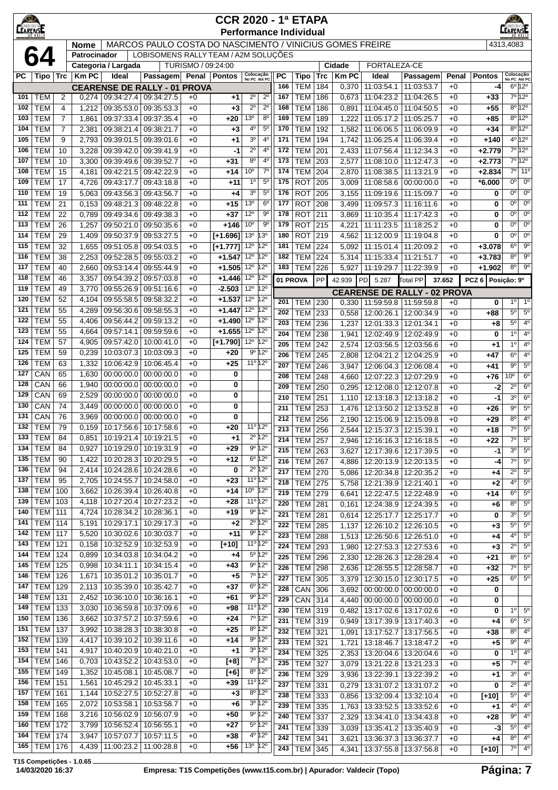| $\bigcirc$<br>CAMPEONA<br><b>LEARENSE</b> |                                  |                |                |                                                                    |                                                              |                    | <b>CCR 2020 - 1ª ETAPA</b><br><b>Performance Individual</b> |                                                              |                                       |            |                              |            |                |                                     |                                                    |              |                  | $^{\circledR}$<br><b>EARENSE</b> |                                       |
|-------------------------------------------|----------------------------------|----------------|----------------|--------------------------------------------------------------------|--------------------------------------------------------------|--------------------|-------------------------------------------------------------|--------------------------------------------------------------|---------------------------------------|------------|------------------------------|------------|----------------|-------------------------------------|----------------------------------------------------|--------------|------------------|----------------------------------|---------------------------------------|
|                                           |                                  |                | <b>Nome</b>    |                                                                    | MARCOS PAULO COSTA DO NASCIMENTO / VINICIUS GOMES FREIRE     |                    |                                                             |                                                              |                                       |            |                              |            |                |                                     |                                                    |              |                  | 4313.4083                        |                                       |
|                                           |                                  |                | Patrocinador   |                                                                    | LOBISOMENS RALLY TEAM / A2M SOLUÇÕES                         |                    |                                                             |                                                              |                                       |            |                              |            |                |                                     |                                                    |              |                  |                                  |                                       |
|                                           |                                  |                |                | Categoria / Largada                                                |                                                              | TURISMO / 09:24:00 |                                                             |                                                              |                                       |            |                              |            | <b>Cidade</b>  | FORTALEZA-CE                        |                                                    |              |                  |                                  |                                       |
| РC                                        | Tipo   Trc                       |                | <b>Km PC</b>   | Ideal                                                              | Passagem                                                     |                    | Penal Pontos                                                | Colocação<br>No PC Até PC                                    |                                       | <b>PC</b>  | <b>Tipo</b>                  | <b>Trc</b> | <b>Km PC</b>   | Ideal                               | Passagem                                           | Penal        | <b>Pontos</b>    | Colocação<br>No PC Até PC        |                                       |
| 101                                       | <b>TEM</b>                       | 2              | 0,274          |                                                                    | <b>CEARENSE DE RALLY - 01 PROVA</b><br>09:34:27.4 09:34:27.5 | $+0$               | +1                                                          | $2^{\circ}$                                                  | $2^{\circ}$                           | 166<br>167 | <b>TEM</b><br><b>TEM</b>     | 184<br>186 | 0,370<br>0,673 | 11:03:54.1<br>11:04:23.2            | 11:03:53.7<br>11:04:26.5                           | $+0$<br>$+0$ | -4<br>$+33$      |                                  | $6^{\circ}$ 12°<br>$7°$ 12°           |
| 102                                       | <b>TEM</b>                       | 4              | 1,212          | 09:35:53.0                                                         | 09:35:53.3                                                   | $+0$               | +3                                                          | $2^{\circ}$                                                  | $2^{\circ}$                           | 168        | <b>TEM</b>                   | 186        | 0,891          | 11:04:45.0                          | 11:04:50.5                                         | $+0$         | $+55$            |                                  | $8^{\circ}$ 12 <sup>°</sup>           |
| 103                                       | <b>TEM</b>                       | $\overline{7}$ | 1,861          |                                                                    | 09:37:33.4 09:37:35.4                                        | $+0$               | +20                                                         | 13 <sup>o</sup>                                              | 8 <sup>o</sup>                        | 169        | <b>TEM</b>                   | 189        | 1,222          | 11:05:17.2                          | 11:05:25.7                                         | $+0$         | +85              |                                  | $8^{\circ}$ 12°                       |
| 104                                       | <b>TEM</b>                       | $\overline{7}$ | 2,381          | 09:38:21.4 09:38:21.7                                              |                                                              | $+0$               | +3                                                          | 4°                                                           | $5^{\circ}$                           | 170        | <b>TEM</b>                   | 192        | 1,582          | 11:06:06.5                          | 11:06:09.9                                         | $+0$         | $+34$            |                                  | $8^{\circ}$ 12°                       |
| 105                                       | <b>TEM</b>                       | 9              | 2,793          |                                                                    | 09:39:01.5 09:39:01.6                                        | $+0$               | +1                                                          | 3 <sup>o</sup>                                               | 4 <sup>0</sup>                        | 171        | <b>TEM</b>                   | 194        | 1,742          | 11:06:25.4                          | 11:06:39.4                                         | $+0$         | $+140$           |                                  | 4º 12º                                |
| 106                                       | <b>TEM</b>                       | 10             | 3,228          | 09:39:42.0                                                         | 09:39:41.9                                                   | $+0$               | -1                                                          | $2^{\circ}$                                                  | 4 <sup>0</sup>                        | 172        | <b>TEM</b>                   | 201        | 2,433          | 11:07:56.4                          | 11:12:34.3                                         | $+0$         | $+2.779$         |                                  | 7°12°                                 |
| 107                                       | <b>TEM</b>                       | 10             | 3,300          | 09:39:49.6                                                         | 09:39:52.7                                                   | $+0$               | $+31$                                                       | 8 <sup>o</sup>                                               | 4 <sup>0</sup>                        | 173        | <b>TEM</b>                   | 203        | 2,577          | 11:08:10.0                          | 11:12:47.3                                         | $+0$         | $+2.773$         |                                  | 7°12°                                 |
| 108                                       | <b>TEM</b>                       | 15             | 4,181          | 09:42:21.5                                                         | 09:42:22.9                                                   | $+0$               | +14                                                         | 10 <sup>o</sup>                                              | $7^\circ$                             | 174        | <b>TEM</b>                   | 204        | 2,870          | 11:08:38.5                          | 11:13:21.9                                         | $+0$         | $+2.834$         |                                  | 7º 11º                                |
| 109<br>110                                | <b>TEM</b><br><b>TEM</b>         | 17             | 4,726          | 09:43:17.7                                                         | 09:43:18.8                                                   | $+0$               | $+11$                                                       | $1^{\circ}$<br>3 <sup>o</sup>                                | 5 <sup>0</sup><br>$5^{\circ}$         | 175<br>176 | <b>ROT</b><br><b>ROT</b>     | 205<br>205 | 3,009          | 11:08:58.6                          | 00:00:00.0                                         | $+0$         | $*6.000$         | 0 <sup>o</sup><br>$0^{\circ}$    | $0^{\circ}$<br>$\overline{0^{\circ}}$ |
| 111                                       | <b>TEM</b>                       | 19<br>21       | 5,063<br>0,153 | 09:43:56.3<br>09:48:21.3                                           | 09:43:56.7<br>09:48:22.8                                     | $+0$<br>$+0$       | +4<br>$+15$                                                 | 13 <sup>o</sup>                                              | $6^{\circ}$                           | 177        | <b>ROT</b>                   | 208        | 3,155<br>3,499 | 11:09:19.6<br>11:09:57.3            | 11:15:09.7<br>11:16:11.6                           | $+0$<br>$+0$ | 0<br>0           | $0^{\circ}$                      | $0^{\circ}$                           |
| 112                                       | <b>TEM</b>                       | 22             | 0,789          | 09:49:34.6                                                         | 09:49:38.3                                                   | $+0$               | $+37$                                                       | 12°                                                          | $9^{\circ}$                           | 178        | <b>ROT</b>                   | 211        | 3,869          | 11:10:35.4                          | 11:17:42.3                                         | $+0$         | 0                | $0^{\circ}$                      | $0^{\circ}$                           |
| 113                                       | <b>TEM</b>                       | 26             | 1,257          |                                                                    | 09:50:21.0 09:50:35.6                                        | $+0$               | $+146$                                                      | 10 <sup>o</sup>                                              | 90                                    | 179        | <b>ROT</b>                   | 215        | 4,221          | 11:11:23.5                          | 11:18:25.2                                         | $+0$         | 0                | $0^{\circ}$                      | $0^{\circ}$                           |
| 114                                       | <b>TEM</b>                       | 29             | 1,409          | 09:50:37.9                                                         | 09:53:27.5                                                   | $+0$               | $[+1.696]$                                                  | 13 <sup>o</sup>                                              | 13°                                   | 180        | <b>ROT</b>                   | 219        | 4,562          | 11:12:00.9                          | 11:19:04.8                                         | $+0$         | 0                | 0 <sup>o</sup>                   | 0°                                    |
| 115                                       | <b>TEM</b>                       | 32             | 1,655          | 09:51:05.8                                                         | 09:54:03.5                                                   | $+0$               | $[+1.777]$                                                  | $12^{\circ}$                                                 | 12°                                   | 181        | <b>TEM</b>                   | 224        | 5,092          | 11:15:01.4                          | 11:20:09.2                                         | $+0$         | $+3.078$         | $6^{\circ}$                      | $9^{\circ}$                           |
| 116                                       | <b>TEM</b>                       | 38             | 2,253          | 09:52:28.5                                                         | 09:55:03.2                                                   | $+0$               | $+1.547$                                                    | 12 <sup>0</sup> 12 <sup>0</sup>                              |                                       | 182        | <b>TEM</b>                   | 224        | 5,314          | 11:15:33.4                          | 11:21:51.7                                         | $+0$         | $+3.783$         | $8^{\circ}$                      | $9^{\circ}$                           |
| 117                                       | <b>TEM</b>                       | 40             | 2,660          | 09:53:14.4                                                         | 09:55:44.9                                                   | $+0$               | $+1.505$                                                    | 12 <sup>0</sup> 12 <sup>0</sup>                              |                                       | 183        | <b>TEM</b>                   | 226        | 5,927          | 11:19:29.7                          | 11:22:39.9                                         | $+0$         | $+1.902$         | $8^{\circ}$                      | $9^{\circ}$                           |
| 118                                       | <b>TEM</b>                       | 46             | 3,357          | 09:54:39.2                                                         | 09:57:03.8                                                   | $+0$               | $+1.446$                                                    | 12 <sup>o</sup> 12 <sup>o</sup>                              |                                       |            | 01 PROVA                     | PP         | 42.939         | PD<br>5.287                         | <b>Total PP</b>                                    | 37.652       | PCZ <sub>6</sub> | Posição: 9º                      |                                       |
| 119<br>120                                | <b>TEM</b><br><b>TEM</b>         | 49<br>52       | 3,770<br>4,104 | 09:55:26.9<br>09:55:58.5                                           | 09:51:16.6<br>09:58:32.2                                     | $+0$<br>$+0$       | $-2.503$<br>$+1.537$                                        | $12^{\circ}$ $12^{\circ}$<br>12 <sup>0</sup> 12 <sup>0</sup> |                                       |            |                              |            |                | <b>CEARENSE DE RALLY - 02 PROVA</b> |                                                    |              |                  |                                  |                                       |
| 121                                       | <b>TEM</b>                       | 55             | 4,289          | 09:56:30.6                                                         | 09:58:55.3                                                   | $+0$               | $+1.447$                                                    | 12 <sup>0</sup> 12 <sup>0</sup>                              |                                       | 201        | <b>TEM</b>                   | 230        | 0,330          | 11:59:59.8                          | 11:59:59.8                                         | $+0$         | 0                | $1^{\circ}$                      | $1^{\circ}$                           |
| 122                                       | <b>TEM</b>                       | 55             | 4,406          | 09:56:44.2                                                         | 09.59.13.2                                                   | $+0$               | $+1.490$                                                    | 12 <sup>0</sup> 12 <sup>0</sup>                              |                                       | 202<br>203 | <b>TEM</b>                   | 233        | 0,558          | 12:00:26.1                          | 12:00:34.9                                         | $+0$         | +88              | $5^{\circ}$<br>$5^{\circ}$       | $5^{\circ}$<br>$4^{\circ}$            |
| 123                                       | <b>TEM</b>                       | 55             | 4,664          | 09:57:14.1                                                         | 09:59:59.6                                                   | $+0$               | $+1.655$                                                    | 12 <sup>0</sup> 12 <sup>0</sup>                              |                                       | 204        | <b>TEM</b><br><b>TEM</b>     | 236<br>238 | 1,237<br>1,941 | 12:01:33.3<br>12:02:49.9            | 12:01:34.1<br>12:02:49.9                           | $+0$<br>$+0$ | +8<br>0          | $1^{\circ}$                      | 4 <sup>0</sup>                        |
| 124                                       | <b>TEM</b>                       | 57             | 4,905          | 09:57:42.0                                                         | 10:00:41.0                                                   | $+0$               | $[+1.790]$                                                  | 12 <sup>0</sup> 12 <sup>0</sup>                              |                                       | 205        | <b>TEM</b>                   | 242        | 2,574          | 12:03:56.5                          | 12:03:56.6                                         | $+0$         | +1               | $1^{\circ}$                      | $4^{\circ}$                           |
| 125                                       | <b>TEM</b>                       | 59             | 0,239          | 10:03:07.3                                                         | 10:03:09.3                                                   | $+0$               | $+20$                                                       |                                                              | 9º 12º                                | 206        | <b>TEM</b>                   | 245        | 2,808          | 12:04:21.2                          | 12:04:25.9                                         | $+0$         | +47              | $6^{\circ}$                      | $4^{\circ}$                           |
| 126                                       | <b>TEM</b>                       | 63             | 1,332          | 10:06:42.9                                                         | 10:06:45.4                                                   | $+0$               | $+25$                                                       |                                                              | 11º 12º                               | 207        | <b>TEM</b>                   | 246        | 3,947          | 12:06:04.3                          | 12:06:08.4                                         | $+0$         | $+41$            | $9^{\circ}$                      | $5^{\circ}$                           |
| 127                                       | CAN                              | 65             | 1,630          | 00:00:00.0                                                         | 00:00:00.0                                                   | $+0$               | 0                                                           |                                                              |                                       | 208        | <b>TEM</b>                   | 248        | 4,660          | 12:07:22.3                          | 12:07:29.9                                         | $+0$         | +76              | 10 <sup>o</sup>                  | $6^{\circ}$                           |
| 128                                       | CAN                              | 66             | 1,940          | 00:00:00.0                                                         | 00:00:00.0                                                   | $+0$               | 0                                                           |                                                              |                                       | 209        | <b>TEM</b>                   | 250        | 0,295          | 12:12:08.0                          | 12:12:07.8                                         | $+0$         | -2               | $2^{\circ}$                      | $6^{\circ}$                           |
| 129                                       | CAN                              | 69             | 2,529          | 00:00:00.0                                                         | 00:00:00.0                                                   | $+0$               | 0                                                           |                                                              |                                       | 210        | <b>TEM</b>                   | 251        | 1,110          | 12:13:18.3                          | 12:13:18.2                                         | $+0$         | $-1$             | 30                               | $6^{\circ}$                           |
| 130<br>131                                | CAN<br>CAN                       | 74<br>76       | 3,449<br>3,969 | 00:00:00.0<br>00:00:00.0                                           | 00:00:00.0<br>00:00:00.0                                     | $+0$<br>$+0$       | 0<br>0                                                      |                                                              |                                       | 211        | TEM                          | 253        | 1,476          | 12:13:50.2                          | 12:13:52.8                                         | $+0$         | $+26$            | $9^{\circ}$                      | $5^{\circ}$                           |
| 132                                       | <b>TEM</b>                       | 79             | 0,159          |                                                                    | 10:17:56.6   10:17:58.6                                      | $+0$               | +20                                                         |                                                              | 11º 12º                               | 212        | <b>TEM</b>                   | 256        | 2,190          | 12:15:06.9                          | 12:15:09.8                                         | $+0$         | $+29$            | $8^{\circ}$<br>$7^\circ$         | $4^{\circ}$<br>$5^\circ$              |
| 133                                       | TEM                              | 84             | 0,851          |                                                                    | 10:19:21.4   10:19:21.5                                      | $+0$               | +1                                                          |                                                              | $2^{\circ}$ 12 $^{\circ}$             | 213<br>214 | <b>TEM</b><br><b>TEM 257</b> | 256        |                | 2,544 12:15:37.3 12:15:39.1         |                                                    | $+0$         | $+18$<br>+22     | 70                               | $5^{\circ}$                           |
| 134                                       | <b>TEM</b>                       | 84             | 0,927          | 10:19:29.0                                                         | 10:19:31.9                                                   | $+0$               | $+29$                                                       |                                                              | $9^{\circ} 12^{\circ}$                | 215        | TEM 263                      |            | 2,946<br>3,627 |                                     | 12:16:16.3   12:16:18.5<br>12:17:39.6   12:17:39.5 | $+0$<br>$+0$ | -1               | $3^{\circ}$                      | $5^{\circ}$                           |
| 135                                       | <b>TEM</b>                       | 90             | 1,422          |                                                                    | 10:20:28.3 10:20:29.5                                        | $+0$               | $+12$                                                       |                                                              | 6 <sup>o</sup> 12 <sup>o</sup>        | 216        | <b>TEM 267</b>               |            | 4,886          |                                     | 12:20:13.9 12:20:13.5                              | $+0$         | $-4$             | $7^\circ$                        | 5 <sup>o</sup>                        |
| 136                                       | <b>TEM</b>                       | 94             | 2,414          |                                                                    | 10:24:28.6   10:24:28.6                                      | $+0$               | 0                                                           |                                                              | $2^{\circ}$ 12°                       | 217        | <b>TEM 270</b>               |            | 5,086          |                                     | 12:20:34.8   12:20:35.2                            | $+0$         | +4               | $2^{\circ}$                      | $\overline{5^0}$                      |
| 137                                       | <b>TEM</b>                       | 95             | 2,705          | 10:24:55.7                                                         | 10:24:58.0                                                   | $+0$               | +23                                                         |                                                              | 11 <sup>o</sup> 12 <sup>o</sup>       | 218        | <b>TEM 275</b>               |            | 5,758          | 12:21:39.9                          | 12:21:40.1                                         | $+0$         | $+2$             | $4^{\circ}$                      | $5^{\circ}$                           |
| 138                                       | TEM                              | 100            | 3,662          | 10:26:39.4                                                         | 10:26:40.8                                                   | $+0$               | $+14$                                                       | 10 <sup>o</sup> 12 <sup>o</sup>                              |                                       | 219        | <b>TEM 279</b>               |            | 6,641          | 12:22:47.5                          | 12:22:48.9                                         | $+0$         | +14              | $6^{\circ}$                      | $5^{\circ}$                           |
| 139                                       | <b>TEM 103</b>                   |                | 4,118          |                                                                    | 10:27:20.4   10:27:23.2                                      | $+0$               | $+28$                                                       |                                                              | 11 <sup>o</sup> 12 <sup>o</sup>       | 220        | <b>TEM 281</b>               |            | 0,161          | 12:24:38.9                          | 12:24:39.5                                         | $+0$         | $+6$             | $8^{\circ}$                      | $5^{\circ}$                           |
| 140<br>141                                | <b>TEM 111</b><br><b>TEM 114</b> |                | 4,724<br>5,191 |                                                                    | 10:28:34.2   10:28:36.1<br>10:29:17.1 10:29:17.3             | $+0$<br>$+0$       | $+19$<br>$+2$                                               |                                                              | $9°$ 12°<br>$2^{\circ}$ 12 $^{\circ}$ | 221        | <b>TEM</b>                   | 281        | 0,614          | 12:25:17.7                          | 12:25:17.7                                         | $+0$         | 0                | $3^{\circ}$                      | $5^{\circ}$                           |
| 142                                       | <b>TEM 117</b>                   |                | 5,520          |                                                                    | 10:30:02.6   10:30:03.7                                      | $+0$               | +11                                                         |                                                              | $9°$ 12°                              | 222        | <b>TEM</b>                   | 285        | 1,137          |                                     | 12:26:10.2 12:26:10.5                              | $+0$         | +3               | $5^{\circ}$<br>$4^{\circ}$       | $5^{\circ}$<br>$5^{\circ}$            |
| 143                                       | <b>TEM 121</b>                   |                | 0,158          | 10:32:52.9                                                         | 10:32:53.9                                                   | $+0$               | $[+10]$                                                     |                                                              | 11º 12º                               | 223<br>224 | <b>TEM</b><br><b>TEM</b>     | 288<br>293 | 1,513<br>1,980 | 12:26:50.6                          | 12:26:51.0<br>12:27:53.3   12:27:53.6              | $+0$<br>$+0$ | +4<br>$+3$       | $2^{\circ}$                      | 5 <sup>o</sup>                        |
| 144                                       | <b>TEM 124</b>                   |                | 0,899          |                                                                    | 10:34:03.8   10:34:04.2                                      | $+0$               | +4                                                          |                                                              | 5º 12º                                | 225        | <b>TEM</b>                   | 296        | 2,330          | 12:28:26.3                          | 12:28:28.4                                         | $+0$         | +21              | $8^{\circ}$                      | $\overline{5^0}$                      |
| 145                                       | <b>TEM 125</b>                   |                | 0,998          |                                                                    | 10:34:11.1   10:34:15.4                                      | $+0$               | $+43$                                                       |                                                              | $9^{\circ} 12^{\circ}$                | 226        | <b>TEM 298</b>               |            | 2,636          |                                     | 12:28:55.5   12:28:58.7                            | $+0$         | $+32$            | $7^\circ$                        | $5^{\circ}$                           |
| 146                                       | <b>TEM 126</b>                   |                | 1,671          |                                                                    | 10:35:01.2   10:35:01.7                                      | $+0$               | $+5$                                                        |                                                              | 7º 12º                                | 227        | <b>TEM</b>                   | 305        | 3,379          | 12:30:15.0                          | 12:30:17.5                                         | $+0$         | +25              | $6^{\circ}$                      | $5^{\circ}$                           |
| 147                                       | <b>TEM 129</b>                   |                | 2,113          |                                                                    | 10:35:39.0   10:35:42.7                                      | $+0$               | $+37$                                                       |                                                              | $6^{\circ}$ 12°                       | 228        | CAN                          | 306        | 3,692          |                                     | $00:00:00.0$ 00:00:00.00                           | $+0$         | 0                |                                  |                                       |
| 148                                       | <b>TEM   131</b>                 |                | 2,452          | 10:36:10.0   10:36:16.1                                            |                                                              | $+0$               | $+61$                                                       |                                                              | $9°$ 12°                              | 229        | CAN                          | 314        | 4,440          |                                     | $00:00:00.0$ 00:00:00.0                            | $+0$         | 0                |                                  |                                       |
| 149                                       | $TEM$ 133                        |                | 3,030          |                                                                    | 10:36:59.8   10:37:09.6                                      | $+0$               | $+98$                                                       |                                                              | $11^{\circ}$ 12°                      | 230        | TEM 319                      |            | 0,482          |                                     | 13:17:02.6   13:17:02.6                            | $+0$         | 0                | $1^{\circ}$                      | $5^{\circ}$                           |
| 150<br>151                                | <b>TEM 136</b><br><b>TEM 137</b> |                |                | 3,662   10:37:57.2   10:37:59.6<br>3,992   10:38:28.3   10:38:30.8 |                                                              | $+0$<br>$+0$       | $+24$<br>+25                                                |                                                              | 7º 12º<br>8º 12º                      | 231        | TEM 319                      |            | 0,949          | 13:17:39.9                          | 13:17:40.3                                         | $+0$         | +4               | $6^{\circ}$                      | $5^{\circ}$                           |
| 152                                       | TEM   139                        |                | 4,417          |                                                                    | 10:39:10.2 10:39:11.6                                        | $+0$               | +14                                                         |                                                              | $9°$ 12°                              | 232        | <b>TEM</b>                   | 321        | 1,091          | 13:17:52.7                          | 13:17:56.5                                         | $+0$         | +38              | $8^{\circ}$                      | $4^{\circ}$                           |
| 153                                       | <b>TEM 141</b>                   |                | 4,917          |                                                                    | 10:40:20.9 10:40:21.0                                        | $+0$               | $+1$                                                        |                                                              | 3º 12º                                | 233<br>234 | <b>TEM</b><br><b>TEM 325</b> | 321        | 1,721<br>2,353 | 13:18:46.7                          | 13:18:47.2                                         | $+0$<br>$+0$ | +5<br>0          | $9^{\circ}$<br>1 <sup>0</sup>    | 4 <sup>o</sup><br>$4^{\circ}$         |
| 154                                       | <b>TEM 146</b>                   |                | 0,703          |                                                                    | 10:43:52.2 10:43:53.0                                        | $+0$               | $[+8]$                                                      |                                                              | 7º 12º                                | 235        | <b>TEM 327</b>               |            | 3,079          |                                     | 13:20:04.6   13:20:04.6<br>13:21:22.8   13:21:23.3 | $+0$         | $+5$             | $7^\circ$                        | $4^{\circ}$                           |
| 155                                       | TEM                              | 149            | 1,352          | 10:45:08.1                                                         | 10:45:08.7                                                   | $+0$               | $[+6]$                                                      |                                                              | $8^{\circ}$ 12°                       | 236        | TEM 329                      |            | 3,936          |                                     | 13:22:39.1   13:22:39.2                            | $+0$         | +1               | 3 <sup>o</sup>                   | $4^{\circ}$                           |
| 156                                       | <b>TEM 151</b>                   |                | 1,561          | 10:45:29.2                                                         | 10:45:33.1                                                   | $+0$               | +39                                                         |                                                              | 11 <sup>o</sup> 12 <sup>o</sup>       | 237        | TEM                          | 331        | 0,279          | 13:31:07.2                          | 13:31:07.2                                         | $+0$         | 0                | $\overline{2^{\circ}}$           | $4^{\circ}$                           |
| 157                                       | <b>TEM   161</b>                 |                | 1,144          |                                                                    | 10:52:27.5   10:52:27.8                                      | $+0$               | $+3$                                                        |                                                              | 8º 12º                                | 238        | <b>TEM</b>                   | 333        | 0,856          | 13:32:09.4                          | 13:32:10.4                                         | $+0$         | $[+10]$          | $5^{\circ}$                      | $4^{\circ}$                           |
| 158                                       | <b>TEM 165</b>                   |                | 2,072          | 10:53:58.1   10:53:58.7                                            |                                                              | $+0$               | +6                                                          |                                                              | $3^0$ 12 <sup>0</sup>                 | 239        | TEM 335                      |            | 1,763          | 13:33:52.5                          | 13:33:52.6                                         | $+0$         | +1               | $4^{\circ}$                      | $4^{\circ}$                           |
| 159                                       | <b>TEM 168</b>                   |                | 3,216          | 10:56:02.9 10:56:07.9                                              |                                                              | $+0$               | $+50$                                                       |                                                              | $9°$ 12°                              | 240        | TEM                          | 337        | 2,329          |                                     | 13:34:41.0   13:34:43.8                            | $+0$         | +28              | 9º                               | $4^{\circ}$                           |
| 160                                       | <b>TEM 172</b><br><b>TEM 174</b> |                | 3,799          | 10:56:52.4   10:56:55.1                                            |                                                              | $+0$               | +27                                                         |                                                              | 5º 12º                                | 241        | TEM                          | 339        | 3,039          | 13:35:41.2                          | 13:35:40.9                                         | $+0$         | -3               | $5^{\circ}$                      | 4 <sup>o</sup>                        |
| 164<br>165                                | <b>TEM 176</b>                   |                | 3,947<br>4,439 | 11:00:23.2                                                         | 10:57:07.7   10:57:11.5<br>11:00:28.8                        | $+0$<br>$+0$       | $+38$<br>$+56$                                              | 13 <sup>0</sup> 12 <sup>0</sup>                              | 4º 12º                                | 242        | <b>TEM 341</b>               |            | 3,621          |                                     | 13:36:37.3   13:36:37.7                            | $+0$         | +4               | $8^{\circ}$                      | $4^{\circ}$                           |
|                                           |                                  |                |                |                                                                    |                                                              |                    |                                                             |                                                              |                                       | 243        | <b>TEM 345</b>               |            | 4,341          | 13:37:55.8   13:37:56.8             |                                                    | $+0$         | $[+10]$          |                                  | $7^\circ$ 4 <sup>o</sup>              |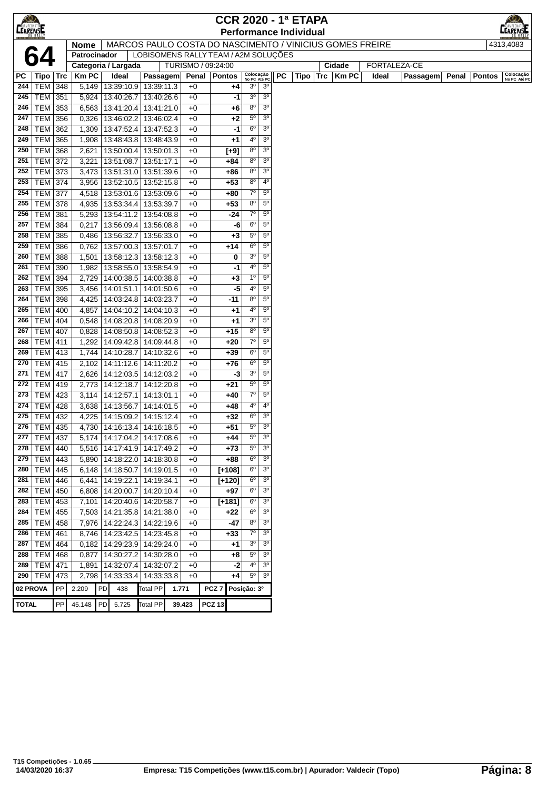| <b>CEARENSE</b> |                           |     |              |    |                                                          |                          |                                      |               | <b>CCR 2020 - 1ª ETAPA</b> |             |                           |                               |    |                               |                    |       |              |       |               |                           |
|-----------------|---------------------------|-----|--------------|----|----------------------------------------------------------|--------------------------|--------------------------------------|---------------|----------------------------|-------------|---------------------------|-------------------------------|----|-------------------------------|--------------------|-------|--------------|-------|---------------|---------------------------|
|                 |                           |     |              |    |                                                          |                          |                                      |               |                            |             |                           |                               |    | <b>Performance Individual</b> |                    |       |              |       |               |                           |
|                 |                           |     | <b>Nome</b>  |    | MARCOS PAULO COSTA DO NASCIMENTO / VINICIUS GOMES FREIRE |                          |                                      |               |                            |             |                           |                               |    |                               |                    |       |              |       |               | 4313,4083                 |
|                 |                           |     | Patrocinador |    |                                                          |                          | LOBISOMENS RALLY TEAM / A2M SOLUÇÕES |               |                            |             |                           |                               |    |                               |                    |       |              |       |               |                           |
|                 |                           |     |              |    | Categoria / Largada                                      |                          | TURISMO / 09:24:00                   |               |                            |             |                           |                               |    |                               | Cidade             |       | FORTALEZA-CE |       |               |                           |
| РC              | ∣ Tipo ∣ Trc              |     | <b>Km PC</b> |    | Ideal                                                    | Passagem                 |                                      |               | Penal   Pontos             |             | Colocação<br>No PC Até PC |                               | PC |                               | Tipo   Trc   Km PC | Ideal | Passagem     | Penal | <b>Pontos</b> | Colocação<br>No PC Até PC |
| 244             | TEM 348                   |     |              |    | 5,149   13:39:10.9   13:39:11.3                          |                          | $+0$                                 |               | +4                         |             | 3º                        | 3 <sup>o</sup>                |    |                               |                    |       |              |       |               |                           |
| 245             | $TEM$ 351                 |     |              |    | 5,924 13:40:26.7                                         | 13:40:26.6               | $+0$                                 |               |                            | -1          | 3 <sup>o</sup>            | 3 <sup>o</sup>                |    |                               |                    |       |              |       |               |                           |
| 246             | TEM 353                   |     |              |    | 6,563   13:41:20.4                                       | 13:41:21.0               | $+0$                                 |               | $+6$                       |             | 80                        | 3 <sup>o</sup>                |    |                               |                    |       |              |       |               |                           |
| 247             | TEM 356                   |     | 0,326        |    | 13:46:02.2                                               | 13:46:02.4               | $+0$                                 |               | $+2$                       |             | $5^{\circ}$               | 3 <sup>o</sup>                |    |                               |                    |       |              |       |               |                           |
| 248             | TEM   362                 |     | 1,309        |    | 13:47:52.4                                               | 13:47:52.3               | $+0$                                 |               |                            | -1          | $6^{\circ}$               | 3 <sup>o</sup>                |    |                               |                    |       |              |       |               |                           |
| 249             | <b>TEM 365</b>            |     | 1,908        |    | 13:48:43.8 13:48:43.9                                    |                          | $+0$                                 |               | +1                         |             | 4º                        | 3 <sup>o</sup>                |    |                               |                    |       |              |       |               |                           |
| 250             | <b>TEM</b>                | 368 | 2,621        |    | 13:50:00.4                                               | 13:50:01.3               | $+0$                                 |               | $[+9]$                     |             | 80                        | 3 <sup>o</sup>                |    |                               |                    |       |              |       |               |                           |
| 251             | <b>TEM 372</b>            |     | 3,221        |    | 13:51:08.7                                               | 13:51:17.1               | $+0$                                 |               | +84                        |             | $8^{\circ}$               | 3 <sup>o</sup>                |    |                               |                    |       |              |       |               |                           |
| 252             | TEM 373                   |     |              |    | $3,473$   13:51:31.0                                     | 13:51:39.6               | $+0$                                 |               | +86                        |             | 80                        | 3 <sup>o</sup>                |    |                               |                    |       |              |       |               |                           |
| 253             | <b>TEM 374</b>            |     |              |    | 3,956   13:52:10.5                                       | 13:52:15.8               | $+0$                                 |               | $+53$                      |             | $8^{\circ}$               | $4^{\circ}$                   |    |                               |                    |       |              |       |               |                           |
| 254             | <b>TEM 377</b>            |     |              |    | 4,518   13:53:01.6   13:53:09.6                          |                          | $+0$                                 |               | +80                        |             | $7^\circ$                 | $5^{\circ}$                   |    |                               |                    |       |              |       |               |                           |
| 255             | <b>TEM 378</b>            |     | 4,935        |    | 13:53:34.4                                               | 13:53:39.7               | $+0$                                 |               | $+53$                      |             | 80                        | $5^{\circ}$                   |    |                               |                    |       |              |       |               |                           |
| 256             | <b>TEM 381</b>            |     |              |    | 5,293   13:54:11.2                                       | 13:54:08.8               | $+0$                                 |               | -24                        |             | $7^\circ$                 | $5^{\circ}$                   |    |                               |                    |       |              |       |               |                           |
| 257             | <b>TEM 384</b>            |     | 0,217        |    | 13:56:09.4                                               | 13:56:08.8               | $+0$                                 |               |                            | -6          | $6^{\circ}$               | $5^{\circ}$                   |    |                               |                    |       |              |       |               |                           |
| 258             | <b>TEM 385</b>            |     |              |    | 0,486   13:56:32.7                                       | 13:56:33.0               | $+0$                                 |               | $+3$                       |             | 5°                        | $5^{\circ}$                   |    |                               |                    |       |              |       |               |                           |
| 259             | <b>TEM</b>                | 386 | 0,762        |    | 13:57:00.3                                               | 13:57:01.7               | $+0$                                 |               | +14                        |             | $6^{\circ}$               | $5^{\circ}$<br>5 <sup>0</sup> |    |                               |                    |       |              |       |               |                           |
| 260             | <b>TEM</b>                | 388 |              |    | 1,501   13:58:12.3                                       | 13:58:12.3               | $+0$                                 |               |                            | 0           | 3 <sup>o</sup><br>40      | $5^{\circ}$                   |    |                               |                    |       |              |       |               |                           |
| 261<br>262      | TEM 390                   |     |              |    | 1,982   13:58:55.0                                       | 13:58:54.9               | $+0$                                 |               |                            | -1          | $1^{\circ}$               | $5^{\circ}$                   |    |                               |                    |       |              |       |               |                           |
| 263             | <b>TEM 394</b><br>TEM 395 |     | 2,729        |    | 14:00:38.5<br>3,456   14:01:51.1                         | 14:00:38.8<br>14:01:50.6 | $+0$<br>$+0$                         |               | $+3$                       | -5          | 4º                        | $5^{\circ}$                   |    |                               |                    |       |              |       |               |                           |
| 264             | TEM 398                   |     |              |    | 4,425   14:03:24.8                                       | 14:03:23.7               | $+0$                                 |               | -11                        |             | 80                        | $5^{\circ}$                   |    |                               |                    |       |              |       |               |                           |
| 265             | <b>TEM 400</b>            |     | 4,857        |    | 14:04:10.2                                               | 14:04:10.3               | $+0$                                 |               | $+1$                       |             | 40                        | $5^{\circ}$                   |    |                               |                    |       |              |       |               |                           |
| 266             | <b>TEM 404</b>            |     |              |    | 0,548   14:08:20.8                                       | 14:08:20.9               | $+0$                                 |               | $+1$                       |             | 3 <sup>o</sup>            | $5^{\circ}$                   |    |                               |                    |       |              |       |               |                           |
| 267             | <b>TEM 407</b>            |     | 0,828        |    | 14:08:50.8                                               | 14:08:52.3               | $+0$                                 |               | $+15$                      |             | 80                        | $5^{\circ}$                   |    |                               |                    |       |              |       |               |                           |
| 268             | TEM                       | 411 | 1,292        |    | 14:09:42.8                                               | 14:09:44.8               | $+0$                                 |               | +20                        |             | $7^\circ$                 | $5^{\circ}$                   |    |                               |                    |       |              |       |               |                           |
| 269             | <b>TEM 413</b>            |     |              |    | 1,744 14:10:28.7                                         | 14:10:32.6               | $+0$                                 |               | $+39$                      |             | $6^{\circ}$               | $5^{\circ}$                   |    |                               |                    |       |              |       |               |                           |
| 270             | <b>TEM 415</b>            |     | 2,102        |    | 14:11:12.6                                               | 14:11:20.2               | $+0$                                 |               | +76                        |             | $6^{\circ}$               | $5^{\circ}$                   |    |                               |                    |       |              |       |               |                           |
| 271             | <b>TEM 417</b>            |     |              |    | 2,626 14:12:03.5                                         | 14:12:03.2               | $+0$                                 |               |                            | -3          | 3 <sup>o</sup>            | $5^{\circ}$                   |    |                               |                    |       |              |       |               |                           |
| 272             | <b>TEM 419</b>            |     |              |    | 2,773 14:12:18.7                                         | 14:12:20.8               | $+0$                                 |               | $+21$                      |             | 5°                        | $5^{\circ}$                   |    |                               |                    |       |              |       |               |                           |
| 273             | TEM 423                   |     |              |    | 3,114 14:12:57.1                                         | 14:13:01.1               | $+0$                                 |               | +40                        |             | $7^\circ$                 | $5^{\circ}$                   |    |                               |                    |       |              |       |               |                           |
| 274             | <b>TEM 428</b>            |     |              |    | 3,638 14:13:56.7                                         | 14:14:01.5               | $+0$                                 |               | +48                        |             | 4º                        | $4^{\circ}$                   |    |                               |                    |       |              |       |               |                           |
| 275             | TEM   432                 |     |              |    | 4,225 14:15:09.2                                         | 14:15:12.4               | $+0$                                 |               | +32                        |             | $6^{\circ}$               | 3 <sup>o</sup>                |    |                               |                    |       |              |       |               |                           |
| 276             | TEM 435                   |     |              |    | 4,730   14:16:13.4                                       | 14:16:18.5               | $+0$                                 |               | $+51$                      |             | $5^{\circ}$               | 3 <sup>o</sup>                |    |                               |                    |       |              |       |               |                           |
| 277             | TEM   437                 |     |              |    | 5,174   14:17:04.2   14:17:08.6                          |                          | $+0$                                 |               | +44                        |             | $5^{\circ}$               | 3 <sup>0</sup>                |    |                               |                    |       |              |       |               |                           |
| 278             | TEM                       | 440 |              |    | 5,516   14:17:41.9                                       | 14:17:49.2               | $+0$                                 |               | $+73$                      |             | $5^{\circ}$               | 3 <sup>o</sup>                |    |                               |                    |       |              |       |               |                           |
| 279             | <b>TEM</b>                | 443 |              |    | 5,890   14:18:22.0                                       | 14:18:30.8               | $+0$                                 |               | +88                        |             | $6^{\circ}$               | 3 <sup>o</sup>                |    |                               |                    |       |              |       |               |                           |
| 280             | <b>TEM 445</b>            |     |              |    | 6,148   14:18:50.7                                       | 14:19:01.5               | $+0$                                 |               | $[+108]$                   |             | $6^{\circ}$               | 3 <sup>o</sup>                |    |                               |                    |       |              |       |               |                           |
| 281             | <b>TEM 446</b>            |     | 6,441        |    | 14:19:22.1                                               | 14:19:34.1               | $+0$                                 |               | $[+120]$                   |             | $6^{\circ}$               | 3 <sup>o</sup>                |    |                               |                    |       |              |       |               |                           |
| 282             | TEM   450                 |     | 6,808        |    | 14:20:00.7                                               | 14:20:10.4               | $+0$                                 |               | +97                        |             | $6^{\circ}$               | 3 <sup>o</sup>                |    |                               |                    |       |              |       |               |                           |
| 283             | $TEM$ 453                 |     | 7,101        |    | 14:20:40.6                                               | 14:20:58.7               | $+0$                                 |               | $[+181]$                   |             | $6^{\circ}$               | 3 <sup>0</sup>                |    |                               |                    |       |              |       |               |                           |
| 284             | <b>TEM 455</b>            |     |              |    | 7,503   14:21:35.8                                       | 14:21:38.0               | $+0$                                 |               | +22                        |             | $6^{\circ}$               | 3 <sup>o</sup>                |    |                               |                    |       |              |       |               |                           |
| 285             | <b>TEM 458</b>            |     |              |    | 7,976   14:22:24.3                                       | 14:22:19.6               | $+0$                                 |               | -47                        |             | $8^{\rm o}$               | 3 <sup>o</sup>                |    |                               |                    |       |              |       |               |                           |
| 286             | <b>TEM</b>                | 461 | 8,746        |    | 14:23:42.5                                               | 14:23:45.8               | $+0$                                 |               | $+33$                      |             | $7^\circ$                 | 3 <sup>o</sup>                |    |                               |                    |       |              |       |               |                           |
| 287             | <b>TEM</b>                | 464 | 0,182        |    | 14:29:23.9                                               | 14:29:24.0               | $+0$                                 |               | +1                         |             | 3 <sup>o</sup>            | 3 <sup>o</sup>                |    |                               |                    |       |              |       |               |                           |
| 288             | <b>TEM</b>                | 468 | 0,877        |    | 14:30:27.2                                               | 14:30:28.0               | $+0$                                 |               | $+8$                       |             | $5^{\circ}$               | 3 <sup>0</sup>                |    |                               |                    |       |              |       |               |                           |
| 289             | <b>TEM 471</b>            |     | 1,891        |    | 14:32:07.4                                               | 14:32:07.2               | $+0$                                 |               |                            | -2          | 4º                        | 3 <sup>o</sup>                |    |                               |                    |       |              |       |               |                           |
| 290             | <b>TEM</b>                | 473 |              |    | 2,798 14:33:33.4                                         | 14:33:33.8               | $+0$                                 |               | $+4$                       |             | $5^{\circ}$               | 3 <sup>o</sup>                |    |                               |                    |       |              |       |               |                           |
| 02 PROVA        |                           | PP  | 2.209        | PD | 438                                                      | Total PP                 | 1.771                                |               | PCZ <sub>7</sub>           | Posição: 3º |                           |                               |    |                               |                    |       |              |       |               |                           |
| <b>TOTAL</b>    |                           | PP  | 45.148       | PD | 5.725                                                    | <b>Total PP</b>          | 39.423                               | <b>PCZ 13</b> |                            |             |                           |                               |    |                               |                    |       |              |       |               |                           |
|                 |                           |     |              |    |                                                          |                          |                                      |               |                            |             |                           |                               |    |                               |                    |       |              |       |               |                           |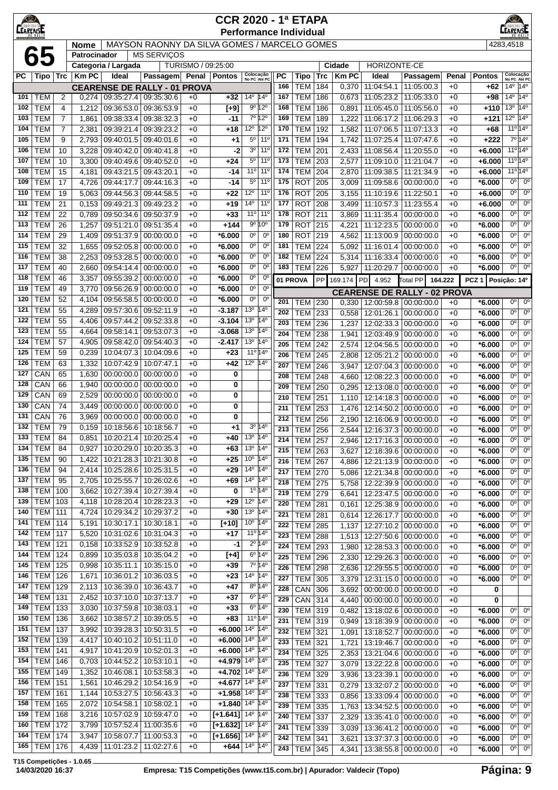| $\bigotimes$     |                          | <b>CCR 2020 - 1ª ETAPA</b><br><b>Performance Individual</b><br>MAYSON RAONNY DA SILVA GOMES / MARCELO GOMES |                             |                          |                                     |                    |                                                      |                                        |                                                     |            |                          |            |                |                                 |                                                | $\circ$      |                      |                                   |                                       |
|------------------|--------------------------|-------------------------------------------------------------------------------------------------------------|-----------------------------|--------------------------|-------------------------------------|--------------------|------------------------------------------------------|----------------------------------------|-----------------------------------------------------|------------|--------------------------|------------|----------------|---------------------------------|------------------------------------------------|--------------|----------------------|-----------------------------------|---------------------------------------|
| <b>CEARENSE</b>  |                          |                                                                                                             |                             |                          |                                     |                    |                                                      |                                        |                                                     |            |                          |            |                |                                 |                                                |              |                      |                                   |                                       |
|                  |                          |                                                                                                             | <b>Nome</b><br>Patrocinador |                          |                                     |                    |                                                      |                                        |                                                     |            |                          |            |                |                                 |                                                |              |                      | 4283,4518                         |                                       |
|                  | 65                       |                                                                                                             |                             | Categoria / Largada      | <b>MS SERVIÇOS</b>                  | TURISMO / 09:25:00 |                                                      |                                        |                                                     |            |                          |            | Cidade         | HORIZONTE-CE                    |                                                |              |                      |                                   |                                       |
| РC               | Tipo ∣                   | Trc                                                                                                         | <b>Km PC</b>                | Ideal                    | Passagem                            |                    | Penal   Pontos                                       | Colocação<br>No PC Até PC              |                                                     | PC         | <b>Tipo</b>              | <b>Trc</b> | <b>KmPC</b>    | Ideal                           | Passagem                                       | Penal        | <b>Pontos</b>        | Colocação<br>No PC Até PC         |                                       |
|                  |                          |                                                                                                             |                             |                          | <b>CEARENSE DE RALLY - 01 PROVA</b> |                    |                                                      |                                        |                                                     | 166        | <b>TEM</b>               | 184        | 0,370          | 11:04:54.1                      | 11:05:00.3                                     | $+0$         | +62                  | $14^{\circ}$ 14 <sup>°</sup>      |                                       |
| 101              | <b>TEM</b>               | 2                                                                                                           | 0,274                       | 09:35:27.4               | 09:35:30.6                          | $+0$               | +32                                                  | 14 <sup>o</sup> 14 <sup>o</sup>        |                                                     | 167        | <b>TEM</b>               | 186        | 0,673          | 11:05:23.2                      | 11:05:33.0                                     | $+0$         | $+98$                | $14^{\circ}$ 14 <sup>°</sup>      |                                       |
| 102              | <b>TEM</b>               | 4                                                                                                           | 1,212                       | 09:36:53.0               | 09:36:53.9                          | $+0$               | $[+9]$                                               |                                        | $9^{\circ} 12^{\circ}$                              | 168        | <b>TEM</b>               | 186        | 0,891          | 11:05:45.0                      | 11:05:56.0                                     | $+0$         | +110                 | $13^{\circ}$ 14 <sup>°</sup>      |                                       |
| 103              | <b>TEM</b>               | $\overline{7}$                                                                                              | 1,861                       | 09:38:33.4               | 09:38:32.3                          | $+0$               | $-11$                                                |                                        | 7º 12º                                              | 169        | <b>TEM</b>               | 189        | 1,222          | 11:06:17.2                      | 11:06:29.3                                     | $+0$         | +121                 | $12^{\circ}$ 14 <sup>°</sup>      |                                       |
| 104              | <b>TEM</b>               | $\overline{7}$                                                                                              | 2,381                       | 09:39:21.4               | 09:39:23.2                          | $+0$               | +18                                                  | 12 <sup>o</sup> 12 <sup>o</sup>        |                                                     | 170        | <b>TEM</b>               | 192        | 1,582          | 11:07:06.5                      | 11:07:13.3                                     | $+0$         | $+68$                | $11^{\circ}$ 14 <sup>°</sup>      |                                       |
| 105              | <b>TEM</b>               | 9                                                                                                           | 2,793                       | 09:40:01.5               | 09:40:01.6                          | $+0$               | +1                                                   |                                        | 5 <sup>o</sup> 11 <sup>o</sup>                      | 171        | <b>TEM</b>               | 194        | 1,742          | 11:07:25.4                      | 11:07:47.6                                     | $+0$         | $+222$               | 7º 14º                            |                                       |
| 106              | <b>TEM</b>               | 10                                                                                                          | 3,228                       | 09:40:42.0               | 09:40:41.8                          | $+0$               | -2                                                   | 3 <sup>o</sup>                         | $11^{\circ}$                                        | 172        | <b>TEM</b>               | 201        | 2,433          | 11:08:56.4                      | 11:20:55.0                                     | $+0$         | $+6.000$             | 11º 14º                           |                                       |
| 107<br>108       | <b>TEM</b><br><b>TEM</b> | 10<br>15                                                                                                    | 3,300                       | 09:40:49.6<br>09:43:21.5 | 09:40:52.0                          | $+0$<br>$+0$       | +24<br>$-14$                                         | $5^{\circ}$<br>11°                     | 11 <sup>0</sup><br>$11^{\circ}$                     | 173<br>174 | <b>TEM</b><br><b>TEM</b> | 203<br>204 | 2,577          | 11:09:10.0<br>11:09:38.5        | 11:21:04.7                                     | $+0$         | $+6.000$             | 11º 14º<br>$11^{\circ}14^{\circ}$ |                                       |
| 109              | <b>TEM</b>               | 17                                                                                                          | 4,181<br>4,726              | 09:44:17.7               | 09:43:20.1<br>09:44:16.3            | $+0$               | -14                                                  | $5^{\circ}$                            | 11 <sup>0</sup>                                     | 175        | <b>ROT</b>               | 205        | 2,870<br>3,009 | 11:09:58.6                      | 11:21:34.9<br>00:00:00.0                       | $+0$<br>$+0$ | $+6.000$<br>*6.000   | $0^{\circ}$                       | $0^{\circ}$                           |
| 110              | <b>TEM</b>               | 19                                                                                                          | 5,063                       | 09:44:56.3               | 09:44:58.5                          | $+0$               | $+22$                                                | $12^{\circ}$                           | 11 <sup>0</sup>                                     | 176        | <b>ROT</b>               | 205        | 3,155          | 11:10:19.6                      | 11:22:50.1                                     | $+0$         | $+6.000$             | $0^{\circ}$                       | $0^{\circ}$                           |
| 111              | <b>TEM</b>               | 21                                                                                                          | 0,153                       | 09:49:21.3               | 09:49:23.2                          | $+0$               | $+19$                                                | 14 <sup>°</sup>                        | 11 <sup>0</sup>                                     | 177        | <b>ROT</b>               | 208        | 3,499          | 11:10:57.3                      | 11:23:55.4                                     | $+0$         | $+6.000$             | 0 <sup>0</sup>                    | $0^{\circ}$                           |
| 112              | <b>TEM</b>               | 22                                                                                                          | 0,789                       | 09:50:34.6               | 09:50:37.9                          | $+0$               | $+33$                                                | 11°                                    | 11 <sup>0</sup>                                     | 178        | <b>ROT</b>               | 211        | 3,869          | 11:11:35.4                      | 00:00:00.0                                     | $+0$         | *6.000               | $0^{\circ}$                       | $0^{\circ}$                           |
| 113              | <b>TEM</b>               | 26                                                                                                          | 1,257                       | 09:51:21.0               | 09:51:35.4                          | $+0$               | +144                                                 |                                        | $9^{\circ} 10^{\circ}$                              | 179        | <b>ROT</b>               | 215        | 4,221          | 11:12:23.5                      | 00:00:00.0                                     | $+0$         | $*6.000$             | $0^{\circ}$                       | $0^{\circ}$                           |
| 114              | <b>TEM</b>               | 29                                                                                                          | 1,409                       | 09:51:37.9               | 00:00:00.0                          | $+0$               | *6.000                                               | $0^{\circ}$                            | $0^{\circ}$                                         | 180        | <b>ROT</b>               | 219        | 4,562          | 11:13:00.9                      | 00:00:00.0                                     | $+0$         | *6.000               | 0°                                | $0^{\circ}$                           |
| 115              | <b>TEM</b>               | 32                                                                                                          | 1,655                       | 09:52:05.8               | 00:00:00.0                          | $+0$               | *6.000                                               | 0°                                     | $0^{\circ}$                                         | 181        | <b>TEM</b>               | 224        | 5,092          | 11:16:01.4                      | 00:00:00.0                                     | $+0$         | *6.000               | $0^{\circ}$                       | $0^{\circ}$                           |
| 116              | <b>TEM</b>               | 38                                                                                                          | 2,253                       | 09:53:28.5               | 00:00:00.0                          | $+0$               | *6.000                                               | $0^{\rm o}$                            | $0^{\circ}$                                         | 182        | <b>TEM</b>               | 224        | 5,314          | 11:16:33.4                      | 00:00:00.0                                     | $+0$         | *6.000               | $0^{\circ}$                       | $0^{\circ}$                           |
| 117              | <b>TEM</b>               | 40                                                                                                          | 2,660                       | 09:54:14.4               | 00:00:00.0                          | $+0$               | $*6.000$                                             | 0°                                     | $0^{\circ}$                                         | 183        | <b>TEM</b>               | 226        | 5,927          | 11:20:29.7                      | 00:00:00.0                                     | $+0$         | *6.000               | 0°                                | $0^{\circ}$                           |
| 118              | <b>TEM</b>               | 46                                                                                                          | 3,357                       | 09:55:39.2               | 00:00:00.0                          | $+0$               | *6.000                                               | 0°                                     | $0^{\circ}$                                         | 01 PROVA   |                          | PP         | 169.174 PD     | 4.952                           | Total PP                                       | 164.222      | PCZ 1   Posicão: 14º |                                   |                                       |
| 119              | <b>TEM</b>               | 49                                                                                                          | 3,770                       | 09:56:26.9               | 00:00:00.0                          | $+0$               | $*6.000$                                             | $0^{\circ}$                            | $0^{\circ}$                                         |            |                          |            |                |                                 | <b>CEARENSE DE RALLY - 02 PROVA</b>            |              |                      |                                   |                                       |
| 120              | <b>TEM</b>               | 52                                                                                                          | 4,104                       | 09:56:58.5               | 00:00:00.0                          | $+0$               | $*6.000$                                             | 0 <sup>o</sup>                         | $0^{\circ}$                                         | 201        | <b>TEM</b>               | 230        | 0,330          |                                 | 12:00:59.8 00:00:00.0                          | $+0$         | $*6.000$             | 0 <sup>o</sup>                    | 0 <sup>o</sup>                        |
| 121              | <b>TEM</b>               | 55                                                                                                          | 4,289                       | 09:57:30.6               | 09:52:11.9                          | $+0$               | $-3.187$                                             | 13 <sup>o</sup>                        | 14 <sup>°</sup><br>$14^{\circ}$                     | 202        | <b>TEM</b>               | 233        | 0,558          | 12:01:26.1                      | 00:00:00.0                                     | $+0$         | *6.000               | $0^{\circ}$                       | $0^{\circ}$                           |
| 122<br>123       | <b>TEM</b><br><b>TEM</b> | 55<br>55                                                                                                    | 4,406<br>4,664              | 09:57:44.2<br>09:58:14.1 | 09:52:33.8<br>09:53:07.3            | $+0$<br>$+0$       | $-3.104$<br>$-3.068$                                 | 13 <sup>o</sup><br>13 <sup>0</sup>     | $14^{\circ}$                                        | 203        | <b>TEM</b>               | 236        | 1,237          |                                 | 12:02:33.3 00:00:00.0                          | $+0$         | *6.000               | 0°                                | $0^{\circ}$                           |
| 124              | <b>TEM</b>               | 57                                                                                                          | 4,905                       | 09:58:42.0               | 09:54:40.3                          | $+0$               | $-2.417$                                             | 13 <sup>o</sup>                        | 14°                                                 | 204        | <b>TEM</b>               | 238        | 1,941          | 12:03:49.9                      | 00:00:00.0                                     | $+0$         | *6.000               | $0^{\circ}$                       | 0 <sup>o</sup>                        |
| 125              | <b>TEM</b>               | 59                                                                                                          | 0,239                       | 10:04:07.3               | 10:04:09.6                          | $+0$               | $+23$                                                | 11º 14º                                |                                                     | 205        | <b>TEM</b>               | 242        | 2,574          | 12:04:56.5                      | 00:00:00.0                                     | $+0$         | *6.000               | 0 <sup>0</sup><br>0 <sup>o</sup>  | $\overline{0^{\circ}}$<br>$0^{\circ}$ |
| 126              | <b>TEM</b>               | 63                                                                                                          | 1,332                       | 10:07:42.9               | 10:07:47.1                          | $+0$               | $+42$                                                | $12^{\circ}$                           | $14^{\circ}$                                        | 206<br>207 | <b>TEM</b><br><b>TEM</b> | 245<br>246 | 2,808<br>3,947 | 12:05:21.2                      | 00:00:00.0<br>12:07:04.3 00:00:00.0            | $+0$<br>$+0$ | $*6.000$<br>*6.000   | 0°                                | $0^{\circ}$                           |
| 127              | CAN                      | 65                                                                                                          | 1,630                       | 00:00:00.0               | 00:00:00.0                          | $+0$               | 0                                                    |                                        |                                                     | 208        | <b>TEM</b>               | 248        | 4,660          | 12:08:22.3                      | 00:00:00.0                                     | $+0$         | *6.000               | $0^{\circ}$                       | $0^{\circ}$                           |
| 128              | CAN                      | 66                                                                                                          | 1,940                       | 00:00:00.0               | 00:00:00.0                          | $+0$               | 0                                                    |                                        |                                                     | 209        | <b>TEM</b>               | 250        | 0,295          | 12:13:08.0                      | 00:00:00.0                                     | $+0$         | *6.000               | 0°                                | $0^{\circ}$                           |
| 129              | CAN                      | 69                                                                                                          | 2,529                       | 00:00:00.0               | 00:00:00.0                          | $+0$               | 0                                                    |                                        |                                                     | 210        | <b>TEM</b>               | 251        | 1,110          |                                 | 12:14:18.3 00:00:00.0                          | $+0$         | *6.000               | $0^{\circ}$                       | $0^{\circ}$                           |
| 130              | CAN                      | 74                                                                                                          | 3,449                       | 00:00:00.0               | 00:00:00.0                          | $+0$               | 0                                                    |                                        |                                                     | 211        | <b>TEM</b>               | 253        | 1,476          | 12:14:50.2 00:00:00.0           |                                                | $+0$         | $*6.000$             | $0^{\circ}$                       | $0^{\circ}$                           |
| 131              | CAN                      | 76                                                                                                          | 3,969                       | 00:00:00.0               | 00:00:00.0                          | $+0$               | 0                                                    |                                        |                                                     | 212        | <b>TEM</b>               | 256        | 2,190          | 12:16:06.9                      | 00:00:00.0                                     | $+0$         | $*6.000$             | 0°                                | $0^{\circ}$                           |
| 132              | <b>TEM</b>               | 79                                                                                                          | 0,159                       | 10:18:56.6               | 10:18:56.7                          | $+0$               | +1                                                   |                                        | $3^{\circ}$ 14 <sup><math>\overline{0}</math></sup> | 213        | <b>TEM</b>               | 256        | 2,544          |                                 | 12:16:37.3 00:00:00.0                          | $+0$         | *6.000               | $0^{\circ}$                       | $0^{\circ}$                           |
| $\overline{133}$ | $ $ TEM                  | 84                                                                                                          | 0,851                       | 10:20:21.4               | 10:20:25.4                          | $+0$               | +40                                                  | 13 <sup>0</sup>                        | $14^{\circ}$                                        | 214        | <b>TEM 257</b>           |            |                | 2,946   12:17:16.3   00:00:00.0 |                                                | +0           | $*6.000$             | 0 <sup>o</sup>                    | $0^{\circ}$                           |
| 134              | TEM                      | 84                                                                                                          | 0,927                       | 10:20:29.0               | 10:20:35.3                          | $+0$               | +63                                                  | 13 <sup>o</sup>                        | $14^{\circ}$                                        | 215        | <b>TEM</b>               | 263        | 3,627          |                                 | 12:18:39.6 00:00:00.0                          | $+0$         | $*6.000$             | 0°                                | $0^{\circ}$                           |
| 135              | TEM                      | 90                                                                                                          | 1,422                       | 10:21:28.3               | 10:21:30.8                          | $+0$               | $+25$                                                | 10 <sup>o</sup>                        | 14 <sup>°</sup>                                     | 216        | <b>TEM</b>               | 267        | 4,886          | 12:21:13.9 00:00:00.0           |                                                | $+0$         | $*6.000$             | 0 <sup>o</sup>                    | $0^{\circ}$                           |
| 136              | TEM                      | 94                                                                                                          | 2,414                       | 10:25:28.6               | 10:25:31.5                          | $+0$               | $+29$                                                | $14^{\circ}$ 14 <sup>°</sup>           |                                                     | 217        | <b>TEM</b>               | 270        | 5,086          |                                 | 12:21:34.8 00:00:00.0                          | $+0$         | $*6.000$             | 0 <sup>o</sup>                    | $0^{\circ}$                           |
| 137<br>138       | <b>TEM</b><br><b>TEM</b> | 95<br>100                                                                                                   | 2,705<br>3,662              | 10:25:55.7<br>10:27:39.4 | 10:26:02.6<br>10:27:39.4            | $+0$               | +69<br>0                                             | 14 <sup>0</sup> 14 <sup>0</sup>        | $1^{\circ}$ 14 $^{\circ}$                           | 218        | <b>TEM</b>               | 275        | 5,758          | 12:22:39.9                      | 00:00:00.0                                     | $+0$         | $*6.000$             | 0 <sup>o</sup>                    | $0^{\circ}$                           |
| 139              | <b>TEM</b>               | 103                                                                                                         | 4,118                       | 10:28:20.4               | 10:28:23.3                          | $+0$<br>$+0$       | $+29$                                                | 12 <sup>0</sup> 14 <sup>0</sup>        |                                                     | 219        | <b>TEM</b>               | 279        | 6,641          |                                 | 12:23:47.5 00:00:00.0                          | $+0$         | $*6.000$             | $0^{\circ}$                       | $0^{\circ}$                           |
| 140              | <b>TEM</b>               | 111                                                                                                         | 4,724                       | 10:29:34.2               | 10:29:37.2                          | $+0$               | $+30$                                                | 13 <sup>o</sup> 14 <sup>o</sup>        |                                                     | 220        | <b>TEM</b>               | 281        | 0,161          |                                 | 12:25:38.9 00:00:00.0                          | $+0$         | $*6.000$             | 0°                                | $0^{\circ}$                           |
| 141              | TEM                      | 114                                                                                                         | 5,191                       | 10:30:17.1               | 10:30:18.1                          | $+0$               | $[+10]$                                              | $10^{\circ}$ 14 <sup>°</sup>           |                                                     | 221        | <b>TEM</b>               | 281        | 0,614          |                                 | 12:26:17.7 00:00:00.0                          | $+0$         | $*6.000$             | $0^{\circ}$                       | $0^{\circ}$                           |
| 142              | <b>TEM</b>               | 117                                                                                                         | 5,520                       | 10:31:02.6               | 10:31:04.3                          | $+0$               | $+17$                                                | 11º 14º                                |                                                     | 222<br>223 | <b>TEM</b><br><b>TEM</b> | 285<br>288 | 1,137<br>1,513 |                                 | 12:27:10.2 00:00:00.0<br>12:27:50.6 00:00:00.0 | $+0$<br>$+0$ | $*6.000$<br>$*6.000$ | 0 <sup>o</sup><br>0 <sup>o</sup>  | $0^{\circ}$<br>$0^{\circ}$            |
| 143              | <b>TEM</b>               | 121                                                                                                         | 0,158                       | 10:33:52.9               | 10:33:52.8                          | $+0$               | -1                                                   |                                        | $2^{\circ}$ 14 <sup>°</sup>                         | 224        | <b>TEM</b>               | 293        | 1,980          |                                 | 12:28:53.3 00:00:00.0                          | $+0$         | $*6.000$             | $0^{\circ}$                       | $0^{\circ}$                           |
| 144              | TEM                      | 124                                                                                                         | 0,899                       | 10:35:03.8               | 10:35:04.2                          | $+0$               | $[+4]$                                               |                                        | 6º 14º                                              | 225        | <b>TEM</b>               | 296        | 2,330          | 12:29:26.3                      | 00:00:00.0                                     | $+0$         | $*6.000$             | 0°                                | $0^{\circ}$                           |
| 145              | <b>TEM 125</b>           |                                                                                                             | 0,998                       | 10:35:11.1               | 10:35:15.0                          | $+0$               | $+39$                                                |                                        | 7º 14º                                              | 226        | <b>TEM</b>               | 298        | 2,636          |                                 | 12:29:55.5 00:00:00.0                          | $+0$         | $*6.000$             | 0°                                | $0^{\circ}$                           |
| 146              | <b>TEM</b>               | 126                                                                                                         | 1,671                       | 10:36:01.2               | 10:36:03.5                          | $+0$               | $+23$                                                | 14 <sup>0</sup> 14 <sup>0</sup>        |                                                     | 227        | <b>TEM</b>               | 305        | 3,379          |                                 | 12:31:15.0 00:00:00.0                          | $+0$         | $*6.000$             | 0°                                | $0^{\circ}$                           |
| 147              | <b>TEM</b>               | 129                                                                                                         | 2,113                       | 10:36:39.0               | 10:36:43.7                          | $+0$               | $+47$                                                |                                        | 8º 14º                                              | 228        | CAN                      | 306        | 3,692          |                                 | 00:00:00.0 00:00:00.0                          | $+0$         | 0                    |                                   |                                       |
| 148              | TEM                      | 131                                                                                                         | 2,452                       | 10:37:10.0               | 10:37:13.7                          | $+0$               | $+37$                                                |                                        | 6º 14º                                              | 229        | CAN                      | 314        | 4,440          |                                 | $00:00:00.0$ 00:00:00.0                        | $+0$         | 0                    |                                   |                                       |
| 149              | <b>TEM</b>               | 133                                                                                                         | 3,030                       | 10:37:59.8               | 10:38:03.1                          | $+0$               | $+33$                                                |                                        | 6º 14º                                              | 230        | <b>TEM</b>               | 319        | 0,482          |                                 | 13:18:02.6 00:00:00.0                          | $+0$         | $*6.000$             | 0 <sup>0</sup>                    | $0^{\circ}$                           |
| 150              | <b>TEM</b>               | 136                                                                                                         | 3,662                       | 10:38:57.2               | 10:39:05.5                          | $+0$               | +83                                                  | 11º 14º                                |                                                     | 231        | <b>TEM</b>               | 319        | 0,949          |                                 | 13:18:39.9 00:00:00.0                          | $+0$         | $*6.000$             | 0°                                | $0^{\circ}$                           |
| 151              | <b>TEM</b>               | 137                                                                                                         | 3,992                       | 10:39:28.3               | 10:50:31.5                          | $+0$               | $+6.000$                                             | 14°<br>14 <sup>0</sup> 14 <sup>0</sup> | $14^{\circ}$                                        | 232        | <b>TEM</b>               | 321        | 1,091          | 13:18:52.7                      | 00:00:00.0                                     | $+0$         | $*6.000$             | 0 <sup>o</sup>                    | $0^{\circ}$                           |
| 152<br>153       | <b>TEM</b><br><b>TEM</b> | 139<br>141                                                                                                  | 4,417<br>4,917              | 10:40:10.2<br>10:41:20.9 | 10:51:11.0<br>10:52:01.3            | $+0$<br>$+0$       | $+6.000$<br>$+6.000$ 14 <sup>°</sup> 14 <sup>°</sup> |                                        |                                                     | 233        | <b>TEM</b>               | 321        | 1,721          | 13:19:46.7                      | 00:00:00.0                                     | $+0$         | $*6.000$             | 0 <sub>0</sub>                    | $0^{\circ}$                           |
| 154              | TEM                      | 146                                                                                                         | 0,703                       | 10:44:52.2               | 10:53:10.1                          | $+0$               | +4.979 14 <sup>°</sup> 14 <sup>°</sup>               |                                        |                                                     | 234        | <b>TEM</b>               | 325        | 2,353          |                                 | 13:21:04.6 00:00:00.0                          | $+0$         | $*6.000$             | $0^{\circ}$                       | $0^{\circ}$                           |
| 155              | <b>TEM</b>               | 149                                                                                                         | 1,352                       | 10:46:08.1               | 10:53:58.3                          | $+0$               | $+4.702$ 14 <sup>o</sup> 14 <sup>o</sup>             |                                        |                                                     | 235<br>236 | <b>TEM</b>               | 327        | 3,079          |                                 | 13:22:22.8 00:00:00.0                          | $+0$         | $*6.000$             | 0°  <br>0°                        | $0^{\circ}$<br>$0^{\circ}$            |
| 156              | TEM                      | 151                                                                                                         | 1,561                       | 10:46:29.2               | 10:54:16.9                          | $+0$               | $+4.677$ 14 <sup>°</sup> 14 <sup>°</sup>             |                                        |                                                     | 237        | <b>TEM</b><br><b>TEM</b> | 329<br>331 | 3,936<br>0,279 | 13:23:39.1<br>13:32:07.2        | 00:00:00.0<br>00:00:00.0                       | $+0$<br>$+0$ | $*6.000$<br>$*6.000$ | 0 <sup>0</sup>                    | $0^{\circ}$                           |
| 157              | TEM                      | 161                                                                                                         | 1,144                       | 10:53:27.5               | 10:56:43.3                          | $+0$               | $+1.958$ 14 <sup>°</sup> 14 <sup>°</sup>             |                                        |                                                     | 238        | <b>TEM</b>               | 333        | 0,856          |                                 | 13:33:09.4 00:00:00.0                          | $+0$         | $*6.000$             | $0^{\circ}$                       | $0^{\circ}$                           |
| 158              | TEM                      | 165                                                                                                         | 2,072                       | 10:54:58.1               | 10:58:02.1                          | $+0$               | +1.840 $14^{\circ}$ 14 <sup>°</sup>                  |                                        |                                                     | 239        | <b>TEM</b>               | 335        | 1,763          |                                 | 13:34:52.5 00:00:00.0                          | $+0$         | $*6.000$             | $0^{\circ}$                       | $0^{\circ}$                           |
| 159              | TEM                      | 168                                                                                                         | 3,216                       | 10:57:02.9               | 10:59:47.0                          | $+0$               | $[+1.641]$                                           | $14^{\circ}$ 14 <sup>°</sup>           |                                                     | 240        | <b>TEM</b>               | 337        | 2,329          |                                 | 13:35:41.0 00:00:00.0                          | +0           | $*6.000$             | 0°                                | $0^{\circ}$                           |
| 160              | <b>TEM</b>               | 172                                                                                                         | 3,799                       | 10:57:52.4               | 11:00:35.6                          | $+0$               | $[+1.632]$                                           | $14^{\circ}$ 14 <sup>°</sup>           |                                                     | 241        | <b>TEM</b>               | 339        | 3,039          |                                 | 13:36:41.2 00:00:00.0                          | $+0$         | $*6.000$             | 0 <sup>o</sup>                    | $0^{\circ}$                           |
| 164              | TEM                      | 174                                                                                                         | 3,947                       | 10:58:07.7               | 11:00:53.3                          | +0                 | $[+1.656]$                                           | 14 <sup>°</sup> 14 <sup>°</sup>        |                                                     | 242        | <b>TEM</b>               | 341        | 3,621          |                                 | 13:37:37.3 00:00:00.0                          | $+0$         | $*6.000$             | 0°                                | $0^{\circ}$                           |
| 165              | TEM                      | 176                                                                                                         | 4,439                       | 11:01:23.2               | 11:02:27.6                          | $+0$               | $+644$                                               | 14 <sup>°</sup> 14 <sup>°</sup>        |                                                     | 243        | <b>TEM 345</b>           |            | 4,341          |                                 | 13:38:55.8 00:00:00.0                          | $+0$         | $*6.000$             | $0^{\circ}$                       | 0 <sup>o</sup>                        |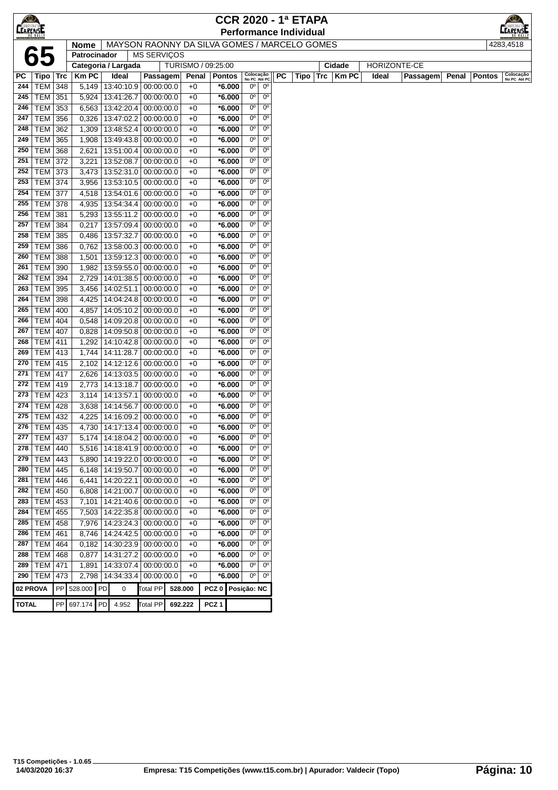|                 |                                  |     |                     |             |   |                                                |                    |                   |                      |                           |                               | <b>CCR 2020 - 1ª ETAPA</b>                   |              |              |          |       |               |                           |
|-----------------|----------------------------------|-----|---------------------|-------------|---|------------------------------------------------|--------------------|-------------------|----------------------|---------------------------|-------------------------------|----------------------------------------------|--------------|--------------|----------|-------|---------------|---------------------------|
| <b>CEARENSE</b> |                                  |     |                     |             |   |                                                |                    |                   |                      |                           |                               | <b>Performance Individual</b>                |              |              |          |       |               | MPEONATOR                 |
|                 |                                  |     | <b>Nome</b>         |             |   |                                                |                    |                   |                      |                           |                               | MAYSON RAONNY DA SILVA GOMES / MARCELO GOMES |              |              |          |       |               | 4283,4518                 |
|                 | 65                               |     | Patrocinador        |             |   | <b>MS SERVIÇOS</b>                             |                    |                   |                      |                           |                               |                                              |              |              |          |       |               |                           |
|                 |                                  |     | Categoria / Largada |             |   |                                                | TURISMO / 09:25:00 |                   |                      |                           |                               |                                              | Cidade       | HORIZONTE-CE |          |       |               |                           |
| РC              | Tipo   Trc                       |     | <b>Km PC</b>        | Ideal       |   | Passagem                                       | Penal              |                   | <b>Pontos</b>        | Colocação<br>No PC Até PC |                               | <b>PC</b><br>Tipo   Trc                      | <b>Km PC</b> | Ideal        | Passagem | Penal | <b>Pontos</b> | Colocação<br>No PC Até PC |
| 244             | TEM 348                          |     | 5,149               |             |   | 13:40:10.9 00:00:00.0                          | $+0$               |                   | *6.000               | $0^{\circ}$               | $0^{\rm o}$                   |                                              |              |              |          |       |               |                           |
| 245             | <b>TEM 351</b>                   |     | 5,924               |             |   | 13:41:26.7 00:00:00.0                          | $+0$               |                   | $*6.000$             | $0^{\circ}$               | $0^{\circ}$                   |                                              |              |              |          |       |               |                           |
| 246             | TEM 353                          |     | 6,563               | 13:42:20.4  |   | 00:00:00.0                                     | $+0$               |                   | $*6.000$             | $0^{\circ}$               | 0 <sup>o</sup>                |                                              |              |              |          |       |               |                           |
| 247             | <b>TEM 356</b>                   |     | 0,326               | 13:47:02.2  |   | 00:00:00.0                                     | $+0$               |                   | $*6.000$             | $0^{\circ}$               | 0 <sup>o</sup>                |                                              |              |              |          |       |               |                           |
| 248             | <b>TEM</b>                       | 362 | 1,309               | 13:48:52.4  |   | 00:00:00.0                                     | $+0$               |                   | *6.000               | $0^{\circ}$               | $0^{\circ}$                   |                                              |              |              |          |       |               |                           |
| 249             | <b>TEM</b>                       | 365 | 1,908               |             |   | 13:49:43.8 00:00:00.0                          | $+0$               |                   | *6.000               | 0°                        | $0^{\circ}$                   |                                              |              |              |          |       |               |                           |
| 250             | <b>TEM</b>                       | 368 | 2,621               | 13:51:00.4  |   | 00:00:00.0                                     | $+0$               |                   | $*6.000$             | 0°                        | $0^{\circ}$                   |                                              |              |              |          |       |               |                           |
| 251             | <b>TEM 372</b>                   |     | 3,221               | 13:52:08.7  |   | 00:00:00.0                                     | $+0$               |                   | $*6.000$             | $0^{\circ}$               | $0^{\circ}$                   |                                              |              |              |          |       |               |                           |
| 252             | TEM 373                          |     | 3,473               |             |   | 13:52:31.0 00:00:00.0                          | $+0$               |                   | $*6.000$             | $0^{\circ}$               | $0^{\circ}$                   |                                              |              |              |          |       |               |                           |
| 253             | <b>TEM 374</b>                   |     | 3,956               |             |   | 13:53:10.5 00:00:00.0                          | $+0$               |                   | $*6.000$             | 0°                        | $0^{\circ}$                   |                                              |              |              |          |       |               |                           |
| 254             | <b>TEM 377</b>                   |     | 4,518               |             |   | 13:54:01.6 00:00:00.0                          | $+0$               |                   | $*6.000$             | $0^{\circ}$               | $0^{\circ}$                   |                                              |              |              |          |       |               |                           |
| 255             | <b>TEM 378</b>                   |     | 4,935               | 13:54:34.4  |   | 00:00:00.0                                     | $+0$               |                   | $*6.000$             | 0°                        | $0^{\circ}$                   |                                              |              |              |          |       |               |                           |
| 256             | <b>TEM 381</b>                   |     | 5,293               | 13:55:11.2  |   | 00:00:00.0                                     | $+0$               |                   | $*6.000$             | $0^{\circ}$               | $0^{\circ}$                   |                                              |              |              |          |       |               |                           |
| 257             | <b>TEM 384</b>                   |     | 0,217               |             |   | 13:57:09.4 00:00:00.0                          | $+0$               |                   | $*6.000$             | $0^{\circ}$               | $0^{\circ}$                   |                                              |              |              |          |       |               |                           |
| 258             | <b>TEM</b>                       | 385 | 0,486               | 13:57:32.7  |   | 00:00:00.0                                     | $+0$               |                   | $*6.000$             | 0°                        | $0^{\circ}$                   |                                              |              |              |          |       |               |                           |
| 259             | <b>TEM</b>                       | 386 | 0,762               |             |   | 13:58:00.3 00:00:00.0                          | $+0$               |                   | *6.000               | $0^{\circ}$               | $0^{\circ}$                   |                                              |              |              |          |       |               |                           |
| 260             | <b>TEM</b>                       | 388 | 1,501               |             |   | 13:59:12.3 00:00:00.0                          | $+0$               |                   | $*6.000$             | $0^{\circ}$               | $0^{\circ}$                   |                                              |              |              |          |       |               |                           |
| 261             | <b>TEM 390</b>                   |     | 1,982               |             |   | 13:59:55.0 00:00:00.0                          | $+0$               |                   | *6.000               | $0^{\circ}$               | $0^{\circ}$                   |                                              |              |              |          |       |               |                           |
| 262             | <b>TEM 394</b>                   |     | 2,729               |             |   | 14:01:38.5 00:00:00.0                          | $+0$               |                   | $*6.000$             | 0°                        | $0^{\circ}$                   |                                              |              |              |          |       |               |                           |
| 263             | TEM 395                          |     | 3,456               | 14:02:51.1  |   | 00:00:00.0                                     | $+0$               |                   | $*6.000$             | $0^{\circ}$               | $0^{\circ}$                   |                                              |              |              |          |       |               |                           |
| 264             | <b>TEM 398</b>                   |     | 4,425               |             |   | 14:04:24.8 00:00:00.0                          | $+0$               |                   | $*6.000$             | $0^{\circ}$               | $0^{\circ}$                   |                                              |              |              |          |       |               |                           |
| 265             | <b>TEM 400</b>                   |     | 4,857               |             |   | 14:05:10.2 00:00:00.0                          | $+0$               |                   | $*6.000$             | $0^{\circ}$               | 0 <sup>o</sup>                |                                              |              |              |          |       |               |                           |
| 266             | <b>TEM</b>                       | 404 | 0,548               |             |   | 14:09:20.8 00:00:00.0                          | $+0$               |                   | $*6.000$             | 0°                        | $0^{\circ}$                   |                                              |              |              |          |       |               |                           |
| 267             | <b>TEM</b>                       | 407 | 0,828               |             |   | 14:09:50.8 00:00:00.0                          | $+0$               |                   | $*6.000$             | 0°                        | $0^{\circ}$                   |                                              |              |              |          |       |               |                           |
| 268             | <b>TEM</b>                       | 411 | 1,292               |             |   | 14:10:42.8 00:00:00.0                          | $+0$               |                   | $*6.000$             | 0°<br>$0^{\circ}$         | $0^{\circ}$<br>0 <sup>o</sup> |                                              |              |              |          |       |               |                           |
| 269             | <b>TEM 413</b>                   |     | 1,744               | 14:11:28.7  |   | 00:00:00.0                                     | $+0$               |                   | $*6.000$             | $0^{\circ}$               | $0^{\circ}$                   |                                              |              |              |          |       |               |                           |
| 270<br>271      | <b>TEM 415</b>                   |     | 2,102               |             |   | 14:12:12.6 00:00:00.0                          | $+0$               |                   | $*6.000$             | $0^{\circ}$               | $0^{\circ}$                   |                                              |              |              |          |       |               |                           |
| 272             | <b>TEM 417</b><br><b>TEM 419</b> |     | 2,626<br>2,773      |             |   | 14:13:03.5 00:00:00.0<br>14:13:18.7 00:00:00.0 | $+0$<br>$+0$       |                   | $*6.000$<br>$*6.000$ | $0^{\circ}$               | $0^{\circ}$                   |                                              |              |              |          |       |               |                           |
| 273             | <b>TEM 423</b>                   |     | 3,114               | 14:13:57.1  |   | 00:00:00.0                                     | $+0$               |                   | $*6.000$             | 0°                        | $0^{\circ}$                   |                                              |              |              |          |       |               |                           |
| 274             | <b>TEM 428</b>                   |     | 3,638               | 14:14:56.7  |   | 00:00:00.0                                     | $+0$               |                   | $*6.000$             | $0^{\circ}$               | $0^{\circ}$                   |                                              |              |              |          |       |               |                           |
| 275             | <b>TEM 432</b>                   |     | 4,225               | 14:16:09.2  |   | 00:00:00.0                                     | $+0$               |                   | $*6.000$             | 0°                        | $0^{\circ}$                   |                                              |              |              |          |       |               |                           |
| 276             | TEM   435                        |     | 4,730               | 14:17:13.4  |   | 00:00:00.0                                     | $+0$               |                   | *6.000               | 0°                        | $0^{\circ}$                   |                                              |              |              |          |       |               |                           |
| 277             | <b>TEM 437</b>                   |     | 5,174               |             |   | $14:18:04.2 \mid 00:00:00.0$                   | $+0$               |                   | *6.000               | $0^{\circ}$               | $0^{\circ}$                   |                                              |              |              |          |       |               |                           |
| 278             | TEM 440                          |     | 5,516               |             |   | 14:18:41.9 00:00:00.0                          | $+0$               |                   | $*6.000$             | 0 <sup>o</sup>            | 0 <sup>o</sup>                |                                              |              |              |          |       |               |                           |
| 279             | $TEM$ 443                        |     | 5,890               |             |   | 14:19:22.0 00:00:00.0                          | $+0$               |                   | $*6.000$             | 0 <sup>o</sup>            | 0 <sup>o</sup>                |                                              |              |              |          |       |               |                           |
| 280             | TEM   445                        |     | 6,148               |             |   | 14:19:50.7 00:00:00.0                          | $+0$               |                   | $*6.000$             | 0°                        | $0^{\circ}$                   |                                              |              |              |          |       |               |                           |
| 281             | TEM   446                        |     | 6,441               |             |   | 14:20:22.1 00:00:00.0                          | $+0$               |                   | $*6.000$             | $0^{\circ}$               | $0^{\circ}$                   |                                              |              |              |          |       |               |                           |
| 282             | <b>TEM 450</b>                   |     | 6,808               |             |   | 14:21:00.7 00:00:00.0                          | $+0$               |                   | $*6.000$             | $0o$                      | $0^{\circ}$                   |                                              |              |              |          |       |               |                           |
| 283             | TEM 453                          |     | 7,101               |             |   | 14:21:40.6 00:00:00.0                          | $+0$               |                   | $*6.000$             | $0^{\circ}$               | $0^{\circ}$                   |                                              |              |              |          |       |               |                           |
| 284             | $TEM$ 455                        |     | 7,503               |             |   | 14:22:35.8 00:00:00.0                          | $+0$               |                   | *6.000               | $0^{\circ}$               | 0 <sup>o</sup>                |                                              |              |              |          |       |               |                           |
| 285             | <b>TEM</b>                       | 458 | 7,976               |             |   | 14:23:24.3 00:00:00.0                          | $+0$               |                   | $*6.000$             | 0°                        | $0^{\circ}$                   |                                              |              |              |          |       |               |                           |
| 286             | <b>TEM</b>                       | 461 | 8,746               |             |   | 14:24:42.5 00:00:00.0                          | $+0$               |                   | $*6.000$             | 0°                        | $0^{\circ}$                   |                                              |              |              |          |       |               |                           |
| 287             | <b>TEM 464</b>                   |     | 0,182               |             |   | 14:30:23.9 00:00:00.0                          | $+0$               |                   | $*6.000$             | $0^{\circ}$               | 0 <sup>o</sup>                |                                              |              |              |          |       |               |                           |
| 288             | TEM 468                          |     | 0,877               |             |   | 14:31:27.2 00:00:00.0                          | $+0$               |                   | $*6.000$             | $0^{\circ}$               | 0 <sup>o</sup>                |                                              |              |              |          |       |               |                           |
| 289             | <b>TEM 471</b>                   |     | 1,891               |             |   | 14:33:07.4 00:00:00.0                          | $+0$               |                   | $*6.000$             | 0°                        | $0^{\circ}$                   |                                              |              |              |          |       |               |                           |
|                 | 290   TEM   473                  |     | 2,798               |             |   | 14:34:33.4 00:00:00.0                          | $+0$               |                   | $*6.000$             | $0^{\circ}$               | $0^{\circ}$                   |                                              |              |              |          |       |               |                           |
|                 | 02 PROVA                         |     | PP 528.000 PD       |             | 0 | Total PP                                       | 528.000            | PCZ 0 Posição: NC |                      |                           |                               |                                              |              |              |          |       |               |                           |
|                 |                                  |     |                     |             |   |                                                |                    |                   |                      |                           |                               |                                              |              |              |          |       |               |                           |
| <b>TOTAL</b>    |                                  |     | PP 697.174          | PD<br>4.952 |   | <b>Total PP</b>                                | 692.222            | PCZ <sub>1</sub>  |                      |                           |                               |                                              |              |              |          |       |               |                           |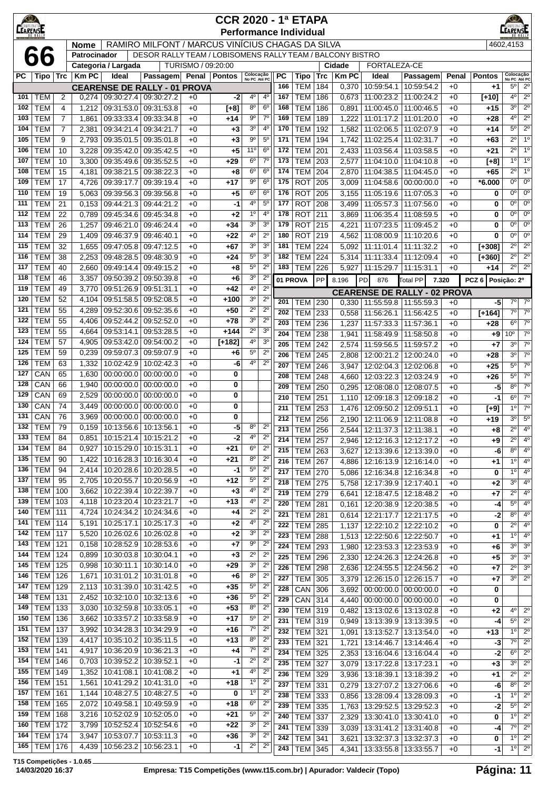| <u>KO)</u><br><b>CEARENSE</b> |                                    |                |                |                               |                                                           |                    | <b>CCR 2020 - 1ª ETAPA</b><br><b>Performance Individual</b> |                                  |                                  |            |                                                     |            |                |                                 |                                                            |              |                  | <b>EARENSE</b>                   |                                     |
|-------------------------------|------------------------------------|----------------|----------------|-------------------------------|-----------------------------------------------------------|--------------------|-------------------------------------------------------------|----------------------------------|----------------------------------|------------|-----------------------------------------------------|------------|----------------|---------------------------------|------------------------------------------------------------|--------------|------------------|----------------------------------|-------------------------------------|
|                               |                                    |                | <b>Nome</b>    |                               | RAMIRO MILFONT / MARCUS VINÍCIUS CHAGAS DA SILVA          |                    |                                                             |                                  |                                  |            |                                                     |            |                |                                 |                                                            |              |                  | 4602,4153                        |                                     |
|                               | 66                                 |                | Patrocinador   | Categoria / Largada           | DESOR RALLY TEAM / LOBISOMENS RALLY TEAM / BALCONY BISTRO | TURISMO / 09:20:00 |                                                             |                                  |                                  |            |                                                     |            | Cidade         | FORTALEZA-CE                    |                                                            |              |                  |                                  |                                     |
| РC                            | Tipo   Trc                         |                | <b>Km PC</b>   | Ideal                         | Passagem                                                  |                    | Penal   Pontos                                              | Colocação<br>No PC Até PC        |                                  | PC         | <b>Tipo</b>                                         | Trc        | <b>Km PC</b>   | Ideal                           | Passagem                                                   | Penal        | <b>Pontos</b>    | Colocação<br>No PC Até PC        |                                     |
|                               |                                    |                |                |                               | <b>CEARENSE DE RALLY - 01 PROVA</b>                       |                    |                                                             |                                  |                                  | 166        | <b>TEM</b>                                          | 184        | 0,370          | 10:59:54.1                      | 10:59:54.2                                                 | $+0$         | $+1$             | $5^\circ$                        | $2^{\circ}$                         |
| 101                           | TEM                                | 2              | 0,274          | 09:30:27.4                    | 09:30:27.2                                                | $+0$               | $-2$                                                        | 4°                               | $4^{\circ}$                      | 167        | <b>TEM</b>                                          | 186        | 0,673          | 11:00:23.2                      | 11:00:24.2                                                 | $+0$         | $[+10]$          | 4 <sup>0</sup>                   | $2^{\circ}$                         |
| 102                           | <b>TEM</b>                         | 4              | 1,212          | 09:31:53.0                    | 09:31:53.8                                                | $+0$               | $[+8]$                                                      | $8^{\circ}$                      | $6^{\circ}$                      | 168        | <b>TEM</b>                                          | 186        | 0,891          | 11:00:45.0                      | 11:00:46.5                                                 | $+0$         | $+15$            | 30                               | $2^{\circ}$                         |
| 103                           | <b>TEM</b>                         | $\overline{7}$ | 1,861          | 09:33:33.4                    | 09:33:34.8                                                | $+0$               | $+14$                                                       | $9^{\circ}$                      | $7^{\circ}$                      | 169        | <b>TEM</b>                                          | 189        | 1,222          | 11:01:17.2                      | 11:01:20.0                                                 | $+0$         | $+28$            | 40                               | $2^{\circ}$                         |
| 104                           | <b>TEM</b>                         | 7              | 2,381          | 09:34:21.4                    | 09:34:21.7                                                | $+0$               | $+3$                                                        | 3 <sup>o</sup><br>$9^{\circ}$    | $4^{\circ}$<br>5 <sup>0</sup>    | 170        | <b>TEM</b>                                          | 192        | 1,582          | 11:02:06.5                      | 11:02:07.9                                                 | $+0$         | $+14$            | $5^{\circ}$<br>$2^{\circ}$       | $2^{\circ}$<br>1 <sup>0</sup>       |
| 105<br>106                    | <b>TEM</b><br><b>TEM</b>           | 9<br>10        | 2,793<br>3,228 | 09:35:01.5<br>09:35:42.0      | 09:35:01.8<br>09:35:42.5                                  | $+0$<br>$+0$       | $+3$<br>+5                                                  | 11 <sup>0</sup>                  | $6^{\circ}$                      | 171<br>172 | <b>TEM</b><br><b>TEM</b>                            | 194<br>201 | 1,742<br>2,433 | 11:02:25.4<br>11:03:56.4        | 11:02:31.7<br>11:03:58.5                                   | $+0$<br>$+0$ | $+63$<br>$+21$   | $2^{\circ}$                      | 1 <sup>0</sup>                      |
| 107                           | <b>TEM</b>                         | 10             | 3,300          | 09:35:49.6                    | 09:35:52.5                                                | $+0$               | $+29$                                                       | $6^{\circ}$                      | $7^{\circ}$                      | 173        | <b>TEM</b>                                          | 203        | 2,577          | 11:04:10.0                      | 11:04:10.8                                                 | $+0$         | [+8]             | $1^{\circ}$                      | 1 <sup>0</sup>                      |
| 108                           | <b>TEM</b>                         | 15             | 4,181          | 09:38:21.5                    | 09:38:22.3                                                | $+0$               | +8                                                          | $6^{\circ}$                      | 6 <sup>o</sup>                   | 174        | <b>TEM</b>                                          | 204        | 2,870          | 11:04:38.5                      | 11:04:45.0                                                 | $+0$         | $+65$            | $2^{\circ}$                      | 1 <sup>0</sup>                      |
| 109                           | <b>TEM</b>                         | 17             | 4,726          | 09:39:17.7                    | 09:39:19.4                                                | $+0$               | $+17$                                                       | $9^{\circ}$                      | 6 <sup>o</sup>                   | 175        | <b>ROT</b>                                          | 205        | 3,009          | 11:04:58.6                      | 00:00:00.0                                                 | $+0$         | $*6.000$         | $0^{\circ}$                      | $0^{\circ}$                         |
| 110                           | <b>TEM</b>                         | 19             | 5,063          | 09:39:56.3                    | 09:39:56.8                                                | $+0$               | +5                                                          | 6 <sup>o</sup>                   | 6 <sup>o</sup>                   | 176        | <b>ROT</b>                                          | 205        | 3,155          | 11:05:19.6                      | 11:07:05.3                                                 | $+0$         | 0                | 0°                               | $0^{\rm o}$                         |
| 111                           | <b>TEM</b>                         | 21             | 0,153          | 09:44:21.3                    | 09:44:21.2                                                | $+0$               | $-1$                                                        | $4^{\circ}$                      | $5^{\circ}$                      | 177        | <b>ROT</b>                                          | 208        | 3,499          | 11:05:57.3                      | 11:07:56.0                                                 | $+0$         | 0                | $0^{\circ}$                      | $0^{\circ}$                         |
| 112<br>113                    | <b>TEM</b><br><b>TEM</b>           | 22<br>26       | 0,789          | 09:45:34.6                    | 09:45:34.8                                                | $+0$<br>$+0$       | +2                                                          | 1 <sup>0</sup><br>3 <sup>o</sup> | 4 <sup>0</sup><br>3 <sup>0</sup> | 178<br>179 | <b>ROT</b><br><b>ROT</b>                            | 211        | 3,869          | 11:06:35.4                      | 11:08:59.5                                                 | $+0$         | $\bf{0}$<br>0    | 0°<br>$0^{\circ}$                | $0^{\circ}$<br>$0^{\circ}$          |
| 114                           | <b>TEM</b>                         | 29             | 1,257<br>1,409 | 09:46:21.0<br>09:46:37.9      | 09:46:24.4<br>09:46:40.1                                  | $+0$               | +34<br>+22                                                  | $4^{\circ}$                      | $2^{\circ}$                      | 180        | <b>ROT</b>                                          | 215<br>219 | 4,221<br>4,562 | 11:07:23.5<br>11:08:00.9        | 11:09:45.2<br>11:10:20.6                                   | $+0$<br>$+0$ | $\bf{0}$         | $0^{\circ}$                      | $0^{\circ}$                         |
| 115                           | <b>TEM</b>                         | 32             | 1,655          | 09:47:05.8                    | 09:47:12.5                                                | $+0$               | +67                                                         | 3 <sup>o</sup>                   | 3 <sup>0</sup>                   | 181        | <b>TEM</b>                                          | 224        | 5,092          | 11:11:01.4                      | 11:11:32.2                                                 | $+0$         | $[+308]$         | $2^{\circ}$                      | $2^{\circ}$                         |
| 116                           | <b>TEM</b>                         | 38             | 2,253          | 09:48:28.5                    | 09:48:30.9                                                | $+0$               | $+24$                                                       | 5 <sup>0</sup>                   | 3 <sup>0</sup>                   | 182        | <b>TEM</b>                                          | 224        |                | 5,314 11:11:33.4                | 11:12:09.4                                                 | $+0$         | $[+360]$         | $2^{\circ}$                      | 2 <sup>0</sup>                      |
| 117                           | <b>TEM</b>                         | 40             | 2,660          | 09:49:14.4                    | 09:49:15.2                                                | $+0$               | +8                                                          | $5^{\circ}$                      | $2^{\circ}$                      | 183        | <b>TEM</b>                                          | 226        | 5,927          | 11:15:29.7                      | 11:15:31.1                                                 | $+0$         | $+14$            | $2^{\circ}$                      | $2^{\circ}$                         |
| 118                           | <b>TEM</b>                         | 46             | 3,357          | 09:50:39.2                    | 09:50:39.8                                                | $+0$               | +6                                                          | 3 <sup>o</sup>                   | $2^{\circ}$                      |            | 01 PROVA                                            | PP         | 8.196          | PD<br>876                       | <b>Total PP</b>                                            | 7.320        | PCZ <sub>6</sub> | Posição: 2º                      |                                     |
| 119                           | <b>TEM</b>                         | 49             | 3,770          | 09:51:26.9                    | 09:51:31.1                                                | $+0$               | $+42$                                                       | $4^{\circ}$                      | $2^{\circ}$                      |            |                                                     |            |                |                                 | <b>CEARENSE DE RALLY - 02 PROVA</b>                        |              |                  |                                  |                                     |
| 120<br>121                    | <b>TEM</b><br><b>TEM</b>           | 52<br>55       | 4,104<br>4,289 | 09:51:58.5<br>09:52:30.6      | 09:52:08.5<br>09:52:35.6                                  | $+0$<br>$+0$       | $+100$<br>$+50$                                             | 3 <sup>o</sup><br>$2^{\circ}$    | $2^{\circ}$<br>$2^{\circ}$       | 201        | TEM                                                 | 230        | 0,330          | 11:55:59.8                      | 11:55:59.3                                                 | $+0$         | $-5$             | $7^\circ$                        | $7^\circ$                           |
| 122                           | <b>TEM</b>                         | 55             | 4,406          | 09:52:44.2                    | 09:52:52.0                                                | $+0$               | $+78$                                                       | 3 <sup>o</sup>                   | $\overline{2^0}$                 | 202        | <b>TEM</b>                                          | 233        | 0,558          | 11:56:26.1                      | 11:56:42.5                                                 | $+0$         | $[+164]$         | $7^\circ$                        | $7^\circ$                           |
| 123                           | <b>TEM</b>                         | 55             | 4,664          | 09:53:14.1                    | 09:53:28.5                                                | $+0$               | +144                                                        | $2^{\circ}$                      | 3 <sup>0</sup>                   | 203<br>204 | <b>TEM</b><br><b>TEM</b>                            | 236<br>238 | 1,237          | 11:57:33.3                      | 11:57:36.1                                                 | $+0$         | $+28$            | $6^{\circ}$<br>10 <sup>o</sup>   | $7^\circ$<br>$\overline{7}^{\circ}$ |
| 124                           | <b>TEM</b>                         | 57             | 4,905          | 09:53:42.0                    | 09:54:00.2                                                | $+0$               | $[+182]$                                                    | $4^{\rm o}$                      | 3 <sup>o</sup>                   | 205        | <b>TEM</b>                                          | 242        | 1,941<br>2,574 | 11:58:49.9<br>11:59:56.5        | 11:58:50.8<br>11:59:57.2                                   | $+0$<br>$+0$ | $+9$<br>$+7$     | 3 <sup>0</sup>                   | $\overline{7}^{\circ}$              |
| 125                           | <b>TEM</b>                         | 59             | 0,239          | 09:59:07.3                    | 09:59:07.9                                                | $+0$               | +6                                                          | $5^{\circ}$                      | $2^{\circ}$                      | 206        | <b>TEM</b>                                          | 245        | 2,808          | 12:00:21.2                      | 12:00:24.0                                                 | $+0$         | $+28$            | 3 <sup>0</sup>                   | 7 <sup>o</sup>                      |
| 126                           | <b>TEM</b>                         | 63             | 1,332          | 10:02:42.9                    | 10:02:42.3                                                | $+0$               | -6                                                          | 4°                               | $2^{\circ}$                      | 207        | <b>TEM</b>                                          | 246        | 3,947          | 12:02:04.3                      | 12:02:06.8                                                 | $+0$         | $+25$            | $5^{\circ}$                      | $7^\circ$                           |
| 127                           | CAN                                | 65             | 1,630          | 00:00:00.0                    | 00:00:00.0                                                | $+0$               | 0                                                           |                                  |                                  | 208        | <b>TEM</b>                                          | 248        | 4,660          | 12:03:22.3                      | 12:03:24.9                                                 | $+0$         | $+26$            | $5^{\circ}$                      | $7^\circ$                           |
| 128                           | CAN                                | 66             | 1,940          | 00:00:00.0                    | 00:00:00.0                                                | $+0$               | 0                                                           |                                  |                                  | 209        | <b>TEM</b>                                          | 250        | 0,295          | 12:08:08.0                      | 12:08:07.5                                                 | $+0$         | -5               | 80                               | $7^\circ$                           |
| 129<br>130                    | CAN<br>CAN                         | 69<br>74       | 2,529<br>3,449 | 00:00:00.0<br>00:00:00.0      | 00:00:00.0<br>00:00:00.0                                  | $+0$<br>$+0$       | 0<br>0                                                      |                                  |                                  | 210        | <b>TEM</b>                                          | 251        | 1,110          | 12:09:18.3                      | 12:09:18.2                                                 | $+0$         | $-1$             | $6^{\circ}$                      | 7 <sup>o</sup>                      |
| 131                           | CAN                                | 76             | 3,969          |                               | $00:00:00.0$ 00:00:00.0                                   | $+0$               | 0                                                           |                                  |                                  | 211        | <b>TEM</b>                                          | 253        | 1,476          | 12:09:50.2                      | 12:09:51.1                                                 | $+0$         | $[+9]$           | 1 <sup>0</sup><br>3 <sup>0</sup> | 7 <sup>o</sup><br>$5^{\circ}$       |
| 132                           | <b>TEM</b>                         | 79             |                | $0,159$ 10:13:56.6 10:13:56.1 |                                                           | $+0$               | -5                                                          | $8^{\circ}$                      | $2^{\circ}$                      | 212        | <b>TEM</b><br>$\overline{213}$ TEM $\overline{256}$ | 256        |                | 2,190   12:11:06.9   12:11:08.8 | 2,544 12:11:37.3 12:11:38.1                                | $+0$<br>$+0$ | $+19$<br>$+8$    |                                  | $\overline{2^0}$ $\overline{4^0}$   |
| 133                           | <b>TEM</b>                         | 84             | 0,851          | 10:15:21.4                    | 10:15:21.2                                                | $+0$               | $-2$                                                        | $4^{\circ}$                      | $2^{\circ}$                      | 214        | <b>TEM</b>                                          | 257        |                | 2,946   12:12:16.3              | 12:12:17.2                                                 | $+0$         | $+9$             | $2^{\circ}$                      | $4^{\circ}$                         |
| 134                           | <b>TEM</b>                         | 84             | 0,927          | 10:15:29.0                    | 10:15:31.1                                                | $+0$               | +21                                                         | 6 <sup>o</sup>                   | $2^{\circ}$                      | 215        | <b>TEM</b>                                          | 263        | 3,627          | 12:13:39.6                      | 12:13:39.0                                                 | $+0$         | -6               | $8^{\circ}$                      | $4^{\circ}$                         |
| 135                           | <b>TEM</b>                         | 90             | 1,422          | 10:16:28.3                    | 10:16:30.4                                                | $+0$               | $+21$                                                       | $8^{\circ}$                      | $2^{\circ}$                      | 216        | <b>TEM</b>                                          | 267        |                | 4,886   12:16:13.9   12:16:14.0 |                                                            | $+0$         | $+1$             | 1 <sup>0</sup>                   | $4^{\circ}$                         |
| 136                           | <b>TEM</b><br><b>TEM</b>           | 94             | 2,414          | 10:20:28.6                    | 10:20:28.5<br>10:20:56.9                                  | $+0$               | -1                                                          | $5^{\rm o}$<br>5 <sup>0</sup>    | $2^{\circ}$<br>$2^{\circ}$       | 217        | <b>TEM</b>                                          | 270        | 5,086          | 12:16:34.8                      | 12:16:34.8                                                 | $+0$         | 0                | $1^{\circ}$                      | $4^{\circ}$                         |
| 137<br>138                    | <b>TEM 100</b>                     | 95             | 2,705<br>3,662 | 10:20:55.7<br>10:22:39.4      | 10:22:39.7                                                | $+0$<br>$+0$       | $+12$<br>+3                                                 | $4^{\circ}$                      | $2^{\circ}$                      | 218        | <b>TEM</b>                                          | 275        | 5,758          | 12:17:39.9                      | 12:17:40.1                                                 | +0           | $+2$             | 3 <sup>0</sup>                   | $4^{\circ}$                         |
| 139                           | <b>TEM 103</b>                     |                | 4,118          | 10:23:20.4                    | 10:23:21.7                                                | $+0$               | $+13$                                                       | $4^{\circ}$                      | $2^{\circ}$                      | 219<br>220 | TEM 279<br><b>TEM 281</b>                           |            | 6,641          |                                 | 12:18:47.5 12:18:48.2<br>$0,161$   12:20:38.9   12:20:38.5 | $+0$<br>$+0$ | $+7$<br>-4       | $2^{\circ}$<br>$5^{\circ}$       | $4^{\circ}$<br>$4^{\circ}$          |
| 140                           | <b>TEM 111</b>                     |                | 4,724          | 10:24:34.2                    | 10:24:34.6                                                | $+0$               | +4                                                          | $2^{\circ}$                      | $2^{\circ}$                      | 221        | <b>TEM</b>                                          | 281        |                |                                 | 0,614 12:21:17.7 12:21:17.5                                | $+0$         | $-2$             | $8^{\circ}$                      | $4^{\circ}$                         |
| 141                           | <b>TEM 114</b>                     |                | 5,191          | 10:25:17.1                    | 10:25:17.3                                                | $+0$               | +2                                                          | $4^{\circ}$                      | $2^{\circ}$                      | 222        | <b>TEM</b>                                          | 285        | 1,137          | 12:22:10.2                      | 12:22:10.2                                                 | $+0$         | 0                | $2^{\circ}$                      | 4 <sup>0</sup>                      |
| 142                           | <b>TEM 117</b>                     |                | 5,520          | 10:26:02.6                    | 10:26:02.8                                                | $+0$               | +2                                                          | $3o$                             | $2^{\circ}$                      | 223        | <b>TEM</b>                                          | 288        |                | 1,513   12:22:50.6   12:22:50.7 |                                                            | $+0$         | $+1$             | $1^{\circ}$                      | $4^{\circ}$                         |
| 143                           | <b>TEM   121</b>                   |                | 0,158          | 10:28:52.9                    | 10:28:53.6                                                | $+0$               | +7                                                          | $9^{\circ}$                      | $2^{\circ}$                      | 224        | <b>TEM</b>                                          | 293        | 1,980          |                                 | 12:23:53.3   12:23:53.9                                    | $+0$         | +6               | 3 <sup>0</sup>                   | 3 <sup>o</sup>                      |
| 144<br>145                    | <b>TEM 124</b><br><b>TEM 125</b>   |                | 0,899<br>0,998 | 10:30:03.8<br>10:30:11.1      | 10:30:04.1<br>10:30:14.0                                  | $+0$<br>$+0$       | +3<br>$+29$                                                 | $2^{\circ}$<br>3 <sup>o</sup>    | $2^{\circ}$<br>$2^{\circ}$       | 225        | <b>TEM</b>                                          | 296        | 2,330          |                                 | 12:24:26.3   12:24:26.8                                    | $+0$         | $+5$             | $3^{\circ}$                      | 3 <sup>o</sup>                      |
| 146                           | <b>TEM 126</b>                     |                | 1,671          | 10:31:01.2                    | 10:31:01.8                                                | $+0$               | +6                                                          | 8 <sup>o</sup>                   | $2^{\circ}$                      | 226<br>227 | <b>TEM</b>                                          | 298        | 2,636          |                                 | 12:24:55.5   12:24:56.2                                    | $+0$         | $+7$             | $2^{\circ}$<br>3 <sup>0</sup>    | 3 <sup>o</sup><br>$2^{\circ}$       |
| 147                           | <b>TEM 129</b>                     |                | 2,113          | 10:31:39.0                    | 10:31:42.5                                                | $+0$               | $+35$                                                       | $5^{\rm o}$                      | $2^{\circ}$                      | 228        | <b>TEM</b><br>CAN                                   | 305<br>306 | 3,379<br>3,692 | 12:26:15.0                      | 12:26:15.7<br>$00:00:00.0$   $00:00:00.0$                  | $+0$<br>$+0$ | $+7$<br>0        |                                  |                                     |
| 148                           | <b>TEM 131</b>                     |                | 2,452          | 10:32:10.0                    | 10:32:13.6                                                | $+0$               | +36                                                         | $5^{\rm o}$                      | $2^{\circ}$                      | 229        | CAN                                                 | 314        | 4,440          |                                 | $00:00:00.0$ 00:00:00.0                                    | $+0$         | 0                |                                  |                                     |
| 149                           | <b>TEM</b> 133                     |                | 3,030          | 10:32:59.8                    | 10:33:05.1                                                | $+0$               | $+53$                                                       | $8^{\circ}$                      | $2^{\circ}$                      | 230        | <b>TEM</b>                                          | 319        | 0,482          |                                 | 13:13:02.6   13:13:02.8                                    | $+0$         | $+2$             | $4^{\circ}$                      | $2^{\circ}$                         |
| 150                           | <b>TEM 136</b>                     |                | 3,662          | 10:33:57.2                    | 10:33:58.9                                                | $+0$               | +17                                                         | $5^{\circ}$                      | $2^{\circ}$                      | 231        | <b>TEM</b>                                          | 319        | 0,949          |                                 | 13:13:39.9   13:13:39.5                                    | $+0$         | -4               | $5^{\circ}$                      | $2^{\circ}$                         |
| 151                           | <b>TEM   137</b>                   |                | 3,992          | 10:34:28.3                    | 10:34:29.9                                                | $+0$               | +16                                                         | 7 <sup>o</sup>                   | $2^{\circ}$                      | 232        | <b>TEM</b>                                          | 321        | 1,091          | 13:13:52.7                      | 13:13:54.0                                                 | $+0$         | $+13$            | $1^{\circ}$                      | $2^{\circ}$                         |
| 152<br>153                    | TEM   139<br><b>TEM   141</b>      |                | 4,417<br>4,917 | 10:35:10.2<br>10:36:20.9      | 10:35:11.5<br>10:36:21.3                                  | $+0$<br>$+0$       | $+13$<br>+4                                                 | $8^{\circ}$<br>$7^\circ$         | $2^{\circ}$<br>$2^{\circ}$       | 233        | TEM                                                 | 321        | 1,721          | 13:14:46.7                      | 13:14:46.4                                                 | $+0$         | $-3$             | $7^\circ$                        | $2^{\circ}$                         |
| 154                           | <b>TEM 146</b>                     |                | 0,703          | 10:39:52.2                    | 10:39:52.1                                                | $+0$               | -1                                                          | $2^{\circ}$                      | $2^{\circ}$                      | 234        | <b>TEM</b>                                          | 325        | 2,353          |                                 | 13:16:04.6 13:16:04.4                                      | $+0$         | $-2$             | $6^{\circ}$                      | $2^{\circ}$                         |
| 155                           | <b>TEM 149</b>                     |                | 1,352          | 10:41:08.1                    | 10:41:08.2                                                | $+0$               | +1                                                          | $4^{\circ}$                      | $2^{\circ}$                      | 235<br>236 | <b>TEM</b><br><b>TEM</b>                            | 327<br>329 | 3,079<br>3,936 |                                 | 13:17:22.8   13:17:23.1<br>13:18:39.1   13:18:39.2         | $+0$<br>+0   | $+3$<br>+1       | $3^{\circ}$<br>$2^{\circ}$       | $2^{\circ}$<br>$2^{\circ}$          |
| 156                           | <b>TEM 151</b>                     |                | 1,561          | 10:41:29.2                    | 10:41:31.0                                                | $+0$               | $+18$                                                       | 1 <sup>0</sup>                   | $2^{\circ}$                      | 237        | <b>TEM</b>                                          | 331        | 0,279          | 13:27:07.2                      | 13:27:06.6                                                 | $+0$         | -6               | $8^{\circ}$                      | $\overline{2^0}$                    |
| 157                           | <b>TEM   161</b>                   |                | 1,144          | 10:48:27.5                    | 10:48:27.5                                                | $+0$               | 0                                                           | 1 <sup>0</sup>                   | $2^{\circ}$                      | 238        | TEM 333                                             |            | 0,856          |                                 | 13:28:09.4   13:28:09.3                                    | $+0$         | $-1$             | $1^{\circ}$                      | $2^{\circ}$                         |
| 158                           | <b>TEM 165</b>                     |                | 2,072          | 10:49:58.1                    | 10:49:59.9                                                | $+0$               | $+18$                                                       | 6 <sup>o</sup>                   | $2^{\circ}$                      | 239        | TEM 335                                             |            |                |                                 | 1,763   13:29:52.5   13:29:52.3                            | $+0$         | $-2$             | $5^{\circ}$                      | $2^{\circ}$                         |
| 159                           | TEM                                | 168            | 3,216          | 10:52:02.9                    | 10:52:05.0                                                | $+0$               | +21                                                         | $5^{\circ}$                      | $2^{\circ}$                      | 240        | <b>TEM</b>                                          | 337        | 2,329          |                                 | 13:30:41.0   13:30:41.0                                    | $+0$         | 0                | $1^{\circ}$                      | $2^{\circ}$                         |
| 160                           | <b>TEM 172</b>                     |                | 3,799          | 10:52:52.4                    | 10:52:54.6<br>10:53:11.3                                  | $+0$               | +22                                                         | 3 <sup>o</sup><br>3 <sup>o</sup> | $2^{\circ}$<br>$2^{\circ}$       | 241        | <b>TEM</b>                                          | 339        | 3,039          | 13:31:41.2                      | 13:31:40.8                                                 | $+0$         | -4               | $7^\circ$                        | $2^{\circ}$                         |
| 164<br>165                    | <b>TEM   174</b><br><b>TEM 176</b> |                | 3,947<br>4,439 | 10:53:07.7<br>10:56:23.2      | 10:56:23.1                                                | $+0$<br>$+0$       | $+36$<br>-1                                                 | $2^{\circ}$                      | $2^{\circ}$                      | 242        | TEM                                                 | 341        | 3,621          | 13:32:37.3                      | 13:32:37.3                                                 | $+0$         | 0                | $1^{\circ}$                      | $\overline{2^0}$                    |
|                               |                                    |                |                |                               |                                                           |                    |                                                             |                                  |                                  | 243        | <b>TEM 345</b>                                      |            | 4,341          |                                 | 13:33:55.8   13:33:55.7                                    | $+0$         | -1               | $1^{\circ}$                      | $2^{\circ}$                         |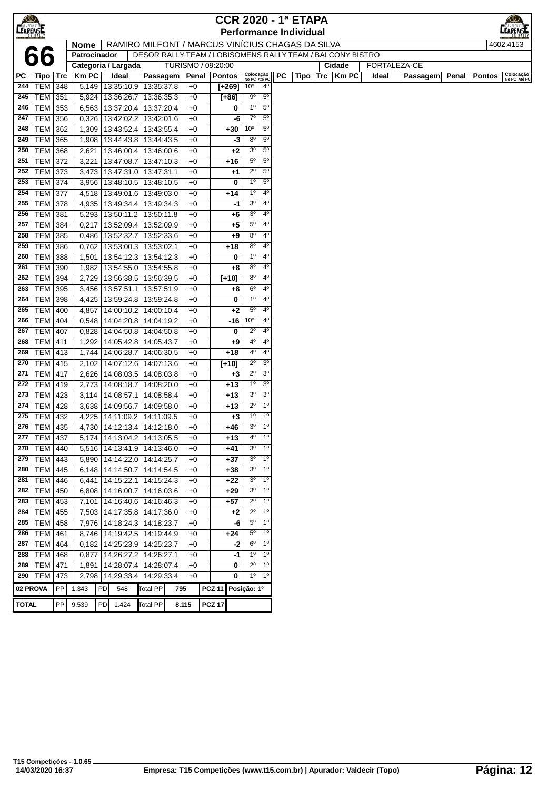| $\bigcirc$   |                 |            |              |     |                                 |                 |                                                           |                |          |                           |                |    | <b>CCR 2020 - 1ª ETAPA</b>    |                      |       |              |       |               |                           |
|--------------|-----------------|------------|--------------|-----|---------------------------------|-----------------|-----------------------------------------------------------|----------------|----------|---------------------------|----------------|----|-------------------------------|----------------------|-------|--------------|-------|---------------|---------------------------|
| CEARENSE     |                 |            |              |     |                                 |                 |                                                           |                |          |                           |                |    | <b>Performance Individual</b> |                      |       |              |       |               | EARENSI                   |
|              |                 |            | <b>Nome</b>  |     |                                 |                 | RAMIRO MILFONT / MARCUS VINÍCIUS CHAGAS DA SILVA          |                |          |                           |                |    |                               |                      |       |              |       |               | 4602,4153                 |
|              |                 |            | Patrocinador |     |                                 |                 | DESOR RALLY TEAM / LOBISOMENS RALLY TEAM / BALCONY BISTRO |                |          |                           |                |    |                               |                      |       |              |       |               |                           |
|              |                 |            |              |     | Categoria / Largada             |                 | TURISMO / 09:20:00                                        |                |          |                           |                |    |                               | Cidade               |       | FORTALEZA-CE |       |               |                           |
| PC           | Tipo   Trc      |            | <b>KmPC</b>  |     | Ideal                           | Passagem        |                                                           | Penal   Pontos |          | Colocação<br>No PC Até PC |                | PC |                               | $Tipo$   Trc   Km PC | Ideal | Passagem     | Penal | <b>Pontos</b> | Colocação<br>No PC Até PC |
| 244          | TEM             | 348        | 5,149        |     | 13:35:10.9   13:35:37.8         |                 | $+0$                                                      |                | $[+269]$ | 10 <sup>o</sup>           | $4^{\circ}$    |    |                               |                      |       |              |       |               |                           |
| 245          | TEM             | 351        | 5,924        |     | 13:36:26.7                      | 13:36:35.3      | +0                                                        |                | $[+86]$  | $9^{\rm o}$               | 5 <sup>0</sup> |    |                               |                      |       |              |       |               |                           |
| 246          | <b>TEM</b>      | 353        | 6,563        |     | 13:37:20.4                      | 13:37:20.4      | $+0$                                                      |                | 0        | 1 <sup>0</sup>            | $5^{\circ}$    |    |                               |                      |       |              |       |               |                           |
| 247          | TEM             | 356        | 0,326        |     | 13:42:02.2                      | 13:42:01.6      | $+0$                                                      |                | -6       | 7 <sup>o</sup>            | 5 <sup>0</sup> |    |                               |                      |       |              |       |               |                           |
| 248          | <b>TEM</b>      | 362        | 1,309        |     | 13:43:52.4                      | 13:43:55.4      | $+0$                                                      |                | +30      | 10 <sup>o</sup>           | $5^{\circ}$    |    |                               |                      |       |              |       |               |                           |
| 249          | TEM             | 365        | 1,908        |     | 13:44:43.8                      | 13:44:43.5      | $+0$                                                      |                | -3       | $8^{\circ}$               | $5^{\circ}$    |    |                               |                      |       |              |       |               |                           |
| 250          | TEM             | 368        | 2,621        |     | 13:46:00.4                      | 13:46:00.6      | $+0$                                                      |                | $+2$     | 3 <sup>o</sup>            | $5^{\circ}$    |    |                               |                      |       |              |       |               |                           |
| 251          | TEM             | 372        | 3,221        |     | 13:47:08.7                      | 13:47:10.3      | $+0$                                                      |                | $+16$    | $5^{\circ}$               | $5^{\circ}$    |    |                               |                      |       |              |       |               |                           |
| 252          | TEM             | 373        | 3,473        |     | 13:47:31.0                      | 13:47:31.1      | $+0$                                                      |                | $+1$     | $2^{\circ}$               | $5^{\circ}$    |    |                               |                      |       |              |       |               |                           |
| 253          | TEM             | 374        | 3,956        |     | 13:48:10.5                      | 13:48:10.5      | $+0$                                                      |                | 0        | $1^{\circ}$               | 5 <sup>o</sup> |    |                               |                      |       |              |       |               |                           |
| 254          | <b>TEM</b>      | 377        | 4,518        |     | 13:49:01.6                      | 13:49:03.0      | +0                                                        |                | $+14$    | $1^{\circ}$               | 4 <sup>0</sup> |    |                               |                      |       |              |       |               |                           |
| 255          | <b>TEM</b>      | 378        | 4,935        |     | 13:49:34.4                      | 13:49:34.3      | $+0$                                                      |                | -1       | 3 <sup>o</sup>            | 4 <sup>0</sup> |    |                               |                      |       |              |       |               |                           |
| 256          | TEM             | 381        | 5,293        |     | 13:50:11.2                      | 13:50:11.8      | $+0$                                                      |                | +6       | 3 <sup>o</sup>            | 4 <sup>0</sup> |    |                               |                      |       |              |       |               |                           |
| 257          | TEM             | 384        | 0,217        |     | 13:52:09.4                      | 13:52:09.9      | $+0$                                                      |                | +5       | $5^{\circ}$               | $4^{\circ}$    |    |                               |                      |       |              |       |               |                           |
| 258          | TEM             | 385        | 0,486        |     | 13:52:32.7                      | 13:52:33.6      | $+0$                                                      |                | +9       | $8^{\circ}$               | $4^{\circ}$    |    |                               |                      |       |              |       |               |                           |
| 259          | <b>TEM</b>      | 386        | 0,762        |     | 13:53:00.3                      | 13:53:02.1      | $+0$                                                      |                | $+18$    | $8^{\circ}$               | 4 <sup>0</sup> |    |                               |                      |       |              |       |               |                           |
| 260          | <b>TEM</b>      | 388        | 1,501        |     | 13:54:12.3                      | 13:54:12.3      | $+0$                                                      |                | 0        | $1^{\circ}$               | 4 <sup>0</sup> |    |                               |                      |       |              |       |               |                           |
| 261          | TEM             | 390        | 1,982        |     | 13:54:55.0                      | 13:54:55.8      | $+0$                                                      |                | +8       | $8^{\circ}$               | $4^{\circ}$    |    |                               |                      |       |              |       |               |                           |
| 262          | <b>TEM</b>      | 394        | 2,729        |     | 13:56:38.5                      | 13:56:39.5      | $+0$                                                      |                | $[+10]$  | $8^{\circ}$               | 4 <sup>0</sup> |    |                               |                      |       |              |       |               |                           |
| 263          | TEM             | 395        | 3,456        |     | 13:57:51.1                      | 13:57:51.9      | +0                                                        |                | +8       | $6^{\rm o}$               | $4^{\circ}$    |    |                               |                      |       |              |       |               |                           |
| 264          | TEM             | 398        | 4,425        |     | 13:59:24.8                      | 13:59:24.8      | $+0$                                                      |                | 0        | $1^{\circ}$               | 4 <sup>0</sup> |    |                               |                      |       |              |       |               |                           |
| 265          | TEM             | 400        | 4,857        |     | 14:00:10.2                      | 14:00:10.4      | $+0$                                                      |                | $+2$     | $5^{\circ}$               | 4 <sup>0</sup> |    |                               |                      |       |              |       |               |                           |
| 266          | TEM             | 404        | 0,548        |     | 14:04:20.8   14:04:19.2         |                 | $+0$                                                      |                | $-16$    | 10 <sup>o</sup>           | $4^{\circ}$    |    |                               |                      |       |              |       |               |                           |
| 267          | TEM             | 407        | 0,828        |     | 14:04:50.8                      | 14:04:50.8      | $+0$                                                      |                | 0        | $2^{\circ}$               | $4^{\circ}$    |    |                               |                      |       |              |       |               |                           |
| 268          | TEM             | 411        | 1,292        |     | 14:05:42.8                      | 14:05:43.7      | $+0$                                                      |                | $+9$     | 4º                        | $4^{\circ}$    |    |                               |                      |       |              |       |               |                           |
| 269          | TEM   413       |            | 1,744        |     | 14:06:28.7                      | 14:06:30.5      | $+0$                                                      |                | $+18$    | $4^{\circ}$               | 4 <sup>0</sup> |    |                               |                      |       |              |       |               |                           |
| 270          | TEM             | 415        | 2,102        |     | 14:07:12.6                      | 14:07:13.6      | $+0$                                                      |                | $[+10]$  | $2^{\circ}$               | 3 <sup>o</sup> |    |                               |                      |       |              |       |               |                           |
| 271          | <b>TEM</b>      | 417        | 2,626        |     | 14:08:03.5                      | 14:08:03.8      | $+0$                                                      |                | $+3$     | 2º                        | 3 <sup>o</sup> |    |                               |                      |       |              |       |               |                           |
| 272          | <b>TEM</b>      | 419        | 2,773        |     | 14:08:18.7                      | 14:08:20.0      | +0                                                        |                | $+13$    | $1^{\circ}$               | 3 <sup>o</sup> |    |                               |                      |       |              |       |               |                           |
| 273          | <b>TEM</b>      | 423        | 3,114        |     | 14:08:57.1                      | 14:08:58.4      | $+0$                                                      |                | $+13$    | 3 <sup>o</sup>            | 3 <sup>o</sup> |    |                               |                      |       |              |       |               |                           |
| 274          | TEM             | 428        | 3,638        |     | 14:09:56.7                      | 14:09:58.0      | $+0$                                                      |                | $+13$    | $2^{\circ}$               | $1^{\circ}$    |    |                               |                      |       |              |       |               |                           |
| 275          | TEM             | 432        | 4,225        |     | 14:11:09.2                      | 14:11:09.5      | $+0$                                                      |                | $+3$     | $1^{\circ}$               | 1 <sup>0</sup> |    |                               |                      |       |              |       |               |                           |
| 276          | TEM   435       |            | 4,730        |     | 14:12:13.4                      | 14:12:18.0      | $+0$                                                      |                | +46      | 30                        | $1^{\circ}$    |    |                               |                      |       |              |       |               |                           |
|              | 277   TEM   437 |            |              |     | 5,174   14:13:04.2   14:13:05.5 |                 | +0                                                        |                | $+13$    | 4º                        | 1 <sup>0</sup> |    |                               |                      |       |              |       |               |                           |
| 278          | TEM             | 440        | 5,516        |     | 14:13:41.9                      | 14:13:46.0      | $+0$                                                      |                | $+41$    | 3 <sup>o</sup>            | 1 <sup>0</sup> |    |                               |                      |       |              |       |               |                           |
|              | 279   TEM $ $   | 443        | 5,890        |     | 14:14:22.0                      | 14:14:25.7      | $+0$                                                      |                | $+37$    | 3 <sup>o</sup>            | $1^{\circ}$    |    |                               |                      |       |              |       |               |                           |
| 280          | <b>TEM</b>      | 445        | 6,148        |     | 14:14:50.7                      | 14:14:54.5      | $+0$                                                      |                | +38      | 3 <sup>o</sup>            | $1^{\circ}$    |    |                               |                      |       |              |       |               |                           |
| 281          | <b>TEM</b>      | 446        | 6,441        |     | 14:15:22.1                      | 14:15:24.3      | +0                                                        |                | $+22$    | 30                        | $1^{\circ}$    |    |                               |                      |       |              |       |               |                           |
| 282          | <b>TEM</b>      | 450        | 6,808        |     | 14:16:00.7                      | 14:16:03.6      | +0                                                        |                | $+29$    | 3 <sup>o</sup>            | 1 <sup>0</sup> |    |                               |                      |       |              |       |               |                           |
|              | 283   TEM $ $   | 453        |              |     | 7,101   14:16:40.6   14:16:46.3 |                 | $+0$                                                      |                | $+57$    | $2^{\circ}$               | 1 <sup>0</sup> |    |                               |                      |       |              |       |               |                           |
|              | 284   TEM   455 |            |              |     | 7,503   14:17:35.8   14:17:36.0 |                 | $+0$                                                      |                | $+2$     | $2^{\circ}$               | $1^{\circ}$    |    |                               |                      |       |              |       |               |                           |
| 285          | TEM 458         |            |              |     | 7,976   14:18:24.3   14:18:23.7 |                 | $+0$                                                      |                | -6       | $5^{\circ}$               | $1^{\circ}$    |    |                               |                      |       |              |       |               |                           |
| 286          | TEM             | 461        | 8,746        |     | 14:19:42.5                      | 14:19:44.9      | $+0$                                                      |                | $+24$    | $5^{\circ}$               | 1 <sup>0</sup> |    |                               |                      |       |              |       |               |                           |
| 287          | TEM             | 464        |              |     | $0,182$   14:25:23.9            | 14:25:23.7      | $+0$                                                      |                | -2       | $6^{\rm o}$               | 1 <sup>0</sup> |    |                               |                      |       |              |       |               |                           |
| 288          | <b>TEM</b>      | 468        | 0,877        |     | 14:26:27.2                      | 14:26:27.1      | $+0$                                                      |                | -1       | $1^{\circ}$               | $1^{\circ}$    |    |                               |                      |       |              |       |               |                           |
| 289          | <b>TEM</b>      | 471        | 1,891        |     | 14:28:07.4                      | 14:28:07.4      | $+0$                                                      |                | 0        | $2^{\circ}$               | $1^{\circ}$    |    |                               |                      |       |              |       |               |                           |
| 290          | <b>TEM</b>      | 473        | 2,798        |     | 14:29:33.4                      | 14:29:33.4      | $+0$                                                      |                | 0        | $1^{\circ}$               | $1^{\circ}$    |    |                               |                      |       |              |       |               |                           |
| 02 PROVA     |                 | ${\sf PP}$ | 1.343        | PD  | 548                             | <b>Total PP</b> | 795                                                       | <b>PCZ 11</b>  |          | Posição: 1º               |                |    |                               |                      |       |              |       |               |                           |
| <b>TOTAL</b> |                 | PP         | 9.539        | PD. | 1.424                           | Total PP        | 8.115                                                     | <b>PCZ 17</b>  |          |                           |                |    |                               |                      |       |              |       |               |                           |
|              |                 |            |              |     |                                 |                 |                                                           |                |          |                           |                |    |                               |                      |       |              |       |               |                           |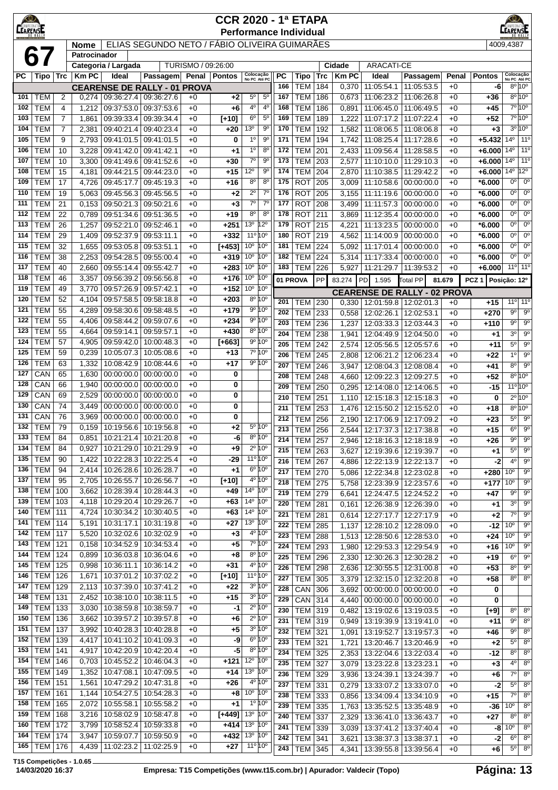| $\bigotimes$<br><b>CEARENSE</b> |                          |                |                |                          |                                                   |                    |                    | <b>CCR 2020 - 1ª ETAPA</b>                                                       |            |                          |                         |                |                                                    |                          |              |                      | $\bigcirc$<br><b>EARENSE</b>        |                                                 |
|---------------------------------|--------------------------|----------------|----------------|--------------------------|---------------------------------------------------|--------------------|--------------------|----------------------------------------------------------------------------------|------------|--------------------------|-------------------------|----------------|----------------------------------------------------|--------------------------|--------------|----------------------|-------------------------------------|-------------------------------------------------|
|                                 |                          |                | <b>Nome</b>    |                          | ELIAS SEGUNDO NETO / FÁBIO OLIVEIRA GUIMARÃES     |                    |                    | <b>Performance Individual</b>                                                    |            |                          |                         |                |                                                    |                          |              |                      | 4009,4387                           |                                                 |
|                                 | 67                       |                | Patrocinador   |                          |                                                   |                    |                    |                                                                                  |            |                          |                         |                |                                                    |                          |              |                      |                                     |                                                 |
|                                 |                          |                |                | Categoria / Largada      |                                                   | TURISMO / 09:26:00 |                    |                                                                                  |            |                          |                         | Cidade         | <b>ARACATI-CE</b>                                  |                          |              |                      |                                     |                                                 |
| РC                              | Tipo                     | <b>Trc</b>     | <b>KmPC</b>    | Ideal                    | <b>Passagem</b>                                   | Penal              | <b>Pontos</b>      | Colocação<br>No PC Até PC                                                        | <b>PC</b>  | <b>Tipo</b>              | Trc                     | <b>KmPC</b>    | Ideal                                              | Passagem                 | Penal        | <b>Pontos</b>        | Colocação<br>No PC Até PC           |                                                 |
| 101                             | <b>TEM</b>               | 2              | 0,274          | 09:36:27.4               | <b>CEARENSE DE RALLY - 01 PROVA</b><br>09:36:27.6 | $+0$               | $+2$               | $5^{\circ}$<br>$5^{\circ}$                                                       | 166<br>167 | <b>TEM</b><br><b>TEM</b> | 184<br>186              | 0,370<br>0,673 | 11:05:54.1<br>11:06:23.2                           | 11:05:53.5<br>11:06:26.8 | $+0$<br>$+0$ | -6<br>+36            |                                     | $8^{\circ}10^{\circ}$<br>$8^{\circ} 10^{\circ}$ |
| 102                             | <b>TEM</b>               | 4              | 1,212          | 09:37:53.0               | 09:37:53.6                                        | $+0$               | $+6$               | 4 <sup>0</sup><br>$4^{\circ}$                                                    | 168        | <b>TEM</b>               | 186                     | 0,891          | 11:06:45.0                                         | 11:06:49.5               | $+0$         | +45                  |                                     | 7º 10º                                          |
| 103                             | <b>TEM</b>               | $\overline{7}$ | 1,861          | 09:39:33.4               | 09:39:34.4                                        | $+0$               | $[+10]$            | $5^{\circ}$<br>$6^{\circ}$                                                       | 169        | <b>TEM</b>               | 189                     | 1,222          | 11:07:17.2                                         | 11:07:22.4               | $+0$         | $+52$                |                                     | 7°10°                                           |
| 104                             | <b>TEM</b>               | $\overline{7}$ | 2,381          | 09:40:21.4               | 09:40:23.4                                        | $+0$               | +20                | 13 <sup>0</sup><br>$9^{\circ}$                                                   | 170        | <b>TEM</b>               | 192                     | 1,582          | 11:08:06.5                                         | 11:08:06.8               | $+0$         | $+3$                 |                                     | $3^{\circ}10^{\circ}$                           |
| 105                             | <b>TEM</b>               | 9              | 2,793          |                          | 09:41:01.5 09:41:01.5                             | $+0$               | 0                  | 9 <sup>o</sup><br>1 <sup>0</sup>                                                 | 171        | <b>TEM</b>               | 194                     | 1,742          | 11:08:25.4 11:17:28.6                              |                          | $+0$         | $+5.432$             | $14^{\circ}$   11 <sup>°</sup>      |                                                 |
| 106                             | <b>TEM</b>               | 10             | 3,228          |                          | 09:41:42.0 09:41:42.1                             | $+0$               | $+1$               | $8^{\circ}$<br>1 <sup>0</sup>                                                    | 172        | <b>TEM</b>               | 201                     | 2,433          | 11:09:56.4   11:28:58.5                            |                          | $+0$         | $+6.000$             | $14^{\circ}$                        | 11 <sup>0</sup>                                 |
| 107<br>108                      | <b>TEM</b><br><b>TEM</b> | 10<br>15       | 3,300<br>4,181 | 09:44:21.5               | 09:41:49.6   09:41:52.6<br>09:44:23.0             | $+0$<br>$+0$       | +30<br>+15         | $7^\circ$<br>$9^{\circ}$<br>$12^{\circ}$<br>$9^{\circ}$                          | 173<br>174 | <b>TEM</b><br><b>TEM</b> | 203<br>204              | 2,577<br>2,870 | 11:10:10.0   11:29:10.3<br>11:10:38.5              | 11:29:42.2               | $+0$<br>$+0$ | $+6.000$<br>$+6.000$ | 14 <sup>°</sup><br>$14^{\circ}$ 12° | 11 <sup>0</sup>                                 |
| 109                             | <b>TEM</b>               | 17             | 4,726          | 09:45:17.7               | 09:45:19.3                                        | $+0$               | +16                | $8^{\circ}$<br>$8^{\circ}$                                                       | 175        | <b>ROT</b>               | 205                     | 3,009          | 11:10:58.6                                         | 00:00:00.0               | $+0$         | $*6.000$             | 0 <sup>o</sup>                      | $0^{\circ}$                                     |
| 110                             | <b>TEM</b>               | 19             | 5,063          | 09:45:56.3               | 09:45:56.5                                        | $+0$               | $+2$               | $7^{\circ}$<br>$2^{\circ}$                                                       | 176        | <b>ROT</b>               | 205                     | 3,155          | 11:11:19.6                                         | 00:00:00.0               | $+0$         | $*6.000$             | $0^{\circ}$                         | $0^{\circ}$                                     |
| 111                             | <b>TEM</b>               | 21             | 0,153          | 09:50:21.3               | 09:50:21.6                                        | $+0$               | $+3$               | $7^{\circ}$<br>$7^{\circ}$                                                       | 177        | <b>ROT</b>               | 208                     | 3,499          | 11:11:57.3                                         | 00:00:00.0               | $+0$         | *6.000               | $0^{\circ}$                         | $0^{\circ}$                                     |
| 112                             | <b>TEM</b>               | 22             | 0,789          | 09:51:34.6               | 09:51:36.5                                        | $+0$               | +19                | $8^{\circ}$<br>80                                                                | 178        | <b>ROT</b>               | 211                     | 3,869          | 11:12:35.4                                         | 00:00:00.0               | $+0$         | $*6.000$             | $0^{\circ}$                         | $0^{\circ}$                                     |
| 113                             | <b>TEM</b>               | 26             | 1,257          | 09:52:21.0               | 09:52:46.1                                        | $+0$               | $+251$             | 13 <sup>o</sup><br>$12^{\circ}$                                                  | 179        | <b>ROT</b>               | 215                     | 4,221          | 11:13:23.5                                         | 00:00:00.0               | $+0$         | *6.000               | $0^{\circ}$                         | $0^{\circ}$                                     |
| 114                             | <b>TEM</b>               | 29             | 1,409          | 09:52:37.9 09:53:11.1    |                                                   | $+0$               | $+332$             | 11º 10º                                                                          | 180        | <b>ROT</b>               | 219                     | 4,562          | 11:14:00.9                                         | 00:00:00.0               | $+0$         | *6.000               | 0 <sup>o</sup>                      | $0^{\circ}$                                     |
| 115<br>116                      | <b>TEM</b><br><b>TEM</b> | 32<br>38       | 1,655          | 09:53:05.8               | 09:53:51.1<br>09:55:00.4                          | $+0$<br>$+0$       | $[+453]$<br>$+319$ | 10 <sup>o</sup><br>10 <sup>o</sup><br>10 <sup>o</sup><br>10 <sup>o</sup>         | 181<br>182 | <b>TEM</b><br><b>TEM</b> | 224<br>224              | 5,092          | 11:17:01.4                                         | 00:00:00.0<br>00:00:00.0 | $+0$         | $*6.000$             | $0^{\circ}$<br>$0^{\circ}$          | $0^{\circ}$<br>$0^{\circ}$                      |
| 117                             | <b>TEM</b>               | 40             | 2,253<br>2,660 | 09:54:28.5<br>09:55:14.4 | 09:55:42.7                                        | $+0$               | $+283$             | 10 <sup>o</sup><br>10 <sup>o</sup>                                               | 183        | <b>TEM</b>               | 226                     | 5,314<br>5,927 | 11:17:33.4<br>11:21:29.7                           | 11:39:53.2               | $+0$<br>$+0$ | *6.000<br>$+6.000$   |                                     | 11 <sup>o</sup> 11 <sup>o</sup>                 |
| 118                             | <b>TEM</b>               | 46             | 3,357          | 09:56:39.2               | 09:56:56.8                                        | $+0$               | $+176$             | 10 <sup>o</sup><br>10 <sup>o</sup>                                               | 01 PROVA   |                          | PP                      | 83.274         | $I$ PD<br>1.595                                    | <b>Total PP</b>          | 81.679       | PCZ <sub>1</sub>     | Posicão: 12º                        |                                                 |
| 119                             | <b>TEM</b>               | 49             | 3,770          | 09:57:26.9               | 09:57:42.1                                        | $+0$               | $+152$             | 10 <sup>o</sup><br>10 <sup>o</sup>                                               |            |                          |                         |                | <b>CEARENSE DE RALLY - 02 PROVA</b>                |                          |              |                      |                                     |                                                 |
| 120                             | <b>TEM</b>               | 52             | 4,104          | 09:57:58.5               | 09:58:18.8                                        | $+0$               | $+203$             | 8º 10°                                                                           | 201        | <b>TEM</b>               | 230                     | 0,330          | 12:01:59.8 12:02:01.3                              |                          | $+0$         | $+15$                |                                     | $11^{\circ}$ 11 <sup>°</sup>                    |
| 121                             | <b>TEM</b>               | 55             | 4,289          | 09:58:30.6               | 09:58:48.5                                        | $+0$               | $+179$             | 9º 10°                                                                           | 202        | <b>TEM</b>               | 233                     | 0,558          | 12:02:26.1   12:02:53.1                            |                          | $+0$         | $+270$               | $9^{\circ}$                         | $9^{\circ}$                                     |
| 122                             | <b>TEM</b>               | 55             | 4,406          | 09:58:44.2               | 09:59:07.6                                        | $+0$               | $+234$             | 9º 10º                                                                           | 203        | <b>TEM</b>               | 236                     | 1,237          | 12:03:33.3 12:03:44.3                              |                          | $+0$         | +110                 | $9^{\circ}$                         | $9^{\circ}$                                     |
| 123                             | <b>TEM</b>               | 55             | 4,664          | 09:59:14.1               | 09:59:57.1                                        | $+0$               | $+430$             | 8º 10°                                                                           | 204        | <b>TEM</b>               | 238                     | 1,941          | 12:04:49.9 12:04:50.0                              |                          | $+0$         | $+1$                 | 3 <sup>0</sup>                      | $9^{\circ}$                                     |
| 124<br>125                      | <b>TEM</b><br><b>TEM</b> | 57<br>59       | 4,905<br>0,239 | 09:59:42.0<br>10:05:07.3 | 10:00:48.3<br>10:05:08.6                          | $+0$<br>$+0$       | $[+663]$<br>+13    | 9°10°<br>7º 10°                                                                  | 205        | <b>TEM</b>               | 242                     | 2,574          | 12:05:56.5   12:05:57.6                            |                          | $+0$         | $+11$                | 5 <sup>o</sup>                      | $9^{\circ}$                                     |
| 126                             | <b>TEM</b>               | 63             | 1,332          | 10:08:42.9               | 10:08:44.6                                        | $+0$               | $+17$              | $9^{\circ} 10^{\circ}$                                                           | 206        | <b>TEM</b>               | 245                     | 2,808          | 12:06:21.2                                         | 12:06:23.4               | $+0$         | +22                  | $1^{\circ}$                         | $9^{\circ}$                                     |
| 127                             | CAN                      | 65             | 1,630          | 00:00:00.0               | 00:00:00.0                                        | $+0$               | 0                  |                                                                                  | 207<br>208 | <b>TEM</b>               | 246                     | 3,947          | 12:08:04.3   12:08:08.4                            |                          | $+0$         | +41                  | $8^{\circ}$                         | $9^{\circ}$<br>$8^{\circ}10^{\circ}$            |
| 128                             | CAN                      | 66             | 1,940          | 00:00:00.0               | 00:00:00.0                                        | $+0$               | 0                  |                                                                                  | 209        | <b>TEM</b><br><b>TEM</b> | 248<br>$\overline{250}$ | 4,660<br>0,295 | 12:09:22.3<br>12:14:08.0   12:14:06.5              | 12:09:27.5               | $+0$<br>$+0$ | $+52$<br>$-15$       |                                     | $11^{\circ}10^{\circ}$                          |
| 129                             | CAN                      | 69             | 2,529          | 00:00:00.0               | 00:00:00.0                                        | $+0$               | 0                  |                                                                                  | 210        | <b>TEM</b>               | 251                     | 1,110          | 12:15:18.3   12:15:18.3                            |                          | $+0$         | 0                    |                                     | $2^{\circ}$ 10 $^{\circ}$                       |
| 130                             | CAN                      | 74             | 3,449          | 00:00:00.0               | 00:00:00.0                                        | $+0$               | 0                  |                                                                                  | 211        | <b>TEM</b>               | 253                     | 1,476          | 12:15:50.2   12:15:52.0                            |                          | $+0$         | +18                  |                                     | $8^{\circ}$ 10 <sup>°</sup>                     |
| 131                             | CAN                      | 76             | 3,969          | 00:00:00.0               | 00:00:00.0                                        | $+0$               | 0                  |                                                                                  | 212        | <b>TEM</b>               | 256                     | 2,190          | 12:17:06.9   12:17:09.2                            |                          | $+0$         | $+23$                | $5^{\circ}$                         | $9^{\circ}$                                     |
| 132                             | <b>TEM</b>               | 79             | 0,159          |                          | 10:19:56.6   10:19:56.8                           | $+0$               | $+2$               | 5º 10°                                                                           | 213        | <b>TEM</b>               | 256                     | 2,544          | 12:17:37.3 12:17:38.8                              |                          | $+0$         | $+15$                | $6^{\circ}$                         | $\overline{9^{\circ}}$                          |
| 133                             | <b>TEM</b>               | 84             |                |                          | 0,851 10:21:21.4 10:21:20.8                       | $+0$               | $-6$               | 8º 10°<br>$2^{\circ} 10^{\circ}$                                                 | 214        | TEM 257                  |                         |                | 2,946   12:18:16.3   12:18:18.9                    |                          | $+0$         | +26                  | $9^{\circ}$                         | $9^{\circ}$                                     |
| 134<br>135                      | <b>TEM</b><br><b>TEM</b> | 84<br>90       | 0,927<br>1,422 |                          | 10:21:29.0   10:21:29.9<br>10:22:28.3 10:22:25.4  | $+0$<br>$+0$       | $+9$<br>$-29$      | $11^{\circ} 10^{\circ}$                                                          | 215        | <b>TEM 263</b>           |                         | 3,627          | 12:19:39.6   12:19:39.7                            |                          | $+0$         | +1                   | $5^{\circ}$                         | $9^{\circ}$                                     |
| 136                             | <b>TEM</b>               | 94             | 2,414          |                          | 10:26:28.6   10:26:28.7                           | $+0$               | $+1$               | $6^{\circ} 10^{\circ}$                                                           | 216<br>217 | <b>TEM</b><br><b>TEM</b> | 267<br>270              | 4,886          | 12:22:13.9   12:22:13.7                            |                          | $+0$         | $-2$<br>$+280$       | $4^{\circ}$<br>$10^{\circ}$         | $9^{\circ}$<br>90                               |
| 137                             | <b>TEM</b>               | 95             | 2,705          | 10:26:55.7               | 10:26:56.7                                        | $+0$               | $[+10]$            | 4º 10°                                                                           | 218        | <b>TEM 275</b>           |                         | 5,086<br>5,758 | 12:22:34.8   12:23:02.8<br>12:23:39.9 12:23:57.6   |                          | $+0$<br>$+0$ | $+177$               | $10^{\circ}$                        | $9^{\circ}$                                     |
| 138                             | TEM                      | 100            | 3,662          | 10:28:39.4               | 10:28:44.3                                        | $+0$               | +49                | 14 <sup>o</sup> 10 <sup>o</sup>                                                  | 219        | <b>TEM 279</b>           |                         | 6,641          | 12:24:47.5   12:24:52.2                            |                          | $+0$         | $+47$                | $9^{\circ}$                         | $9^{\circ}$                                     |
| 139                             | TEM                      | 103            | 4,118          | 10:29:20.4               | 10:29:26.7                                        | $+0$               | +63                | 14 <sup>o</sup> 10 <sup>o</sup>                                                  | 220        | <b>TEM 281</b>           |                         | 0,161          | 12:26:38.9   12:26:39.0                            |                          | $+0$         | +1                   | 3 <sup>o</sup>                      | $9^{\circ}$                                     |
| 140                             | TEM                      | 111            | 4,724          | 10:30:34.2               | 10:30:40.5                                        | $+0$               | +63                | $14^{\circ}$<br>$10^{\circ}$                                                     | 221        | <b>TEM</b>               | 281                     | 0,614          | 12:27:17.7   12:27:17.9                            |                          | $+0$         | $+2$                 | $7^\circ$                           | $9^{\circ}$                                     |
| 141                             | TEM                      | 114            | 5,191          | 10:31:17.1               | 10:31:19.8                                        | $+0$               | $+27$              | 13 <sup>0</sup> 10 <sup>0</sup>                                                  | 222        | <b>TEM</b>               | 285                     | 1,137          | 12:28:10.2   12:28:09.0                            |                          | $+0$         | -12                  | $10^{\circ}$                        | $9^{\circ}$                                     |
| 142<br>143                      | TEM<br><b>TEM 121</b>    | 117            | 5,520<br>0,158 | 10:32:02.6<br>10:34:52.9 | 10:32:02.9<br>10:34:53.4                          | $+0$<br>$+0$       | $+3$<br>$+5$       | 4º 10º<br>7º 10°                                                                 | 223        | <b>TEM</b>               | 288                     | 1,513          | 12:28:50.6   12:28:53.0                            |                          | $+0$         | +24                  | $10^{\circ}$                        | $9^{\circ}$                                     |
| 144                             | <b>TEM 124</b>           |                | 0,899          |                          | 10:36:03.8   10:36:04.6                           | $+0$               | +8                 | $8^{\circ} 10^{\circ}$                                                           | 224<br>225 | TEM 293                  |                         | 1,980          | 12:29:53.3   12:29:54.9                            |                          | $+0$         | +16                  | 10 <sup>o</sup><br>$6^{\circ}$      | $9^{\circ}$<br>$9^{\circ}$                      |
| 145                             | TEM                      | 125            | 0,998          | 10:36:11.1               | 10:36:14.2                                        | $+0$               | +31                | 4 <sup>o</sup> 10 <sup>o</sup>                                                   | 226        | <b>TEM</b><br><b>TEM</b> | 296<br>298              | 2,330<br>2,636 | 12:30:26.3   12:30:28.2<br>12:30:55.5   12:31:00.8 |                          | $+0$<br>$+0$ | +19<br>$+53$         | $8^{\circ}$                         | $9^{\circ}$                                     |
| 146                             | TEM                      | 126            | 1,671          | 10:37:01.2               | 10:37:02.2                                        | $+0$               | $[+10]$            | 11º 10º                                                                          | 227        | <b>TEM 305</b>           |                         | 3,379          | 12:32:15.0   12:32:20.8                            |                          | $+0$         | +58                  |                                     | $8^{\circ}$ $8^{\circ}$                         |
| 147                             | TEM                      | 129            | 2,113          | 10:37:39.0               | 10:37:41.2                                        | $+0$               | $+22$              | $3^{\circ} 10^{\circ}$                                                           | 228        | CAN 306                  |                         | 3,692          | $00:00:00.0$   $00:00:00.0$                        |                          | $+0$         | 0                    |                                     |                                                 |
| 148                             | TEM                      | 131            | 2,452          |                          | 10:38:10.0   10:38:11.5                           | $+0$               | $+15$              | 3º 10°                                                                           | 229        | $CAN$ 314                |                         | 4,440          | $00:00:00.0$   $00:00:00.0$                        |                          | $+0$         | 0                    |                                     |                                                 |
| 149                             | TEM                      | 133            | 3,030          |                          | 10:38:59.8   10:38:59.7                           | $+0$               | -1                 | 2º 10º                                                                           | 230        | TEM 319                  |                         | 0,482          | 13:19:02.6   13:19:03.5                            |                          | $+0$         | $[+9]$               | $8^{\circ}$                         | $8^{\circ}$                                     |
| 150                             | <b>TEM</b>               | 136            | 3,662          | 10:39:57.2               | 10:39:57.8                                        | $+0$               | +6                 | $2^{\circ} 10^{\circ}$                                                           | 231        | <b>TEM</b>               | 319                     | 0,949          | 13:19:39.9 13:19:41.0                              |                          | $+0$         | $+11$                | $9^{\circ}$                         | $8^{\circ}$                                     |
| 151<br>152                      | TEM<br>TEM               | 137<br>139     | 3,992<br>4,417 |                          | 10:40:28.3 10:40:28.8<br>10:41:10.2   10:41:09.3  | $+0$<br>$+0$       | $+5$<br>-9         | 3º 10º<br>6º 10°                                                                 | 232        | <b>TEM</b>               | 321                     | 1,091          | 13:19:52.7   13:19:57.3                            |                          | $+0$         | +46                  | $9^{\circ}$                         | $8^{\circ}$                                     |
| 153                             | TEM                      | 141            | 4,917          |                          | 10:42:20.9 10:42:20.4                             | $+0$               | $-5$               | $8^{\circ} 10^{\circ}$                                                           | 233        | <b>TEM 321</b>           |                         | 1,721          | 13:20:46.7   13:20:46.9                            |                          | $+0$         | $+2$                 | $5^{\circ}$<br>$8^{\circ}$          | $8^{\circ}$<br>$8^{\circ}$                      |
| 154                             | TEM                      | 146            | 0,703          | 10:45:52.2               | 10:46:04.3                                        | $+0$               | $+121$             | 12 <sup>o</sup> 10 <sup>o</sup>                                                  | 234<br>235 | TEM<br><b>TEM</b>        | 325<br>327              | 2,353<br>3,079 | 13:22:04.6   13:22:03.4<br>13:23:22.8   13:23:23.1 |                          | $+0$<br>$+0$ | -12<br>+3            | $4^{\circ}$                         | $8^{\circ}$                                     |
| 155                             | TEM                      | 149            | 1,352          | 10:47:08.1               | 10:47:09.5                                        | $+0$               | $+14$              | 13 <sup>0</sup> 10 <sup>0</sup>                                                  | 236        | <b>TEM 329</b>           |                         | 3,936          | 13:24:39.1   13:24:39.7                            |                          | $+0$         | +6                   | $7^{\circ}$                         | $8^{\circ}$                                     |
| 156                             | <b>TEM 151</b>           |                | 1,561          | 10:47:29.2               | 10:47:31.8                                        | $+0$               | +26                | 4º 10º                                                                           | 237        | TEM 331                  |                         | 0,279          | 13:33:07.2   13:33:07.0                            |                          | $+0$         | $-2$                 | $5^{\circ}$                         | $8^{\circ}$                                     |
| 157                             | TEM                      | 161            | 1,144          | 10:54:27.5               | 10:54:28.3                                        | $+0$               | $+8$               | 10 <sup>°</sup> 10 <sup>°</sup>                                                  | 238        | TEM 333                  |                         | 0,856          | 13:34:09.4   13:34:10.9                            |                          | $+0$         | +15                  | $7^\circ$                           | $8^{\circ}$                                     |
| 158                             | <b>TEM</b>               | 165            | 2,072          | 10:55:58.1               | 10:55:58.2                                        | $+0$               | +1                 | $1^{\circ} 10^{\circ}$                                                           | 239        | <b>TEM</b>               | 335                     | 1,763          | 13:35:52.5   13:35:48.9                            |                          | $+0$         | -36                  | $10^{\circ}$                        | $8^{\circ}$                                     |
| 159                             | <b>TEM</b>               | 168            | 3,216          | 10:58:02.9               | 10:58:47.8                                        | $+0$               |                    | $[+449]$ 13 <sup>°</sup> 10 <sup>°</sup>                                         | 240        | <b>TEM</b>               | 337                     | 2,329          | 13:36:41.0   13:36:43.7                            |                          | $+0$         | +27                  | $8^{\circ}$                         | $8^{\circ}$                                     |
| 160<br>164                      | TEM<br>TEM               | 172<br>174     | 3,799<br>3,947 | 10:58:52.4<br>10:59:07.7 | 10:59:33.8<br>10:59:50.9                          | $+0$<br>$+0$       |                    | $+414$ 13 <sup>°</sup> 10 <sup>°</sup><br>$+432$ 13 <sup>0</sup> 10 <sup>0</sup> | 241        | <b>TEM</b>               | 339                     | 3,039          | 13:37:41.2   13:37:40.4                            |                          | $+0$         |                      | $-8$ 10 <sup>o</sup>                | $8^{\circ}$                                     |
| 165                             | <b>TEM 176</b>           |                | 4,439          | 11:02:23.2               | 11:02:25.9                                        | $+0$               | $+27$              | 11º 10º                                                                          | 242        | <b>TEM 341</b>           |                         | 3,621          | 13:38:37.3   13:38:37.1                            |                          | $+0$         | $-2$                 | $6^{\circ}$                         | $8^{\circ}$                                     |
|                                 |                          |                |                |                          |                                                   |                    |                    |                                                                                  | 243        | <b>TEM 345</b>           |                         | 4,341          |                                                    | 13:39:55.8   13:39:56.4  | $+0$         | +6                   | $5^{\circ}$                         | $8^{\rm o}$                                     |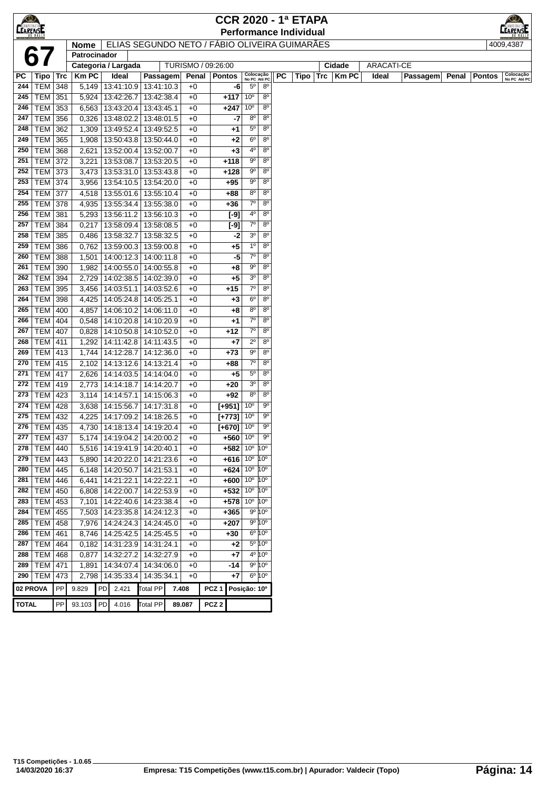| $\bigcirc$<br><b>CEARENSE</b> |                          |            |                |                                               |                          |                             | <b>CCR 2020 - 1ª ETAPA</b>             |                               |                                                  |    | <b>Performance Individual</b> |     |                        |                            |          |       |               | LEARENSE                  |
|-------------------------------|--------------------------|------------|----------------|-----------------------------------------------|--------------------------|-----------------------------|----------------------------------------|-------------------------------|--------------------------------------------------|----|-------------------------------|-----|------------------------|----------------------------|----------|-------|---------------|---------------------------|
|                               |                          |            | <b>Nome</b>    | ELIAS SEGUNDO NETO / FÁBIO OLIVEIRA GUIMARÃES |                          |                             |                                        |                               |                                                  |    |                               |     |                        |                            |          |       |               | 4009,4387                 |
|                               |                          |            | Patrocinador   | Categoria / Largada                           |                          |                             |                                        |                               |                                                  |    |                               |     |                        |                            |          |       |               |                           |
| РC                            | Tipo   Trc               |            | <b>Km PC</b>   | Ideal                                         | Passagem                 | TURISMO / 09:26:00<br>Penal | <b>Pontos</b>                          | Colocação<br>No PC Até PC     |                                                  | PC | Tipo                          | Trc | Cidade<br><b>Km PC</b> | <b>ARACATI-CE</b><br>Ideal | Passagem | Penal | <b>Pontos</b> | Colocação<br>No PC Até PC |
| 244                           | TEM                      | 348        | 5,149          | 13:41:10.9                                    | 13:41:10.3               | $+0$                        | -6                                     | $5^{\circ}$                   | $8^{\circ}$                                      |    |                               |     |                        |                            |          |       |               |                           |
| 245                           | <b>TEM 351</b>           |            | $\sqrt{5,924}$ | 13:42:26.7                                    | 13:42:38.4               | $+0$                        | $+117$                                 | 10 <sup>o</sup>               | $8^{\circ}$                                      |    |                               |     |                        |                            |          |       |               |                           |
| 246                           | TEM                      | 353        | 6,563          | 13:43:20.4                                    | 13:43:45.1               | $+0$                        | $+247$                                 | 10 <sup>o</sup>               | $8^{\circ}$                                      |    |                               |     |                        |                            |          |       |               |                           |
| 247                           | <b>TEM</b>               | 356        | 0,326          | 13:48:02.2                                    | 13:48:01.5               | $+0$                        | -7                                     | $8^{\circ}$                   | $8^{\circ}$                                      |    |                               |     |                        |                            |          |       |               |                           |
| 248                           | <b>TEM</b>               | 362        | 1,309          | 13:49:52.4                                    | 13:49:52.5               | $+0$                        | +1                                     | $5^{\circ}$                   | $8^{\circ}$                                      |    |                               |     |                        |                            |          |       |               |                           |
| 249                           | <b>TEM</b>               | 365        | 1,908          | 13:50:43.8                                    | 13:50:44.0               | $+0$                        | $+2$                                   | 6 <sup>o</sup>                | 8 <sup>o</sup>                                   |    |                               |     |                        |                            |          |       |               |                           |
| 250                           | TEM                      | 368        | 2,621          | 13:52:00.4                                    | 13:52:00.7               | $+0$                        | $+3$                                   | $4^{\circ}$                   | $8^{\circ}$                                      |    |                               |     |                        |                            |          |       |               |                           |
| 251                           | TEM                      | 372        | 3,221          | 13:53:08.7                                    | 13:53:20.5               | $+0$                        | $+118$                                 | $9^{\circ}$                   | $8^{\circ}$                                      |    |                               |     |                        |                            |          |       |               |                           |
| 252                           | TEM 373                  |            | 3,473          | 13:53:31.0   13:53:43.8                       |                          | $+0$                        | $+128$                                 | 90                            | $8^{\circ}$                                      |    |                               |     |                        |                            |          |       |               |                           |
| 253                           | <b>TEM 374</b>           |            | 3,956          | 13:54:10.5                                    | 13:54:20.0               | $+0$                        | +95                                    | $9^{\circ}$                   | $8^{\circ}$                                      |    |                               |     |                        |                            |          |       |               |                           |
| 254                           | <b>TEM 377</b>           |            | 4,518          | 13:55:01.6                                    | 13:55:10.4               | $+0$                        | +88                                    | 8 <sup>0</sup>                | $8^{\circ}$                                      |    |                               |     |                        |                            |          |       |               |                           |
| 255                           | <b>TEM 378</b>           |            | 4,935          | 13:55:34.4                                    | 13:55:38.0               | $+0$                        | +36                                    | $7^\circ$                     | 8 <sup>o</sup>                                   |    |                               |     |                        |                            |          |       |               |                           |
| 256                           | <b>TEM</b>               | 381        | 5,293          | 13:56:11.2                                    | 13:56:10.3               | $+0$                        | $[-9]$                                 | $4^{\circ}$                   | $8^{\circ}$                                      |    |                               |     |                        |                            |          |       |               |                           |
| 257                           | <b>TEM</b>               | 384        | 0,217          | 13:58:09.4                                    | 13:58:08.5               | $+0$                        | $[-9]$                                 | $7^\circ$                     | 8 <sup>o</sup>                                   |    |                               |     |                        |                            |          |       |               |                           |
| 258                           | <b>TEM</b>               | 385        | 0,486          | 13:58:32.7                                    | 13:58:32.5               | $+0$                        | -2                                     | 3 <sup>o</sup>                | $8^{\circ}$                                      |    |                               |     |                        |                            |          |       |               |                           |
| 259                           | <b>TEM</b>               | 386        | 0,762          | 13:59:00.3                                    | 13:59:00.8               | $+0$                        | +5                                     | 1 <sup>o</sup>                | $8^{\circ}$                                      |    |                               |     |                        |                            |          |       |               |                           |
| 260                           | <b>TEM</b>               | 388        | 1,501          | 14:00:12.3                                    | 14:00:11.8               | $+0$                        | -5                                     | $7^{\circ}$                   | $8^{\circ}$                                      |    |                               |     |                        |                            |          |       |               |                           |
| 261                           | <b>TEM</b>               | 390        | 1,982          | 14:00:55.0                                    | 14:00:55.8               | $+0$                        | +8                                     | 90                            | 80                                               |    |                               |     |                        |                            |          |       |               |                           |
| 262                           | <b>TEM</b>               | 394        | 2,729          | 14:02:38.5                                    | 14:02:39.0               | $+0$                        | +5                                     | 3 <sup>o</sup>                | $8^{\circ}$                                      |    |                               |     |                        |                            |          |       |               |                           |
| 263                           | <b>TEM</b>               | 395        | 3,456          | 14:03:51.1                                    | 14:03:52.6               | $+0$                        | $+15$                                  | $7^\circ$                     | $8^{\circ}$                                      |    |                               |     |                        |                            |          |       |               |                           |
| 264<br>265                    | TEM                      | 398        | 4,425          | 14:05:24.8                                    | 14:05:25.1               | $+0$                        | +3                                     | 6 <sup>o</sup><br>$8^{\circ}$ | $8^{\circ}$<br>$8^{\circ}$                       |    |                               |     |                        |                            |          |       |               |                           |
| 266                           | <b>TEM</b><br><b>TEM</b> | 400<br>404 | 4,857          | 14:06:10.2<br>14:10:20.8                      | 14:06:11.0<br>14:10:20.9 | $+0$<br>$+0$                | +8                                     | $7^\circ$                     | $8^{\circ}$                                      |    |                               |     |                        |                            |          |       |               |                           |
| 267                           | <b>TEM</b>               | 407        | 0,548<br>0,828 | 14:10:50.8                                    | 14:10:52.0               | $+0$                        | +1<br>+12                              | $7^\circ$                     | $8^{\circ}$                                      |    |                               |     |                        |                            |          |       |               |                           |
| 268                           | <b>TEM</b>               | 411        | 1,292          | 14:11:42.8                                    | 14:11:43.5               | $+0$                        | +7                                     | $2^{\circ}$                   | $8^{\circ}$                                      |    |                               |     |                        |                            |          |       |               |                           |
| 269                           | <b>TEM 413</b>           |            | 1,744          | 14:12:28.7                                    | 14:12:36.0               | $+0$                        | $+73$                                  | $9^{\circ}$                   | $8^{\circ}$                                      |    |                               |     |                        |                            |          |       |               |                           |
| 270                           | <b>TEM 415</b>           |            | 2,102          | 14:13:12.6                                    | 14:13:21.4               | $+0$                        | $+88$                                  | $7^\circ$                     | $8^{\circ}$                                      |    |                               |     |                        |                            |          |       |               |                           |
| 271                           | <b>TEM 417</b>           |            | 2,626          | 14:14:03.5                                    | 14:14:04.0               | $+0$                        | +5                                     | $5^{\circ}$                   | $8^{\circ}$                                      |    |                               |     |                        |                            |          |       |               |                           |
| 272                           | <b>TEM 419</b>           |            | 2,773          | 14:14:18.7                                    | 14:14:20.7               | $+0$                        | $+20$                                  | 3 <sup>0</sup>                | $8^{\circ}$                                      |    |                               |     |                        |                            |          |       |               |                           |
| 273                           | <b>TEM 423</b>           |            | 3,114          | 14:14:57.1                                    | 14:15:06.3               | $+0$                        | +92                                    | 8 <sup>0</sup>                | $8^{\circ}$                                      |    |                               |     |                        |                            |          |       |               |                           |
| 274                           | TEM                      | 428        | 3,638          | 14:15:56.7                                    | 14:17:31.8               | $+0$                        | $[+951]$ 10°                           |                               | $9^{\circ}$                                      |    |                               |     |                        |                            |          |       |               |                           |
| 275                           | <b>TEM</b>               | 432        | 4,225          | 14:17:09.2                                    | 14:18:26.5               | $+0$                        | $[+773]$                               | 10 <sup>o</sup>               | $9^{\circ}$                                      |    |                               |     |                        |                            |          |       |               |                           |
| 276                           | TEM 435                  |            |                | 4,730   14:18:13.4   14:19:20.4               |                          | $+0$                        | $[+670]$ 10°                           |                               | $9^{\circ}$                                      |    |                               |     |                        |                            |          |       |               |                           |
| 277                           | <b>TEM 437</b>           |            |                | 5,174   14:19:04.2   14:20:00.2               |                          | $+0$                        | $+560$ 10°                             |                               | 9 <sup>o</sup>                                   |    |                               |     |                        |                            |          |       |               |                           |
| 278                           | <b>TEM 440</b>           |            |                | 5,516   14:19:41.9   14:20:40.1               |                          | $+0$                        | $+582   10^{\circ}   10^{\circ}$       |                               |                                                  |    |                               |     |                        |                            |          |       |               |                           |
|                               | 279   TEM   443          |            |                | 5,890   14:20:22.0   14:21:23.6               |                          | $+0$                        | $+616$ 10 <sup>°</sup> 10 <sup>°</sup> |                               |                                                  |    |                               |     |                        |                            |          |       |               |                           |
|                               | 280   TEM   445          |            |                | 6,148   14:20:50.7   14:21:53.1               |                          | $+0$                        | $+624$ 10 <sup>°</sup> 10 <sup>°</sup> |                               |                                                  |    |                               |     |                        |                            |          |       |               |                           |
| 281                           | TEM                      | 446        | 6,441          | 14:21:22.1                                    | 14:22:22.1               | $+0$                        | $+600$ 10° 10°                         |                               |                                                  |    |                               |     |                        |                            |          |       |               |                           |
| 282                           | TEM                      | 450        | 6,808          | 14:22:00.7                                    | 14:22:53.9               | $+0$                        | $+532   10^{\circ}   10^{\circ}$       |                               |                                                  |    |                               |     |                        |                            |          |       |               |                           |
| 283                           | $TEM$ 453                |            | 7,101          | 14:22:40.6   14:23:38.4                       |                          | $+0$                        | $+578$ 10 $^{\circ}$ 10 $^{\circ}$     |                               |                                                  |    |                               |     |                        |                            |          |       |               |                           |
| 284                           | <b>TEM</b>               | 455        | 7,503          | 14:23:35.8   14:24:12.3                       |                          | $+0$                        | $+365$                                 |                               | $9^{\circ} 10^{\circ}$                           |    |                               |     |                        |                            |          |       |               |                           |
| 285<br>286                    | <b>TEM</b><br><b>TEM</b> | 458<br>461 | 7,976<br>8,746 | 14:24:24.3<br>14:25:42.5                      | 14:24:45.0<br>14:25:45.5 | $+0$<br>$+0$                | $+207$<br>$+30$                        |                               | $9^{\circ} 10^{\circ}$<br>$6^{\circ} 10^{\circ}$ |    |                               |     |                        |                            |          |       |               |                           |
| 287                           | TEM                      | 464        |                | 0,182   14:31:23.9   14:31:24.1               |                          | $+0$                        | +2                                     |                               | 5º 10°                                           |    |                               |     |                        |                            |          |       |               |                           |
| 288                           | TEM   468                |            | 0,877          | 14:32:27.2 14:32:27.9                         |                          | $+0$                        | $+7$                                   |                               | 4 <sup>o</sup> 10 <sup>o</sup>                   |    |                               |     |                        |                            |          |       |               |                           |
|                               | 289   TEM   471          |            | 1,891          | $\overline{14:34:07.4}$                       | 14:34:06.0               | $+0$                        | -14                                    |                               | $9^{\circ} 10^{\circ}$                           |    |                               |     |                        |                            |          |       |               |                           |
|                               | $290$ TEM                | 473        | 2,798          | 14:35:33.4                                    | 14:35:34.1               | $+0$                        | $+7$                                   |                               | $6^{\circ} 10^{\circ}$                           |    |                               |     |                        |                            |          |       |               |                           |
| 02 PROVA                      |                          | PP         | 9.829          | PD 2.421                                      | <b>Total PP</b>          | 7.408                       | PCZ <sub>1</sub>                       | Posição: 10°                  |                                                  |    |                               |     |                        |                            |          |       |               |                           |
|                               |                          |            |                |                                               |                          |                             |                                        |                               |                                                  |    |                               |     |                        |                            |          |       |               |                           |
| <b>TOTAL</b>                  |                          | PP         | 93.103         | <b>PD</b><br>4.016                            | <b>Total PP</b>          | 89.087                      | PCZ <sub>2</sub>                       |                               |                                                  |    |                               |     |                        |                            |          |       |               |                           |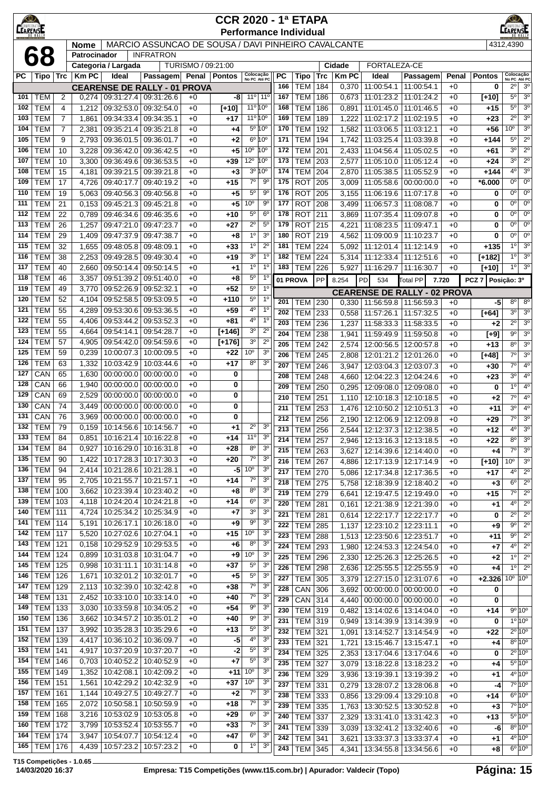| LEARENE    |                          |                |                |                          |                                                     |                    | <b>CCR 2020 - 1ª ETAPA</b><br><b>Performance Individual</b> |                                |                                  |            |                                  |                   |                      |                                                    |                          |               |                    | <b>ARENSE</b>                            |                                                |
|------------|--------------------------|----------------|----------------|--------------------------|-----------------------------------------------------|--------------------|-------------------------------------------------------------|--------------------------------|----------------------------------|------------|----------------------------------|-------------------|----------------------|----------------------------------------------------|--------------------------|---------------|--------------------|------------------------------------------|------------------------------------------------|
|            |                          |                | <b>Nome</b>    |                          | MARCIO ASSUNCAO DE SOUSA / DAVI PINHEIRO CAVALCANTE |                    |                                                             |                                |                                  |            |                                  |                   |                      |                                                    |                          |               |                    | 4312,4390                                |                                                |
|            | 68                       |                | Patrocinador   |                          | <b>INFRATRON</b>                                    |                    |                                                             |                                |                                  |            |                                  |                   |                      |                                                    |                          |               |                    |                                          |                                                |
|            |                          |                |                | Categoria / Largada      |                                                     | TURISMO / 09:21:00 |                                                             |                                |                                  |            |                                  |                   | Cidade               | FORTALEZA-CE                                       |                          |               |                    |                                          |                                                |
| РC         | Tipo   Trc               |                | <b>KmPC</b>    | Ideal                    | Passagem<br><b>CEARENSE DE RALLY - 01 PROVA</b>     |                    | Penal   Pontos                                              | Colocação<br>No PC Até PC      |                                  | PC<br>166  | Tipo<br><b>TEM</b>               | <b>Trc</b><br>184 | <b>KmPC</b><br>0,370 | Ideal<br>11:00:54.1                                | Passagem<br>11:00:54.1   | Penal<br>$+0$ | <b>Pontos</b><br>0 | Colocação<br>No PC Até PC<br>$2^{\circ}$ | 3 <sup>o</sup>                                 |
| 101        | <b>TEM</b>               | 2              | 0,274          | 09:31:27.4 09:31:26.6    |                                                     | $+0$               | -8                                                          | 11°                            | $11^{\circ}$                     | 167        | <b>TEM</b>                       | 186               | 0,673                | 11:01:23.2                                         | 11:01:24.2               | $+0$          | $[+10]$            | $5^{\circ}$                              | 3 <sup>o</sup>                                 |
| 102        | <b>TEM</b>               | 4              | 1,212          | 09:32:53.0               | 09:32:54.0                                          | $+0$               | $[+10]$                                                     | 11º 10º                        |                                  | 168        | <b>TEM</b>                       | 186               | 0,891                | 11:01:45.0                                         | 11:01:46.5               | $+0$          | +15                | $5^{\circ}$                              | 3 <sup>0</sup>                                 |
| 103        | <b>TEM</b>               | $\overline{7}$ | 1,861          | 09:34:33.4               | 09:34:35.1                                          | $+0$               | $+17$                                                       | $11^{\circ} 10^{\circ}$        |                                  | 169        | <b>TEM</b>                       | 189               | 1,222                | 11:02:17.2                                         | 11:02:19.5               | $+0$          | $+23$              | $2^{\circ}$                              | 3 <sup>0</sup>                                 |
| 104        | <b>TEM</b>               | $\overline{7}$ | 2,381          | 09:35:21.4               | 09:35:21.8                                          | $+0$               | +4                                                          |                                | $5^{\circ} 10^{\circ}$           | 170        | <b>TEM</b>                       | 192               | 1,582                | 11:03:06.5                                         | 11:03:12.1               | $+0$          | +56                | $10^{\circ}$                             | 3 <sup>o</sup>                                 |
| 105<br>106 | <b>TEM</b><br><b>TEM</b> | 9<br>10        | 2,793<br>3,228 | 09:36:01.5<br>09:36:42.0 | 09:36:01.7<br>09:36:42.5                            | $+0$<br>$+0$       | +2<br>+5                                                    | 10 <sup>o</sup>                | 6º 10°<br>$10^{\circ}$           | 171<br>172 | <b>TEM</b><br><b>TEM</b>         | 194<br>201        | 1,742<br>2,433       | 11:03:25.4<br>11:04:56.4                           | 11:03:39.8<br>11:05:02.5 | $+0$<br>$+0$  | $+144$<br>+61      | 5°<br>30                                 | $2^{\circ}$<br>$2^{\circ}$                     |
| 107        | <b>TEM</b>               | 10             | 3,300          | 09:36:49.6               | 09:36:53.5                                          | $+0$               | $+39$                                                       | $12^{\circ}$                   | $10^{\circ}$                     | 173        | <b>TEM</b>                       | 203               | 2,577                | 11:05:10.0                                         | 11:05:12.4               | $+0$          | $+24$              | 3 <sup>0</sup>                           | $2^{\circ}$                                    |
| 108        | <b>TEM</b>               | 15             | 4,181          | 09:39:21.5               | 09:39:21.8                                          | $+0$               | +3                                                          | 3 <sup>o</sup>                 | $10^{\circ}$                     | 174        | <b>TEM</b>                       | 204               | 2,870                | 11:05:38.5                                         | 11:05:52.9               | $+0$          | $+144$             | 4 <sup>0</sup>                           | 3 <sup>o</sup>                                 |
| 109        | <b>TEM</b>               | 17             | 4,726          | 09:40:17.7               | 09:40:19.2                                          | $+0$               | $+15$                                                       | $7^\circ$                      | 90                               | 175        | <b>ROT</b>                       | 205               | 3,009                | 11:05:58.6                                         | 00:00:00.0               | $+0$          | *6.000             | $0^{\circ}$                              | $0^{\circ}$                                    |
| 110        | <b>TEM</b>               | 19             | 5,063          | 09:40:56.3               | 09:40:56.8                                          | $+0$               | +5                                                          | $5^{\circ}$                    | 90                               | 176        | <b>ROT</b>                       | 205               | 3,155                | 11:06:19.6                                         | 11:07:17.8               | $+0$          | 0                  | 0°                                       | $0^{\circ}$                                    |
| 111        | <b>TEM</b>               | 21             | 0,153          | 09:45:21.3               | 09:45:21.8                                          | $+0$               | $+5$                                                        | 10 <sup>o</sup>                | 90                               | 177        | <b>ROT</b>                       | 208               | 3,499                | 11:06:57.3                                         | 11:08:08.7               | $+0$          | 0                  | 0°                                       | $0^{\circ}$                                    |
| 112<br>113 | <b>TEM</b><br><b>TEM</b> | 22<br>26       | 0,789<br>1,257 | 09:46:34.6<br>09:47:21.0 | 09:46:35.6<br>09:47:23.7                            | $+0$<br>$+0$       | $+10$<br>$+27$                                              | $5^{\circ}$<br>$2^{\circ}$     | 6 <sup>o</sup><br>$5^{\circ}$    | 178<br>179 | <b>ROT</b><br><b>ROT</b>         | 211<br>215        | 3,869<br>4,221       | 11:07:35.4<br>11:08:23.5                           | 11:09:07.8<br>11:09:47.1 | $+0$<br>$+0$  | 0<br>0             | $0^{\circ}$<br>$0^{\circ}$               | $0^{\circ}$<br>$0^{\circ}$                     |
| 114        | <b>TEM</b>               | 29             | 1,409          | 09:47:37.9               | 09:47:38.7                                          | $+0$               | $+8$                                                        | 1 <sup>0</sup>                 | 3 <sup>o</sup>                   | 180        | <b>ROT</b>                       | 219               | 4,562                | 11:09:00.9                                         | 11:10:23.7               | $+0$          | 0                  | $0^{\circ}$                              | $0^{\circ}$                                    |
| 115        | <b>TEM</b>               | 32             | 1,655          | 09:48:05.8               | 09:48:09.1                                          | $+0$               | $+33$                                                       | 1 <sup>0</sup>                 | $2^{\circ}$                      | 181        | <b>TEM</b>                       | 224               | 5,092                | 11:12:01.4                                         | 11:12:14.9               | $+0$          | $+135$             | 1 <sup>0</sup>                           | 3 <sup>o</sup>                                 |
| 116        | <b>TEM</b>               | 38             | 2,253          | 09:49:28.5               | 09:49:30.4                                          | $+0$               | $+19$                                                       | 3 <sup>o</sup>                 | $1^{\circ}$                      | 182        | <b>TEM</b>                       | 224               | 5,314                | 11:12:33.4                                         | 11:12:51.6               | $+0$          | $[+182]$           | $1^{\circ}$                              | 3 <sup>o</sup>                                 |
| 117        | <b>TEM</b>               | 40             | 2,660          | 09:50:14.4               | 09:50:14.5                                          | $+0$               | $^{+1}$                                                     | 1 <sup>0</sup>                 | 1 <sup>0</sup>                   | 183        | <b>TEM</b>                       | 226               | 5,927                | 11:16:29.7 11:16:30.7                              |                          | $+0$          | $[+10]$            | $1^{\circ}$                              | 3 <sup>o</sup>                                 |
| 118        | <b>TEM</b>               | 46             | 3,357          | 09:51:39.2               | 09:51:40.0                                          | $+0$               | +8                                                          | $5^{\circ}$                    | 1 <sup>0</sup>                   | 01 PROVA   |                                  | PP                | 8.254                | PD<br>534                                          | <b>Total PP</b>          | 7.720         | PCZ <sub>7</sub>   | Posição: 3º                              |                                                |
| 119<br>120 | <b>TEM</b><br><b>TEM</b> | 49<br>52       | 3,770<br>4,104 | 09:52:26.9<br>09:52:58.5 | 09:52:32.1<br>09:53:09.5                            | $+0$<br>$+0$       | $+52$<br>+110                                               | $5^{\circ}$<br>$5^{\circ}$     | 1 <sup>0</sup><br>$1^{\circ}$    |            |                                  |                   |                      | <b>CEARENSE DE RALLY - 02 PROVA</b>                |                          |               |                    |                                          |                                                |
| 121        | <b>TEM</b>               | 55             | 4,289          | 09:53:30.6               | 09:53:36.5                                          | $+0$               | $+59$                                                       | 4°                             | 1 <sup>0</sup>                   | 201        | TEM                              | 230               | 0,330                | 11:56:59.8   11:56:59.3                            |                          | $+0$          | -5                 | $8^{\circ}$                              | $8^{\circ}$                                    |
| 122        | <b>TEM</b>               | 55             | 4,406          | 09:53:44.2               | 09:53:52.3                                          | $+0$               | $+81$                                                       | 4 <sup>0</sup>                 | 1 <sup>0</sup>                   | 202<br>203 | <b>TEM</b><br><b>TEM</b>         | 233<br>236        | 0,558<br>1,237       | 11:57:26.1<br>11:58:33.3                           | 11:57:32.5<br>11:58:33.5 | $+0$<br>$+0$  | $[+64]$<br>$+2$    | $3^{\circ}$<br>$2^{\circ}$               | 3 <sup>o</sup><br>3 <sup>o</sup>               |
| 123        | <b>TEM</b>               | 55             | 4,664          | 09:54:14.1               | 09:54:28.7                                          | $+0$               | $[+146]$                                                    | 3 <sup>o</sup>                 | $2^{\circ}$                      | 204        | <b>TEM</b>                       | 238               | 1,941                | 11:59:49.9                                         | 11:59:50.8               | $+0$          | $[+9]$             | $9^{\circ}$                              | 3 <sup>o</sup>                                 |
| 124        | <b>TEM</b>               | 57             | 4,905          | 09:54:42.0               | 09:54:59.6                                          | $+0$               | $[+176]$                                                    | 3 <sup>o</sup>                 | $2^{\circ}$                      | 205        | <b>TEM</b>                       | 242               | 2,574                | 12:00:56.5                                         | 12:00:57.8               | $+0$          | $+13$              | 8 <sup>o</sup>                           | $3^{\circ}$                                    |
| 125        | <b>TEM</b>               | 59             | 0,239          | 10:00:07.3               | 10:00:09.5                                          | $+0$               | $+22$                                                       | 10 <sup>o</sup>                | 3 <sup>o</sup>                   | 206        | <b>TEM</b>                       | 245               | 2,808                | 12:01:21.2                                         | 12:01:26.0               | $+0$          | $[+48]$            | $7^\circ$                                | 3 <sup>0</sup>                                 |
| 126        | <b>TEM</b>               | 63             | 1,332          | 10:03:42.9               | 10:03:44.6                                          | $+0$               | $+17$                                                       | $8^{\circ}$                    | 3 <sup>o</sup>                   | 207        | <b>TEM</b>                       | 246               | 3,947                | 12:03:04.3                                         | 12:03:07.3               | $+0$          | $+30$              | $7^\circ$                                | $4^{\circ}$                                    |
| 127<br>128 | CAN<br>CAN               | 65<br>66       | 1,630<br>1,940 | 00:00:00.0<br>00:00:00.0 | 00:00:00.0<br>00:00:00.0                            | $+0$<br>$+0$       | 0<br>0                                                      |                                |                                  | 208        | <b>TEM</b>                       | 248               | 4,660                | 12:04:22.3                                         | 12:04:24.6               | $+0$          | $+23$              | 3 <sup>0</sup>                           | 4 <sup>o</sup>                                 |
| 129        | CAN                      | 69             | 2,529          | 00:00:00.0               | 00:00:00.0                                          | $+0$               | 0                                                           |                                |                                  | 209<br>210 | <b>TEM</b><br><b>TEM</b>         | 250<br>251        | 0,295<br>1,110       | 12:09:08.0<br>12:10:18.3                           | 12:09:08.0<br>12:10:18.5 | $+0$<br>$+0$  | 0                  | $1^{\circ}$<br>$7^\circ$                 | 4 <sup>0</sup><br>$4^{\circ}$                  |
| 130        | CAN                      | 74             | 3,449          | 00:00:00.0               | 00:00:00.0                                          | $+0$               | 0                                                           |                                |                                  | 211        | <b>TEM</b>                       | 253               | 1,476                | 12:10:50.2                                         | 12:10:51.3               | $+0$          | +2<br>$+11$        | $3^{\circ}$                              | $4^{\circ}$                                    |
| 131        | CAN                      | 76             | 3,969          | 00:00:00.0               | 00:00:00.0                                          | $+0$               | 0                                                           |                                |                                  | 212        | <b>TEM</b>                       | 256               | 2,190                | 12:12:06.9   12:12:09.8                            |                          | $+0$          | +29                | $7^\circ$                                | 3 <sup>o</sup>                                 |
| 132        | <b>TEM</b>               | 79             | 0,159          | 10:14:56.6               | 10:14:56.7                                          | $+0$               | +1                                                          | $2^{\circ}$                    | 3 <sup>0</sup>                   | 213        | <b>TEM</b>                       | 256               | 2,544                | 12:12:37.3 12:12:38.5                              |                          | $+0$          | $+12$              | $4^{\circ}$                              | 3 <sup>o</sup>                                 |
| 133        | TEM                      | 84             | 0,851          |                          | 10:16:21.4   10:16:22.8                             | $+0$               | +14                                                         | $11^{\circ}$                   | 3 <sup>c</sup>                   | 214        | <b>TEM 257</b>                   |                   |                      | 2,946   12:13:16.3   12:13:18.5                    |                          | $+0$          | +22                | 80                                       | 3 <sup>o</sup>                                 |
| 134<br>135 | <b>TEM</b><br><b>TEM</b> | 84<br>90       | 0,927<br>1,422 | 10:16:29.0<br>10:17:28.3 | 10:16:31.8<br>10:17:30.3                            | $+0$<br>$+0$       | +28<br>$+20$                                                | $8^{\circ}$<br>$7^{\circ}$     | 3 <sup>o</sup><br>3 <sup>0</sup> | 215        | $TEM$ 263                        |                   | 3,627                | 12:14:39.6   12:14:40.0                            |                          | $+0$          | $+4$               | $7^\circ$                                | 3 <sup>o</sup>                                 |
| 136        | <b>TEM</b>               | 94             | 2,414          |                          | 10:21:28.6   10:21:28.1                             | $+0$               | $-5$                                                        | 10 <sup>o</sup>                | 3 <sup>o</sup>                   | 216<br>217 | <b>TEM 267</b>                   |                   | 4,886                | 12:17:13.9   12:17:14.9                            |                          | $+0$          | $[+10]$            | $10^{\circ}$<br>$4^{\circ}$              | 3 <sup>o</sup><br>$\overline{2^0}$             |
| 137        | <b>TEM</b>               | 95             | 2,705          | 10:21:55.7               | 10:21:57.1                                          | $+0$               | $+14$                                                       | 70                             | 3 <sup>o</sup>                   | 218        | <b>TEM 270</b><br><b>TEM 275</b> |                   | 5,086<br>5,758       | 12:17:34.8   12:17:36.5<br>12:18:39.9 12:18:40.2   |                          | $+0$<br>$+0$  | $+17$<br>$+3$      | $6^{\circ}$                              | $2^{\circ}$                                    |
| 138        | TEM                      | 100            | 3,662          | 10:23:39.4               | 10:23:40.2                                          | $+0$               | +8                                                          | $8^{\circ}$                    | 3 <sup>0</sup>                   | 219        | <b>TEM</b>                       | 279               | 6,641                | 12:19:47.5   12:19:49.0                            |                          | $+0$          | +15                | $7^\circ$                                | $2^{\circ}$                                    |
| 139        | TEM                      | 103            | 4,118          | 10:24:20.4               | 10:24:21.8                                          | $+0$               | $+14$                                                       | $6^{\circ}$                    | 3 <sup>0</sup>                   | 220        | <b>TEM 281</b>                   |                   | 0,161                | 12:21:38.9   12:21:39.0                            |                          | $+0$          | +1                 | $4^{\circ}$                              | $2^{\circ}$                                    |
| 140        | <b>TEM 111</b>           |                | 4,724          | 10:25:34.2               | 10:25:34.9                                          | $+0$               | $+7$                                                        | $3^{\rm o}$                    | 3 <sup>o</sup>                   | 221        | <b>TEM 281</b>                   |                   | 0,614                | 12:22:17.7   12:22:17.7                            |                          | $+0$          | 0                  | $\overline{2^{\circ}}$                   | $\overline{2^{\circ}}$                         |
| 141<br>142 | TEM                      | 114            | 5,191          | 10:26:17.1<br>10:27:02.6 | 10:26:18.0                                          | $+0$               | +9                                                          | $9^{\circ}$<br>10 <sup>o</sup> | 3 <sup>o</sup><br>3 <sup>o</sup> | 222        | <b>TEM 285</b>                   |                   | 1,137                | 12:23:10.2 12:23:11.1                              |                          | $+0$          | +9                 | $9^{\circ}$                              | $2^{\circ}$                                    |
| 143        | <b>TEM</b><br><b>TEM</b> | 117<br>121     | 5,520<br>0.158 | 10:29:52.9               | 10:27:04.1<br>10:29:53.5                            | $+0$<br>$+0$       | +15<br>+6                                                   | $8^{\circ}$                    | 3 <sup>o</sup>                   | 223        | TEM                              | 288               | 1,513                | 12:23:50.6   12:23:51.7                            |                          | $+0$          | +11                | $9^{\circ}$                              | $2^{\circ}$                                    |
| 144        | TEM                      | 124            | 0,899          | 10:31:03.8               | 10:31:04.7                                          | $+0$               | $+9$                                                        | 10 <sup>o</sup>                | 3 <sup>o</sup>                   | 224<br>225 | TEM 293<br><b>TEM</b>            | 296               | 1,980<br>2,330       | 12:24:53.3   12:24:54.0<br>12:25:26.3   12:25:26.5 |                          | $+0$<br>$+0$  | $+7$<br>$+2$       | $4^{\circ}$<br>$1^{\circ}$               | $2^{\circ}$<br>$\overline{2^0}$                |
| 145        | TEM                      | 125            | 0,998          | 10:31:11.1               | 10:31:14.8                                          | $+0$               | +37                                                         | $5^{\circ}$                    | 3 <sup>o</sup>                   | 226        | TEM                              | 298               | 2,636                | 12:25:55.5                                         | 12:25:55.9               | $+0$          | +4                 | $1^{\circ}$                              | $2^{\circ}$                                    |
| 146        | TEM                      | 126            | 1,671          |                          | 10:32:01.2 10:32:01.7                               | $+0$               | $+5$                                                        | $5^{\circ}$                    | 3 <sup>o</sup>                   | 227        | TEM                              | 305               | 3,379                | 12:27:15.0   12:31:07.6                            |                          | $+0$          | $+2.326$           | $10^{\circ}$ $10^{\circ}$                |                                                |
| 147        | <b>TEM 129</b>           |                | 2,113          | 10:32:39.0               | 10:32:42.8                                          | $+0$               | $+38$                                                       | $7^\circ$                      | 3 <sup>o</sup>                   | 228        | CAN                              | 306               | 3,692                | 00:00:00.0                                         | 00:00:00.0               | $+0$          | 0                  |                                          |                                                |
| 148        | <b>TEM 131</b>           |                | 2,452          | 10:33:10.0               | 10:33:14.0                                          | $+0$               | +40                                                         | $7^\circ$                      | 3 <sup>0</sup>                   | 229        | CAN                              | 314               | 4,440                | $00:00:00.0$   $00:00:00.0$                        |                          | $+0$          | 0                  |                                          |                                                |
| 149<br>150 | <b>TEM</b><br>TEM        | 133            | 3,030          | 10:33:59.8               | 10:34:05.2                                          | $+0$               | $+54$                                                       | $9^{\circ}$<br>$9^{\circ}$     | 3 <sup>o</sup><br>3 <sup>o</sup> | 230        | <b>TEM 319</b>                   |                   | 0,482                | 13:14:02.6   13:14:04.0                            |                          | $+0$          | +14                | 9°10°                                    |                                                |
| 151        | <b>TEM</b>               | 136<br>137     | 3,662<br>3,992 | 10:34:57.2<br>10:35:28.3 | 10:35:01.2<br>10:35:29.6                            | $+0$<br>$+0$       | +40<br>$+13$                                                | $5^{\circ}$                    | 3 <sup>o</sup>                   | 231        | TEM 319                          |                   | 0,949                | 13:14:39.9   13:14:39.9                            |                          | $+0$          | 0                  |                                          | $1^{\circ} 10^{\circ}$                         |
| 152        | <b>TEM</b>               | 139            | 4,417          | 10:36:10.2               | 10:36:09.7                                          | $+0$               | -5                                                          | 4°                             | 3 <sup>o</sup>                   | 232<br>233 | <b>TEM 321</b><br><b>TEM</b>     |                   | 1,091                | 13:14:52.7   13:14:54.9                            |                          | $+0$          | $+22$              |                                          | $2^{\circ}10^{\circ}$<br>$8^{\circ}10^{\circ}$ |
| 153        | <b>TEM</b>               | 141            | 4,917          | 10:37:20.9               | 10:37:20.7                                          | $+0$               | $-2$                                                        | $5^{\circ}$                    | 3 <sup>o</sup>                   | 234        | TEM 325                          | 321               | 1,721<br>2,353       | 13:15:46.7<br>13:17:04.6   13:17:04.6              | 13:15:47.1               | $+0$<br>$+0$  | +4<br>0            |                                          | $2^{\circ}10^{\circ}$                          |
| 154        | <b>TEM</b>               | 146            | 0,703          | 10:40:52.2               | 10:40:52.9                                          | $+0$               | $+7$                                                        | $5^{\circ}$                    | 3 <sup>o</sup>                   | 235        | <b>TEM 327</b>                   |                   | 3,079                | 13:18:22.8   13:18:23.2                            |                          | $+0$          | +4                 | $5^{\circ}10^{\circ}$                    |                                                |
| 155        | TEM                      | 149            | 1,352          | 10:42:08.1               | 10:42:09.2                                          | $+0$               | +11                                                         | 10 <sup>o</sup>                | 3 <sup>o</sup>                   | 236        | TEM 329                          |                   | 3,936                | 13:19:39.1   13:19:39.2                            |                          | $+0$          | +1                 |                                          | 4º 10º                                         |
| 156        | TEM                      | 151            | 1,561          | 10:42:29.2               | 10:42:32.9                                          | $+0$               | +37                                                         | 10 <sup>o</sup>                | 3 <sup>0</sup>                   | 237        | TEM                              | 331               | 0,279                | 13:28:07.2                                         | 13:28:06.8               | $+0$          | -4                 |                                          | 7°10°                                          |
| 157        | <b>TEM</b>               | 161            | 1,144          | 10:49:27.5               | 10:49:27.7                                          | $+0$               | +2                                                          | $7^\circ$                      | 3 <sup>o</sup>                   | 238        | TEM                              | 333               | 0,856                | 13:29:09.4   13:29:10.8                            |                          | $+0$          | +14                |                                          | $6^{\circ}10^{\circ}$                          |
| 158<br>159 | <b>TEM</b><br>TEM        | 165<br>168     | 2,072<br>3,216 | 10:50:58.1<br>10:53:02.9 | 10:50:59.9<br>10:53:05.8                            | $+0$<br>$+0$       | $+18$<br>+29                                                | $7^\circ$<br>$6^{\circ}$       | 3 <sup>o</sup><br>3 <sup>o</sup> | 239        | <b>TEM</b>                       | 335               | 1,763                | 13:30:52.5   13:30:52.8                            |                          | $+0$          | $+3$               |                                          | 7º 10º                                         |
| 160        | <b>TEM</b>               | 172            | 3,799          | 10:53:52.4               | 10:53:55.7                                          | $+0$               | $+33$                                                       | $7^\circ$                      | 3 <sup>o</sup>                   | 240<br>241 | <b>TEM 337</b>                   |                   | 2,329                | 13:31:41.0   13:31:42.3                            |                          | $+0$          | $+13$              | $5^{\circ}$ 10°                          | $8^{\circ}10^{\circ}$                          |
| 164        | <b>TEM</b>               | 174            | 3,947          | 10:54:07.7               | 10:54:12.4                                          | $+0$               | +47                                                         | $6^{\circ}$                    | 3 <sup>o</sup>                   | 242        | TEM 339<br>TEM 341               |                   | 3,039<br>3,621       | 13:32:41.2   13:32:40.6<br>13:33:37.3   13:33:37.4 |                          | $+0$<br>$+0$  | -6<br>+1           |                                          | $4^{\circ}10^{\circ}$                          |
| 165        | <b>TEM 176</b>           |                | 4,439          | 10:57:23.2               | 10:57:23.2                                          | $+0$               | 0                                                           | $1^{\circ}$                    | 3 <sup>o</sup>                   | 243        | <b>TEM 345</b>                   |                   | 4,341                | 13:34:55.8 13:34:56.6                              |                          | $+0$          | $+8$               |                                          | $6^{\circ} 10^{\circ}$                         |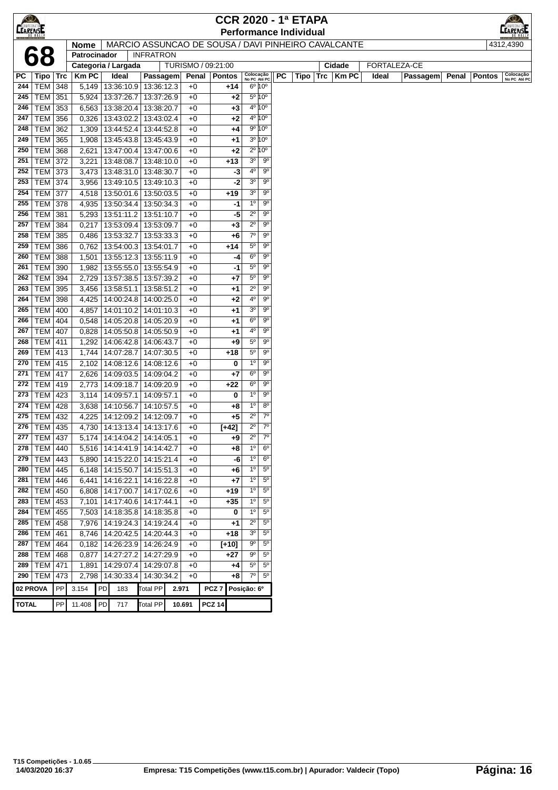| $\bigotimes$<br><b>CEARENSE</b> |                             |     |              |    |                                                     |                  |                    |       |                  |         |                           |                        |           | <b>CCR 2020 - 1ª ETAPA</b><br><b>Performance Individual</b> |          |              |       |              |       |               | <b>LEARENSE</b>           |
|---------------------------------|-----------------------------|-----|--------------|----|-----------------------------------------------------|------------------|--------------------|-------|------------------|---------|---------------------------|------------------------|-----------|-------------------------------------------------------------|----------|--------------|-------|--------------|-------|---------------|---------------------------|
|                                 |                             |     | <b>Nome</b>  |    | MARCIO ASSUNCAO DE SOUSA / DAVI PINHEIRO CAVALCANTE |                  |                    |       |                  |         |                           |                        |           |                                                             |          |              |       |              |       |               | 4312,4390                 |
|                                 | 68                          |     | Patrocinador |    |                                                     | <b>INFRATRON</b> |                    |       |                  |         |                           |                        |           |                                                             |          |              |       |              |       |               |                           |
|                                 |                             |     |              |    | Categoria / Largada                                 |                  | TURISMO / 09:21:00 |       |                  |         |                           |                        |           |                                                             |          | Cidade       |       | FORTALEZA-CE |       |               |                           |
| РC                              | Tipo   Trc                  |     | <b>KmPC</b>  |    | Ideal                                               | Passagem         |                    | Penal | <b>Pontos</b>    |         | Colocação<br>No PC Até PC |                        | <b>PC</b> |                                                             | Tipo Trc | <b>Km PC</b> | Ideal | Passagem     | Penal | <b>Pontos</b> | Colocação<br>No PC Até PC |
| 244                             | <b>TEM 348</b>              |     |              |    | 5,149   13:36:10.9                                  | 13:36:12.3       | $+0$               |       |                  | +14     |                           | 6º 10°                 |           |                                                             |          |              |       |              |       |               |                           |
| 245                             | <b>TEM 351</b>              |     |              |    | 5,924   13:37:26.7                                  | 13:37:26.9       | $+0$               |       |                  | $+2$    |                           | 5º 10°                 |           |                                                             |          |              |       |              |       |               |                           |
| 246                             | TEM 353                     |     |              |    | 6,563   13:38:20.4                                  | 13:38:20.7       | $+0$               |       |                  | $+3$    |                           | 4º 10°                 |           |                                                             |          |              |       |              |       |               |                           |
| 247                             | TEM 356                     |     | 0,326        |    | 13:43:02.2                                          | 13:43:02.4       | $+0$               |       |                  | $+2$    |                           | 4º 10°                 |           |                                                             |          |              |       |              |       |               |                           |
| 248                             | <b>TEM</b>                  | 362 | 1,309        |    | 13:44:52.4                                          | 13:44:52.8       |                    | $+0$  |                  | $+4$    |                           | 9º 10°                 |           |                                                             |          |              |       |              |       |               |                           |
| 249                             | <b>TEM</b>                  | 365 | 1,908        |    | 13:45:43.8                                          | 13:45:43.9       | $+0$               |       |                  | $+1$    |                           | 3º 10°                 |           |                                                             |          |              |       |              |       |               |                           |
| 250                             | TEM                         | 368 | 2,621        |    | 13:47:00.4                                          | 13:47:00.6       |                    | $+0$  |                  | $+2$    |                           | $2^{\circ} 10^{\circ}$ |           |                                                             |          |              |       |              |       |               |                           |
| 251                             | TEM 372                     |     | 3,221        |    | 13:48:08.7                                          | 13:48:10.0       | $+0$               |       |                  | $+13$   | 3 <sup>o</sup>            | $9^{\circ}$            |           |                                                             |          |              |       |              |       |               |                           |
| 252                             | <b>TEM 373</b>              |     | 3,473        |    | 13:48:31.0   13:48:30.7                             |                  | $+0$               |       |                  | -3      | 40                        | $9^{\circ}$            |           |                                                             |          |              |       |              |       |               |                           |
| 253                             | <b>TEM 374</b>              |     | 3,956        |    | 13:49:10.5                                          | 13:49:10.3       | $+0$               |       |                  | -2      | 3 <sup>o</sup>            | $9^{\circ}$            |           |                                                             |          |              |       |              |       |               |                           |
| 254                             | <b>TEM 377</b>              |     | 4,518        |    | 13:50:01.6                                          | 13:50:03.5       | $+0$               |       |                  | $+19$   | 3 <sup>o</sup>            | 90                     |           |                                                             |          |              |       |              |       |               |                           |
| 255                             | <b>TEM 378</b>              |     | 4,935        |    | 13:50:34.4                                          | 13:50:34.3       | $+0$               |       |                  | -1      | $1^{\circ}$               | $9^{\circ}$            |           |                                                             |          |              |       |              |       |               |                           |
| 256                             | <b>TEM 381</b>              |     | 5,293        |    | 13:51:11.2                                          | 13:51:10.7       | $+0$               |       |                  | -5      | $2^{\circ}$               | 90                     |           |                                                             |          |              |       |              |       |               |                           |
| 257                             | <b>TEM</b>                  | 384 | 0,217        |    | 13:53:09.4                                          | 13:53:09.7       | $+0$               |       |                  | $+3$    | $2^{\circ}$               | $9^{\circ}$            |           |                                                             |          |              |       |              |       |               |                           |
| 258                             | <b>TEM</b>                  | 385 | 0,486        |    | 13:53:32.7                                          | 13:53:33.3       | $+0$               |       |                  | $+6$    | $7^{\circ}$               | 90                     |           |                                                             |          |              |       |              |       |               |                           |
| 259                             | TEM                         | 386 | 0,762        |    | 13:54:00.3                                          | 13:54:01.7       |                    | $+0$  |                  | $+14$   | $5^{\circ}$               | $9^{\circ}$            |           |                                                             |          |              |       |              |       |               |                           |
| 260                             | <b>TEM 388</b>              |     | 1,501        |    | 13:55:12.3                                          | 13:55:11.9       | $+0$               |       |                  | -4      | $6^{\circ}$               | 90                     |           |                                                             |          |              |       |              |       |               |                           |
| 261                             | <b>TEM 390</b>              |     | 1,982        |    | 13:55:55.0                                          | 13:55:54.9       | $+0$               |       |                  | -1      | $5^{\circ}$               | 90                     |           |                                                             |          |              |       |              |       |               |                           |
| 262                             | <b>TEM</b>                  | 394 | 2,729        |    | 13:57:38.5                                          | 13:57:39.2       | $+0$               |       |                  | $+7$    | $5^{\circ}$               | $9^{\circ}$            |           |                                                             |          |              |       |              |       |               |                           |
| 263                             | TEM 395                     |     | 3,456        |    | 13:58:51.1                                          | 13:58:51.2       | $+0$               |       |                  | $+1$    | $2^{\circ}$               | 90                     |           |                                                             |          |              |       |              |       |               |                           |
| 264                             | <b>TEM 398</b>              |     | 4,425        |    | 14:00:24.8                                          | 14:00:25.0       | $+0$               |       |                  | $+2$    | 4°                        | $9^{\circ}$            |           |                                                             |          |              |       |              |       |               |                           |
| 265                             | <b>TEM 400</b>              |     | 4,857        |    | 14:01:10.2                                          | 14:01:10.3       | $+0$               |       |                  | $+1$    | 3 <sup>o</sup>            | $9^{\circ}$            |           |                                                             |          |              |       |              |       |               |                           |
| 266                             | <b>TEM</b>                  | 404 | 0,548        |    | 14:05:20.8                                          | 14:05:20.9       | $+0$               |       |                  | $+1$    | $6^{\circ}$               | $9^{\circ}$            |           |                                                             |          |              |       |              |       |               |                           |
| 267                             | <b>TEM</b>                  | 407 | 0,828        |    | 14:05:50.8                                          | 14:05:50.9       | $+0$               |       |                  | $+1$    | 4º                        | $9^{\circ}$            |           |                                                             |          |              |       |              |       |               |                           |
| 268                             | <b>TEM 411</b>              |     | 1,292        |    | 14:06:42.8                                          | 14:06:43.7       |                    | $+0$  |                  | $+9$    | $5^{\circ}$               | $9^{\circ}$            |           |                                                             |          |              |       |              |       |               |                           |
| 269                             | <b>TEM 413</b>              |     |              |    | 1,744 14:07:28.7                                    | 14:07:30.5       | $+0$               |       |                  | $+18$   | $5^{\circ}$               | 9 <sup>o</sup>         |           |                                                             |          |              |       |              |       |               |                           |
| 270                             | <b>TEM 415</b>              |     |              |    | 2,102   14:08:12.6                                  | 14:08:12.6       | $+0$               |       |                  | 0       | $1^{\circ}$               | $9^{\circ}$            |           |                                                             |          |              |       |              |       |               |                           |
| 271                             | <b>TEM 417</b>              |     |              |    | 2,626 14:09:03.5                                    | 14:09:04.2       | $+0$               |       |                  | $+7$    | 6°                        | $9^{\circ}$            |           |                                                             |          |              |       |              |       |               |                           |
| 272                             | <b>TEM 419</b>              |     | 2,773        |    | 14:09:18.7                                          | 14:09:20.9       | $+0$               |       |                  | $+22$   | $6^{\circ}$               | $9^{\circ}$            |           |                                                             |          |              |       |              |       |               |                           |
| 273                             | <b>TEM 423</b>              |     | 3,114        |    | 14:09:57.1                                          | 14:09:57.1       | $+0$               |       |                  | 0       | 1 <sup>0</sup>            | 9 <sup>o</sup>         |           |                                                             |          |              |       |              |       |               |                           |
| 274                             | <b>TEM</b>                  | 428 |              |    | 3,638 14:10:56.7                                    | 14:10:57.5       | $+0$               |       |                  | +8      | $1^{\circ}$               | $8^{\circ}$            |           |                                                             |          |              |       |              |       |               |                           |
| 275                             | <b>TEM</b>                  | 432 | 4,225        |    | 14:12:09.2 14:12:09.7                               |                  | $+0$               |       |                  | $+5$    | $2^{\circ}$               | $7^{\circ}$            |           |                                                             |          |              |       |              |       |               |                           |
| 276                             | $\overline{\text{TEM}}$ 435 |     |              |    | 4,730   14:13:13.4   14:13:17.6                     |                  | $+0$               |       |                  | $[+42]$ | $2^{\circ}$               | $7^\circ$              |           |                                                             |          |              |       |              |       |               |                           |
| 277                             | <b>TEM 437</b>              |     |              |    | 5,174   14:14:04.2   14:14:05.1                     |                  |                    | $+0$  |                  | $+9$    | $2^{\circ}$               | 7 <sup>0</sup>         |           |                                                             |          |              |       |              |       |               |                           |
| 278                             | TEM 440                     |     |              |    | 5,516   14:14:41.9   14:14:42.7                     |                  |                    | $+0$  |                  | +8      | $\overline{1^{\circ}}$    | 6 <sup>o</sup>         |           |                                                             |          |              |       |              |       |               |                           |
|                                 | 279   TEM   443             |     |              |    | 5,890   14:15:22.0   14:15:21.4                     |                  | $+0$               |       |                  | -6      | 1 <sup>0</sup>            | 6 <sup>o</sup>         |           |                                                             |          |              |       |              |       |               |                           |
| 280                             | TEM 445                     |     |              |    | 6,148   14:15:50.7                                  | 14:15:51.3       | $+0$               |       |                  | $+6$    | $1^{\circ}$               | $5^{\circ}$            |           |                                                             |          |              |       |              |       |               |                           |
| 281                             | TEM 446                     |     |              |    | 6,441   14:16:22.1                                  | 14:16:22.8       | $+0$               |       |                  | $+7$    | $1^{\circ}$               | $5^{\circ}$            |           |                                                             |          |              |       |              |       |               |                           |
| 282                             | <b>TEM</b>                  | 450 |              |    | 6,808 14:17:00.7                                    | 14:17:02.6       | $+0$               |       |                  | $+19$   | 1 <sup>0</sup>            | $5^{\circ}$            |           |                                                             |          |              |       |              |       |               |                           |
| 283                             | $TEM$ 453                   |     |              |    | 7,101   14:17:40.6                                  | 14:17:44.1       | $+0$               |       |                  | +35     | 1 <sup>0</sup>            | $5^{\circ}$            |           |                                                             |          |              |       |              |       |               |                           |
| 284                             | <b>TEM</b>                  | 455 |              |    | 7,503   14:18:35.8   14:18:35.8                     |                  | $+0$               |       |                  | 0       | $1^{\circ}$               | $5^{\circ}$            |           |                                                             |          |              |       |              |       |               |                           |
| 285                             | <b>TEM</b>                  | 458 |              |    | 7,976   14:19:24.3                                  | 14:19:24.4       |                    | $+0$  |                  | +1      | $2^{\circ}$               | $5^{\circ}$            |           |                                                             |          |              |       |              |       |               |                           |
| 286                             | <b>TEM</b>                  | 461 |              |    | 8,746   14:20:42.5                                  | 14:20:44.3       |                    | $+0$  |                  | $+18$   | 3 <sup>o</sup>            | $5^{\circ}$            |           |                                                             |          |              |       |              |       |               |                           |
| 287                             | TEM                         | 464 |              |    | 0,182   14:26:23.9   14:26:24.9                     |                  | $+0$               |       |                  | $[+10]$ | $9^{\circ}$               | $5^{\circ}$            |           |                                                             |          |              |       |              |       |               |                           |
| 288                             | TEM 468                     |     |              |    | 0,877   14:27:27.2   14:27:29.9                     |                  | $+0$               |       |                  | $+27$   | 90                        | $5^{\circ}$            |           |                                                             |          |              |       |              |       |               |                           |
| 289                             | <b>TEM 471</b>              |     | 1,891        |    | 14:29:07.4                                          | 14:29:07.8       | $+0$               |       |                  | +4      | $5^{\circ}$               | $5^{\circ}$            |           |                                                             |          |              |       |              |       |               |                           |
| 290                             | <b>TEM</b>                  | 473 |              |    | 2,798 14:30:33.4                                    | 14:30:34.2       | $+0$               |       |                  | $+8$    | $7^\circ$                 | $5^{\circ}$            |           |                                                             |          |              |       |              |       |               |                           |
|                                 | 02 PROVA                    | PP  | 3.154        | PD | 183                                                 | <b>Total PP</b>  | 2.971              |       | PCZ <sub>7</sub> |         | Posição: 6º               |                        |           |                                                             |          |              |       |              |       |               |                           |
| <b>TOTAL</b>                    |                             | PP  | 11.408       | PD | 717                                                 | <b>Total PP</b>  | 10.691             |       | <b>PCZ 14</b>    |         |                           |                        |           |                                                             |          |              |       |              |       |               |                           |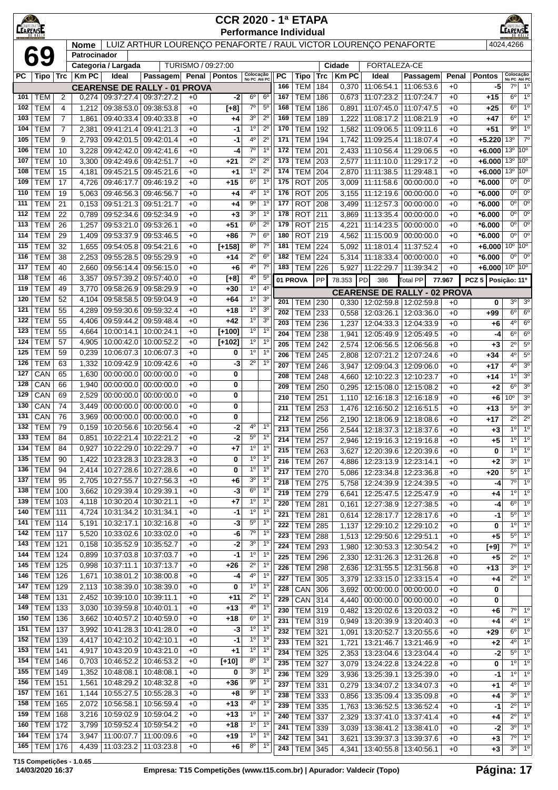| <b>CEARENSE</b> |                          |                |                             |                          |                                                                 |                    | <b>CCR 2020 - 1ª ETAPA</b>    |                               |                                  |            |                          |            |                |                                                   |                                       |              |                                                      |                                 |                                  |
|-----------------|--------------------------|----------------|-----------------------------|--------------------------|-----------------------------------------------------------------|--------------------|-------------------------------|-------------------------------|----------------------------------|------------|--------------------------|------------|----------------|---------------------------------------------------|---------------------------------------|--------------|------------------------------------------------------|---------------------------------|----------------------------------|
|                 |                          |                |                             |                          | LUIZ ARTHUR LOURENÇO PENAFORTE / RAUL VICTOR LOURENÇO PENAFORTE |                    | <b>Performance Individual</b> |                               |                                  |            |                          |            |                |                                                   |                                       |              |                                                      | 4024,4266                       |                                  |
|                 | 69                       |                | <b>Nome</b><br>Patrocinador |                          |                                                                 |                    |                               |                               |                                  |            |                          |            |                |                                                   |                                       |              |                                                      |                                 |                                  |
|                 |                          |                |                             | Categoria / Largada      |                                                                 | TURISMO / 09:27:00 |                               |                               |                                  |            |                          |            | <b>Cidade</b>  | FORTALEZA-CE                                      |                                       |              |                                                      |                                 |                                  |
| PC              | <b>Tipo</b>              | <b>Trc</b>     | <b>KmPC</b>                 | Ideal                    | Passagem                                                        |                    | Penal   Pontos                | Colocação<br>No PC Até PC     |                                  | <b>PC</b>  | <b>Tipo</b>              | <b>Trc</b> | <b>Km PC</b>   | Ideal                                             | Passagem                              | Penal        | <b>Pontos</b>                                        | Colocação<br>No PC Até PC       |                                  |
| 101             | <b>TEM</b>               | $\overline{2}$ | 0,274                       | 09:37:27.4               | <b>CEARENSE DE RALLY - 01 PROVA</b><br>09:37:27.2               | $+0$               | -2                            | $6^{\circ}$                   | 6 <sup>o</sup>                   | 166<br>167 | <b>TEM</b><br><b>TEM</b> | 184<br>186 | 0,370<br>0,673 | 11:06:54.1<br>11:07:23.2                          | 11:06:53.6<br>11:07:24.7              | $+0$<br>$+0$ | -5<br>$+15$                                          | 7° <br>$6^{\circ}$              | $1^{\circ}$<br>1 <sup>0</sup>    |
| 102             | <b>TEM</b>               | 4              | 1,212                       | 09:38:53.0               | 09:38:53.8                                                      | $+0$               | $[+8]$                        | $7^\circ$                     | $5^{\circ}$                      | 168        | <b>TEM</b>               | 186        | 0,891          | 11:07:45.0                                        | 11:07:47.5                            | $+0$         | +25                                                  | $6^{\circ}$                     | 1 <sup>0</sup>                   |
| 103             | <b>TEM</b>               | $\overline{7}$ | 1,861                       | 09:40:33.4               | 09:40:33.8                                                      | $+0$               | +4                            | 3 <sup>o</sup>                | $2^{\circ}$                      | 169        | <b>TEM</b>               | 189        | 1,222          | 11:08:17.2                                        | 11:08:21.9                            | $+0$         | +47                                                  | $6^{\circ}$                     | 1 <sup>0</sup>                   |
| 104             | <b>TEM</b>               | 7              | 2,381                       | 09:41:21.4               | 09:41:21.3                                                      | $+0$               | -1                            | $1^{\circ}$                   | $2^{\circ}$                      | 170        | <b>TEM</b>               | 192        | 1,582          | 11:09:06.5                                        | 11:09:11.6                            | $+0$         | $+51$                                                | 90                              | 1 <sup>0</sup>                   |
| 105             | <b>TEM</b>               | 9              | 2,793                       | 09:42:01.5               | 09:42:01.4                                                      | $+0$               | -1                            | 4º                            | $2^{\circ}$                      | 171        | <b>TEM</b>               | 194        | 1,742          | 11:09:25.4                                        | 11:18:07.4                            | $+0$         | $+5.220$                                             | $13^{\circ}$                    | $7^\circ$                        |
| 106             | <b>TEM</b>               | 10             | 3,228                       | 09:42:42.0               | 09:42:41.6                                                      | $+0$               | -4                            | $7^\circ$                     | 1 <sup>0</sup>                   | 172        | <b>TEM</b>               | 201        | 2,433          | 11:10:56.4                                        | 11:29:06.5                            | $+0$         | +6.000                                               | 13 <sup>°</sup>                 | 10 <sup>o</sup>                  |
| 107<br>108      | <b>TEM</b><br><b>TEM</b> | 10<br>15       | 3,300<br>4,181              | 09:42:49.6<br>09:45:21.5 | 09:42:51.7<br>09:45:21.6                                        | $+0$<br>$+0$       | $+21$<br>$^{+1}$              | $2^{\circ}$<br>1 <sup>0</sup> | $2^{\circ}$<br>$2^{\circ}$       | 173<br>174 | <b>TEM</b><br><b>TEM</b> | 203<br>204 | 2,577<br>2,870 | 11:11:10.0<br>11:11:38.5                          | 11:29:17.2<br>11:29:48.1              | $+0$<br>$+0$ | $+6.000$ 13 <sup>°</sup> 10 <sup>°</sup><br>$+6.000$ | 13 <sup>o</sup> 10 <sup>o</sup> |                                  |
| 109             | <b>TEM</b>               | 17             | 4,726                       | 09:46:17.7               | 09:46:19.2                                                      | $+0$               | $+15$                         | $6^{\circ}$                   | 1 <sup>0</sup>                   | 175        | <b>ROT</b>               | 205        | 3,009          | 11:11:58.6                                        | 00:00:00.0                            | $+0$         | *6.000                                               | 0 <sup>0</sup>                  | $0^{\circ}$                      |
| 110             | <b>TEM</b>               | 19             | 5,063                       |                          | 09:46:56.3 09:46:56.7                                           | $+0$               | +4                            | 4º                            | $1^{\circ}$                      | 176        | <b>ROT</b>               | 205        | 3,155          | 11:12:19.6                                        | 00:00:00.0                            | $+0$         | *6.000                                               | 0°                              | $0^{\circ}$                      |
| 111             | <b>TEM</b>               | 21             | 0,153                       | 09:51:21.3               | 09:51:21.7                                                      | $+0$               | +4                            | $9^{\circ}$                   | 1 <sup>0</sup>                   | 177        | <b>ROT</b>               | 208        | 3,499          | 11:12:57.3                                        | 00:00:00.0                            | $+0$         | *6.000                                               | $0^{\circ}$                     | $0^{\circ}$                      |
| 112             | <b>TEM</b>               | 22             | 0,789                       | 09:52:34.6               | 09:52:34.9                                                      | $+0$               | $+3$                          | 3 <sup>o</sup>                | $1^{\circ}$                      | 178        | <b>ROT</b>               | 211        | 3,869          | 11:13:35.4                                        | 00:00:00.0                            | $+0$         | $*6.000$                                             | $0^{\circ}$                     | $0^{\circ}$                      |
| 113             | <b>TEM</b>               | 26             | 1,257                       | 09:53:21.0               | 09:53:26.1                                                      | $+0$               | $+51$                         | 6 <sup>o</sup>                | $2^{\circ}$                      | 179        | <b>ROT</b>               | 215        | 4,221          | 11:14:23.5                                        | 00:00:00.0                            | $+0$         | $*6.000$                                             | $0^{\circ}$                     | $0^{\circ}$                      |
| 114             | <b>TEM</b>               | 29             | 1,409                       | 09:53:37.9               | 09:53:46.5                                                      | $+0$               | +86                           | $7^\circ$                     | 6 <sup>o</sup>                   | 180        | <b>ROT</b>               | 219        | 4,562          | 11:15:00.9                                        | 00:00:00.0                            | $+0$         | $*6.000$                                             | $0^{\circ}$                     | $0^{\circ}$                      |
| 115             | <b>TEM</b>               | 32             | 1,655                       | 09:54:05.8               | 09:54:21.6                                                      | $+0$               | $[t + 158]$                   | $8^{\circ}$                   | $7^{\circ}$                      | 181        | <b>TEM</b>               | 224        | 5,092          | 11:18:01.4                                        | 11:37:52.4                            | $+0$         | $+6.000$                                             | $10^{\circ}$ 10°                |                                  |
| 116<br>117      | <b>TEM</b>               | 38<br>40       | 2,253                       | 09:55:28.5               | 09:55:29.9                                                      | $+0$               | +14                           | $2^{\circ}$<br>4°             | 6 <sup>o</sup><br>$7^{\circ}$    | 182<br>183 | <b>TEM</b>               | 224<br>226 | 5,314          | 11:18:33.4                                        | 00:00:00.0                            | $+0$         | $*6.000$<br>$+6.000$ 10 <sup>°</sup> 10 <sup>°</sup> | $0^{\circ}$                     | $0^{\circ}$                      |
| 118             | <b>TEM</b><br><b>TEM</b> | 46             | 2,660<br>3,357              | 09:56:14.4<br>09:57:39.2 | 09:56:15.0<br>09:57:40.0                                        | $+0$<br>$+0$       | $+6$<br>$[+8]$                | 4°                            | $5^{\circ}$                      |            | TEM                      |            | 5,927          | 11:22:29.7                                        | 11:39:34.2                            | $+0$         |                                                      |                                 |                                  |
| 119             | <b>TEM</b>               | 49             | 3,770                       | 09:58:26.9               | 09:58:29.9                                                      | $+0$               | $+30$                         | $1^{\circ}$                   | $4^{\circ}$                      |            | 01 PROVA                 | PP         | 78.353         | PD<br>386                                         | Total PP                              | 77.967       | PCZ 5 Posição: 11º                                   |                                 |                                  |
| 120             | <b>TEM</b>               | 52             | 4,104                       | 09:58:58.5               | 09:59:04.9                                                      | $+0$               | $+64$                         | $1^{\circ}$                   | 3 <sup>o</sup>                   | 201        | TEM                      | 230        | 0,330          | <b>CEARENSE DE RALLY - 02 PROVA</b><br>12:02:59.8 | 12:02:59.8                            | $+0$         | 0                                                    | 3 <sup>o</sup>                  | 3 <sup>o</sup>                   |
| 121             | <b>TEM</b>               | 55             | 4,289                       | 09:59:30.6               | 09:59:32.4                                                      | $+0$               | $+18$                         | $1^{\circ}$                   | 3 <sup>o</sup>                   | 202        | <b>TEM</b>               | 233        | 0,558          | 12:03:26.1                                        | 12:03:36.0                            | $+0$         | $+99$                                                | $6^{\circ}$                     | $6^{\circ}$                      |
| 122             | <b>TEM</b>               | 55             | 4,406                       | 09:59:44.2               | 09:59:48.4                                                      | $+0$               | $+42$                         | $1^{\circ}$                   | 3 <sup>o</sup>                   | 203        | <b>TEM</b>               | 236        | 1,237          | 12:04:33.3                                        | 12:04:33.9                            | $+0$         | $+6$                                                 | $4^{\circ}$                     | 6 <sup>o</sup>                   |
| 123             | <b>TEM</b>               | 55             | 4,664                       | 10:00:14.1               | 10:00:24.1                                                      | $+0$               | $[+100]$                      | $1^{\circ}$                   | 1 <sup>o</sup>                   | 204        | <b>TEM</b>               | 238        | 1,941          | 12:05:49.9                                        | 12:05:49.5                            | $+0$         | -4                                                   | $6^{\circ}$                     | $6^{\circ}$                      |
| 124             | <b>TEM</b>               | 57             | 4,905                       | 10:00:42.0               | 10:00:52.2                                                      | $+0$               | $[+102]$                      | $1^{\circ}$                   | 1 <sup>0</sup>                   | 205        | <b>TEM</b>               | 242        | 2,574          | 12:06:56.5                                        | 12:06:56.8                            | $+0$         | $+3$                                                 | $2^{\circ}$                     | $5^{\circ}$                      |
| 125             | <b>TEM</b>               | 59             | 0,239                       | 10:06:07.3               | 10:06:07.3                                                      | $+0$               | 0                             | $1^{\circ}$                   | 1 <sup>o</sup><br>1 <sup>0</sup> | 206        | <b>TEM</b>               | 245        | 2,808          | 12:07:21.2                                        | 12:07:24.6                            | $+0$         | $+34$                                                | $4^{\circ}$                     | $5^{\rm o}$                      |
| 126<br>127      | <b>TEM</b><br>CAN        | 63<br>65       | 1,332<br>1,630              | 10:09:42.9<br>00:00:00.0 | 10:09:42.6<br>00:00:00.0                                        | $+0$<br>$+0$       | -3<br>0                       | $2^{\circ}$                   |                                  | 207        | <b>TEM</b>               | 246        | 3,947          | 12:09:04.3                                        | 12:09:06.0                            | $+0$         | +17                                                  | $4^{\circ}$                     | 3 <sup>o</sup>                   |
| 128             | CAN                      | 66             | 1,940                       | 00:00:00.0               | 00:00:00.0                                                      | $+0$               | 0                             |                               |                                  | 208        | <b>TEM</b>               | 248        | 4,660          | 12:10:22.3                                        | 12:10:23.7                            | $+0$         | +14                                                  | $1^{\circ}$<br>$6^{\circ}$      | 3 <sup>o</sup><br>3 <sup>o</sup> |
| 129             | CAN                      | 69             | 2,529                       | 00:00:00.0               | 00:00:00.0                                                      | $+0$               | 0                             |                               |                                  | 209<br>210 | <b>TEM</b><br><b>TEM</b> | 250<br>251 | 0,295<br>1,110 | 12:15:08.0<br>12:16:18.3                          | 12:15:08.2<br>$\overline{12:}16:18.9$ | $+0$<br>$+0$ | $+2$<br>$+6$                                         | 0°                              | 3 <sup>0</sup>                   |
| 130             | CAN                      | 74             | 3,449                       | 00:00:00.0               | 00:00:00.0                                                      | $+0$               | 0                             |                               |                                  | 211        | <b>TEM</b>               | 253        | 1,476          | 12:16:50.2                                        | 12:16:51.5                            | $+0$         | +13                                                  | $5^{\circ}$                     | 3 <sup>o</sup>                   |
| 131             | CAN                      | 76             | 3,969                       | 00:00:00.0               | 00:00:00.0                                                      | $+0$               | 0                             |                               |                                  | 212        | TEM                      | 256        | 2,190          | 12:18:06.9                                        | $\overline{12}$ :18:08.6              | $+0$         | +17                                                  | $\overline{2^{\circ}}$          | $\overline{2^0}$                 |
| 132             | <b>TEM</b>               | 79             | 0,159                       | 10:20:56.6               | 10:20:56.4                                                      | $+0$               | -2                            | 4°                            | 1 <sup>0</sup>                   | 213        | <b>TEM</b>               | 256        | 2,544          | 12:18:37.3                                        | 12:18:37.6                            | $+0$         | $+3$                                                 | 10                              | $\overline{1^0}$                 |
| 133             | TEM                      | 84             | 0,851                       |                          | 10:22:21.4   10:22:21.2                                         | $+0$               | -2                            | $5^{\circ}$                   | $1^{\circ}$                      | 214        | <b>TEM   257</b>         |            |                | 2,946   12:19:16.3   12:19:16.8                   |                                       | $+0$         | +5                                                   | $1^{\circ}$                     | $1^{\circ}$                      |
| 134             | <b>TEM</b>               | 84             | 0,927                       | 10:22:29.0               | 10:22:29.7                                                      | $+0$               | +7                            | $1^{\circ}$                   | 1 <sup>0</sup>                   | 215        | <b>TEM</b>               | 263        | 3.627          | 12:20:39.6                                        | 12:20:39.6                            | $+0$         | 0                                                    | $1^{\circ}$                     | 1 <sup>0</sup>                   |
| 135<br>136      | <b>TEM</b><br><b>TEM</b> | 90<br>94       | 1,422<br>2,414              | 10:23:28.3               | 10:23:28.3<br>10:27:28.6   10:27:28.6                           | $+0$<br>$+0$       | 0<br>0                        | $1^{\circ}$<br>$1^{\circ}$    | 1 <sup>0</sup><br>1 <sup>0</sup> | 216        | <b>TEM</b>               | 267        | 4,886          | 12:23:13.9                                        | 12:23:14.1                            | $+0$         | $+2$                                                 | $3^{\circ}$                     | 1 <sup>0</sup>                   |
| 137             | <b>TEM</b>               | 95             | 2,705                       | 10:27:55.7               | 10:27:56.3                                                      | $+0$               | +6                            | 3 <sup>o</sup>                | $1^{\circ}$                      | 217        | <b>TEM</b>               | 270        | 5,086          | 12:23:34.8                                        | 12:23:36.8                            | $+0$         | +20                                                  | $5^{\circ}$                     | 1 <sup>o</sup><br>1 <sup>0</sup> |
| 138             | <b>TEM</b>               | 100            | 3,662                       | 10:29:39.4               | 10:29:39.1                                                      | $+0$               | -3                            | $6^{\circ}$                   | 1 <sup>0</sup>                   | 218<br>219 | <b>TEM</b><br><b>TEM</b> | 275<br>279 | 5,758<br>6,641 | 12:24:39.9<br>12:25:47.5                          | 12:24:39.5<br>12:25:47.9              | $+0$<br>$+0$ | -4                                                   | $7^\circ$<br>$1^{\circ}$        | 1 <sup>0</sup>                   |
| 139             | TEM                      | 103            | 4.118                       | 10:30:20.4               | 10:30:21.1                                                      | $+0$               | $+7$                          | $1^{\circ}$                   | $1^{\circ}$                      | 220        | <b>TEM</b>               | 281        | 0,161          | 12:27:38.9                                        | 12:27:38.5                            | $+0$         | +4<br>-4                                             | $6^{\circ}$                     | 1 <sup>o</sup>                   |
| 140             | <b>TEM 111</b>           |                | 4,724                       | 10:31:34.2               | 10:31:34.1                                                      | $+0$               | -1                            | $1^{\circ}$                   | $1^{\circ}$                      | 221        | <b>TEM</b>               | 281        | 0,614          | 12:28:17.7   12:28:17.6                           |                                       | $+0$         | -1                                                   | $5^{\circ}$                     | $1^{\circ}$                      |
| 141             | <b>TEM 114</b>           |                | 5,191                       | 10:32:17.1               | 10:32:16.8                                                      | $+0$               | -3                            | $5^{\rm o}$                   | 1 <sup>0</sup>                   | 222        | <b>TEM</b>               | 285        | 1,137          | 12:29:10.2 12:29:10.2                             |                                       | $+0$         | 0                                                    | $1^{\circ}$                     | 1 <sup>0</sup>                   |
| 142             | TEM                      | 117            | 5,520                       | 10:33:02.6               | 10:33:02.0                                                      | $+0$               | -6                            | $7^\circ$                     | 1 <sup>o</sup>                   | 223        | <b>TEM</b>               | 288        | 1,513          | 12:29:50.6                                        | 12:29:51.1                            | $+0$         | $+5$                                                 | $5^{\circ}$                     | 1 <sup>0</sup>                   |
| 143             | <b>TEM</b>               | 121            | 0,158                       | 10:35:52.9               | 10:35:52.7                                                      | $+0$               | -2                            | $3o$                          | 1 <sup>o</sup>                   | 224        | <b>TEM</b>               | 293        | 1,980          | 12:30:53.3                                        | 12:30:54.2                            | $+0$         | $[+9]$                                               | 7º                              | 1 <sup>0</sup>                   |
| 144<br>145      | TEM<br>TEM               | 124<br>125     | 0,899                       | 10:37:03.8               | 10:37:03.7                                                      | $+0$<br>$+0$       | $-1$<br>$+26$                 | 1 <sup>0</sup><br>$2^{\circ}$ | 1 <sup>0</sup><br>1 <sup>0</sup> | 225        | <b>TEM</b>               | 296        | 2,330          | 12:31:26.3                                        | 12:31:26.8                            | $+0$         | $+5$                                                 | $2^{\circ}$                     | 1 <sup>o</sup>                   |
| 146             | <b>TEM 126</b>           |                | 0,998<br>1,671              | 10:37:11.1               | 10:37:13.7<br>10:38:01.2   10:38:00.8                           | $+0$               | -4                            | 4º                            | $1^{\circ}$                      | 226        | TEM                      | 298        | 2,636          | 12:31:55.5                                        | 12:31:56.8                            | $+0$         | +13                                                  | $3^{\circ}$                     | 1 <sup>o</sup>                   |
| 147             | TEM                      | 129            | 2,113                       | 10:38:39.0               | 10:38:39.0                                                      | $+0$               | 0                             | $1^{\circ}$                   | 1 <sup>0</sup>                   | 227<br>228 | <b>TEM</b><br>CAN        | 305<br>306 | 3,379          | 12:33:15.0                                        | 12:33:15.4                            | $+0$         | $+4$                                                 | $2^{\circ}$                     | $1^{\circ}$                      |
| 148             | TEM                      | 131            | 2,452                       | 10:39:10.0               | 10:39:11.1                                                      | $+0$               | $+11$                         | $2^{\circ}$                   | 1 <sup>0</sup>                   | 229        | CAN                      | 314        | 3,692<br>4,440 | $00:00:00.0$ 00:00:00.0<br> 00:00:00.0 00:00:00.0 |                                       | $+0$<br>$+0$ | 0<br>0                                               |                                 |                                  |
| 149             | <b>TEM 133</b>           |                | 3,030                       | 10:39:59.8               | 10:40:01.1                                                      | $+0$               | +13                           | 40                            | 1 <sup>0</sup>                   | 230        | TEM                      | 319        | 0,482          | 13:20:02.6                                        | 13:20:03.2                            | $+0$         | +6                                                   | $7^{\circ}$                     | 1 <sup>o</sup>                   |
| 150             | <b>TEM 136</b>           |                | 3,662                       | 10:40:57.2               | 10:40:59.0                                                      | $+0$               | $+18$                         | $6^{\circ}$                   | 1 <sup>0</sup>                   | 231        | <b>TEM 319</b>           |            |                | $0,949$   13:20:39.9   13:20:40.3                 |                                       | $+0$         | $+4$                                                 | $4^{\circ}$                     | 1 <sup>o</sup>                   |
| 151             | TEM                      | 137            | 3,992                       | 10:41:28.3               | 10:41:28.0                                                      | $+0$               | -3                            | $1^{\circ}$                   | 1 <sup>0</sup>                   | 232        | <b>TEM</b>               | 321        | 1,091          | 13:20:52.7   13:20:55.6                           |                                       | $+0$         | $+29$                                                | $6^{\circ}$                     | 1 <sup>o</sup>                   |
| 152             | TEM                      | 139            | 4,417                       | 10:42:10.2               | 10:42:10.1                                                      | $+0$               | -1                            | $1^{\circ}$                   | $1^{\circ}$                      | 233        | <b>TEM</b>               | 321        | 1,721          | 13:21:46.7                                        | 13:21:46.9                            | $+0$         | $+2$                                                 | $4^{\circ}$                     | 1 <sup>0</sup>                   |
| 153             | <b>TEM</b>               | 141            | 4,917                       | 10:43:20.9               | 10:43:21.0                                                      | $+0$               | $+1$                          | 1 <sup>0</sup>                | 1 <sup>0</sup>                   | 234        | <b>TEM</b>               | 325        | 2,353          | 13:23:04.6                                        | 13:23:04.4                            | $+0$         | $-2$                                                 | $5^{\circ}$                     | 1 <sup>0</sup>                   |
| 154<br>155      | TEM<br><b>TEM 149</b>    | 146            | 0,703                       | 10:46:52.2<br>10:48:08.1 | 10:46:53.2                                                      | $+0$<br>$+0$       | $[+10]$<br>0                  | 80<br>3 <sup>o</sup>          | 1 <sup>0</sup><br>$1^{\circ}$    | 235        | <b>TEM</b>               | 327        | 3,079          | 13:24:22.8                                        | 13:24:22.8                            | $+0$         | 0                                                    | $1^{\circ}$                     | 1 <sup>0</sup>                   |
| 156             | TEM                      | 151            | 1,352<br>1,561              | 10:48:29.2               | 10:48:08.1<br>10:48:32.8                                        | $+0$               | +36                           | 90                            | 1 <sup>0</sup>                   | 236        | <b>TEM</b>               | 329        | 3,936          | 13:25:39.1                                        | 13:25:39.0                            | $+0$         | -1                                                   | $1^{\circ}$                     | 1 <sup>0</sup>                   |
| 157             | TEM                      | 161            | 1,144                       | 10:55:27.5               | 10:55:28.3                                                      | $+0$               | +8                            | 90                            | $1^{\circ}$                      | 237<br>238 | <b>TEM</b><br><b>TEM</b> | 331<br>333 | 0,279<br>0,856 | 13:34:07.2                                        | 13:34:07.3<br>13:35:09.8              | $+0$<br>$+0$ | $+1$                                                 | $4^{\circ}$<br>$3^{\circ}$      | 1 <sup>o</sup><br>1 <sup>0</sup> |
| 158             | TEM                      | 165            | 2,072                       | 10:56:58.1               | 10:56:59.4                                                      | $+0$               | $+13$                         | 4º                            | 1 <sup>0</sup>                   | 239        | <b>TEM</b>               | 335        | 1,763          | 13:35:09.4<br>13:36:52.5   13:36:52.4             |                                       | $+0$         | +4<br>-1                                             | $2^{\circ}$                     | 1 <sup>o</sup>                   |
| 159             | TEM                      | 168            | 3,216                       | 10:59:02.9               | 10:59:04.2                                                      | $+0$               | +13                           | $1^{\circ}$                   | $1^{\circ}$                      | 240        | <b>TEM</b>               | 337        | 2,329          | 13:37:41.0   13:37:41.4                           |                                       | $+0$         | $+4$                                                 | $2^{\circ}$                     | 1 <sup>0</sup>                   |
| 160             | <b>TEM</b>               | 172            | 3,799                       | 10:59:52.4               | 10:59:54.2                                                      | $+0$               | +18                           | $1^{\circ}$                   | 1 <sup>0</sup>                   | 241        | <b>TEM</b>               | 339        | 3,039          | 13:38:41.2   13:38:41.0                           |                                       | $+0$         | -2                                                   | $3^{\circ}$                     | 1 <sup>o</sup>                   |
| 164             | <b>TEM</b>               | 174            | 3,947                       | 11:00:07.7               | 11:00:09.6                                                      | $+0$               | +19                           | $1^{\circ}$                   | 1 <sup>0</sup>                   | 242        | TEM                      | 341        | 3,621          | 13:39:37.3   13:39:37.6                           |                                       | $+0$         | $+3$                                                 | $7^{\circ}$                     | $1^{\circ}$                      |
| 165             | TEM                      | 176            | 4,439                       | 11:03:23.2               | 11:03:23.8                                                      | $+0$               | +6                            | 80                            | 1 <sup>0</sup>                   |            | 243   TEM   345          |            | 4,341          | 13:40:55.8   13:40:56.1                           |                                       | $+0$         | $+3$                                                 | $3^{\circ}$                     | $\overline{1^{\circ}}$           |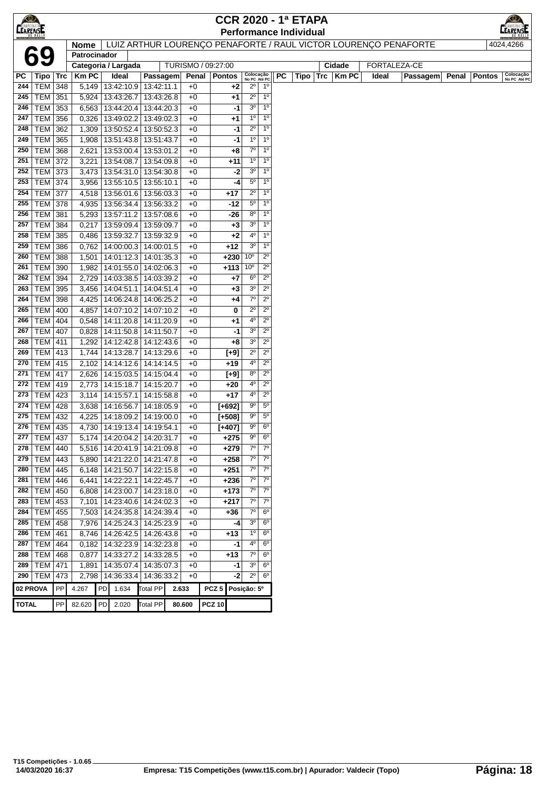|                 |                           |            |                |                                       |                          |              | <b>CCR 2020 - 1ª ETAPA</b> |                            |                                  |    |                               |                                                                 |              |          |       | K©∕                                        |
|-----------------|---------------------------|------------|----------------|---------------------------------------|--------------------------|--------------|----------------------------|----------------------------|----------------------------------|----|-------------------------------|-----------------------------------------------------------------|--------------|----------|-------|--------------------------------------------|
| <b>CEARENSE</b> |                           |            |                |                                       |                          |              |                            |                            |                                  |    | <b>Performance Individual</b> |                                                                 |              |          |       | <b>LEARENATOL</b>                          |
|                 |                           |            | <b>Nome</b>    |                                       |                          |              |                            |                            |                                  |    |                               | LUIZ ARTHUR LOURENÇO PENAFORTE / RAUL VICTOR LOURENÇO PENAFORTE |              |          |       | 4024,4266                                  |
|                 | 69                        |            | Patrocinador   |                                       |                          |              |                            |                            |                                  |    |                               |                                                                 |              |          |       |                                            |
|                 |                           |            |                | Categoria / Largada                   |                          |              | TURISMO / 09:27:00         |                            |                                  |    |                               | Cidade                                                          | FORTALEZA-CE |          |       |                                            |
| РC              | $ Tipo $ Trc              |            | <b>KmPC</b>    | Ideal                                 | Passagem                 |              | Penal   Pontos             | Colocação<br>No PC Até PC  |                                  | PC | Tipo                          | Trc<br><b>Km PC</b>                                             | Ideal        | Passagem | Penal | Colocação<br>No PC Até PC<br><b>Pontos</b> |
| 244             | <b>TEM 348</b>            |            | 5,149          | 13:42:10.9 13:42:11.1                 |                          | $+0$         | +2                         | $2^{\circ}$                | 1 <sup>0</sup>                   |    |                               |                                                                 |              |          |       |                                            |
| 245             | TEM 351                   |            | 5,924          | 13:43:26.7                            | 13:43:26.8               | $+0$         | +1                         | $2^{\circ}$                | $1^{\circ}$                      |    |                               |                                                                 |              |          |       |                                            |
| 246             | TEM 353                   |            | 6,563          | 13:44:20.4   13:44:20.3               |                          | $+0$         | -1                         | 3 <sup>o</sup>             | 1 <sup>0</sup>                   |    |                               |                                                                 |              |          |       |                                            |
| 247             | TEM 356                   |            | 0,326          | 13:49:02.2                            | 13:49:02.3               | $+0$         | +1                         | 1 <sup>0</sup>             | 1 <sup>0</sup>                   |    |                               |                                                                 |              |          |       |                                            |
| 248             | <b>TEM</b>                | 362        | 1,309          | 13:50:52.4                            | 13:50:52.3               | $+0$         | -1                         | $2^{\circ}$                | 1 <sup>0</sup>                   |    |                               |                                                                 |              |          |       |                                            |
| 249             | <b>TEM</b>                | 365        | 1,908          | 13:51:43.8   13:51:43.7               |                          | $+0$         | -1                         | 1 <sup>0</sup>             | 1 <sup>0</sup>                   |    |                               |                                                                 |              |          |       |                                            |
| 250             | <b>TEM 368</b>            |            | 2,621          | 13:53:00.4   13:53:01.2               |                          | $+0$         | +8                         | $7^{\circ}$                | 1 <sup>0</sup>                   |    |                               |                                                                 |              |          |       |                                            |
| 251             | <b>TEM 372</b>            |            | 3,221          | 13:54:08.7                            | 13:54:09.8               | $+0$         | +11                        | 1 <sup>0</sup>             | 1 <sup>0</sup>                   |    |                               |                                                                 |              |          |       |                                            |
| 252             | TEM 373                   |            | 3,473          | 13:54:31.0 13:54:30.8                 |                          | $+0$         | -2                         | 3 <sup>o</sup>             | 1 <sup>0</sup>                   |    |                               |                                                                 |              |          |       |                                            |
| 253             | <b>TEM 374</b>            |            | 3,956          | 13:55:10.5   13:55:10.1               |                          | $+0$         | -4                         | $5^{\circ}$                | 1 <sup>0</sup>                   |    |                               |                                                                 |              |          |       |                                            |
| 254             | <b>TEM 377</b>            |            | 4,518          | 13:56:01.6   13:56:03.3               |                          | $+0$         | $+17$                      | $2^{\circ}$                | 1 <sup>0</sup>                   |    |                               |                                                                 |              |          |       |                                            |
| 255             | TEM 378<br><b>TEM 381</b> |            |                | 4,935   13:56:34.4   13:56:33.2       |                          | $+0$         | -12                        | $5^{\circ}$<br>$8^{\circ}$ | 1 <sup>0</sup><br>1 <sup>0</sup> |    |                               |                                                                 |              |          |       |                                            |
| 256<br>257      | <b>TEM</b>                |            | 5,293          | 13:57:11.2 13:57:08.6                 |                          | $+0$<br>$+0$ | $-26$                      | 3 <sup>o</sup>             | 1 <sup>0</sup>                   |    |                               |                                                                 |              |          |       |                                            |
| 258             | <b>TEM</b>                | 384<br>385 | 0,217<br>0,486 | 13:59:09.4   13:59:09.7<br>13:59:32.7 | 13:59:32.9               | $+0$         | +3<br>$+2$                 | $4^{\circ}$                | 1 <sup>0</sup>                   |    |                               |                                                                 |              |          |       |                                            |
| 259             | <b>TEM 386</b>            |            | 0,762          | $14:00:00.3$   14:00:01.5             |                          | $+0$         | $+12$                      | 3 <sup>0</sup>             | 1 <sup>0</sup>                   |    |                               |                                                                 |              |          |       |                                            |
| 260             | <b>TEM 388</b>            |            |                | 1,501   14:01:12.3   14:01:35.3       |                          | $+0$         | $+230 10^{\circ}$          |                            | $2^{\circ}$                      |    |                               |                                                                 |              |          |       |                                            |
| 261             | TEM 390                   |            | 1,982          | 14:01:55.0   14:02:06.3               |                          | $+0$         | $+113$                     | 10 <sup>o</sup>            | $2^{\circ}$                      |    |                               |                                                                 |              |          |       |                                            |
| 262             | TEM 394                   |            | 2,729          | 14:03:38.5   14:03:39.2               |                          | $+0$         | +7                         | $6^{\circ}$                | $2^{\circ}$                      |    |                               |                                                                 |              |          |       |                                            |
| 263             | TEM 395                   |            | 3,456          | 14:04:51.1                            | 14:04:51.4               | $+0$         | $+3$                       | 3 <sup>o</sup>             | $2^{\circ}$                      |    |                               |                                                                 |              |          |       |                                            |
| 264             | TEM 398                   |            | 4,425          | 14:06:24.8 14:06:25.2                 |                          | $+0$         | +4                         | $7^\circ$                  | $2^{\circ}$                      |    |                               |                                                                 |              |          |       |                                            |
| 265             | <b>TEM 400</b>            |            | 4,857          | 14:07:10.2 14:07:10.2                 |                          | $+0$         | 0                          | $2^{\circ}$                | $2^{\circ}$                      |    |                               |                                                                 |              |          |       |                                            |
| 266             | <b>TEM</b>                | 404        | 0,548          | 14:11:20.8                            | 14:11:20.9               | $+0$         | +1                         | $4^{\circ}$                | $2^{\circ}$                      |    |                               |                                                                 |              |          |       |                                            |
| 267             | <b>TEM</b>                | 407        | 0,828          | 14:11:50.8                            | 14:11:50.7               | $+0$         | -1                         | 3 <sup>o</sup>             | $2^{\circ}$                      |    |                               |                                                                 |              |          |       |                                            |
| 268             | <b>TEM 411</b>            |            | 1,292          | 14:12:42.8 14:12:43.6                 |                          | $+0$         | +8                         | 3 <sup>o</sup>             | $2^{\circ}$                      |    |                               |                                                                 |              |          |       |                                            |
| 269             | TEM   413                 |            |                | 1,744 14:13:28.7                      | 14:13:29.6               | $+0$         | [+9]                       | $2^{\circ}$                | $2^{\circ}$                      |    |                               |                                                                 |              |          |       |                                            |
| 270             | $TEM$ 415                 |            |                | 2,102   14:14:12.6   14:14:14.5       |                          | $+0$         | +19                        | $4^{\circ}$                | $2^{\circ}$                      |    |                               |                                                                 |              |          |       |                                            |
| 271             | <b>TEM 417</b>            |            |                | 2,626   14:15:03.5                    | 14:15:04.4               | $+0$         | $[+9]$                     | 80                         | $2^{\circ}$                      |    |                               |                                                                 |              |          |       |                                            |
| 272             | <b>TEM 419</b>            |            |                | 2,773   14:15:18.7                    | 14:15:20.7               | $+0$         | $+20$                      | $4^{\circ}$                | $2^{\circ}$                      |    |                               |                                                                 |              |          |       |                                            |
| 273             | TEM 423                   |            |                | $3,114$   14:15:57.1                  | 14:15:58.8               | $+0$         | $+17$                      | $4^{\circ}$                | $2^{\circ}$                      |    |                               |                                                                 |              |          |       |                                            |
| 274             | TEM   428                 |            |                | 3,638 14:16:56.7                      | 14:18:05.9               | $+0$         | $[+692]$                   | $9^{\circ}$                | $5^{\circ}$                      |    |                               |                                                                 |              |          |       |                                            |
| 275             | <b>TEM</b>                | 432        |                | 4,225 14:18:09.2                      | 14:19:00.0               | $+0$         | $[+508]$                   | 90                         | $5^{\circ}$                      |    |                               |                                                                 |              |          |       |                                            |
| 276             | TEM 435                   |            |                | 4,730   14:19:13.4   14:19:54.1       |                          | $+0$         | $[+407]$                   | $9^{\circ}$                | $6^{\circ}$                      |    |                               |                                                                 |              |          |       |                                            |
|                 | 277 TEM 437               |            |                | 5,174 14:20:04.2 14:20:31.7           |                          | $+0$         | $+275$                     | 9 <sup>o</sup>             | 6 <sup>o</sup>                   |    |                               |                                                                 |              |          |       |                                            |
| 278             | TEM 440                   |            |                | 5,516   14:20:41.9   14:21:09.8       |                          | $+0$         | $+279$                     | $7^\circ$                  | $7^{\circ}$                      |    |                               |                                                                 |              |          |       |                                            |
|                 | 279   TEM   443           |            |                | 5,890   14:21:22.0   14:21:47.8       |                          | $+0$         | $+258$                     | $7^\circ$                  | $7^\circ$                        |    |                               |                                                                 |              |          |       |                                            |
| 280<br>281      | TEM 445                   |            | 6,148          | 14:21:50.7   14:22:15.8               |                          | $+0$         | $+251$                     | $7^\circ$<br>$7^{\circ}$   | $7^\circ$<br>$7^{\circ}$         |    |                               |                                                                 |              |          |       |                                            |
| 282             | <b>TEM 446</b><br>TEM 450 |            | 6,441          | 14:22:22.1                            | 14:22:45.7<br>14:23:18.0 | $+0$         | $+236$<br>$+173$           | $7^\circ$                  | $7^\circ$                        |    |                               |                                                                 |              |          |       |                                            |
| 283             | $TEM$ 453                 |            | 6,808<br>7,101 | 14:23:00.7<br>14:23:40.6   14:24:02.3 |                          | $+0$<br>$+0$ | $+217$                     | $7^\circ$                  | $7^\circ$                        |    |                               |                                                                 |              |          |       |                                            |
| 284             | <b>TEM</b>                | 455        | 7,503          | 14:24:35.8                            | 14:24:39.4               | $+0$         | +36                        | $7^\circ$                  | $6^{\circ}$                      |    |                               |                                                                 |              |          |       |                                            |
| 285             | <b>TEM</b>                | 458        | 7,976          | 14:25:24.3 14:25:23.9                 |                          | $+0$         | $-4$                       | 3 <sup>o</sup>             | $6^{\circ}$                      |    |                               |                                                                 |              |          |       |                                            |
| 286             | <b>TEM 461</b>            |            | 8,746          | 14:26:42.5                            | 14:26:43.8               | $+0$         | $+13$                      | 1 <sup>o</sup>             | 6 <sup>o</sup>                   |    |                               |                                                                 |              |          |       |                                            |
| 287             | $TEM$ 464                 |            |                | 0,182   14:32:23.9   14:32:23.8       |                          | $+0$         | -1                         | $4^{\circ}$                | $6^{\circ}$                      |    |                               |                                                                 |              |          |       |                                            |
|                 | 288   TEM   468           |            |                | 0,877   14:33:27.2   14:33:28.5       |                          | $+0$         | $+13$                      | $7^\circ$                  | $6^{\circ}$                      |    |                               |                                                                 |              |          |       |                                            |
|                 | 289   TEM   471           |            | 1,891          | 14:35:07.4                            | 14:35:07.3               | $+0$         | -1                         | 3 <sup>o</sup>             | $6^{\circ}$                      |    |                               |                                                                 |              |          |       |                                            |
|                 | 290 TEM 473               |            | 2,798          | 14:36:33.4                            | 14:36:33.2               | $+0$         | $-2$                       | $2^{\circ}$                | $6^{\circ}$                      |    |                               |                                                                 |              |          |       |                                            |
|                 | 02 PROVA                  | PP         | 4.267          | 1.634<br>PD                           | <b>Total PP</b>          | 2.633        | PCZ <sub>5</sub>           | Posição: 5º                |                                  |    |                               |                                                                 |              |          |       |                                            |
|                 |                           |            |                |                                       |                          |              |                            |                            |                                  |    |                               |                                                                 |              |          |       |                                            |
| <b>TOTAL</b>    |                           | PP         | 82.620         | PD<br>2.020                           | <b>Total PP</b>          | 80.600       | <b>PCZ 10</b>              |                            |                                  |    |                               |                                                                 |              |          |       |                                            |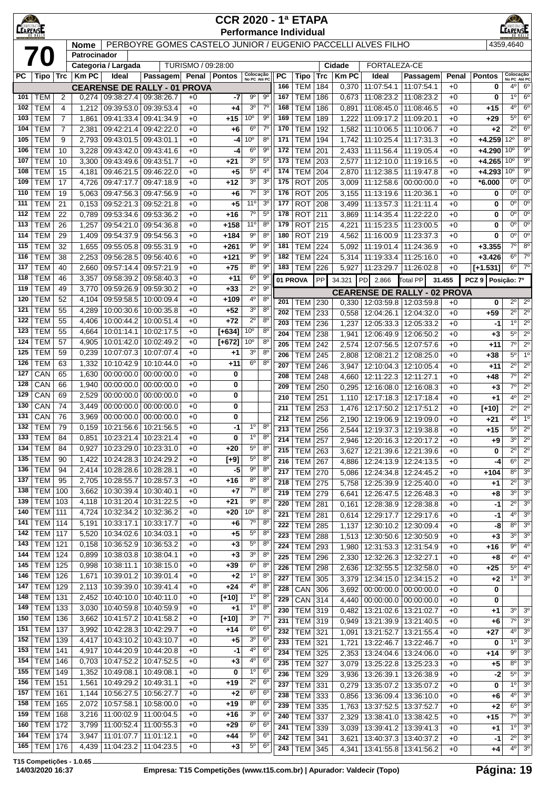| $\bigcirc$<br><b>CEARENSE</b> |                                  |                |                |                          |                                                              |                    | <b>CCR 2020 - 1ª ETAPA</b><br><b>Performance Individual</b> |                               |                                  |            |                                  |            |                |                                     |                                                  |              |                      |                                    |                                       |
|-------------------------------|----------------------------------|----------------|----------------|--------------------------|--------------------------------------------------------------|--------------------|-------------------------------------------------------------|-------------------------------|----------------------------------|------------|----------------------------------|------------|----------------|-------------------------------------|--------------------------------------------------|--------------|----------------------|------------------------------------|---------------------------------------|
|                               |                                  |                | <b>Nome</b>    |                          | PERBOYRE GOMES CASTELO JUNIOR / EUGENIO PACCELLI ALVES FILHO |                    |                                                             |                               |                                  |            |                                  |            |                |                                     |                                                  |              |                      | 4359,4640                          |                                       |
|                               |                                  |                | Patrocinador   |                          |                                                              |                    |                                                             |                               |                                  |            |                                  |            |                |                                     |                                                  |              |                      |                                    |                                       |
|                               |                                  |                |                | Categoria / Largada      |                                                              | TURISMO / 09:28:00 |                                                             |                               |                                  |            |                                  |            | Cidade         | FORTALEZA-CE                        |                                                  |              |                      |                                    |                                       |
| <b>PC</b>                     | Tipo                             | ∣Trc           | <b>KmPC</b>    | Ideal                    | <b>Passagem</b>                                              | Penal   Pontos     |                                                             | Colocação<br>No PC Até PC     |                                  | РC         | Tipo                             | Trc        | <b>Km PC</b>   | Ideal                               | <b>Passagem</b>                                  | Penal        | <b>Pontos</b>        | Colocação<br>No PC Até PC          |                                       |
| 101                           | <b>TEM</b>                       | 2              | 0,274          |                          | <b>CEARENSE DE RALLY - 01 PROVA</b><br>09:38:27.4 09:38:26.7 | $+0$               | -7                                                          | 90                            | $9^{\circ}$                      | 166<br>167 | <b>TEM</b><br><b>TEM</b>         | 184<br>186 | 0,370<br>0,673 | 11:07:54.1<br>11:08:23.2            | 11:07:54.1<br>11:08:23.2                         | $+0$<br>$+0$ | 0<br>0               | 4°<br>$1^{\circ}$                  | $6^{\circ}$<br>6 <sup>o</sup>         |
| 102                           | <b>TEM</b>                       | 4              | 1,212          | 09:39:53.0               | 09:39:53.4                                                   | $+0$               | +4                                                          | 3 <sup>0</sup>                | $7^{\circ}$                      | 168        | <b>TEM</b>                       | 186        | 0,891          | 11:08:45.0                          | 11:08:46.5                                       | $+0$         | $+15$                | 4º                                 | $6^{\circ}$                           |
| 103                           | <b>TEM</b>                       | $\overline{7}$ | 1,861          | 09:41:33.4               | 09:41:34.9                                                   | $+0$               | $+15$                                                       | 10 <sup>o</sup>               | $9^{\circ}$                      | 169        | <b>TEM</b>                       | 189        | 1,222          | 11:09:17.2                          | 11:09:20.1                                       | $+0$         | $+29$                | 5°                                 | $6^{\circ}$                           |
| 104                           | <b>TEM</b>                       | $\overline{7}$ | 2,381          | 09:42:21.4               | 09:42:22.0                                                   | $+0$               | $+6$                                                        | $6^{\circ}$                   | $7^{\circ}$                      | 170        | <b>TEM</b>                       | 192        | 1,582          | 11:10:06.5                          | 11:10:06.7                                       | $+0$         | $+2$                 | $2^{\circ}$                        | $6^{\circ}$                           |
| 105                           | <b>TEM</b>                       | 9              | 2,793          | 09:43:01.5               | 09:43:01.1                                                   | $+0$               | -4                                                          | 10 <sup>o</sup>               | $8^{\circ}$                      | 171        | <b>TEM</b>                       | 194        | 1,742          | 11:10:25.4                          | 11:17:31.3                                       | $+0$         | $+4.259$             | $12^{\circ}$                       | 8 <sup>o</sup>                        |
| 106                           | <b>TEM</b>                       | 10             | 3,228          | 09:43:42.0               | 09:43:41.6                                                   | $+0$               | -4                                                          | $6^{\circ}$                   | $9^{\circ}$                      | 172        | <b>TEM</b>                       | 201        | 2,433          | 11:11:56.4                          | 11:19:05.4                                       | $+0$         | $+4.290$             | $10^{\circ}$                       | $9^{\circ}$                           |
| 107<br>108                    | <b>TEM</b><br>TEM                | 10<br>15       | 3,300<br>4,181 | 09:43:49.6<br>09:46:21.5 | 09:43:51.7<br>09:46:22.0                                     | $+0$<br>$+0$       | $+21$<br>$+5$                                               | 3 <sup>o</sup><br>$5^{\circ}$ | $5^{\circ}$<br>$4^{\circ}$       | 173<br>174 | <b>TEM</b><br><b>TEM</b>         | 203<br>204 | 2,577<br>2,870 | 11:12:10.0<br>11:12:38.5            | 11:19:16.5<br>11:19:47.8                         | $+0$<br>$+0$ | $+4.265$<br>$+4.293$ | 10 <sup>o</sup><br>10 <sup>o</sup> | $9^{\circ}$<br>9 <sup>0</sup>         |
| 109                           | <b>TEM</b>                       | 17             | 4,726          | 09:47:17.7               | 09:47:18.9                                                   | $+0$               | $+12$                                                       | 3 <sup>o</sup>                | 3 <sup>o</sup>                   | 175        | <b>ROT</b>                       | 205        | 3,009          | 11:12:58.6                          | 00:00:00.0                                       | $+0$         | *6.000               | $0^{\circ}$                        | $0^{\circ}$                           |
| 110                           | <b>TEM</b>                       | 19             | 5,063          | 09:47:56.3               | 09:47:56.9                                                   | $+0$               | $+6$                                                        | $7^{\circ}$                   | 3 <sup>o</sup>                   | 176        | <b>ROT</b>                       | 205        | 3,155          | 11:13:19.6                          | 11:20:36.1                                       | $+0$         | 0                    | $0^{\circ}$                        | $0^{\rm o}$                           |
| 111                           | TEM                              | 21             | 0,153          | 09:52:21.3               | 09:52:21.8                                                   | $+0$               | $+5$                                                        | 11 <sup>0</sup>               | 3 <sup>o</sup>                   | 177        | <b>ROT</b>                       | 208        | 3,499          | 11:13:57.3                          | 11:21:11.4                                       | $+0$         | 0                    | 0°                                 | $0^{\circ}$                           |
| 112                           | <b>TEM</b>                       | 22             | 0,789          | 09:53:34.6               | 09:53:36.2                                                   | $+0$               | $+16$                                                       | $7^{\circ}$                   | $5^{\circ}$                      | 178        | <b>ROT</b>                       | 211        | 3,869          | 11:14:35.4                          | 11:22:22.0                                       | $+0$         | 0                    | $0^{\circ}$                        | $0^{\circ}$                           |
| 113                           | <b>TEM</b>                       | 26             | 1,257          | 09:54:21.0               | 09:54:36.8                                                   | $+0$               | $+158$                                                      | 11 <sup>0</sup>               | 8 <sup>o</sup>                   | 179        | <b>ROT</b>                       | 215        | 4,221          | 11:15:23.5                          | 11:23:00.5                                       | $+0$         | 0                    | $0^{\circ}$                        | $0^{\circ}$                           |
| 114<br>115                    | <b>TEM</b><br><b>TEM</b>         | 29<br>32       | 1,409<br>1,655 | 09:54:37.9<br>09:55:05.8 | 09:54:56.3<br>09:55:31.9                                     | $+0$<br>$+0$       | $+184$<br>$+261$                                            | $9^{\circ}$<br>$9^{\circ}$    | $8^{\circ}$<br>90                | 180<br>181 | <b>ROT</b><br><b>TEM</b>         | 219<br>224 | 4,562<br>5,092 | 11:16:00.9<br>11:19:01.4            | 11:23:37.3<br>11:24:36.9                         | $+0$<br>$+0$ | 0<br>$+3.355$        | $0^{\circ}$<br>$7^\circ$           | $0^{\circ}$<br>$8^{\circ}$            |
| 116                           | <b>TEM</b>                       | 38             | 2,253          | 09:56:28.5               | 09:56:40.6                                                   | $+0$               | $+121$                                                      | $9^{\circ}$                   | $9^{\circ}$                      | 182        | <b>TEM</b>                       | 224        | 5,314          | 11:19:33.4                          | 11:25:16.0                                       | $+0$         | $+3.426$             | $6^{\circ}$                        | $7^\circ$                             |
| 117                           | <b>TEM</b>                       | 40             | 2,660          | 09:57:14.4               | 09:57:21.9                                                   | $+0$               | $+75$                                                       | 8 <sup>o</sup>                | $9^{\circ}$                      | 183        | <b>TEM 226</b>                   |            | 5,927          | 11:23:29.7                          | 11:26:02.8                                       | $+0$         | $[+1.531]$           | $6^{\circ}$                        | 7 <sup>o</sup>                        |
| 118                           | <b>TEM</b>                       | 46             | 3,357          | 09:58:39.2               | 09:58:40.3                                                   | $+0$               | $+11$                                                       | 6 <sup>o</sup>                | $9^{\circ}$                      | 01 PROVA   |                                  | PP         | 34.321         | PD<br>2.866                         | <b>Total PP</b>                                  | 31.455       | PCZ 9 Posicão: 7º    |                                    |                                       |
| 119                           | <b>TEM</b>                       | 49             | 3,770          | 09:59:26.9               | 09:59:30.2                                                   | $+0$               | $+33$                                                       | $2^{\circ}$                   | $9^{\circ}$                      |            |                                  |            |                | <b>CEARENSE DE RALLY - 02 PROVA</b> |                                                  |              |                      |                                    |                                       |
| 120                           | <b>TEM</b>                       | 52             | 4,104          | 09:59:58.5               | 10:00:09.4                                                   | $+0$               | +109                                                        | $4^{\circ}$                   | $8^{\circ}$                      | 201        | TEM                              | 230        | 0,330          | 12:03:59.8                          | 12:03:59.8                                       | $+0$         | 0                    | $2^{\circ}$                        | $2^{\circ}$                           |
| 121<br>122                    | <b>TEM</b><br><b>TEM</b>         | 55<br>55       | 4,289<br>4,406 | 10:00:30.6<br>10:00:44.2 | 10:00:35.8<br>10:00:51.4                                     | $+0$<br>$+0$       | $+52$<br>$+72$                                              | 3 <sup>o</sup><br>$2^{\circ}$ | 8 <sup>o</sup><br>8 <sup>o</sup> | 202        | <b>TEM</b>                       | 233        | 0,558          | 12:04:26.1                          | 12:04:32.0                                       | $+0$         | $+59$                | $2^{\circ}$                        | $2^{\circ}$                           |
| 123                           | <b>TEM</b>                       | 55             | 4,664          | 10:01:14.1               | 10:02:17.5                                                   | $+0$               | $[+634]$                                                    | 10 <sup>o</sup>               | $8^{\circ}$                      | 203        | <b>TEM</b>                       | 236        | 1,237          | 12:05:33.3                          | 12:05:33.2                                       | $+0$         | -1                   | $1^{\circ}$<br>$5^{\circ}$         | $2^{\circ}$<br>$\overline{2^{\circ}}$ |
| 124                           | <b>TEM</b>                       | 57             | 4,905          | 10:01:42.0               | 10:02:49.2                                                   | $+0$               | $[+672]$                                                    | 10 <sup>o</sup>               | 8 <sup>o</sup>                   | 204<br>205 | <b>TEM</b><br><b>TEM</b>         | 238<br>242 | 1,941<br>2,574 | 12:06:49.9<br>12:07:56.5            | 12:06:50.2<br>12:07:57.6                         | $+0$<br>$+0$ | $+3$<br>$+11$        | $7^\circ$                          | $2^{\circ}$                           |
| 125                           | <b>TEM</b>                       | 59             | 0,239          | 10:07:07.3               | 10:07:07.4                                                   | $+0$               | +1                                                          | 3 <sup>o</sup>                | $8^{\circ}$                      | 206        | <b>TEM</b>                       | 245        | 2,808          | 12:08:21.2                          | 12:08:25.0                                       | $+0$         | $+38$                | 5°                                 | 1 <sup>0</sup>                        |
| 126                           | <b>TEM</b>                       | 63             | 1,332          | 10:10:42.9               | 10:10:44.0                                                   | $+0$               | +11                                                         | 6 <sup>o</sup>                | $8^{\circ}$                      | 207        | <b>TEM</b>                       | 246        | 3,947          | 12:10:04.3                          | 12:10:05.4                                       | $+0$         | $+11$                | $2^{\circ}$                        | $\overline{2^0}$                      |
| 127                           | CAN                              | 65             | 1,630          | 00:00:00.0               | 00:00:00.0                                                   | $+0$               | 0                                                           |                               |                                  | 208        | <b>TEM</b>                       | 248        | 4,660          | 12:11:22.3                          | 12:11:27.1                                       | $+0$         | +48                  | $7^\circ$                          | $\overline{2^{\circ}}$                |
| 128                           | CAN                              | 66             | 1,940          | 00:00:00.0               | 00:00:00.0                                                   | $+0$               | 0                                                           |                               |                                  | 209        | <b>TEM</b>                       | 250        | 0,295          | 12:16:08.0                          | 12:16:08.3                                       | $+0$         | $+3$                 | $7^\circ$                          | $2^{\circ}$                           |
| 129                           | CAN                              | 69             | 2,529          | 00:00:00.0               | 00:00:00.0<br>00:00:00.0                                     | $+0$               | 0                                                           |                               |                                  | 210        | <b>TEM</b>                       | 251        | 1,110          | 12:17:18.3                          | 12:17:18.4                                       | $+0$         | +1                   | 4º                                 | $2^{\circ}$                           |
| 130<br>131                    | CAN<br>CAN                       | 74<br>76       | 3,449<br>3,969 | 00:00:00.0<br>00:00:00.0 | 00:00:00.0                                                   | $+0$<br>$+0$       | 0<br>0                                                      |                               |                                  | 211        | <b>TEM</b>                       | 253        | 1,476          | 12:17:50.2                          | 12:17:51.2                                       | $+0$         | $[+10]$              | $\overline{2^{\circ}}$             | $2^{\circ}$                           |
| 132                           | <b>TEM</b>                       | 79             | 0,159          |                          | 10:21:56.6   10:21:56.5                                      | $+0$               | $-1$                                                        | $1^{\circ}$                   | $8^{\circ}$                      | 212<br>213 | <b>TEM</b>                       | 256<br>256 | 2,190<br>2.544 | 12:19:06.9                          | 12:19:09.0                                       | $+0$<br>$+0$ | +21<br>$+15$         | 4 <sup>0</sup><br>$5^{\circ}$      | $\overline{1^{\circ}}$<br>$2^{\circ}$ |
|                               | 133   TEM                        | 84             |                |                          | 0,851   10:23:21.4   10:23:21.4                              | $+0$               | 0                                                           | $1^{\circ}$                   | $8^{\circ}$                      | 214        | TEM<br><b>TEM 257</b>            |            |                | 2,946   12:20:16.3   12:20:17.2     | 12:19:37.3 12:19:38.8                            | $+0$         | +9                   | 3 <sup>o</sup>                     | $2^{\circ}$                           |
| 134                           | <b>TEM</b>                       | 84             | 0,927          | 10:23:29.0               | 10:23:31.0                                                   | $+0$               | +20                                                         | $5^{\circ}$                   | $8^{\circ}$                      | 215        | <b>TEM 263</b>                   |            | 3,627          | 12:21:39.6                          | 12:21:39.6                                       | $+0$         | 0                    | $2^{\circ}$                        | $2^{\circ}$                           |
| 135                           | <b>TEM</b>                       | 90             | 1,422          |                          | 10:24:28.3 10:24:29.2                                        | $+0$               | $[+9]$                                                      | $5^{\rm o}$                   | $8^{\circ}$                      | 216        | <b>TEM 267</b>                   |            | 4,886          | 12:24:13.9                          | 12:24:13.5                                       | $+0$         | -4                   | $6^{\circ}$                        | 2 <sup>0</sup>                        |
| 136                           | <b>TEM</b>                       | 94             |                |                          | 2,414   10:28:28.6   10:28:28.1                              | $+0$               | -5                                                          | 9 <sup>o</sup>                | 8 <sup>o</sup>                   | 217        | <b>TEM 270</b>                   |            | 5,086          | 12:24:34.8                          | 12:24:45.2                                       | $+0$         | $+104$               | $8^{\circ}$                        | 3 <sup>o</sup>                        |
| 137                           | <b>TEM</b>                       | 95             | 2,705          |                          | 10:28:55.7   10:28:57.3                                      | $+0$               | $+16$                                                       | 8 <sup>o</sup>                | $8^{\circ}$                      | 218        | <b>TEM 275</b>                   |            | 5,758          |                                     | 12:25:39.9   12:25:40.0                          | $+0$         | +1                   | 2º                                 | 3 <sup>o</sup>                        |
| 138<br>139                    | <b>TEM</b><br><b>TEM</b>         | 100            | 3,662          | 10:30:39.4               | 10:30:40.1<br>10:31:22.5                                     | $+0$               | $+7$<br>$+21$                                               | $7^\circ$<br>$9^{\circ}$      | $8^{\circ}$<br>$8^{\circ}$       | 219        | <b>TEM</b>                       | 279        | 6,641          | 12:26:47.5                          | 12:26:48.3                                       | $+0$         | +8                   | 3 <sup>o</sup>                     | 3 <sup>0</sup>                        |
| 140                           | <b>TEM</b>                       | 103<br>  111   | 4,118<br>4,724 | 10:31:20.4               | 10:32:34.2   10:32:36.2                                      | $+0$<br>$+0$       | $+20$                                                       | 10 <sup>o</sup>               | $8^{\circ}$                      | 220<br>221 | <b>TEM</b>                       | 281        | 0,161          | 12:28:38.9                          | 12:28:38.8                                       | $+0$         | $-1$                 | $2^{\circ}$<br>$4^{\circ}$         | 3 <sup>0</sup><br>3 <sup>o</sup>      |
| 141                           | <b>TEM 114</b>                   |                | 5,191          | 10:33:17.1               | 10:33:17.7                                                   | $+0$               | +6                                                          | $7^{\circ}$                   | 8 <sup>o</sup>                   | 222        | <b>TEM 281</b><br><b>TEM 285</b> |            | 0,614<br>1,137 |                                     | 12:29:17.7   12:29:17.6<br>12:30:10.2 12:30:09.4 | $+0$<br>$+0$ | -1<br>-8             | $8^{\circ}$                        | 3 <sup>o</sup>                        |
| 142                           | <b>TEM 117</b>                   |                | 5,520          |                          | 10:34:02.6   10:34:03.1                                      | $+0$               | $+5$                                                        | $5^{\circ}$                   | 8 <sup>o</sup>                   | 223        | <b>TEM 288</b>                   |            |                | 1,513   12:30:50.6   12:30:50.9     |                                                  | $+0$         | $+3$                 | $3^{\circ}$                        | 3 <sup>o</sup>                        |
| 143                           | <b>TEM</b>                       | 121            | 0.158          | 10:36:52.9               | 10:36:53.2                                                   | $+0$               | +3                                                          | $5^{\rm o}$                   | $8^{\circ}$                      | 224        | TEM                              | 293        | 1,980          | 12:31:53.3                          | 12:31:54.9                                       | $+0$         | $+16$                | 90                                 | $4^{\circ}$                           |
| 144                           | <b>TEM</b>                       | 124            | 0,899          |                          | 10:38:03.8   10:38:04.1                                      | $+0$               | $+3$                                                        | 3 <sup>o</sup>                | $8^{\circ}$                      | 225        | <b>TEM</b>                       | 296        | 2,330          | 12:32:26.3                          | 12:32:27.1                                       | $+0$         | $+8$                 | $4^{\circ}$                        | 4 <sup>0</sup>                        |
| 145                           | <b>TEM 125</b>                   |                | 0,998          |                          | 10:38:11.1   10:38:15.0                                      | $+0$               | $+39$                                                       | 6 <sup>o</sup>                | 8 <sup>o</sup>                   | 226        | <b>TEM</b>                       | 298        | 2,636          | 12:32:55.5                          | 12:32:58.0                                       | $+0$         | +25                  | $5^{\circ}$                        | $4^{\circ}$                           |
| 146<br>147                    | $TEM$ 126<br><b>TEM 129</b>      |                | 1,671          |                          | 10:39:01.2 10:39:01.4<br>10:39:39.0   10:39:41.4             | $+0$<br>$+0$       | $+2$<br>$+24$                                               | 1 <sup>0</sup><br>4°          | 8 <sup>o</sup><br>$8^{\circ}$    | 227        | TEM                              | 305        | 3,379          |                                     | 12:34:15.0   12:34:15.2                          | $+0$         | $+2$                 | $1^{\circ}$                        | 3 <sup>o</sup>                        |
| 148                           | <b>TEM 131</b>                   |                | 2,113<br>2,452 |                          | 10:40:10.0   10:40:11.0                                      | $+0$               | $[+10]$                                                     | $1^{\rm o}$                   | $8^{\circ}$                      | 228        | CAN                              | 306        | 3,692          |                                     | $00:00:00.0$   $00:00:00.0$                      | $+0$         | 0                    |                                    |                                       |
| 149                           | <b>TEM 133</b>                   |                | 3,030          |                          | 10:40:59.8   10:40:59.9                                      | $+0$               | +1                                                          | 1 <sup>0</sup>                | 8 <sup>o</sup>                   | 229<br>230 | CAN<br><b>TEM 319</b>            | 314        | 4,440<br>0,482 | 00:00:00.0                          | 00:00:00.0                                       | $+0$<br>$+0$ | 0                    | $3^{\circ}$                        | 3 <sup>o</sup>                        |
| 150                           | <b>TEM 136</b>                   |                | 3,662          |                          | 10:41:57.2 10:41:58.2                                        | $+0$               | $[+10]$                                                     | 3 <sup>o</sup>                | $7^\circ$                        | 231        | TEM 319                          |            | 0,949          | 13:21:39.9   13:21:40.5             | 13:21:02.6   13:21:02.7                          | $+0$         | +1<br>+6             | $7^{\circ}$                        | 3 <sup>o</sup>                        |
| 151                           | <b>TEM 137</b>                   |                | 3,992          |                          | 10:42:28.3 10:42:29.7                                        | $+0$               | +14                                                         | 6 <sup>o</sup>                | 6 <sup>o</sup>                   | 232        | <b>TEM 321</b>                   |            | 1,091          |                                     | 13:21:52.7   13:21:55.4                          | $+0$         | $+27$                | $4^{\circ}$                        | 3 <sup>o</sup>                        |
| 152                           | <b>TEM</b>                       | 139            | 4,417          |                          | 10:43:10.2 10:43:10.7                                        | $+0$               | +5                                                          | 3 <sup>o</sup>                | 6 <sup>o</sup>                   | 233        | <b>TEM</b>                       | 321        | 1,721          | 13:22:46.7                          | 13:22:46.7                                       | $+0$         | 0                    | $1^{\circ}$                        | 3 <sup>o</sup>                        |
| 153                           | <b>TEM</b>                       | 141            | 4,917          |                          | 10:44:20.9 10:44:20.8                                        | $+0$               | -1                                                          | 4 <sup>0</sup>                | 6 <sup>o</sup>                   | 234        | <b>TEM</b>                       | 325        | 2,353          | 13:24:04.6                          | 13:24:06.0                                       | $+0$         | +14                  | $9^{\circ}$                        | 3 <sup>o</sup>                        |
| 154                           | <b>TEM 146</b>                   |                | 0,703          |                          | 10:47:52.2 10:47:52.5                                        | $+0$               | +3                                                          | 4 <sup>0</sup>                | 6 <sup>o</sup>                   | 235        | <b>TEM</b>                       | 327        | 3,079          | 13:25:22.8                          | 13:25:23.3                                       | $+0$         | +5                   | $8^{\circ}$                        | 3 <sup>0</sup>                        |
| 155<br>156                    | <b>TEM 149</b><br><b>TEM 151</b> |                | 1,352<br>1,561 | 10:49:08.1               | 10:49:08.1<br>10:49:29.2 10:49:31.1                          | $+0$<br>$+0$       | 0<br>$+19$                                                  | 1 <sup>0</sup><br>$2^{\circ}$ | 6 <sup>o</sup><br>6 <sup>o</sup> | 236        | TEM 329                          |            | 3,936          |                                     | 13:26:39.1   13:26:38.9                          | $+0$         | $-2$                 | $5^{\circ}$                        | 3 <sup>0</sup>                        |
| 157                           | <b>TEM</b>                       | 161            | 1,144          |                          | 10:56:27.5   10:56:27.7                                      | $+0$               | $+2$                                                        | 6 <sup>o</sup>                | 6 <sup>o</sup>                   | 237        | TEM                              | 331        | 0,279          | 13:35:07.2                          | 13:35:07.2                                       | $+0$         | 0                    | $1^{\circ}$                        | 3 <sup>o</sup>                        |
| 158                           | TEM                              | 165            | 2,072          | 10:57:58.1               | 10:58:00.0                                                   | $+0$               | $+19$                                                       | 8 <sup>o</sup>                | 6 <sup>o</sup>                   | 238<br>239 | <b>TEM</b><br>TEM 335            | 333        | 0,856<br>1,763 | 13:36:09.4                          | 13:36:10.0<br>13:37:52.5   13:37:52.7            | $+0$<br>$+0$ | +6<br>+2             | 4º<br>$6^{\circ}$                  | 3 <sup>o</sup><br>3 <sup>o</sup>      |
| 159                           | <b>TEM 168</b>                   |                | 3,216          | 11:00:02.9               | 11:00:04.5                                                   | $+0$               | +16                                                         | $3^{\rm o}$                   | 6 <sup>o</sup>                   | 240        | <b>TEM 337</b>                   |            | 2,329          |                                     | 13:38:41.0   13:38:42.5                          | $+0$         | $+15$                | 7º                                 | 3 <sup>o</sup>                        |
| 160                           | <b>TEM 172</b>                   |                | 3,799          | 11:00:52.4               | 11:00:55.3                                                   | $+0$               | $+29$                                                       | 6 <sup>o</sup>                | 6 <sup>o</sup>                   | 241        | TEM 339                          |            | 3,039          |                                     | 13:39:41.2   13:39:41.3                          | $+0$         | +1                   | $1^{\circ}$                        | 3 <sup>o</sup>                        |
| 164                           | TEM                              | 174            | 3,947          | 11:01:07.7               | 11:01:12.1                                                   | $+0$               | +44                                                         | $5^{\circ}$                   | 6 <sup>o</sup>                   | 242        | TEM                              | 341        | 3,621          | 13:40:37.3                          | 13:40:37.2                                       | $+0$         | -1                   | $2^{\circ}$                        | 3 <sup>o</sup>                        |
| 165                           | <b>TEM 176</b>                   |                | 4,439          | 11:04:23.2               | 11:04:23.5                                                   | $+0$               | $+3$                                                        | $5^{\circ}$                   | 6 <sup>o</sup>                   | 243        | <b>TEM</b>                       | 345        | 4,341          | 13:41:55.8                          | 13:41:56.2                                       | $+0$         | +4                   | $4^{\circ}$                        | 3 <sup>o</sup>                        |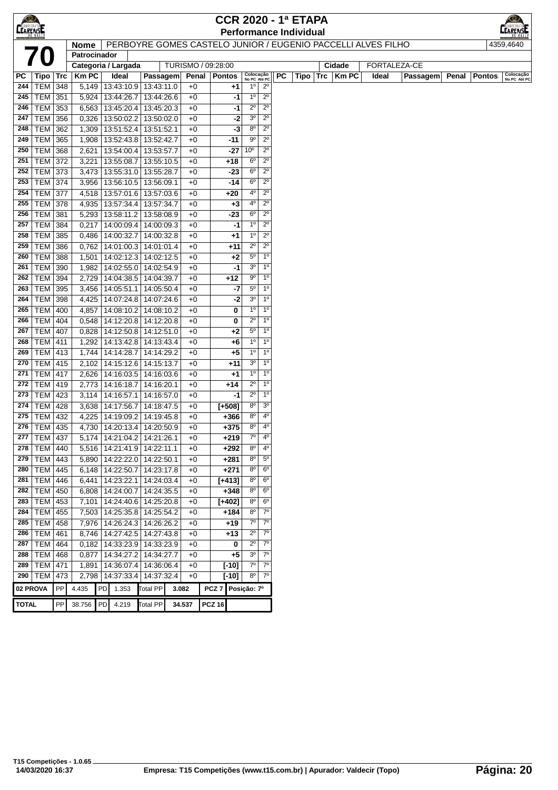|                 |                              |            |                |                                 |                          |              |                                                              |                            |                            | <b>CCR 2020 - 1ª ETAPA</b>    |            |           |              |                |               |                           |
|-----------------|------------------------------|------------|----------------|---------------------------------|--------------------------|--------------|--------------------------------------------------------------|----------------------------|----------------------------|-------------------------------|------------|-----------|--------------|----------------|---------------|---------------------------|
| <b>LEARENSE</b> |                              |            |                |                                 |                          |              |                                                              |                            |                            | <b>Performance Individual</b> |            |           |              |                |               |                           |
|                 |                              |            | <b>Nome</b>    |                                 |                          |              | PERBOYRE GOMES CASTELO JUNIOR / EUGENIO PACCELLI ALVES FILHO |                            |                            |                               |            |           |              |                |               | 4359,4640                 |
|                 |                              |            | Patrocinador   |                                 |                          |              |                                                              |                            |                            |                               |            |           |              |                |               |                           |
|                 |                              |            |                | Categoria / Largada             |                          |              | TURISMO / 09:28:00                                           |                            |                            |                               |            | Cidade    | FORTALEZA-CE |                |               |                           |
| РC              | $ $ Tipo $ $ Trc             |            | Km PC          | Ideal                           | Passagem                 |              | Penal   Pontos                                               | Colocação<br>No PC Até PC  |                            | <b>PC</b><br>Tipo             | <b>Trc</b> | $ $ Km PC | Ideal        | Passagem Penal | <b>Pontos</b> | Colocação<br>No PC Até PC |
| 244             | <b>TEM 348</b>               |            | 5,149          | 13:43:10.9 13:43:11.0           |                          | $+0$         | +1                                                           | $1^{\circ}$                | $2^{\circ}$                |                               |            |           |              |                |               |                           |
| 245             | <b>TEM 351</b>               |            |                | 5,924 13:44:26.7                | 13:44:26.6               | $+0$         | -1                                                           | 1 <sup>0</sup>             | $2^{\circ}$                |                               |            |           |              |                |               |                           |
| 246             | TEM 353                      |            | 6,563          | 13:45:20.4   13:45:20.3         |                          | $+0$         | -1                                                           | $2^{\circ}$                | $2^{\circ}$                |                               |            |           |              |                |               |                           |
| 247             | <b>TEM</b>                   | 356        | 0,326          | 13:50:02.2                      | 13:50:02.0               | $+0$         | $-2$                                                         | 3 <sup>o</sup>             | $2^{\circ}$                |                               |            |           |              |                |               |                           |
| 248             | <b>TEM</b>                   | 362        | 1,309          | 13:51:52.4                      | 13:51:52.1               | $+0$         | -3                                                           | $8^{\circ}$<br>$9^{\circ}$ | $2^{\circ}$<br>$2^{\circ}$ |                               |            |           |              |                |               |                           |
| 249<br>250      | <b>TEM</b>                   | 365        | 1,908          | 13:52:43.8 13:52:42.7           |                          | $+0$         | -11                                                          | 10 <sup>o</sup>            | $2^{\circ}$                |                               |            |           |              |                |               |                           |
| 251             | <b>TEM</b><br><b>TEM 372</b> | 368        | 2,621          | 13:54:00.4<br>13:55:08.7        | 13:53:57.7<br>13:55:10.5 | $+0$<br>$+0$ | -27                                                          | $6^{\circ}$                | $2^{\circ}$                |                               |            |           |              |                |               |                           |
| 252             | TEM 373                      |            | 3,221          | 13:55:31.0 13:55:28.7           |                          | $+0$         | +18<br>$-23$                                                 | $6^{\circ}$                | $2^{\circ}$                |                               |            |           |              |                |               |                           |
| 253             | <b>TEM 374</b>               |            | 3,473<br>3,956 | 13:56:10.5   13:56:09.1         |                          | $+0$         | -14                                                          | $6^{\circ}$                | $2^{\circ}$                |                               |            |           |              |                |               |                           |
| 254             | <b>TEM 377</b>               |            | 4,518          | 13:57:01.6   13:57:03.6         |                          | $+0$         | +20                                                          | $4^{\circ}$                | $2^{\circ}$                |                               |            |           |              |                |               |                           |
| 255             | <b>TEM 378</b>               |            | 4,935          | 13:57:34.4                      | 13:57:34.7               | $+0$         | $+3$                                                         | 4°                         | $2^{\circ}$                |                               |            |           |              |                |               |                           |
| 256             | <b>TEM</b>                   | 381        | 5,293          | 13:58:11.2                      | 13:58:08.9               | $+0$         | $-23$                                                        | $6^{\circ}$                | $2^{\circ}$                |                               |            |           |              |                |               |                           |
| 257             | <b>TEM</b>                   | 384        | 0,217          | 14:00:09.4                      | 14:00:09.3               | $+0$         | -1                                                           | $1^{\circ}$                | $2^{\circ}$                |                               |            |           |              |                |               |                           |
| 258             | <b>TEM</b>                   | 385        | 0,486          | 14:00:32.7                      | 14:00:32.8               | $+0$         | +1                                                           | $1^{\circ}$                | $2^{\circ}$                |                               |            |           |              |                |               |                           |
| 259             | <b>TEM</b>                   | 386        | 0,762          | 14:01:00.3 14:01:01.4           |                          | $+0$         | +11                                                          | $2^{\circ}$                | $2^{\circ}$                |                               |            |           |              |                |               |                           |
| 260             | <b>TEM 388</b>               |            | 1,501          | 14:02:12.3 14:02:12.5           |                          | $+0$         | +2                                                           | $5^{\circ}$                | 1 <sup>0</sup>             |                               |            |           |              |                |               |                           |
| 261             | TEM 390                      |            | 1,982          | 14:02:55.0 14:02:54.9           |                          | $+0$         | -1                                                           | 3 <sup>o</sup>             | $1^{\circ}$                |                               |            |           |              |                |               |                           |
| 262             | <b>TEM 394</b>               |            | 2,729          | 14:04:38.5 14:04:39.7           |                          | $+0$         | $+12$                                                        | $9^{\circ}$                | $1^{\circ}$                |                               |            |           |              |                |               |                           |
| 263             | <b>TEM</b>                   | 395        | 3,456          | 14:05:51.1                      | 14:05:50.4               | $+0$         | $-7$                                                         | $5^{\circ}$                | 1 <sup>0</sup>             |                               |            |           |              |                |               |                           |
| 264             | TEM 398                      |            | 4,425          | 14:07:24.8 14:07:24.6           |                          | $+0$         | $-2$                                                         | 3 <sup>o</sup>             | 1 <sup>0</sup>             |                               |            |           |              |                |               |                           |
| 265             | TEM   400                    |            | 4,857          | 14:08:10.2                      | 14:08:10.2               | $+0$         | 0                                                            | $1^{\circ}$                | 1 <sup>0</sup>             |                               |            |           |              |                |               |                           |
| 266             | <b>TEM 404</b>               |            | 0,548          | 14:12:20.8 14:12:20.8           |                          | $+0$         | 0                                                            | $2^{\circ}$                | $1^{\circ}$                |                               |            |           |              |                |               |                           |
| 267             | <b>TEM</b>                   | 407        | 0,828          | 14:12:50.8                      | 14:12:51.0               | $+0$         | +2                                                           | $5^{\circ}$                | 1 <sup>0</sup>             |                               |            |           |              |                |               |                           |
| 268             | <b>TEM</b>                   | 411        | 1,292          | 14:13:42.8                      | 14:13:43.4               | $+0$         | +6                                                           | $1^{\circ}$                | 1 <sup>0</sup>             |                               |            |           |              |                |               |                           |
| 269             | <b>TEM 413</b>               |            | 1,744          | 14:14:28.7                      | 14:14:29.2               | $+0$         | +5                                                           | 1 <sup>0</sup>             | 1 <sup>0</sup>             |                               |            |           |              |                |               |                           |
| 270             | <b>TEM 415</b>               |            | 2,102          | 14:15:12.6 14:15:13.7           |                          | $+0$         | +11                                                          | 3 <sup>o</sup>             | 1 <sup>0</sup>             |                               |            |           |              |                |               |                           |
| 271             | <b>TEM 417</b>               |            | 2,626          |                                 | 14:16:03.5   14:16:03.6  | $+0$         | +1                                                           | $1^{\circ}$                | $1^{\circ}$                |                               |            |           |              |                |               |                           |
| 272             | <b>TEM 419</b>               |            | 2,773          | 14:16:18.7                      | 14:16:20.1               | +0           | $+14$                                                        | $2^{\circ}$                | 1 <sup>0</sup>             |                               |            |           |              |                |               |                           |
| 273             | TEM 423                      |            | 3,114          | 14:16:57.1                      | 14:16:57.0               | $+0$         | -1                                                           | $2^{\circ}$                | 1 <sup>0</sup>             |                               |            |           |              |                |               |                           |
| 274             | $TEM$ 428                    |            | 3,638          | 14:17:56.7                      | 14:18:47.5               | +0           | $[+508]$                                                     | $8^{\circ}$                | 3 <sup>o</sup>             |                               |            |           |              |                |               |                           |
| 275             | TEM 432                      |            | 4,225          | 14:19:09.2 14:19:45.8           |                          | $+0$         | $+366$                                                       | $8^{\circ}$                | 4°                         |                               |            |           |              |                |               |                           |
| 276             | TEM   435                    |            | 4,730          | 14:20:13.4   14:20:50.9         |                          | $+0$         | +375                                                         | $8^{\circ}$                | $4^{\circ}$                |                               |            |           |              |                |               |                           |
|                 | 277 TEM 437                  |            |                | 5,174 14:21:04.2 14:21:26.1     |                          | $+0$         | $+219$                                                       |                            | 4°                         |                               |            |           |              |                |               |                           |
| 278             | <b>TEM 440</b>               |            |                | 5,516   14:21:41.9   14:22:11.1 |                          | +0           | $+292$                                                       | $8^{\circ}$                | $4^{\rm o}$                |                               |            |           |              |                |               |                           |
| 279             | $TEM$ 443                    |            |                | 5,890   14:22:22.0   14:22:50.1 |                          | $+0$         | $+281$                                                       | 8 <sup>o</sup>             | $5^{\circ}$                |                               |            |           |              |                |               |                           |
|                 | 280   TEM   445              |            |                | 6,148   14:22:50.7   14:23:17.8 |                          | $+0$         | $+271$                                                       | $8^{\circ}$                | 6 <sup>o</sup>             |                               |            |           |              |                |               |                           |
| 281             | <b>TEM 446</b>               |            | 6,441          | 14:23:22.1 14:24:03.4           |                          | $+0$         | [+413]                                                       | $8^{\circ}$                | $6^{\circ}$                |                               |            |           |              |                |               |                           |
| 282             | TEM 450                      |            | 6,808          | 14:24:00.7 14:24:35.5           |                          | $+0$         | $+348$                                                       | $8^{\rm o}$                | 6 <sup>o</sup>             |                               |            |           |              |                |               |                           |
| 283             | TEM 453                      |            | 7,101          | 14:24:40.6 14:25:20.8           |                          | $+0$         | $[+402]$                                                     | $8^{\circ}$                | $6^{\circ}$                |                               |            |           |              |                |               |                           |
| 284             | TEM 455                      |            |                | 7,503   14:25:35.8   14:25:54.2 |                          | $+0$         | $+184$                                                       | $8^{\circ}$                | $7^\circ$                  |                               |            |           |              |                |               |                           |
| 285             | <b>TEM</b>                   | 458        |                | 7,976   14:26:24.3   14:26:26.2 |                          | $+0$         | +19                                                          | $7^\circ$                  | $7^\circ$                  |                               |            |           |              |                |               |                           |
| 286             | <b>TEM</b>                   | 461        | 8,746          | 14:27:42.5 14:27:43.8           |                          | $+0$         | $+13$                                                        | $2^{\circ}$                | $7^\circ$                  |                               |            |           |              |                |               |                           |
| 287             | <b>TEM</b>                   | 464        |                | 0,182   14:33:23.9   14:33:23.9 |                          | $+0$         | 0                                                            | $2^{\circ}$                | $7^\circ$                  |                               |            |           |              |                |               |                           |
|                 | 288   TEM   468              |            |                | 0,877   14:34:27.2   14:34:27.7 |                          | $+0$         | $+5$                                                         | 3 <sup>o</sup>             | $7^{\circ}$                |                               |            |           |              |                |               |                           |
| 289             | TEM 471                      |            | 1,891          |                                 | 14:36:07.4   14:36:06.4  | $+0$         | $[-10]$                                                      | $7^\circ$                  | $7^\circ$                  |                               |            |           |              |                |               |                           |
|                 | 290   TEM                    | 473        | 2,798          |                                 | 14:37:33.4   14:37:32.4  | $+0$         | [-10]                                                        | $8^{\circ}$                | $7^\circ$                  |                               |            |           |              |                |               |                           |
| 02 PROVA        |                              | ${\sf PP}$ | 4.435          | 1.353<br><b>PD</b>              | <b>Total PP</b>          | 3.082        | PCZ 7 Posição: 7º                                            |                            |                            |                               |            |           |              |                |               |                           |
| <b>TOTAL</b>    |                              | PP         | 38.756         | 4.219<br>PD                     | <b>Total PP</b>          | 34.537       | <b>PCZ 16</b>                                                |                            |                            |                               |            |           |              |                |               |                           |
|                 |                              |            |                |                                 |                          |              |                                                              |                            |                            |                               |            |           |              |                |               |                           |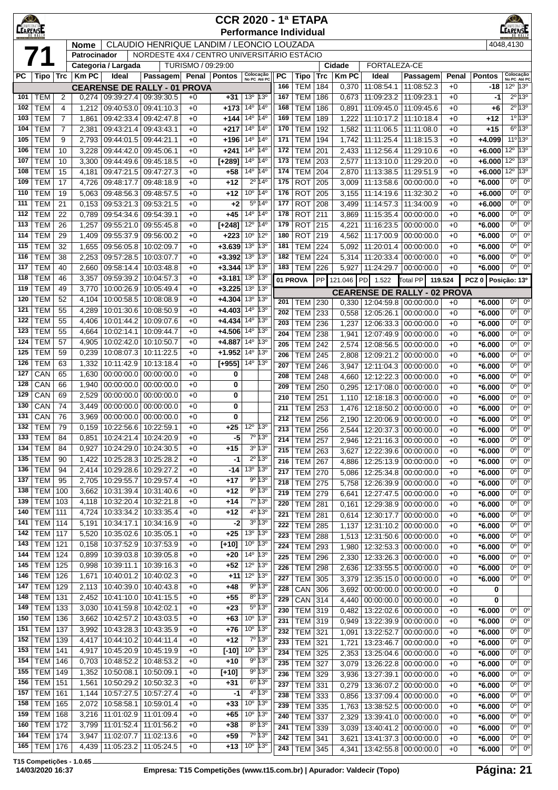| <u>KO)</u><br><b>CEARENS!</b> |                                  |                |                |                          |                                             |                    | <b>CCR 2020 - 1ª ETAPA</b>    |                                                 |                                            |            |                          |            |                |                          |                                                        |              |                      | <b>EXAMPEONATOR</b>                                               |
|-------------------------------|----------------------------------|----------------|----------------|--------------------------|---------------------------------------------|--------------------|-------------------------------|-------------------------------------------------|--------------------------------------------|------------|--------------------------|------------|----------------|--------------------------|--------------------------------------------------------|--------------|----------------------|-------------------------------------------------------------------|
|                               |                                  |                | Nome           |                          | CLAUDIO HENRIQUE LANDIM / LEONCIO LOUZADA   |                    | <b>Performance Individual</b> |                                                 |                                            |            |                          |            |                |                          |                                                        |              |                      | 4048,4130                                                         |
|                               |                                  |                | Patrocinador   |                          | NORDESTE 4X4 / CENTRO UNIVERSITÁRIO ESTÁCIO |                    |                               |                                                 |                                            |            |                          |            |                |                          |                                                        |              |                      |                                                                   |
|                               |                                  |                |                | Categoria / Largada      |                                             | TURISMO / 09:29:00 |                               |                                                 |                                            |            |                          |            | Cidade         | FORTALEZA-CE             |                                                        |              |                      |                                                                   |
| РC                            | Tipo   Trc                       |                | <b>Km PC</b>   | Ideal                    | <b>Passagem</b>                             |                    | Penal   Pontos                | Colocação<br>No PC Até PC                       |                                            | РC<br>166  | Tipo                     | Trc        | <b>Km PC</b>   | Ideal                    | Passagem                                               | Penal        | <b>Pontos</b>        | Colocação<br>No PC Até PC<br>$12^{\circ}$ 13 $^{\circ}$           |
| 101                           | <b>TEM</b>                       | 2              | 0,274          | 09:39:27.4 09:39:30.5    | <b>CEARENSE DE RALLY - 01 PROVA</b>         | $+0$               | $+31$                         | 13 <sup>o</sup>                                 | 13 <sup>o</sup>                            | 167        | <b>TEM</b><br><b>TEM</b> | 184<br>186 | 0,370<br>0,673 | 11:08:54.1<br>11:09:23.2 | 11:08:52.3<br>11:09:23.1                               | $+0$<br>$+0$ | -18<br>$-1$          | $2^{\circ}$ 13°                                                   |
| 102                           | <b>TEM</b>                       | 4              | 1,212          | 09:40:53.0               | 09:41:10.3                                  | $+0$               | $+173$                        | 14 <sup>°</sup>                                 | 14 <sup>°</sup>                            | 168        | <b>TEM</b>               | 186        | 0,891          | 11:09:45.0               | 11:09:45.6                                             | $+0$         | +6                   | $2^{\circ}$ 13°                                                   |
| 103                           | <b>TEM</b>                       | $\overline{7}$ | 1,861          | 09:42:33.4               | 09:42:47.8                                  | $+0$               | $+144$                        | $14^{\circ}$                                    | 14 <sup>°</sup>                            | 169        | <b>TEM</b>               | 189        | 1,222          | 11:10:17.2               | 11:10:18.4                                             | $+0$         | +12                  | $1^{\circ}$ 13°                                                   |
| 104                           | <b>TEM</b>                       | 7              | 2,381          | 09:43:21.4               | 09:43:43.1                                  | $+0$               | $+217$                        | $14^{\circ}$                                    | $14^{\circ}$                               | 170        | <b>TEM</b>               | 192        | 1,582          | 11:11:06.5               | 11:11:08.0                                             | $+0$         | +15                  | $6^{\circ}$ 13°                                                   |
| 105                           | <b>TEM</b>                       | 9              | 2,793          | 09:44:01.5               | 09:44:21.1                                  | $+0$               | $+196$                        | $14^{\circ}$                                    | 14°                                        | 171        | <b>TEM</b>               | 194        | 1,742          | 11:11:25.4               | 11:18:15.3                                             | $+0$         | $+4.099$             | $11^{\circ}$ 13°                                                  |
| 106<br>107                    | <b>TEM</b><br><b>TEM</b>         | 10<br>10       | 3,228<br>3,300 | 09:44:42.0<br>09:44:49.6 | 09:45:06.1<br>09:45:18.5                    | $+0$<br>$+0$       | +241<br>$[+289]$              | 14 <sup>°</sup><br>14 <sup>0</sup>              | 14°<br>14°                                 | 172<br>173 | <b>TEM</b><br><b>TEM</b> | 201<br>203 | 2,433<br>2,577 | 11:12:56.4<br>11:13:10.0 | 11:29:10.6<br>11:29:20.0                               | $+0$<br>$+0$ | $+6.000$<br>$+6.000$ | $12^{\circ}$ 13°<br>13°<br>$12^{\circ}$                           |
| 108                           | <b>TEM</b>                       | 15             | 4,181          | 09:47:21.5               | 09:47:27.3                                  | $+0$               | +58                           | 14 <sup>0</sup> 14 <sup>0</sup>                 |                                            | 174        | <b>TEM</b>               | 204        | 2,870          | 11:13:38.5               | 11:29:51.9                                             | $+0$         | $+6.000$             | $12^{\circ}$ 13 $^{\circ}$                                        |
| 109                           | <b>TEM</b>                       | 17             | 4,726          | 09:48:17.7               | 09:48:18.9                                  | $+0$               | $+12$                         |                                                 | $2^{\circ}$ 14 $^{\circ}$                  | 175        | <b>ROT</b>               | 205        | 3,009          | 11:13:58.6               | 00:00:00.0                                             | $+0$         | $*6.000$             | 0 <sup>o</sup><br>$0^{\circ}$                                     |
| 110                           | <b>TEM</b>                       | 19             | 5,063          | 09:48:56.3               | 09:48:57.5                                  | $+0$               | $+12$                         | 10º                                             | 14 <sup>°</sup>                            | 176        | <b>ROT</b>               | 205        | 3,155          | 11:14:19.6               | 11:32:30.2                                             | $+0$         | $+6.000$             | $0^{\circ}$<br>$0^{\circ}$                                        |
| 111                           | <b>TEM</b>                       | 21             | 0,153          | 09:53:21.3               | 09:53:21.5                                  | $+0$               | $+2$                          |                                                 | 5º 14º                                     | 177        | <b>ROT</b>               | 208        | 3,499          | 11:14:57.3               | 11:34:00.9                                             | $+0$         | $+6.000$             | $0^{\circ}$<br>$0^{\circ}$                                        |
| 112<br>113                    | <b>TEM</b><br><b>TEM</b>         | 22<br>26       | 0,789<br>1,257 | 09:54:34.6<br>09:55:21.0 | 09:54:39.1<br>09:55:45.8                    | $+0$<br>$+0$       | $+45$<br>$[+248]$             | $14^{\circ}$<br>12º                             | $14^{\circ}$<br>14 <sup>°</sup>            | 178<br>179 | <b>ROT</b><br><b>ROT</b> | 211<br>215 | 3,869<br>4,221 | 11:15:35.4<br>11:16:23.5 | 00:00:00.0<br>00:00:00.0                               | $+0$<br>$+0$ | $*6.000$<br>$*6.000$ | $0^{\circ}$<br>$0^{\circ}$<br>$0^{\circ}$<br>$0^{\circ}$          |
| 114                           | <b>TEM</b>                       | 29             | 1,409          | 09:55:37.9               | 09:56:00.2                                  | $+0$               | $+223$                        | 10 <sup>o</sup>                                 | $12^{\circ}$                               | 180        | <b>ROT</b>               | 219        | 4,562          | 11:17:00.9               | 00:00:00.0                                             | $+0$         | $*6.000$             | $0^{\circ}$<br>$0^{\circ}$                                        |
| 115                           | <b>TEM</b>                       | 32             | 1,655          | 09:56:05.8               | 10:02:09.7                                  | $+0$               | $+3.639$                      | 13 <sup>0</sup>                                 | 13°                                        | 181        | <b>TEM</b>               | 224        | 5,092          | 11:20:01.4               | 00:00:00.0                                             | $+0$         | $*6.000$             | $0^{\circ}$<br>$0^{\circ}$                                        |
| 116                           | <b>TEM</b>                       | 38             | 2,253          | 09:57:28.5               | 10:03:07.7                                  | $+0$               | $+3.392$                      | 13 <sup>0</sup>                                 | $13^{\circ}$                               | 182        | <b>TEM</b>               | 224        | 5,314          | 11:20:33.4               | 00:00:00.0                                             | $+0$         | $*6.000$             | $0^{\circ}$<br>$0^{\circ}$                                        |
| 117                           | <b>TEM</b>                       | 40             | 2,660          | 09:58:14.4               | 10:03:48.8                                  | $+0$               | $+3.344$                      | 13 <sup>o</sup>                                 | 13°                                        | 183        | <b>TEM</b>               | 226        | 5,927          | 11:24:29.7               | 00:00:00.0                                             | $+0$         | $*6.000$             | $0^{\circ}$<br>$0^{\circ}$                                        |
| 118                           | <b>TEM</b>                       | 46             | 3,357          | 09:59:39.2               | 10:04:57.3                                  | $+0$               | $+3.181$                      | 13 <sup>0</sup>                                 | $13^{\circ}$                               |            | 01 PROVA                 | PP         | 121.046 PD     | 1.522                    | Total PP                                               | 119.524      | PCZ 0 Posição: 13º   |                                                                   |
| 119<br>120                    | <b>TEM</b><br><b>TEM</b>         | 49<br>52       | 3,770<br>4,104 | 10:00:26.9<br>10:00:58.5 | 10:05:49.4<br>10:08:08.9                    | $+0$<br>$+0$       | $+3.225$<br>$+4.304$          | 13 <sup>o</sup><br>13 <sup>o</sup>              | 13 <sup>o</sup><br>13 <sup>o</sup>         |            |                          |            |                |                          | <b>CEARENSE DE RALLY - 02 PROVA</b>                    |              |                      |                                                                   |
| 121                           | <b>TEM</b>                       | 55             | 4,289          | 10:01:30.6               | 10:08:50.9                                  | $+0$               | $+4.403$                      | $14^{\circ}$                                    | $13^{\circ}$                               | 201<br>202 | <b>TEM</b><br><b>TEM</b> | 230<br>233 | 0,330<br>0,558 | 12:05:26.1               | 12:04:59.8 00:00:00.0<br>00:00:00.0                    | $+0$<br>$+0$ | $*6.000$<br>$*6.000$ | 0 <sup>o</sup><br>$0^{\circ}$<br>$0^{\circ}$<br>$0^{\circ}$       |
| 122                           | <b>TEM</b>                       | 55             | 4,406          | 10:01:44.2               | 10:09:07.6                                  | $+0$               | $+4.434$                      | 14°                                             | 13 <sup>o</sup>                            | 203        | <b>TEM</b>               | 236        | 1,237          | 12:06:33.3               | 00:00:00.0                                             | $+0$         | $*6.000$             | $0^{\circ}$<br>$0^{\circ}$                                        |
| 123                           | <b>TEM</b>                       | 55             | 4,664          | 10:02:14.1               | 10:09:44.7                                  | $+0$               | $+4.506$                      | $14^{0}$                                        | $13^{\circ}$                               | 204        | <b>TEM</b>               | 238        | 1,941          | 12:07:49.9               | 00:00:00.0                                             | $+0$         | $*6.000$             | 0°<br>$0^{\circ}$                                                 |
| 124                           | <b>TEM</b>                       | 57             | 4,905          | 10:02:42.0               | 10:10:50.7                                  | $+0$               | $+4.887$                      | 14 <sup>°</sup>                                 | $13^{\circ}$                               | 205        | <b>TEM</b>               | 242        | 2,574          | 12:08:56.5               | 00:00:00.0                                             | $+0$         | $*6.000$             | $0^{\circ}$<br>$0^{\circ}$                                        |
| 125                           | <b>TEM</b>                       | 59             | 0,239          | 10:08:07.3               | 10:11:22.5                                  | $+0$               | $+1.952$                      | $14^{o}$                                        | $13^{\circ}$                               | 206        | <b>TEM</b>               | 245        | 2,808          | 12:09:21.2               | 00:00:00.0                                             | $+0$         | $*6.000$             | $0^{\circ}$<br>$0^{\circ}$                                        |
| 126<br>127                    | <b>TEM</b><br>CAN                | 63<br>65       | 1,332<br>1,630 | 10:11:42.9<br>00:00:00.0 | 10:13:18.4<br>00:00:00.0                    | $+0$<br>$+0$       | $[+955]$<br>0                 | 14 <sup>°</sup>                                 | 13°                                        | 207        | <b>TEM</b>               | 246        | 3,947          | 12:11:04.3               | 00:00:00.0                                             | $+0$         | $*6.000$             | $0^{\circ}$<br>$0^{\circ}$                                        |
| 128                           | CAN                              | 66             | 1,940          | 00:00:00.0               | 00:00:00.0                                  | $+0$               | 0                             |                                                 |                                            | 208<br>209 | <b>TEM</b><br><b>TEM</b> | 248<br>250 | 4,660<br>0,295 | 12:12:22.3<br>12:17:08.0 | 00:00:00.0<br>00:00:00.0                               | $+0$<br>$+0$ | $*6.000$<br>$*6.000$ | 0 <sup>o</sup><br>$0^{\circ}$<br>0 <sup>o</sup><br>0 <sup>o</sup> |
| 129                           | CAN                              | 69             | 2,529          | 00:00:00.0               | 00:00:00.0                                  | $+0$               | 0                             |                                                 |                                            | 210        | <b>TEM</b>               | 251        | 1,110          | 12:18:18.3               | 00:00:00.0                                             | $+0$         | $*6.000$             | $0^{\circ}$<br>$0^{\circ}$                                        |
| 130                           | CAN                              | 74             | 3,449          | 00:00:00.0               | 00:00:00.0                                  | $+0$               | 0                             |                                                 |                                            | 211        | <b>TEM</b>               | 253        | 1,476          | 12:18:50.2               | 00:00:00.0                                             | $+0$         | $*6.000$             | $0^{\circ}$<br>$0^{\circ}$                                        |
| 131                           | CAN                              | 76             | 3,969          | 00:00:00.0               | 00:00:00.0                                  | $+0$               | 0                             |                                                 |                                            | 212        | <b>TEM</b>               | 256        | 2,190          | 12:20:06.9               | 00:00:00.0                                             | $+0$         | $*6.000$             | $0^{\circ}$<br>0 <sup>o</sup>                                     |
| 132<br>$\overline{133}$       | <b>TEM</b><br><b>TEM</b>         | 79<br>84       | 0,159          | 10:22:56.6               | 10:22:59.1<br>0,851 10:24:21.4 10:24:20.9   | $+0$<br>$+0$       | +25<br>$-5$                   | $12^{\circ}$<br>$\frac{1}{70}$ 13 <sup>o</sup>  | 13°                                        | 213        | <b>TEM</b>               | 256        | 2,544          | 12:20:37.3               | 00:00:00.0                                             | $+0$         | $*6.000$             | 0°<br>$0^{\circ}$                                                 |
| 134                           | <b>TEM</b>                       | 84             | 0,927          | 10:24:29.0               | 10:24:30.5                                  | $+0$               | +15                           |                                                 | $3^0$ 13 <sup>0</sup>                      | 214<br>215 | <b>TEM   257</b>         |            |                |                          | 2,946   12:21:16.3   00:00:00.0                        | $+0$         | $*6.000$             | $\overline{0^{\circ}}$<br>0° <br>0°<br>$0^{\circ}$                |
| 135                           | <b>TEM</b>                       | 90             | 1,422          | 10:25:28.3               | 10:25:28.2                                  | $+0$               | -1                            |                                                 | 2º 13º                                     | 216        | <b>TEM</b><br><b>TEM</b> | 263<br>267 | 3,627<br>4,886 |                          | 12:22:39.6 00:00:00.0<br>12:25:13.9 00:00:00.0         | $+0$<br>$+0$ | $*6.000$<br>$*6.000$ | $0^{\circ}$<br>0°                                                 |
| 136                           | <b>TEM</b>                       | 94             | 2,414          | 10:29:28.6               | 10:29:27.2                                  | $+0$               | $-14$                         | $13^{\circ}$ $13^{\circ}$                       |                                            | 217        | <b>TEM</b>               | 270        | 5,086          | 12:25:34.8               | 00:00:00.0                                             | $+0$         | $*6.000$             | 0 <sup>o</sup><br>$0^{\circ}$                                     |
| 137                           | <b>TEM</b>                       | 95             | 2,705          | 10:29:55.7               | 10:29:57.4                                  | $+0$               | $+17$                         |                                                 | 9º 13º                                     | 218        | <b>TEM</b>               | 275        | 5,758          | 12:26:39.9               | 00:00:00.0                                             | $+0$         | $*6.000$             | $0^{\circ}$<br>$0^{\circ}$                                        |
| 138                           | <b>TEM</b>                       | 100            | 3,662          | 10:31:39.4               | 10:31:40.6                                  | $+0$               | $+12$                         |                                                 | 9º 13º                                     | 219        | <b>TEM</b>               | 279        | 6,641          |                          | 12:27:47.5 00:00:00.0                                  | $+0$         | $*6.000$             | $0^{\circ}$<br>$0^{\circ}$                                        |
| 139<br>140                    | <b>TEM 103</b><br><b>TEM 111</b> |                | 4,118<br>4,724 | 10:32:20.4<br>10:33:34.2 | 10:32:21.8<br>10:33:35.4                    | $+0$<br>$+0$       | $+14$<br>$+12$                |                                                 | 7º 13º<br>4º 13º                           | 220        | <b>TEM</b>               | 281        | 0,161          |                          | 12:29:38.9 00:00:00.0                                  | $+0$         | $*6.000$             | $0^{\circ}$<br>$0^{\circ}$                                        |
| 141                           | <b>TEM 114</b>                   |                | 5,191          | 10:34:17.1               | 10:34:16.9                                  | $+0$               | $-2$                          |                                                 | 3º 13º                                     | 221<br>222 | <b>TEM</b><br><b>TEM</b> | 281<br>285 | 0,614          |                          | 12:30:17.7 00:00:00.0<br>00:00:00.0                    | $+0$         | $*6.000$<br>$*6.000$ | 0 <sup>o</sup><br>$0^{\circ}$<br>0 <sup>o</sup><br>$0^{\circ}$    |
| 142                           | <b>TEM</b> 117                   |                | 5,520          | 10:35:02.6               | 10:35:05.1                                  | $+0$               | $+25$                         | 13 <sup>0</sup> 13 <sup>0</sup>                 |                                            | 223        | <b>TEM</b>               | 288        | 1,137<br>1,513 | 12:31:10.2<br>12:31:50.6 | 00:00:00.0                                             | $+0$<br>$+0$ | $*6.000$             | $0^{\circ}$<br>$0^{\circ}$                                        |
| 143                           | $TEM$ 121                        |                | 0,158          | 10:37:52.9               | 10:37:53.9                                  | $+0$               | $[+10]$                       | 10 <sup>o</sup>                                 | $13^{\circ}$                               | 224        | <b>TEM</b>               | 293        | 1,980          | 12:32:53.3               | 00:00:00.0                                             | $+0$         | $*6.000$             | $0^{\circ}$<br>$0^{\circ}$                                        |
| 144                           | <b>TEM 124</b>                   |                | 0,899          | 10:39:03.8               | 10:39:05.8                                  | $+0$               | $+20$                         | $14^{\circ}$                                    | $13^{\circ}$                               | 225        | <b>TEM</b>               | 296        | 2,330          |                          | 12:33:26.3 00:00:00.0                                  | $+0$         | $*6.000$             | 0 <sup>o</sup><br>0 <sup>o</sup>                                  |
| 145<br>146                    | <b>TEM 125</b><br><b>TEM</b> 126 |                | 0,998<br>1,671 | 10:39:11.1               | 10:39:16.3<br>10:40:02.3                    | $+0$<br>$+0$       | $+52$<br>$+11$                | $12^{\circ}$<br>12 <sup>0</sup> 13 <sup>0</sup> | 13 <sup>o</sup>                            | 226        | <b>TEM</b>               | 298        | 2,636          | 12:33:55.5               | 00:00:00.0                                             | $+0$         | $*6.000$             | $0^{\circ}$<br>$0^{\circ}$                                        |
| 147                           | TEM                              | 129            | 2,113          | 10:40:01.2<br>10:40:39.0 | 10:40:43.8                                  | $+0$               | $+48$                         |                                                 | 9º 13º                                     | 227        | <b>TEM</b>               | 305        | 3,379          |                          | 12:35:15.0 00:00:00.0                                  | $+0$         | $*6.000$             | $0^{\circ}$<br>$0^{\circ}$                                        |
| 148                           | <b>TEM 131</b>                   |                | 2,452          | 10:41:10.0               | 10:41:15.5                                  | $+0$               | $+55$                         |                                                 | 8º 13º                                     | 228<br>229 | CAN<br>CAN               | 306<br>314 | 3,692<br>4,440 |                          | $00:00:00.0$ 00:00:00.0<br>$00:00:00.0$   $00:00:00.0$ | $+0$<br>$+0$ | 0<br>0               |                                                                   |
| 149                           | TEM   133                        |                | 3,030          | 10:41:59.8               | 10:42:02.1                                  | $+0$               | $+23$                         |                                                 | 5º 13º                                     | 230        | <b>TEM</b>               | 319        | 0,482          |                          | 13:22:02.6 00:00:00.0                                  | $+0$         | $*6.000$             | $0^{\circ}$<br>$0^{\circ}$                                        |
| 150                           | <b>TEM 136</b>                   |                | 3,662          | 10:42:57.2               | 10:43:03.5                                  | $+0$               | $+63$                         | 10 <sup>°</sup> 13 <sup>°</sup>                 |                                            | 231        | <b>TEM</b>               | 319        | 0,949          | 13:22:39.9               | 00:00:00.0                                             | $+0$         | $*6.000$             | $0^{\circ}$<br>$0^{\circ}$                                        |
| 151                           | <b>TEM 137</b>                   |                | 3,992          | 10:43:28.3               | 10:43:35.9                                  | $+0$               | $+76$                         | 10 <sup>°</sup> 13 <sup>°</sup>                 |                                            | 232        | <b>TEM</b>               | 321        | 1,091          | 13:22:52.7               | 00:00:00.0                                             | $+0$         | $*6.000$             | 0 <sup>0</sup><br>0 <sup>o</sup>                                  |
| 152                           | TEM   139                        |                | 4,417          | 10:44:10.2               | 10:44:11.4                                  | $+0$               | $+12$                         | 7º 13º                                          |                                            | 233        | <b>TEM</b>               | 321        | 1,721          | 13:23:46.7               | 00:00:00.0                                             | $+0$         | $*6.000$             | $0^{\circ}$<br>0 <sup>o</sup>                                     |
| 153<br>154                    | <b>TEM 141</b><br><b>TEM 146</b> |                | 4,917<br>0,703 | 10:45:20.9<br>10:48:52.2 | 10:45:19.9<br>10:48:53.2                    | $+0$<br>$+0$       | $[-10]$<br>+10                | 10 <sup>°</sup> 13 <sup>°</sup>                 | $9°\sqrt{13°}$                             | 234        | <b>TEM</b>               | 325        | 2,353          |                          | 13:25:04.6 00:00:00.0                                  | $+0$         | $*6.000$             | $0^{\circ}$<br>$0^{\circ}$                                        |
| 155                           | $TEM$ 149                        |                | 1,352          | 10:50:08.1               | 10:50:09.1                                  | $+0$               | $[+10]$                       |                                                 | 9º 13º                                     | 235<br>236 | <b>TEM</b><br><b>TEM</b> | 327<br>329 | 3,079<br>3,936 | 13:26:22.8<br>13:27:39.1 | 00:00:00.0<br>00:00:00.0                               | $+0$<br>$+0$ | $*6.000$<br>$*6.000$ | 0°<br>$0^{\circ}$<br>0 <sup>o</sup><br>$0^{\circ}$                |
| 156                           | $TEM$ 151                        |                | 1,561          | 10:50:29.2               | 10:50:32.3                                  | $+0$               | $+31$                         |                                                 | $\frac{1}{6}$ <sup>0</sup> 13 <sup>0</sup> | 237        | <b>TEM</b>               | 331        | 0,279          |                          | 13:36:07.2 00:00:00.0                                  | $+0$         | $*6.000$             | 0 <sup>0</sup><br>0 <sup>o</sup>                                  |
| 157                           | <b>TEM   161</b>                 |                | 1,144          | 10:57:27.5               | 10:57:27.4                                  | $+0$               | -1                            |                                                 | 4º 13º                                     | 238        | <b>TEM</b>               | 333        | 0,856          |                          | 13:37:09.4 00:00:00.0                                  | $+0$         | $*6.000$             | $0^{\circ}$<br>$0^{\circ}$                                        |
| 158                           | <b>TEM 165</b>                   |                | 2,072          | 10:58:58.1               | 10:59:01.4                                  | $+0$               | +33                           | $10^{\circ}$ 13°                                |                                            | 239        | <b>TEM</b>               | 335        | 1,763          |                          | 13:38:52.5 00:00:00.0                                  | $+0$         | $*6.000$             | $0^{\circ}$<br>$0^{\circ}$                                        |
| 159<br>160                    | <b>TEM 168</b><br><b>TEM 172</b> |                | 3,216<br>3,799 | 11:01:02.9<br>11:01:52.4 | 11:01:09.4<br>11:01:56.2                    | $+0$               | +65<br>$+38$                  | 10 <sup>°</sup> 13 <sup>°</sup>                 | 8º 13º                                     | 240        | <b>TEM</b>               | 337        | 2,329          | 13:39:41.0               | 00:00:00.0                                             | $+0$         | $*6.000$             | 0°<br>$0^{\circ}$                                                 |
| 164                           | <b>TEM 174</b>                   |                | 3,947          | 11:02:07.7               | 11:02:13.6                                  | $+0$<br>$+0$       | $+59$                         |                                                 | 7º 13º                                     | 241        | <b>TEM</b>               | 339        | 3,039          | 13:40:41.2               | 00:00:00.0                                             | $+0$         | $*6.000$             | 0 <sup>0</sup><br>0 <sup>o</sup><br>$0^{\circ}$<br>$0^{\circ}$    |
| 165                           | <b>TEM 176</b>                   |                | 4,439          | 11:05:23.2               | 11:05:24.5                                  | $+0$               | $+13$                         | 10 <sup>°</sup> 13 <sup>°</sup>                 |                                            | 242<br>243 | <b>TEM</b><br><b>TEM</b> | 341<br>345 | 3,621<br>4,341 |                          | 13:41:37.3 00:00:00.0<br>13:42:55.8 00:00:00.0         | $+0$<br>$+0$ | $*6.000$<br>$*6.000$ | 0 <sup>o</sup><br>$0^{\circ}$                                     |
|                               |                                  |                |                |                          |                                             |                    |                               |                                                 |                                            |            |                          |            |                |                          |                                                        |              |                      |                                                                   |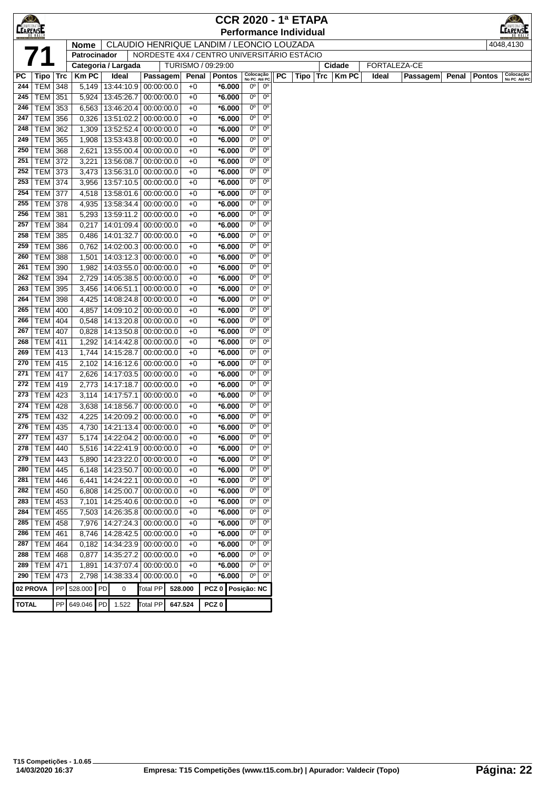| $\bigcirc$      |                              |            |                |                                    |                                             |                    |                     |                      |                            |                            |    | <b>CCR 2020 - 1ª ETAPA</b>    |     |        |       |              |       |               |                           |
|-----------------|------------------------------|------------|----------------|------------------------------------|---------------------------------------------|--------------------|---------------------|----------------------|----------------------------|----------------------------|----|-------------------------------|-----|--------|-------|--------------|-------|---------------|---------------------------|
| <b>CEARENSE</b> |                              |            |                |                                    |                                             |                    |                     |                      |                            |                            |    | <b>Performance Individual</b> |     |        |       |              |       |               | <b>RENSI</b>              |
|                 |                              |            | <b>Nome</b>    |                                    | CLAUDIO HENRIQUE LANDIM / LEONCIO LOUZADA   |                    |                     |                      |                            |                            |    |                               |     |        |       |              |       |               | 4048,4130                 |
|                 |                              |            | Patrocinador   |                                    | NORDESTE 4X4 / CENTRO UNIVERSITÁRIO ESTÁCIO |                    |                     |                      |                            |                            |    |                               |     |        |       |              |       |               |                           |
|                 |                              |            |                | Categoria / Largada                |                                             | TURISMO / 09:29:00 |                     |                      |                            |                            |    |                               |     | Cidade |       | FORTALEZA-CE |       |               |                           |
| РC              | Tipo                         | <b>Trc</b> | <b>Km PC</b>   | Ideal                              | Passagem                                    | Penal              | <b>Pontos</b>       |                      | Colocação<br>No PC Até PC  |                            | PC | Tipo                          | Trc | Km PC  | Ideal | Passagem     | Penal | <b>Pontos</b> | Colocação<br>No PC Até PC |
| 244             | TEM                          | 348        | 5,149          |                                    | 13:44:10.9 00:00:00.0                       | $+0$               |                     | *6.000               | $0^{\circ}$                | $0^{\rm o}$                |    |                               |     |        |       |              |       |               |                           |
| 245             | TEM                          | 351        | 5,924          | 13:45:26.7                         | 00:00:00.0                                  | $+0$               |                     | $*6.000$             | 0°                         | $0^{\circ}$                |    |                               |     |        |       |              |       |               |                           |
| 246             | TEM                          | 353        | 6,563          | 13:46:20.4                         | 00:00:00.0                                  | $+0$               |                     | *6.000               | $0^{\circ}$                | $0^{\circ}$                |    |                               |     |        |       |              |       |               |                           |
| 247             | <b>TEM</b>                   | 356        | 0,326          | 13:51:02.2                         | 00:00:00.0                                  | $+0$               |                     | *6.000               | 0°                         | $0^{\circ}$                |    |                               |     |        |       |              |       |               |                           |
| 248             | <b>TEM</b>                   | 362        | 1,309          | 13:52:52.4                         | 00:00:00.0                                  | $+0$               |                     | $*6.000$             | 0°                         | $0^{\circ}$                |    |                               |     |        |       |              |       |               |                           |
| 249             | <b>TEM</b>                   | 365        | 1,908          | 13:53:43.8                         | 00:00:00.0                                  | $+0$               |                     | *6.000               | $0^{\circ}$                | $0^{\circ}$                |    |                               |     |        |       |              |       |               |                           |
| 250             | <b>TEM</b>                   | 368        | 2,621          | 13:55:00.4                         | 00:00:00.0                                  | $+0$               |                     | *6.000               | 0°                         | $0^{\circ}$                |    |                               |     |        |       |              |       |               |                           |
| 251             | <b>TEM</b>                   | 372        | 3,221          | 13:56:08.7                         | 00:00:00.0                                  | $+0$               |                     | *6.000               | 0°                         | $0^{\circ}$                |    |                               |     |        |       |              |       |               |                           |
| 252             | <b>TEM</b>                   | 373        | 3,473          | 13:56:31.0                         | 00:00:00.0                                  | +0                 |                     | *6.000               | $0^{\circ}$                | $0^{\circ}$                |    |                               |     |        |       |              |       |               |                           |
| 253             | TEM                          | 374        | 3,956          | 13:57:10.5                         | 00:00:00.0                                  | $+0$               |                     | $*6.000$             | $0^{\circ}$                | $0^{\circ}$                |    |                               |     |        |       |              |       |               |                           |
| 254             | TEM                          | 377        | 4,518          | 13:58:01.6                         | 00:00:00.0                                  | $+0$               |                     | *6.000               | 0°                         | $0^{\circ}$                |    |                               |     |        |       |              |       |               |                           |
| 255             | TEM                          | 378        | 4,935          | 13:58:34.4                         | 00:00:00.0                                  | $+0$               |                     | $*6.000$             | $0^{\circ}$                | $0^{\circ}$                |    |                               |     |        |       |              |       |               |                           |
| 256             | TEM                          | 381        | 5,293          | 13:59:11.2                         | 00:00:00.0                                  | $+0$               |                     | *6.000               | $0^{\circ}$                | $0^{\circ}$                |    |                               |     |        |       |              |       |               |                           |
| 257             | TEM                          | 384        | 0,217          | 14:01:09.4                         | 00:00:00.0                                  | $+0$               |                     | $*6.000$             | $0^{\circ}$                | $0^{\circ}$                |    |                               |     |        |       |              |       |               |                           |
| 258             | <b>TEM</b>                   | 385        | 0,486          | 14:01:32.7                         | 00:00:00.0                                  | $+0$               |                     | *6.000               | $0^{\circ}$                | $0^{\circ}$                |    |                               |     |        |       |              |       |               |                           |
| 259             | <b>TEM</b>                   | 386        | 0,762          | 14:02:00.3                         | 00:00:00.0                                  | $+0$               |                     | *6.000               | $0^{\circ}$                | $0^{\circ}$                |    |                               |     |        |       |              |       |               |                           |
| 260             | <b>TEM</b>                   | 388        | 1,501          | 14:03:12.3                         | 00:00:00.0                                  | $+0$               |                     | *6.000               | $0^{\circ}$                | $0^{\circ}$                |    |                               |     |        |       |              |       |               |                           |
| 261             | TEM                          | 390        | 1,982          | 14:03:55.0                         | 00:00:00.0                                  | $+0$               |                     | *6.000               | $0^{\circ}$                | $0^{\circ}$                |    |                               |     |        |       |              |       |               |                           |
| 262             | TEM                          | 394        | 2,729          | 14:05:38.5                         | 00:00:00.0                                  | $+0$               |                     | $*6.000$             | 0°                         | $0^{\circ}$                |    |                               |     |        |       |              |       |               |                           |
| 263             | TEM                          | 395        | 3,456          | 14:06:51.1                         | 00:00:00.0                                  | $+0$               |                     | $*6.000$             | 0°                         | $0^{\circ}$                |    |                               |     |        |       |              |       |               |                           |
| 264             | <b>TEM</b>                   | 398        | 4,425          | 14:08:24.8                         | 00:00:00.0                                  | $+0$               |                     | *6.000               | $0^{\circ}$                | $0^{\circ}$                |    |                               |     |        |       |              |       |               |                           |
| 265             | <b>TEM</b>                   | 400        | 4,857          | 14:09:10.2                         | 00:00:00.0                                  | $+0$               |                     | $*6.000$             | $0^{\circ}$                | $0^{\circ}$                |    |                               |     |        |       |              |       |               |                           |
| 266             | <b>TEM</b>                   | 404        | 0,548          | 14:13:20.8                         | 00:00:00.0                                  | $+0$               |                     | $*6.000$             | $0^{\circ}$                | $0^{\circ}$                |    |                               |     |        |       |              |       |               |                           |
| 267             | <b>TEM</b>                   | 407        | 0,828          | 14:13:50.8                         | 00:00:00.0                                  | $+0$               |                     | $*6.000$             | 0°                         | $0^{\circ}$                |    |                               |     |        |       |              |       |               |                           |
| 268             | <b>TEM</b>                   | 411        | 1,292          | 14:14:42.8                         | 00:00:00.0                                  | $+0$               |                     | $*6.000$             | 0°                         | $0^{\circ}$                |    |                               |     |        |       |              |       |               |                           |
| 269             | <b>TEM</b>                   | 413        | 1,744          | 14:15:28.7                         | 00:00:00.0                                  | $+0$               |                     | *6.000               | 0°                         | $0^{\circ}$                |    |                               |     |        |       |              |       |               |                           |
| 270             | <b>TEM</b>                   | 415        | 2,102          | 14:16:12.6                         | 00:00:00.0                                  | +0                 |                     | $*6.000$             | $0^{\circ}$                | $0^{\circ}$                |    |                               |     |        |       |              |       |               |                           |
| 271             | <b>TEM</b>                   | 417        | 2,626          | 14:17:03.5                         | 00:00:00.0                                  | $+0$               |                     | $*6.000$             | 0°                         | $0^{\circ}$                |    |                               |     |        |       |              |       |               |                           |
| 272             | TEM                          | 419        | 2,773          | 14:17:18.7                         | 00:00:00.0                                  | $+0$               |                     | $*6.000$             | $0^{\circ}$                | $0^{\circ}$                |    |                               |     |        |       |              |       |               |                           |
| 273             | TEM                          | 423        | 3,114          | 14:17:57.1                         | 00:00:00.0                                  | $+0$               |                     | $*6.000$             | $0^{\circ}$                | $0^{\circ}$                |    |                               |     |        |       |              |       |               |                           |
| 274             | TEM                          | 428        | 3,638          | 14:18:56.7                         | 00:00:00.0                                  | $+0$               |                     | $*6.000$             | 0°                         | $0^{\circ}$                |    |                               |     |        |       |              |       |               |                           |
| 275             | <b>TEM</b>                   | 432        | 4,225          | 14:20:09.2                         | 00:00:00.0                                  | $+0$               |                     | $*6.000$             | $0^{\circ}$<br>$0^{\circ}$ | $0^{\circ}$<br>$0^{\circ}$ |    |                               |     |        |       |              |       |               |                           |
| 276<br>277      | TEM   435                    |            | 4,730          | 14:21:13.4                         | 00:00:00.0<br>00:00:00.0                    | $+0$               |                     | $*6.000$<br>$*6.000$ | 0 <sup>o</sup>             | $0^{\circ}$                |    |                               |     |        |       |              |       |               |                           |
| 278             | <b>TEM 437</b><br><b>TEM</b> |            |                | 5,174   14:22:04.2  <br>14:22:41.9 |                                             | $+0$               |                     | $*6.000$             | $0^{\circ}$                | $0^{\circ}$                |    |                               |     |        |       |              |       |               |                           |
| 279             | TEM                          | 440        | 5,516          |                                    | 00:00:00.0<br>00:00:00.0                    | +0                 |                     | $*6.000$             | $0^{\circ}$                | $0^{\circ}$                |    |                               |     |        |       |              |       |               |                           |
| 280             | TEM                          | 443<br>445 | 5,890<br>6,148 | 14:23:22.0<br>14:23:50.7           | 00:00:00.0                                  | +0<br>$+0$         |                     | $*6.000$             | $0^{\circ}$                | $0^{\circ}$                |    |                               |     |        |       |              |       |               |                           |
| 281             | TEM                          | 446        | 6,441          | 14:24:22.1                         | 00:00:00.0                                  | $+0$               |                     | $*6.000$             | $0^{\circ}$                | $0^{\circ}$                |    |                               |     |        |       |              |       |               |                           |
| 282             | TEM                          | 450        | 6,808          | 14:25:00.7                         | 00:00:00.0                                  | $+0$               |                     | $*6.000$             | $0^{\circ}$                | $0^{\circ}$                |    |                               |     |        |       |              |       |               |                           |
| 283             | TEM                          | 453        | 7,101          | 14:25:40.6                         | 00:00:00.0                                  | $+0$               |                     | *6.000               | $0^{\circ}$                | $0^{\circ}$                |    |                               |     |        |       |              |       |               |                           |
| 284             | <b>TEM</b>                   | 455        | 7,503          | 14:26:35.8                         | 00:00:00.0                                  | $+0$               |                     | $*6.000$             | $0^{\rm o}$                | $0^{\circ}$                |    |                               |     |        |       |              |       |               |                           |
| 285             | TEM                          | 458        | 7,976          | 14:27:24.3                         | 00:00:00.0                                  | $+0$               |                     | $*6.000$             | $0^{\circ}$                | $0^{\circ}$                |    |                               |     |        |       |              |       |               |                           |
| 286             | TEM                          | 461        | 8,746          | 14:28:42.5                         | 00:00:00.0                                  | $+0$               |                     | *6.000               | $0^{\circ}$                | $0^{\circ}$                |    |                               |     |        |       |              |       |               |                           |
| 287             | <b>TEM</b>                   | 464        | 0,182          | 14:34:23.9                         | 00:00:00.0                                  | +0                 |                     | $*6.000$             | $0^{\circ}$                | $0^{\circ}$                |    |                               |     |        |       |              |       |               |                           |
| 288             | <b>TEM</b>                   | 468        | 0,877          | 14:35:27.2                         | 00:00:00.0                                  | +0                 |                     | *6.000               | $0^{\rm o}$                | $0^{\circ}$                |    |                               |     |        |       |              |       |               |                           |
| 289             | TEM                          | 471        | 1,891          | 14:37:07.4                         | 00:00:00.0                                  | $+0$               |                     | $*6.000$             | $0^{\circ}$                | $0^{\circ}$                |    |                               |     |        |       |              |       |               |                           |
| 290             | TEM                          | 473        | 2,798          | 14:38:33.4                         | 00:00:00.0                                  | $+0$               |                     | $*6.000$             | $0^{\circ}$                | $0^{\circ}$                |    |                               |     |        |       |              |       |               |                           |
|                 | 02 PROVA                     | PP         | 528.000 PD     | 0                                  | Total PP                                    | 528.000            | PCZ 0   Posição: NC |                      |                            |                            |    |                               |     |        |       |              |       |               |                           |
|                 |                              |            |                |                                    |                                             |                    |                     |                      |                            |                            |    |                               |     |        |       |              |       |               |                           |
| <b>TOTAL</b>    |                              | PP         | 649.046        | PD<br>1.522                        | <b>Total PP</b>                             | 647.524            | PCZ <sub>0</sub>    |                      |                            |                            |    |                               |     |        |       |              |       |               |                           |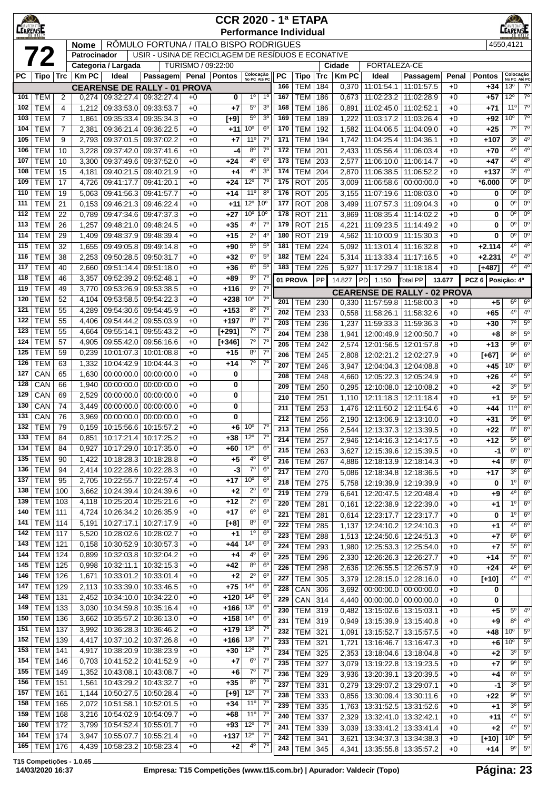| <b>CEARENSE</b> |                                    |                     |                |                          |                                                    |                    | <b>CCR 2020 - 1ª ETAPA</b> |                               |                                  |                  | <b>Performance Individual</b> |            |                |                                       |                          |              |               | $_{\odot}$<br><b>ARENSE</b>       |                            |
|-----------------|------------------------------------|---------------------|----------------|--------------------------|----------------------------------------------------|--------------------|----------------------------|-------------------------------|----------------------------------|------------------|-------------------------------|------------|----------------|---------------------------------------|--------------------------|--------------|---------------|-----------------------------------|----------------------------|
|                 |                                    |                     | Nome           |                          | RÔMULO FORTUNA / ITALO BISPO RODRIGUES             |                    |                            |                               |                                  |                  |                               |            |                |                                       |                          |              |               | 4550,4121                         |                            |
|                 | 72                                 |                     | Patrocinador   |                          | USIR - USINA DE RECICLAGEM DE RESÍDUOS E ECONATIVE |                    |                            |                               |                                  |                  |                               |            |                |                                       |                          |              |               |                                   |                            |
|                 |                                    |                     |                | Categoria / Largada      |                                                    | TURISMO / 09:22:00 |                            |                               |                                  |                  |                               |            | Cidade         | <b>FORTALEZA-CE</b>                   |                          |              |               |                                   |                            |
| РC              | Tipo   Trc                         |                     | <b>KmPC</b>    | Ideal                    | Passagem Penal Pontos                              |                    |                            | Colocação<br>No PC Até PC     |                                  | PC               | Tipo                          | Trc        | <b>KmPC</b>    | Ideal                                 | Passagem                 | Penal        | <b>Pontos</b> |                                   | Colocação<br>No PC Até PC  |
|                 |                                    |                     |                |                          | <b>CEARENSE DE RALLY - 01 PROVA</b>                |                    |                            |                               |                                  | 166              | <b>TEM</b>                    | 184        | 0,370          | 11:01:54.1                            | 11:01:57.5               | $+0$         | +34           | 13 <sup>o</sup>                   | $7^\circ$                  |
| 101<br>102      | <b>TEM</b><br><b>TEM</b>           | 2                   | 0,274          |                          | $09:32:27.4$ 09:32:27.4                            | $+0$               | 0                          | 1 <sup>0</sup><br>$5^{\rm o}$ | 1 <sup>0</sup><br>3 <sup>o</sup> | 167<br>168       | <b>TEM</b><br><b>TEM</b>      | 186<br>186 | 0,673          | 11:02:23.2<br>11:02:45.0              | 11:02:28.9<br>11:02:52.1 | $+0$<br>$+0$ | +57           | $12^{\circ}$<br>11°               | $7^\circ$<br>$7^\circ$     |
| 103             | <b>TEM</b>                         | 4<br>$\overline{7}$ | 1,212<br>1,861 | 09:33:53.0<br>09:35:33.4 | 09:33:53.7<br>09:35:34.3                           | $+0$<br>$+0$       | $+7$<br>$[+9]$             | $5^{\circ}$                   | 3 <sup>o</sup>                   | 169              | <b>TEM</b>                    | 189        | 0,891<br>1,222 | 11:03:17.2                            | 11:03:26.4               | $+0$         | $+71$<br>+92  | 10 <sup>o</sup>                   | $7^{\circ}$                |
| 104             | <b>TEM</b>                         | $\overline{7}$      | 2,381          | 09:36:21.4               | 09:36:22.5                                         | $+0$               | $+11$                      | $10^{\circ}$                  | 6 <sup>o</sup>                   | 170              | <b>TEM</b>                    | 192        | 1,582          | 11:04:06.5                            | 11:04:09.0               | $+0$         | $+25$         | $7^\circ$                         | $7^{\circ}$                |
| 105             | <b>TEM</b>                         | 9                   | 2,793          | 09:37:01.5               | 09:37:02.2                                         | $+0$               | $+7$                       | $11^{\circ}$                  | $7^\circ$                        | 171              | <b>TEM</b>                    | 194        | 1,742          | 11:04:25.4                            | 11:04:36.1               | $+0$         | $+107$        | 3 <sup>o</sup>                    | 4 <sup>0</sup>             |
| 106             | <b>TEM</b>                         | 10                  | 3,228          | 09:37:42.0               | 09:37:41.6                                         | $+0$               | -4                         | 8 <sup>o</sup>                | $7^\circ$                        | 172              | <b>TEM</b>                    | 201        | 2,433          | 11:05:56.4                            | 11:06:03.4               | $+0$         | +70           | 40                                | 4 <sup>0</sup>             |
| 107             | <b>TEM</b>                         | 10                  | 3,300          | 09:37:49.6               | 09:37:52.0                                         | $+0$               | $+24$                      | 4°                            | $6^{\circ}$                      | 173              | <b>TEM</b>                    | 203        | 2,577          | 11:06:10.0                            | 11:06:14.7               | $+0$         | +47           | $4^{\circ}$                       | $4^{\circ}$                |
| 108             | <b>TEM</b>                         | 15                  | 4,181          | 09:40:21.5               | 09:40:21.9                                         | $+0$               | +4                         | $4^{\circ}$                   | 3 <sup>o</sup>                   | 174              | <b>TEM</b>                    | 204        | 2,870          | 11:06:38.5                            | 11:06:52.2               | $+0$         | $+137$        | 3 <sup>0</sup>                    | $4^{\circ}$                |
| 109             | <b>TEM</b>                         | 17                  | 4,726          | 09:41:17.7               | 09:41:20.1                                         | $+0$               | +24                        | $12^{\circ}$                  | $7^{\circ}$                      | 175              | <b>ROT</b>                    | 205        | 3,009          | 11:06:58.6                            | 00:00:00.0               | $+0$         | $*6.000$      | $0^{\circ}$                       | $0^{\circ}$                |
| 110             | <b>TEM</b>                         | 19                  | 5,063          | 09:41:56.3               | 09:41:57.7                                         | $+0$               | $+14$                      | $11^{\circ}$                  | $8^{\circ}$                      | 176              | <b>ROT</b>                    | 205        | 3,155          | 11:07:19.6                            | 11:08:03.0               | $+0$         | 0             | $0^{\circ}$                       | $0^{\circ}$                |
| 111             | <b>TEM</b>                         | 21                  | 0,153          | 09:46:21.3               | 09:46:22.4                                         | $+0$               | $+11$                      | 12°                           | 10°                              | 177              | <b>ROT</b>                    | 208        | 3,499          | 11:07:57.3                            | 11:09:04.3               | $+0$         | 0             | 0°                                | 0°                         |
| 112             | <b>TEM</b>                         | 22                  | 0,789          | 09:47:34.6               | 09:47:37.3                                         | $+0$               | $+27$                      | 10 <sup>o</sup>               | 10°<br>$7^{\circ}$               | 178<br>179       | <b>ROT</b>                    | 211        | 3,869          | 11:08:35.4                            | 11:14:02.2               | $+0$         | 0             | 0°<br>0 <sup>o</sup>              | 0°<br>$0^{\circ}$          |
| 113<br>114      | <b>TEM</b><br><b>TEM</b>           | 26<br>29            | 1,257<br>1,409 | 09:48:21.0<br>09:48:37.9 | 09:48:24.5<br>09:48:39.4                           | $+0$<br>$+0$       | $+35$<br>$+15$             | $4^{\circ}$<br>$2^{\circ}$    | 4 <sup>0</sup>                   | 180              | <b>ROT</b><br><b>ROT</b>      | 215<br>219 | 4,221<br>4,562 | 11:09:23.5<br>11:10:00.9              | 11:14:49.2<br>11:15:30.3 | $+0$<br>$+0$ | 0<br>0        | $0^{\circ}$                       | 0°                         |
| 115             | <b>TEM</b>                         | 32                  | 1,655          | 09:49:05.8               | 09:49:14.8                                         | $+0$               | +90                        | $5^{\rm o}$                   | $5^{\circ}$                      | 181              | <b>TEM</b>                    | 224        | 5,092          | 11:13:01.4                            | 11:16:32.8               | $+0$         | $+2.114$      | $4^{\circ}$                       | $4^{\circ}$                |
| 116             | <b>TEM</b>                         | 38                  | 2,253          | 09:50:28.5               | 09:50:31.7                                         | $+0$               | $+32$                      | $6^{\circ}$                   | $5^{\circ}$                      | 182              | <b>TEM</b>                    | 224        | 5,314          | 11:13:33.4                            | 11:17:16.5               | $+0$         | $+2.231$      | $4^{\circ}$                       | $4^{\circ}$                |
| 117             | <b>TEM</b>                         | 40                  | 2,660          | 09:51:14.4               | 09:51:18.0                                         | $+0$               | +36                        | $6^{\circ}$                   | $5^{\circ}$                      | 183              | <b>TEM</b>                    | 226        | 5,927          | 11:17:29.7                            | 11:18:18.4               | $+0$         | $[+487]$      | 4 <sup>0</sup>                    | $4^{\circ}$                |
| 118             | <b>TEM</b>                         | 46                  | 3,357          | 09:52:39.2               | 09:52:48.1                                         | $+0$               | $+89$                      | $9^{\circ}$                   | $7^\circ$                        |                  | 01 PROVA                      | PP         | 14.827         | PD<br>1.150                           | Total PP                 | 13.677       | PCZ 6         | Posição: 4º                       |                            |
| 119             | <b>TEM</b>                         | 49                  | 3,770          | 09:53:26.9               | 09:53:38.5                                         | $+0$               | $+116$                     | $9^{\circ}$                   | $7^\circ$                        |                  |                               |            |                | <b>CEARENSE DE RALLY - 02 PROVA</b>   |                          |              |               |                                   |                            |
| 120             | <b>TEM</b>                         | 52                  | 4,104          | 09:53:58.5               | 09:54:22.3                                         | $+0$               | +238                       | 10°                           | $7^\circ$                        | 201              | <b>TEM</b>                    | 230        | 0,330          | 11:57:59.8                            | 11:58:00.3               | $+0$         | $+5$          | $6^{\circ}$                       | $6^{\circ}$                |
| 121             | <b>TEM</b>                         | 55                  | 4,289          | 09:54:30.6               | 09:54:45.9                                         | $+0$               | $+153$                     | $8^{\circ}$                   | $7^{\circ}$                      | 202              | <b>TEM</b>                    | 233        | 0,558          | 11:58:26.1                            | 11:58:32.6               | $+0$         | +65           | $4^{\circ}$                       | $4^{\circ}$                |
| 122             | <b>TEM</b>                         | 55                  | 4,406          | 09:54:44.2               | 09:55:03.9                                         | $+0$               | $+197$                     | $8^{\circ}$                   | $7^\circ$                        | 203              | <b>TEM</b>                    | 236        | 1,237          | 11:59:33.3                            | 11:59:36.3               | $+0$         | +30           | $7^\circ$                         | $5^{\circ}$                |
| 123             | <b>TEM</b>                         | 55                  | 4,664          | 09:55:14.1               | 09:55:43.2                                         | $+0$               | $[t+291]$                  | $7^\circ$                     | $7^\circ$                        | 204              | <b>TEM</b>                    | 238        | 1,941          | 12:00:49.9                            | 12:00:50.7               | $+0$         | +8            | $8^{\circ}$                       | 5 <sup>o</sup>             |
| 124             | <b>TEM</b>                         | 57                  | 4,905          | 09:55:42.0               | 09:56:16.6                                         | $+0$               | $[+346]$                   | $7^\circ$                     | $7^\circ$                        | 205              | <b>TEM</b>                    | 242        | 2,574          | 12:01:56.5                            | 12:01:57.8               | $+0$         | +13           | $9^{\circ}$                       | $6^{\circ}$                |
| 125             | <b>TEM</b>                         | 59                  | 0,239          | 10:01:07.3               | 10:01:08.8                                         | $+0$               | $+15$                      | $8^{\circ}$                   | $7^\circ$<br>$7^\circ$           | 206              | <b>TEM</b>                    | 245        | 2,808          | 12:02:21.2                            | 12:02:27.9               | $+0$         | $[+67]$       | $9^{\circ}$                       | $6^{\circ}$                |
| 126<br>127      | <b>TEM</b><br>CAN                  | 63<br>65            | 1,332<br>1,630 | 10:04:42.9<br>00:00:00.0 | 10:04:44.3<br>00:00:00.0                           | $+0$<br>$+0$       | $+14$<br>0                 | 70                            |                                  | 207              | <b>TEM</b>                    | 246        | 3,947          | 12:04:04.3                            | 12:04:08.8               | $+0$         | $+45$         | $10^{\circ}$                      | 6 <sup>o</sup>             |
| 128             | CAN                                | 66                  | 1,940          | 00:00:00.0               | 00:00:00.0                                         | $+0$               | 0                          |                               |                                  | 208              | <b>TEM</b>                    | 248        | 4,660          | 12:05:22.3                            | 12:05:24.9               | $+0$         | $+26$         | $4^{\circ}$                       | $5^{\circ}$                |
| 129             | CAN                                | 69                  | 2,529          | 00:00:00.0               | 00:00:00.0                                         | $+0$               | 0                          |                               |                                  | 209<br>210       | <b>TEM</b><br><b>TEM</b>      | 250<br>251 | 0,295          | 12:10:08.0                            | 12:10:08.2               | $+0$         | +2            | 3 <sup>0</sup><br>$5^{\circ}$     | $5^{\circ}$<br>$5^{\circ}$ |
| 130             | CAN                                | 74                  | 3,449          | 00:00:00.0               | 00:00:00.0                                         | $+0$               | 0                          |                               |                                  | 211              | <b>TEM</b>                    | 253        | 1,110<br>1,476 | 12:11:18.3<br>12:11:50.2              | 12:11:18.4<br>12:11:54.6 | $+0$<br>$+0$ | $+1$<br>+44   | 11°                               | $6^{\circ}$                |
| 131             | CAN                                | 76                  | 3,969          | 00:00:00.0               | 00:00:00.0                                         | $+0$               | 0                          |                               |                                  | 212              | <b>TEM</b>                    | 256        | 2,190          | 12:13:06.9                            | 12:13:10.0               | $+0$         | +31           | $9^{\circ}$                       | $6^{\circ}$                |
| 132             | <b>TEM</b>                         | 79                  | 0,159          | 10:15:56.6               | 10:15:57.2                                         | $+0$               | +6                         | 10 <sup>o</sup>               | $7^{\circ}$                      | 213              | <b>TEM 256</b>                |            | 2.544          | 12:13:37.3 12:13:39.5                 |                          | $+0$         | $+22$         | $8^{\circ}$                       | $6^{\circ}$                |
|                 | 133   TEM                          | 84                  | 0,851          |                          | 10:17:21.4   10:17:25.2                            | $+0$               | +38                        | $12^{\circ}$                  | $7^\circ$                        | 214              | <b>TEM 257</b>                |            | 2,946          | 12:14:16.3 12:14:17.5                 |                          | $+0$         | +12           | $5^{\circ}$                       | $6^{\circ}$                |
| 134             | <b>TEM</b>                         | 84                  | 0,927          | 10:17:29.0               | 10:17:35.0                                         | $+0$               | +60                        | $12^{\circ}$                  | $6^{\circ}$                      | 215              | <b>TEM 263</b>                |            | 3,627          | 12:15:39.6   12:15:39.5               |                          | $+0$         | -1            | $6^{\circ}$                       | 6 <sup>o</sup>             |
| 135             | <b>TEM</b>                         | 90                  | 1,422          | 10:18:28.3               | 10:18:28.8                                         | $+0$               | $+5$                       | 4°                            | $6^{\circ}$                      | 216              | <b>TEM</b>                    | 267        | 4,886          | 12:18:13.9                            | 12:18:14.3               | $+0$         | +4            | $8^{\circ}$                       | $6^{\circ}$                |
| 136             | <b>TEM</b>                         | 94                  | 2,414          | 10:22:28.6               | 10:22:28.3                                         | $+0$               | $-3$                       | $7^\circ$                     | 6 <sup>o</sup>                   | 217              | <b>TEM</b>                    | 270        | 5,086          | 12:18:34.8                            | 12:18:36.5               | $+0$         | $+17$         | $3^{\circ}$                       | 6 <sup>o</sup>             |
| 137             | <b>TEM</b>                         | 95                  | 2,705          | 10:22:55.7               | 10:22:57.4                                         | $+0$               | +17                        | 10 <sup>o</sup>               | 6 <sup>o</sup><br>6 <sup>o</sup> | 218              | <b>TEM</b>                    | 275        | 5,758          | 12:19:39.9                            | 12:19:39.9               | $+0$         | 0             | $1^{\circ}$                       | $6^{\circ}$                |
| 138<br>139      | <b>TEM 100</b><br><b>TEM 103</b>   |                     | 3,662<br>4,118 | 10:24:39.4<br>10:25:20.4 | 10:24:39.6<br>10:25:21.6                           | $+0$<br>$+0$       | $+2$<br>$+12$              | $2^{\circ}$<br>$2^{\circ}$    | 6 <sup>o</sup>                   | 219              | <b>TEM</b>                    | 279        | 6,641          | 12:20:47.5                            | 12:20:48.4               | $+0$         | +9            | $4^{\circ}$                       | $6^{\circ}$                |
| 140             | <b>TEM 111</b>                     |                     | 4,724          | 10:26:34.2               | 10:26:35.9                                         | $+0$               | $+17$                      | $6^{\circ}$                   | $6^{\circ}$                      | 220              | <b>TEM</b>                    | 281        | 0,161          | 12:22:38.9                            | 12:22:39.0               | $+0$         | +1            | $1^{\circ}$                       | $6^{\circ}$                |
| 141             | <b>TEM 114</b>                     |                     | 5,191          | 10:27:17.1               | 10:27:17.9                                         | $+0$               | $[+8]$                     | $8^{\circ}$                   | $6^{\circ}$                      | 221<br>222       | <b>TEM</b><br><b>TEM</b>      | 281<br>285 | 0,614<br>1,137 | 12:23:17.7<br>12:24:10.2              | 12:23:17.7<br>12:24:10.3 | $+0$<br>$+0$ | 0             | $1^{\circ}$<br>$4^{\circ}$        | $6^{\circ}$<br>$6^{\circ}$ |
| 142             | <b>TEM</b> 117                     |                     | 5,520          | 10:28:02.6               | 10:28:02.7                                         | $+0$               | $+1$                       | 1 <sup>0</sup>                | 6 <sup>o</sup>                   | 223              | <b>TEM</b>                    | 288        | 1,513          | 12:24:50.6   12:24:51.3               |                          | $+0$         | +1<br>$+7$    | $6^{\circ}$                       | $6^{\circ}$                |
| 143             | <b>TEM 121</b>                     |                     | 0,158          | 10:30:52.9               | 10:30:57.3                                         | $+0$               | +44                        | 14°                           | $6^{\circ}$                      | 224              | <b>TEM</b>                    | 293        | 1,980          | 12:25:53.3 12:25:54.0                 |                          | $+0$         | $+7$          | $5^{\circ}$                       | $6^{\circ}$                |
| 144             | <b>TEM 124</b>                     |                     | 0,899          | 10:32:03.8               | 10:32:04.2                                         | $+0$               | $+4$                       | 4°                            | $6^{\circ}$                      | 225              | <b>TEM</b>                    | 296        | 2,330          | 12:26:26.3                            | 12:26:27.7               | $+0$         | +14           | $5^\circ$                         | 6 <sup>o</sup>             |
| 145             | <b>TEM 125</b>                     |                     | 0,998          | 10:32:11.1               | 10:32:15.3                                         | $+0$               | $+42$                      | 8 <sup>o</sup>                | 6 <sup>o</sup>                   | 226              | <b>TEM</b>                    | 298        | 2,636          | 12:26:55.5                            | 12:26:57.9               | $+0$         | +24           | 4 <sup>0</sup>                    | $6^{\circ}$                |
| 146             | <b>TEM 126</b>                     |                     | 1,671          | 10:33:01.2               | 10:33:01.4                                         | $+0$               | $+2$                       | $2^{\circ}$                   | 6 <sup>o</sup>                   | $\overline{227}$ | <b>TEM</b>                    | 305        | 3,379          | 12:28:15.0                            | 12:28:16.0               | $+0$         | $[+10]$       | $4^{\circ}$                       | $4^{\circ}$                |
| 147             | <b>TEM 129</b>                     |                     | 2,113          | 10:33:39.0               | 10:33:46.5                                         | $+0$               | $+75$                      | $14^{\circ}$                  | 6 <sup>o</sup>                   | 228              | CAN                           | 306        | 3,692          | $00:00:00.0$ 00:00:00.0               |                          | $+0$         | 0             |                                   |                            |
| 148             | <b>TEM 131</b>                     |                     | 2,452          | 10:34:10.0               | 10:34:22.0                                         | $+0$               | $+120$                     | $14^{\circ}$                  | $6^{\circ}$                      | 229              | CAN                           | 314        | 4,440          | $00:00:00.0$   $00:00:00.0$           |                          | $+0$         | 0             |                                   |                            |
| 149             | <b>TEM</b> 133                     |                     | 3,030          | 10:34:59.8               | 10:35:16.4                                         | $+0$               | $+166$                     | $13^{o}$                      | $6^{\circ}$<br>6 <sup>o</sup>    | 230              | <b>TEM</b>                    | 319        | 0,482          | 13:15:02.6                            | 13:15:03.1               | $+0$         | $+5$          | $5^{\circ}$                       | $4^{\circ}$                |
| 150<br>151      | <b>TEM</b> 136<br><b>TEM</b> 137   |                     | 3,662<br>3,992 | 10:35:57.2<br>10:36:28.3 | 10:36:13.0<br>10:36:46.2                           | $+0$<br>$+0$       | $+158$<br>$+179$           | $14^{\circ}$<br>$13^{o}$      | 7 <sup>o</sup>                   | 231              | <b>TEM</b>                    | 319        | 0,949          | 13:15:39.9                            | 13:15:40.8               | $+0$         | +9            | $8^{\circ}$                       | $4^{\circ}$                |
| 152             | <b>TEM 139</b>                     |                     | 4,417          | 10:37:10.2               | 10:37:26.8                                         | $+0$               | $+166$                     | 13 <sup>0</sup>               | $7^{\circ}$                      | 232              | <b>TEM</b>                    | 321        | 1,091          | 13:15:52.7                            | 13:15:57.5               | $+0$         | +48           | $10^{\circ}$                      | $5^\circ$                  |
| 153             | <b>TEM 141</b>                     |                     | 4,917          | 10:38:20.9               | 10:38:23.9                                         | $+0$               | +30                        | $12^{\circ}$                  | $7^{\circ}$                      | 233<br>234       | <b>TEM 321</b>                |            | 1,721          | 13:16:46.7 13:16:47.3                 |                          | $+0$         | $+6$          | 10 <sup>o</sup><br>3 <sup>o</sup> | $5^{\circ}$<br>$5^{\circ}$ |
| 154             | <b>TEM 146</b>                     |                     | 0,703          | 10:41:52.2               | 10:41:52.9                                         | $+0$               | +7                         | 6 <sup>o</sup>                | $7^\circ$                        | 235              | <b>TEM</b><br><b>TEM</b>      | 325<br>327 | 2,353<br>3,079 | 13:18:04.6   13:18:04.8<br>13:19:22.8 | 13:19:23.5               | $+0$<br>$+0$ | $+2$<br>$+7$  | $9^{\circ}$                       | $5^{\circ}$                |
| 155             | <b>TEM 149</b>                     |                     | 1,352          | 10:43:08.1               | 10:43:08.7                                         | $+0$               | +6                         | $7^{\circ}$                   | 7 <sup>o</sup>                   | 236              | <b>TEM</b>                    | 329        | 3,936          | 13:20:39.1                            | 13:20:39.5               | $+0$         | +4            | $6^{\circ}$                       | $5^{\circ}$                |
| 156             | $TEM$ 151                          |                     | 1,561          | 10:43:29.2               | 10:43:32.7                                         | $+0$               | $+35$                      | $8^{\circ}$                   | 7 <sup>o</sup>                   | 237              | <b>TEM</b>                    | 331        | 0,279          | 13:29:07.2                            | 13:29:07.1               | $+0$         | $-1$          | 3 <sup>o</sup>                    | $5^\circ$                  |
| 157             | <b>TEM 161</b>                     |                     | 1,144          | 10:50:27.5               | 10:50:28.4                                         | $+0$               | $[+9]$                     | $12^{\circ}$                  | $7^\circ$                        | 238              | <b>TEM</b>                    | 333        | 0,856          | 13:30:09.4                            | 13:30:11.6               | $+0$         | $+22$         | $9^{\circ}$                       | $5^{\circ}$                |
| 158             | <b>TEM 165</b>                     |                     | 2,072          | 10:51:58.1               | 10:52:01.5                                         | $+0$               | +34                        | $11^{\circ}$                  | $7^\circ$                        | 239              | <b>TEM</b>                    | 335        | 1,763          | 13:31:52.5                            | 13:31:52.6               | $+0$         | $+1$          | 3 <sup>0</sup>                    | $5^{\circ}$                |
| 159             | <b>TEM 168</b>                     |                     | 3,216          | 10:54:02.9               | 10:54:09.7                                         | $+0$               | $+68$                      | $11^{\circ}$                  | $7^\circ$                        | 240              | <b>TEM</b>                    | 337        | 2,329          | 13:32:41.0                            | 13:32:42.1               | $+0$         | +11           | $4^{\circ}$                       | $5^{\circ}$                |
| 160             | <b>TEM 172</b>                     |                     | 3,799          | 10:54:52.4               | 10:55:01.7                                         | $+0$               | $+93$                      | $12^{\circ}$                  | $7^{\circ}$                      | 241              | TEM 339                       |            | 3,039          | 13:33:41.2   13:33:41.4               |                          | $+0$         | $+2$          | $4^{\circ}$                       | $5^\circ$                  |
| 164             | <b>TEM   174</b><br><b>TEM 176</b> |                     | 3,947          | 10:55:07.7<br>10:58:23.2 | 10:55:21.4<br>10:58:23.4                           | $+0$               | $+137$<br>$+2$             | $12^{\circ}$<br>$4^{\circ}$   | $7^\circ$<br>$7^{\circ}$         | 242              | <b>TEM 341</b>                |            | 3,621          | 13:34:37.3 13:34:38.3                 |                          | $+0$         | $[+10]$       | $10^{\circ}$                      | $5^{\rm o}$                |
| 165             |                                    |                     | 4,439          |                          |                                                    | $+0$               |                            |                               |                                  | 243              | TEM 345                       |            | 4,341          | 13:35:55.8   13:35:57.2               |                          | $+0$         | $+14$         | $9^{\circ}$                       | $5^{\circ}$                |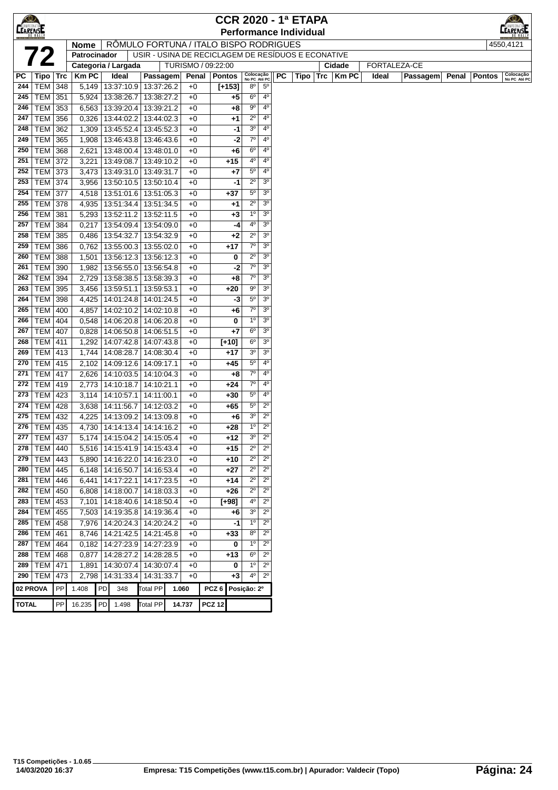| $\bigotimes$    |                   |            |                |    |                                 |                          |                                                    |                  |               |                           |                               |    | <b>CCR 2020 - 1ª ETAPA</b>    |     |             |       |              |       |               |                           |
|-----------------|-------------------|------------|----------------|----|---------------------------------|--------------------------|----------------------------------------------------|------------------|---------------|---------------------------|-------------------------------|----|-------------------------------|-----|-------------|-------|--------------|-------|---------------|---------------------------|
| <b>CEARENSE</b> |                   |            |                |    |                                 |                          |                                                    |                  |               |                           |                               |    | <b>Performance Individual</b> |     |             |       |              |       |               | ARENSI                    |
|                 |                   |            | <b>Nome</b>    |    |                                 |                          | RÔMULO FORTUNA / ITALO BISPO RODRIGUES             |                  |               |                           |                               |    |                               |     |             |       |              |       |               | 4550,4121                 |
|                 | 72                |            | Patrocinador   |    |                                 |                          | USIR - USINA DE RECICLAGEM DE RESÍDUOS E ECONATIVE |                  |               |                           |                               |    |                               |     |             |       |              |       |               |                           |
|                 |                   |            |                |    | Categoria / Largada             |                          | TURISMO / 09:22:00                                 |                  |               |                           |                               |    |                               |     | Cidade      |       | FORTALEZA-CE |       |               |                           |
| РC              | Tipo   Trc        |            | <b>KmPC</b>    |    | <b>Ideal</b>                    | Passagem                 | Penal                                              |                  | Pontos        | Colocação<br>No PC Até PC |                               | PC | Tipo                          | Trc | <b>KmPC</b> | Ideal | Passagem     | Penal | <b>Pontos</b> | Colocação<br>No PC Até PC |
| 244             | TEM               | 348        | 5,149          |    | 13:37:10.9 13:37:26.2           |                          | $+0$                                               |                  | $[+153]$      | $8^{\circ}$               | $5^{\circ}$                   |    |                               |     |             |       |              |       |               |                           |
| 245             | TEM               | 351        | 5,924          |    | 13:38:26.7                      | 13:38:27.2               | $+0$                                               |                  | $+5$          | $6^{\circ}$               | 4 <sup>0</sup>                |    |                               |     |             |       |              |       |               |                           |
| 246             | TEM               | 353        | 6,563          |    | 13:39:20.4                      | 13:39:21.2               | $+0$                                               |                  | +8            | $9^{\circ}$               | $4^{\circ}$                   |    |                               |     |             |       |              |       |               |                           |
| 247             | <b>TEM</b>        | 356        | 0,326          |    | 13:44:02.2                      | 13:44:02.3               | $+0$                                               |                  | $+1$          | $2^{\circ}$               | $4^{\circ}$                   |    |                               |     |             |       |              |       |               |                           |
| 248             | TEM               | 362        | 1,309          |    | 13:45:52.4                      | 13:45:52.3               | $+0$                                               |                  | -1            | 3 <sup>o</sup>            | $4^{\circ}$                   |    |                               |     |             |       |              |       |               |                           |
| 249             | <b>TEM</b>        | 365        | 1,908          |    | 13:46:43.8                      | 13:46:43.6               | $+0$                                               |                  | -2            | $7^\circ$                 | 4 <sup>0</sup>                |    |                               |     |             |       |              |       |               |                           |
| 250             | <b>TEM</b>        | 368        | 2,621          |    | 13:48:00.4                      | 13:48:01.0               | $+0$                                               |                  | +6            | 6 <sup>o</sup>            | 4 <sup>0</sup><br>$4^{\circ}$ |    |                               |     |             |       |              |       |               |                           |
| 251             | <b>TEM</b>        | 372        | 3,221          |    | 13:49:08.7                      | 13:49:10.2               | $+0$                                               |                  | $+15$         | 4º<br>$5^{\circ}$         | 4 <sup>0</sup>                |    |                               |     |             |       |              |       |               |                           |
| 252<br>253      | <b>TEM</b>        | 373        | 3,473          |    | 13:49:31.0                      | 13:49:31.7               | $+0$                                               |                  | $+7$          | $2^{\circ}$               | 3 <sup>o</sup>                |    |                               |     |             |       |              |       |               |                           |
|                 | TEM               | 374        | 3,956          |    | 13:50:10.5   13:50:10.4         |                          | $+0$                                               |                  | -1            | $5^{\circ}$               | 3 <sup>o</sup>                |    |                               |     |             |       |              |       |               |                           |
| 254<br>255      | TEM               | 377        | 4,518          |    | 13:51:01.6<br>13:51:34.4        | 13:51:05.3               | $+0$                                               |                  | $+37$         | $2^{\circ}$               | 3 <sup>o</sup>                |    |                               |     |             |       |              |       |               |                           |
| 256             | TEM<br><b>TEM</b> | 378        | 4,935          |    |                                 | 13:51:34.5<br>13:52:11.5 | $+0$<br>$+0$                                       |                  | $+1$<br>$+3$  | $1^{\circ}$               | 3 <sup>o</sup>                |    |                               |     |             |       |              |       |               |                           |
| 257             | TEM               | 381<br>384 | 5,293<br>0,217 |    | 13:52:11.2<br>13:54:09.4        | 13:54:09.0               | $+0$                                               |                  | -4            | $4^{\circ}$               | 3 <sup>o</sup>                |    |                               |     |             |       |              |       |               |                           |
| 258             | TEM               |            |                |    | 13:54:32.7                      | 13:54:32.9               |                                                    |                  |               | $2^{\circ}$               | 3 <sup>o</sup>                |    |                               |     |             |       |              |       |               |                           |
| 259             | TEM               | 385<br>386 | 0,486<br>0,762 |    | 13:55:00.3                      | 13:55:02.0               | $+0$<br>$+0$                                       |                  | $+2$<br>$+17$ | $7^\circ$                 | 3 <sup>0</sup>                |    |                               |     |             |       |              |       |               |                           |
| 260             | <b>TEM</b>        | 388        | 1,501          |    | 13:56:12.3                      | 13:56:12.3               | $+0$                                               |                  | 0             | $2^{\circ}$               | 3 <sup>o</sup>                |    |                               |     |             |       |              |       |               |                           |
| 261             | TEM               | 390        | 1,982          |    | 13:56:55.0                      | 13:56:54.8               | +0                                                 |                  | -2            | $7^\circ$                 | 3 <sup>o</sup>                |    |                               |     |             |       |              |       |               |                           |
| 262             | <b>TEM</b>        | 394        | 2,729          |    | 13:58:38.5                      | 13:58:39.3               | +0                                                 |                  | $+8$          | $7^\circ$                 | 3 <sup>o</sup>                |    |                               |     |             |       |              |       |               |                           |
| 263             | <b>TEM</b>        | 395        | 3,456          |    | 13:59:51.1                      | 13:59:53.1               | $+0$                                               |                  | +20           | $9^{\circ}$               | 3 <sup>o</sup>                |    |                               |     |             |       |              |       |               |                           |
| 264             | TEM               | 398        | 4,425          |    | 14:01:24.8   14:01:24.5         |                          | $+0$                                               |                  | -3            | $5^{\circ}$               | 3 <sup>o</sup>                |    |                               |     |             |       |              |       |               |                           |
| 265             | <b>TEM</b>        | 400        | 4,857          |    | 14:02:10.2                      | 14:02:10.8               | $+0$                                               |                  | +6            | $7^\circ$                 | 3 <sup>o</sup>                |    |                               |     |             |       |              |       |               |                           |
| 266             | <b>TEM</b>        | 404        | 0,548          |    | 14:06:20.8                      | 14:06:20.8               | $+0$                                               |                  | 0             | $1^{\circ}$               | 3 <sup>o</sup>                |    |                               |     |             |       |              |       |               |                           |
| 267             | TEM               | 407        | 0,828          |    | 14:06:50.8                      | 14:06:51.5               | $+0$                                               |                  | $+7$          | 6 <sup>o</sup>            | 3 <sup>o</sup>                |    |                               |     |             |       |              |       |               |                           |
| 268             | TEM               | 411        | 1,292          |    | 14:07:42.8                      | 14:07:43.8               | $+0$                                               |                  | $[+10]$       | 6 <sup>o</sup>            | 3 <sup>o</sup>                |    |                               |     |             |       |              |       |               |                           |
| 269             | TEM               | 413        | 1,744          |    | 14:08:28.7                      | 14:08:30.4               | $+0$                                               |                  | +17           | 3 <sup>o</sup>            | 3 <sup>o</sup>                |    |                               |     |             |       |              |       |               |                           |
| 270             | <b>TEM</b>        | 415        | 2,102          |    | 14:09:12.6                      | 14:09:17.1               | $+0$                                               |                  | +45           | $5^{\circ}$               | 4 <sup>0</sup>                |    |                               |     |             |       |              |       |               |                           |
| 271             | <b>TEM</b>        | 417        | 2,626          |    | 14:10:03.5                      | 14:10:04.3               | $+0$                                               |                  | +8            | $7^\circ$                 | $4^{\circ}$                   |    |                               |     |             |       |              |       |               |                           |
| 272             | TEM               | 419        | 2,773          |    | 14:10:18.7                      | 14:10:21.1               | $+0$                                               |                  | +24           | 7 <sup>o</sup>            | 4 <sup>0</sup>                |    |                               |     |             |       |              |       |               |                           |
| 273             | <b>TEM 423</b>    |            | 3,114          |    | 14:10:57.1                      | 14:11:00.1               | $+0$                                               |                  | $+30$         | $5^{\circ}$               | $4^{\circ}$                   |    |                               |     |             |       |              |       |               |                           |
| 274             | <b>TEM</b>        | 428        | 3,638          |    | 14:11:56.7                      | 14:12:03.2               | $+0$                                               |                  | $+65$         | $5^{\circ}$               | $2^{\circ}$                   |    |                               |     |             |       |              |       |               |                           |
| 275             | TEM               | 432        | 4,225          |    | 14:13:09.2                      | 14:13:09.8               | $+0$                                               |                  | +6            | 30                        | $2^{\circ}$                   |    |                               |     |             |       |              |       |               |                           |
| 276             | TEM   435         |            | 4,730          |    | 14:14:13.4                      | 14:14:16.2               | $+0$                                               |                  | $+28$         | $1^{\circ}$               | $2^{\circ}$                   |    |                               |     |             |       |              |       |               |                           |
|                 | 277 TEM 437       |            |                |    | 5,174   14:15:04.2   14:15:05.4 |                          | $+0$                                               |                  | +12           | $3o$                      | $2^{\circ}$                   |    |                               |     |             |       |              |       |               |                           |
| 278             | TEM               | 440        |                |    | 5,516 14:15:41.9                | 14:15:43.4               | $+0$                                               |                  | $+15$         | $2^{\circ}$               | $2^{\circ}$                   |    |                               |     |             |       |              |       |               |                           |
| 279             | <b>TEM</b>        | 443        | 5,890          |    | 14:16:22.0                      | 14:16:23.0               | $+0$                                               |                  | +10           | $2^{\circ}$               | $2^{\circ}$                   |    |                               |     |             |       |              |       |               |                           |
| 280             | <b>TEM</b>        | 445        | 6,148          |    | 14:16:50.7                      | 14:16:53.4               | +0                                                 |                  | $+27$         | $2^{\circ}$               | $2^{\circ}$                   |    |                               |     |             |       |              |       |               |                           |
| 281             | $ \text{TEM} $    | 446        | 6,441          |    | 14:17:22.1                      | 14:17:23.5               | $+0$                                               |                  | +14           | $2^{\circ}$               | $2^{\circ}$                   |    |                               |     |             |       |              |       |               |                           |
| 282             | <b>TEM</b>        | 450        | 6,808          |    | 14:18:00.7                      | 14:18:03.3               | $+0$                                               |                  | $+26$         | $2^{\circ}$               | $2^{\circ}$                   |    |                               |     |             |       |              |       |               |                           |
| 283             | TEM               | 453        | 7,101          |    | 14:18:40.6                      | 14:18:50.4               | $+0$                                               |                  | $[+98]$       | 4º                        | $2^{\circ}$                   |    |                               |     |             |       |              |       |               |                           |
| 284             | TEM               | 455        | 7,503          |    | 14:19:35.8   14:19:36.4         |                          | $+0$                                               |                  | +6            | $3^{\rm o}$               | $2^{\circ}$                   |    |                               |     |             |       |              |       |               |                           |
| 285             | TEM               | 458        |                |    | 7,976   14:20:24.3              | 14:20:24.2               | $+0$                                               |                  | -1            | 1 <sup>0</sup>            | $2^{\circ}$                   |    |                               |     |             |       |              |       |               |                           |
| 286             | <b>TEM</b>        | 461        |                |    | 8,746   14:21:42.5              | 14:21:45.8               | $+0$                                               |                  | $+33$         | $8^{\rm o}$               | $2^{\circ}$                   |    |                               |     |             |       |              |       |               |                           |
| 287             | <b>TEM</b>        | 464        |                |    | $0,182$   14:27:23.9            | 14:27:23.9               | $+0$                                               |                  | 0             | $1^{\rm o}$               | $2^{\circ}$                   |    |                               |     |             |       |              |       |               |                           |
| 288             | <b>TEM</b>        | 468        | 0,877          |    | 14:28:27.2                      | 14:28:28.5               | $+0$                                               |                  | +13           | $6^{\circ}$               | $2^{\circ}$                   |    |                               |     |             |       |              |       |               |                           |
| 289             | <b>TEM</b>        | 471        | 1,891          |    | 14:30:07.4                      | 14:30:07.4               | +0                                                 |                  | 0             | $1^{\circ}$               | $2^{\circ}$                   |    |                               |     |             |       |              |       |               |                           |
|                 | 290   TEM         | 473        | 2,798          |    | 14:31:33.4                      | 14:31:33.7               | $+0$                                               |                  | $+3$          | 4 <sup>0</sup>            | $2^{\circ}$                   |    |                               |     |             |       |              |       |               |                           |
| 02 PROVA        |                   | PP         | 1.408          | PD | 348                             | Total PP                 | 1.060                                              | PCZ <sub>6</sub> |               | Posição: 2º               |                               |    |                               |     |             |       |              |       |               |                           |
| <b>TOTAL</b>    |                   | PP         | 16.235         | PD | 1.498                           | <b>Total PP</b>          | 14.737                                             | <b>PCZ 12</b>    |               |                           |                               |    |                               |     |             |       |              |       |               |                           |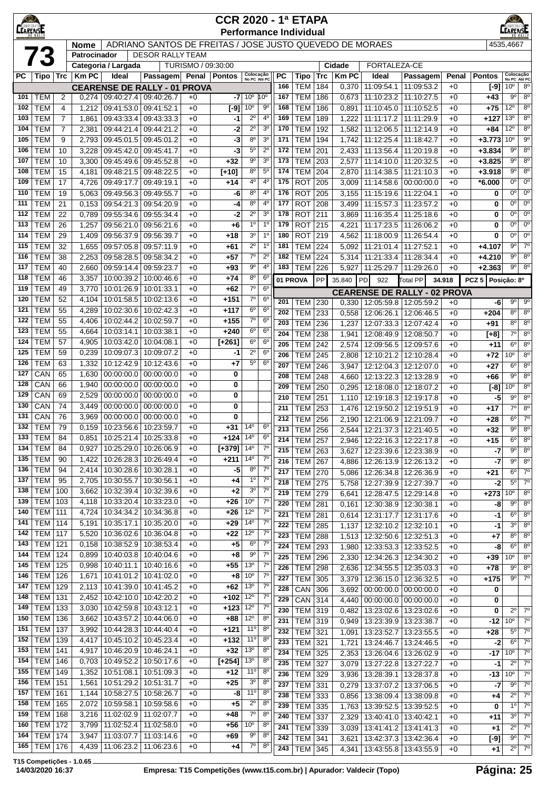| $\bigotimes$<br><b>CCR 2020 - 1ª ETAPA</b><br><b>CEARENSE</b><br><b>EARENSE</b><br><b>Performance Individual</b> |                          |                     |                |                                     |                                     |                    |                |                                    |                                  |                  |                              |            |                |                                                          |                                       |              |                   |                            |                               |
|------------------------------------------------------------------------------------------------------------------|--------------------------|---------------------|----------------|-------------------------------------|-------------------------------------|--------------------|----------------|------------------------------------|----------------------------------|------------------|------------------------------|------------|----------------|----------------------------------------------------------|---------------------------------------|--------------|-------------------|----------------------------|-------------------------------|
| ADRIANO SANTOS DE FREITAS / JOSE JUSTO QUEVEDO DE MORAES<br>4535.4667<br><b>Nome</b>                             |                          |                     |                |                                     |                                     |                    |                |                                    |                                  |                  |                              |            |                |                                                          |                                       |              |                   |                            |                               |
|                                                                                                                  | <b>73</b>                |                     | Patrocinador   | Categoria / Largada                 | <b>DESOR RALLY TEAM</b>             | TURISMO / 09:30:00 |                |                                    |                                  |                  |                              |            | Cidade         | FORTALEZA-CE                                             |                                       |              |                   |                            |                               |
| РC                                                                                                               | Tipo   Trc               |                     | <b>KmPC</b>    | Ideal                               | Passagem                            |                    | Penal   Pontos | Colocação<br>No PC Até PC          |                                  | <b>PC</b>        | Tipo                         | Trc        | <b>Km PC</b>   | Ideal                                                    | Passagem                              | Penal        | <b>Pontos</b>     | Colocação<br>No PC Até PC  |                               |
|                                                                                                                  |                          |                     |                |                                     | <b>CEARENSE DE RALLY - 01 PROVA</b> |                    |                |                                    |                                  | 166              | <b>TEM</b>                   | 184        | 0,370          | 11:09:54.1                                               | 11:09:53.2                            | +0           | $[-9]$            | 10 <sup>o</sup>            | $8^{\circ}$                   |
| 101                                                                                                              | <b>TEM</b>               | 2                   | 0,274          | 09:40:27.4                          | 09:40:26.7                          | $+0$               | -7             | 10 <sup>o</sup>                    | $10^{\circ}$                     | 167              | <b>TEM</b>                   | 186        | 0,673          | 11:10:23.2                                               | 11:10:27.5                            | $+0$         | $+43$             | $9^{\circ}$                | 8 <sup>o</sup>                |
| 102                                                                                                              | <b>TEM</b>               | $\overline{4}$      | 1,212          | 09:41:53.0                          | 09:41:52.1                          | $+0$               | $[-9]$         | 10 <sup>o</sup>                    | 90                               | 168              | <b>TEM</b>                   | 186        | 0,891          | 11:10:45.0                                               | 11:10:52.5                            | $+0$         | $+75$             | 12°                        | $8^{\circ}$                   |
| 103                                                                                                              | <b>TEM</b>               | $\overline{7}$      | 1,861          | 09:43:33.4                          | 09:43:33.3                          | $+0$               | -1             | $2^{\circ}$                        | $4^{\circ}$                      | 169              | <b>TEM</b>                   | 189        | 1,222          | 11:11:17.2                                               | 11:11:29.9                            | +0           | $+127$            | 13 <sup>o</sup>            | $8^{\circ}$                   |
| 104<br>105                                                                                                       | <b>TEM</b><br><b>TEM</b> | $\overline{7}$<br>9 | 2,381<br>2,793 | 09:44:21.4<br>09:45:01.5            | 09:44:21.2<br>09:45:01.2            | $+0$<br>$+0$       | -2<br>-3       | $2^{\circ}$<br>$8^{\circ}$         | 3 <sup>o</sup><br>3 <sup>o</sup> | 170<br>171       | <b>TEM</b><br><b>TEM</b>     | 192<br>194 | 1,582<br>1,742 | 11:12:06.5<br>11:12:25.4                                 | 11:12:14.9<br>11:18:42.7              | +0<br>$+0$   | $+84$<br>$+3.773$ | 12°<br>$10^{\circ}$        | 8 <sup>o</sup><br>$9^{\circ}$ |
| 106                                                                                                              | <b>TEM</b>               | 10                  | 3,228          | 09:45:42.0                          | 09:45:41.7                          | $+0$               | -3             | $5^{\rm o}$                        | $2^{\circ}$                      | 172              | <b>TEM</b>                   | 201        | 2,433          | 11:13:56.4                                               | 11:20:19.8                            | $+0$         | $+3.834$          | $9^{\circ}$                | $8^{\circ}$                   |
| 107                                                                                                              | <b>TEM</b>               | 10                  | 3,300          | 09:45:49.6                          | 09:45:52.8                          | $+0$               | $+32$          | $9^{\circ}$                        | 3 <sup>0</sup>                   | 173              | <b>TEM</b>                   | 203        | 2,577          | 11:14:10.0                                               | 11:20:32.5                            | $+0$         | $+3.825$          | 90                         | 8 <sup>0</sup>                |
| 108                                                                                                              | <b>TEM</b>               | 15                  | 4,181          | 09:48:21.5                          | 09:48:22.5                          | $+0$               | $[+10]$        | $8^{\circ}$                        | $5^{\circ}$                      | 174              | <b>TEM</b>                   | 204        | 2,870          | 11:14:38.5                                               | 11:21:10.3                            | $+0$         | $+3.918$          | $9^{\circ}$                | $8^{\circ}$                   |
| 109                                                                                                              | <b>TEM</b>               | 17                  | 4,726          | 09:49:17.7                          | 09:49:19.1                          | $+0$               | $+14$          | 4 <sup>0</sup>                     | $4^{\circ}$                      | 175              | <b>ROT</b>                   | 205        | 3,009          | 11:14:58.6                                               | 00:00:00.0                            | $+0$         | *6.000            | $0^{\circ}$                | $0^{\circ}$                   |
| 110                                                                                                              | <b>TEM</b>               | 19                  | 5,063          | 09:49:56.3                          | 09:49:55.7                          | $+0$               | -6             | 8 <sup>o</sup>                     | 4 <sup>0</sup>                   | 176              | <b>ROT</b>                   | 205        | 3,155          | 11:15:19.6                                               | 11:22:04.1                            | $+0$         | 0                 | $0^{\circ}$                | $0^{\circ}$                   |
| 111<br>112                                                                                                       | <b>TEM</b><br><b>TEM</b> | 21<br>22            | 0,153<br>0,789 | 09:54:21.3<br>09:55:34.6            | 09:54:20.9<br>09:55:34.4            | $+0$<br>$+0$       | -4<br>-2       | 8 <sup>o</sup><br>$2^{\circ}$      | 4 <sup>0</sup><br>3 <sup>o</sup> | 177<br>178       | <b>ROT</b><br><b>ROT</b>     | 208<br>211 | 3,499<br>3,869 | 11:15:57.3<br>11:16:35.4                                 | 11:23:57.2<br>11:25:18.6              | $+0$<br>$+0$ | 0<br>0            | $0^{\circ}$<br>$0^{\circ}$ | $0^{\circ}$<br>$0^{\circ}$    |
| 113                                                                                                              | <b>TEM</b>               | 26                  | 1,257          | 09:56:21.0                          | 09:56:21.6                          | $+0$               | +6             | 1 <sup>0</sup>                     | 1 <sup>0</sup>                   | 179              | <b>ROT</b>                   | 215        | 4,221          | 11:17:23.5                                               | 11:26:06.2                            | $+0$         | 0                 | $0^{\circ}$                | $0^{\circ}$                   |
| 114                                                                                                              | <b>TEM</b>               | 29                  | 1,409          | 09:56:37.9                          | 09:56:39.7                          | $+0$               | +18            | 3 <sup>o</sup>                     | 1 <sup>0</sup>                   | 180              | <b>ROT</b>                   | 219        | 4,562          | 11:18:00.9                                               | 11:26:54.4                            | +0           | 0                 | $0^{\circ}$                | $0^{\circ}$                   |
| 115                                                                                                              | <b>TEM</b>               | 32                  | 1,655          | 09:57:05.8                          | 09:57:11.9                          | $+0$               | +61            | $2^{\circ}$                        | 1 <sup>0</sup>                   | 181              | <b>TEM</b>                   | 224        | 5,092          | 11:21:01.4 11:27:52.1                                    |                                       | $+0$         | $+4.107$          | $9^{\circ}$                | 7 <sup>o</sup>                |
| 116                                                                                                              | <b>TEM</b>               | 38                  | 2,253          | 09:58:28.5                          | 09:58:34.2                          | $+0$               | $+57$          | $7^\circ$                          | $2^{\circ}$                      | 182              | <b>TEM</b>                   | 224        | 5,314          | 11:21:33.4                                               | 11:28:34.4                            | $+0$         | $+4.210$          | $9^{\circ}$                | 8 <sup>0</sup>                |
| 117                                                                                                              | <b>TEM</b>               | 40                  | 2,660          | 09:59:14.4                          | 09:59:23.7                          | $+0$               | +93            | $9^{\circ}$                        | 4 <sup>0</sup>                   | 183              | <b>TEM</b>                   | 226        | 5,927          | 11:25:29.7                                               | 11:29:26.0                            | $+0$         | $+2.363$          | $9^{\circ}$                | 8 <sup>o</sup>                |
| 118                                                                                                              | <b>TEM</b>               | 46                  | 3,357          | 10:00:39.2                          | 10:00:46.6                          | $+0$               | +74            | $8^{\circ}$<br>$7^\circ$           | 6 <sup>c</sup>                   |                  | 01 PROVA                     | PP         | 35.840         | PD<br>922                                                | Total PP                              | 34.918       | PCZ 5 Posicão: 8º |                            |                               |
| 119<br>120                                                                                                       | <b>TEM</b><br><b>TEM</b> | 49<br>52            | 3,770<br>4,104 | 10:01:26.9<br>10:01:58.5            | 10:01:33.1<br>10:02:13.6            | $+0$<br>$+0$       | +62<br>$+151$  | 7 <sup>o</sup>                     | 6 <sup>o</sup><br>$6^{\circ}$    |                  |                              |            |                | <b>CEARENSE DE RALLY - 02 PROVA</b>                      |                                       |              |                   |                            |                               |
| 121                                                                                                              | <b>TEM</b>               | 55                  | 4,289          | 10:02:30.6                          | 10:02:42.3                          | $+0$               | $+117$         | $6^{\circ}$                        | $6^{\circ}$                      | 201              | TEM                          | 230        | 0,330          |                                                          | 12:05:59.8 12:05:59.2                 | $+0$         | -6                | $9^{\circ}$                | $9^{\circ}$                   |
| 122                                                                                                              | <b>TEM</b>               | 55                  | 4,406          | 10:02:44.2                          | 10:02:59.7                          | $+0$               | $+155$         | $7^\circ$                          | 6 <sup>o</sup>                   | 202<br>203       | <b>TEM</b><br><b>TEM</b>     | 233<br>236 | 0,558<br>1,237 | 12:07:33.3                                               | 12:06:26.1   12:06:46.5<br>12:07:42.4 | $+0$<br>$+0$ | $+204$<br>$+91$   | $8^{\circ}$<br>$8^{\circ}$ | $8^{\circ}$<br>8 <sup>0</sup> |
| 123                                                                                                              | <b>TEM</b>               | 55                  | 4,664          | 10:03:14.1                          | 10:03:38.1                          | $+0$               | $+240$         | $6^{\circ}$                        | $6^{\circ}$                      | 204              | <b>TEM</b>                   | 238        | 1,941          | 12:08:49.9                                               | 12:08:50.7                            | +0           | $[+8]$            | $7^\circ$                  | $8^{\circ}$                   |
| 124                                                                                                              | <b>TEM</b>               | 57                  | 4,905          | 10:03:42.0                          | 10:04:08.1                          | $+0$               | $[+261]$       | 6 <sup>o</sup>                     | $6^{\circ}$                      | 205              | <b>TEM</b>                   | 242        | 2,574          | 12:09:56.5                                               | 12:09:57.6                            | $+0$         | $+11$             | $6^{\circ}$                | 8 <sup>o</sup>                |
| 125                                                                                                              | <b>TEM</b>               | 59                  | 0,239          |                                     | 10:09:07.3   10:09:07.2             | $+0$               | -1             | $2^{\circ}$                        | $6^{\circ}$                      | 206              | <b>TEM</b>                   | 245        | 2,808          | 12:10:21.2                                               | 12:10:28.4                            | $+0$         | $+72$             | 10 <sup>o</sup>            | 8 <sup>o</sup>                |
| 126                                                                                                              | <b>TEM</b>               | 63                  | 1,332          | 10:12:42.9                          | 10:12:43.6                          | $+0$               | $+7$           | $5^{\circ}$                        | $6^{\circ}$                      | 207              | <b>TEM</b>                   | 246        | 3,947          | 12:12:04.3                                               | 12:12:07.0                            | $+0$         | $+27$             | 6 <sup>o</sup>             | $8^{\circ}$                   |
| 127                                                                                                              | CAN                      | 65                  | 1,630          | 00:00:00.0                          | 00:00:00.0                          | $+0$               | 0              |                                    |                                  | 208              | <b>TEM</b>                   | 248        | 4,660          | 12:13:22.3                                               | 12:13:28.9                            | +0           | $+66$             | $9^{\circ}$                | $8^{\circ}$                   |
| 128<br>129                                                                                                       | CAN<br>CAN               | 66                  | 1,940          | 00:00:00.0                          | 00:00:00.0                          | $+0$               | 0              |                                    |                                  | 209              | <b>TEM</b>                   | 250        | 0,295          | 12:18:08.0                                               | 12:18:07.2                            | $+0$         | $[-8]$            | 0 <sup>o</sup>             | 8 <sup>o</sup>                |
| 130                                                                                                              | CAN                      | 69<br>74            | 2,529<br>3,449 | 00:00:00.0<br>00:00:00.0            | 00:00:00.0<br>00:00:00.0            | $+0$<br>$+0$       | 0<br>0         |                                    |                                  | 210              | <b>TEM</b>                   | 251        | 1,110          | 12:19:18.3                                               | 12:19:17.8                            | $+0$         | $-5$              | $9^{\circ}$                | 8 <sup>0</sup>                |
| 131                                                                                                              | CAN                      | 76                  | 3,969          | 00:00:00.0                          | 00:00:00.0                          | $+0$               | 0              |                                    |                                  | 211<br>212       | <b>TEM</b>                   | 253        | 1,476          | 12:19:50.2                                               | 12:19:51.9                            | $+0$         | $+17$             | $7^\circ$<br>$6^{\circ}$   | $8^{\circ}$<br>$7^\circ$      |
| 132                                                                                                              | <b>TEM</b>               | 79                  | 0,159          | $10:23:56.6$ 10:23:59.7             |                                     | $+0$               | +31            | $14^{\circ}$                       | $6^{\circ}$                      | $\overline{213}$ | <b>TEM</b><br><b>TEM</b> 256 | 256        | 2,190          | 12:21:06.9 12:21:09.7<br>2,544 12:21:37.3 12:21:40.5     |                                       | $+0$<br>$+0$ | $+28$<br>$+32$    | 90                         | $8^{\circ}$                   |
| 133                                                                                                              | <b>TEM</b>               | 84                  | 0,851          |                                     | 10:25:21.4   10:25:33.8             | $+0$               | $+124$         | $14^{\circ}$                       | 6 <sup>o</sup>                   | 214              | TEM                          | 257        |                | 2,946   12:22:16.3   12:22:17.8                          |                                       | $+0$         | $+15$             | $6^{\circ}$                | 8 <sup>0</sup>                |
| 134                                                                                                              | <b>TEM</b>               | 84                  | 0,927          |                                     | 10:25:29.0 10:26:06.9               | $+0$               | $[+379]$       | 14 <sup>°</sup>                    | $7^{\circ}$                      | 215              | <b>TEM</b>                   | 263        | 3,627          |                                                          | 12:23:39.6   12:23:38.9               | $+0$         | $-7$              | $9^{\circ}$                | 8 <sup>0</sup>                |
| 135                                                                                                              | <b>TEM</b>               | 90                  | 1,422          | 10:26:28.3 10:26:49.4               |                                     | $+0$               | $+211$         | $14^{\circ}$                       | $7^{\circ}$                      | 216              | <b>TEM</b>                   | 267        | 4,886          | 12:26:13.9                                               | 12:26:13.2                            | $+0$         | -7                | $9^{\circ}$                | $8^{\circ}$                   |
| 136                                                                                                              | <b>TEM</b>               | 94                  | 2,414          | $10:30:28.6$ 10:30:28.1             |                                     | $+0$               | -5             | $8^{\circ}$                        | $7^\circ$                        | 217              | <b>TEM</b>                   | 270        | 5,086          | 12:26:34.8                                               | 12:26:36.9                            | +0           | +21               | $6^{\circ}$                | $7^\circ$                     |
| 137<br>138                                                                                                       | <b>TEM</b><br><b>TEM</b> | 95<br>100           | 2,705<br>3,662 | 10:30:55.7<br>10:32:39.4            | 10:30:56.1<br>10:32:39.6            | $+0$               | $+4$           | 1 <sup>0</sup><br>3 <sup>o</sup>   | 7 <sup>0</sup><br>$7^\circ$      | 218              | <b>TEM</b>                   | 275        | 5,758          |                                                          | 12:27:39.9   12:27:39.7               | +0           | $-2$              | $5^{\circ}$                | $7^{\circ}$                   |
| 139                                                                                                              | TEM                      | 103                 | 4,118          | 10:33:20.4                          | 10:33:23.0                          | $+0$<br>$+0$       | +2<br>$+26$    | 10 <sup>o</sup>                    | $7^{\circ}$                      | 219              | <b>TEM</b>                   | 279        | 6,641          | 12:28:47.5   12:29:14.8                                  |                                       | $+0$         | $+273$            | 10 <sup>o</sup>            | $8^{\circ}$                   |
| 140                                                                                                              | TEM                      | 111                 | 4,724          | 10:34:34.2                          | 10:34:36.8                          | $+0$               | +26            | $12^{\circ}$                       | $7^\circ$                        | 220<br>221       | <b>TEM</b>                   | 281        |                | $0,161$   12:30:38.9   12:30:38.1                        |                                       | $+0$         | -8                | $9^{\circ}$<br>$6^{\circ}$ | $8^{\circ}$<br>$8^{\circ}$    |
| 141                                                                                                              | TEM                      | 114                 | 5,191          | 10:35:17.1                          | 10:35:20.0                          | $+0$               | +29            | $14^{0}$                           | $7^{\circ}$                      | 222              | <b>TEM</b><br><b>TEM</b>     | 281<br>285 | 0,614<br>1,137 | 12:31:17.7   12:31:17.6<br>12:32:10.2   12:32:10.1       |                                       | $+0$<br>$+0$ | -1<br>$-1$        | $3^{\circ}$                | $8^{\circ}$                   |
| 142                                                                                                              | TEM                      | 117                 | 5,520          | 10:36:02.6                          | 10:36:04.8                          | $+0$               | $+22$          | $12^{\circ}$                       | $\overline{7^0}$                 | 223              | <b>TEM</b>                   | 288        | 1,513          | 12:32:50.6   12:32:51.3                                  |                                       | $+0$         | $+7$              | 80                         | $8^{\circ}$                   |
| 143                                                                                                              | TEM                      | 121                 | 0,158          |                                     | 10:38:52.9 10:38:53.4               | $+0$               | $+5$           | 6 <sup>o</sup>                     | 7 <sup>0</sup>                   | 224              | <b>TEM</b>                   | 293        | 1,980          | 12:33:53.3   12:33:52.5                                  |                                       | $+0$         | -8                | 6 <sup>o</sup>             | 8 <sup>0</sup>                |
| 144                                                                                                              | TEM                      | 124                 | 0,899          |                                     | 10:40:03.8   10:40:04.6             | $+0$               | $+8$           | 90                                 | $7^{\circ}$                      | 225              | <b>TEM</b>                   | 296        | 2,330          | 12:34:26.3   12:34:30.2                                  |                                       | $+0$         | $+39$             | 10°                        | $8^{\circ}$                   |
| 145<br>146                                                                                                       | TEM<br><b>TEM</b>        | 125                 | 0,998          | 10:40:11.1                          | 10:40:16.6                          | $+0$               | $+55$          | 13 <sup>o</sup><br>10 <sup>o</sup> | $7^\circ$<br>$7^\circ$           | 226              | <b>TEM</b>                   | 298        | 2,636          | 12:34:55.5                                               | 12:35:03.3                            | $+0$         | +78               | $9^{\circ}$                | $8^{\circ}$                   |
| 147                                                                                                              | TEM                      | 126<br>129          | 1,671<br>2,113 | 10:41:39.0 10:41:45.2               | 10:41:01.2 10:41:02.0               | $+0$<br>$+0$       | $+8$<br>$+62$  | $13^{o}$                           | $7^\circ$                        | 227              | <b>TEM</b>                   | 305        | 3,379          |                                                          | 12:36:15.0   12:36:32.5               | $+0$         | $+175$            | $9^{\circ}$                | $7^{\circ}$                   |
| 148                                                                                                              | TEM                      | 131                 | 2,452          | 10:42:10.0   10:42:20.2             |                                     | $+0$               | $+102$         | $12^{o}$                           | $7^{\circ}$                      | 228<br>229       | CAN<br>CAN                   | 306<br>314 | 3,692          | $00:00:00.0$   00:00:00.0<br>$00:00:00.0$   $00:00:00.0$ |                                       | $+0$<br>$+0$ | 0<br>0            |                            |                               |
| 149                                                                                                              | TEM                      | 133                 | 3,030          | 10:42:59.8                          | 10:43:12.1                          | $+0$               | $+123$         | $12^{\circ}$                       | $7^\circ$                        | 230              | <b>TEM</b>                   | 319        | 4,440<br>0,482 | 13:23:02.6   13:23:02.6                                  |                                       | $+0$         | 0                 | $2^{\circ}$                | $7^{\circ}$                   |
| 150                                                                                                              | TEM                      | 136                 | 3,662          | 10:43:57.2   10:44:06.0             |                                     | $+0$               | +88            | $12^{\circ}$                       | 8 <sup>o</sup>                   | 231              | <b>TEM</b>                   | 319        | 0,949          | 13:23:39.9                                               | 13:23:38.7                            | $+0$         | -12               | 10 <sup>o</sup>            | $7^{\circ}$                   |
| 151                                                                                                              | TEM                      | 137                 | 3,992          | $10:44:28.3$ 10:44:40.4             |                                     | $+0$               | $+121$         | 11 <sup>0</sup>                    | $8^{\circ}$                      | 232              | <b>TEM</b>                   | 321        | 1,091          | 13:23:52.7                                               | 13:23:55.5                            | $+0$         | $+28$             | $5^{\circ}$                | $7^\circ$                     |
| 152                                                                                                              | <b>TEM</b>               | 139                 |                | 4,417   10:45:10.2   10:45:23.4     |                                     | $+0$               | $+132$         | $11^{\circ}$                       | $8^{\circ}$                      | 233              | <b>TEM</b>                   | 321        | 1,721          | 13:24:46.7                                               | 13:24:46.5                            | $+0$         | $-2$              | $6^{\circ}$                | $7^\circ$                     |
| 153                                                                                                              | TEM                      | 141                 | 4,917          | $10:46:20.9$ 10:46:24.1             |                                     | $+0$               | $+32$          | 13 <sup>o</sup>                    | 8 <sup>o</sup>                   | 234              | <b>TEM</b>                   | 325        | 2,353          | 13:26:04.6   13:26:02.9                                  |                                       | $+0$         | -17               | 10 <sup>o</sup>            | $7^\circ$                     |
| 154                                                                                                              | TEM                      | 146                 |                | $0,703$   10:49:52.2   10:50:17.6   |                                     | $+0$               | [+254]         | 13 <sup>°</sup>                    | $8^{\circ}$                      | 235              | <b>TEM</b>                   | 327        | 3,079          | 13:27:22.8                                               | 13:27:22.7                            | $+0$         | -1                | $2^{\circ}$                | $7^\circ$                     |
| 155<br>156                                                                                                       | TEM<br>TEM               | 149<br>151          | 1,352<br>1,561 | 10:51:08.1 10:51:09.3<br>10:51:29.2 | 10:51:31.7                          | $+0$<br>$+0$       | $+12$<br>$+25$ | $11^{\circ}$<br>3 <sup>o</sup>     | $8^{\circ}$<br>$8^{\circ}$       | 236              | <b>TEM</b>                   | 329        | 3,936          | 13:28:39.1   13:28:37.8                                  |                                       | $+0$         | -13               | $10^{\circ}$               | $7^{\circ}$                   |
| 157                                                                                                              | TEM                      | 161                 | 1,144          |                                     | 10:58:27.5   10:58:26.7             | $+0$               | -8             | 11 <sup>0</sup>                    | $8^{\circ}$                      | 237              | <b>TEM</b>                   | 331        | 0,279          | 13:37:07.2   13:37:06.5                                  |                                       | $+0$         | -7                | $9^{\circ}$<br>$2^{\circ}$ | $7^\circ$<br>$7^{\circ}$      |
| 158                                                                                                              | <b>TEM</b>               | 165                 | 2,072          | 10:59:58.1                          | 10:59:58.6                          | $+0$               | +5             | $2^{\circ}$                        | $8^{\circ}$                      | 238<br>239       | <b>TEM</b><br><b>TEM</b>     | 333<br>335 | 0,856<br>1,763 | 13:38:09.4   13:38:09.8<br>13:39:52.5   13:39:52.5       |                                       | $+0$<br>$+0$ | +4<br>0           | $1^{\circ}$                | $7^{\circ}$                   |
| 159                                                                                                              | <b>TEM</b>               | 168                 | 3,216          | 11:02:02.9                          | 11:02:07.7                          | $+0$               | +48            | $7^\circ$                          | $8^{\circ}$                      | 240              | <b>TEM</b>                   | 337        | 2,329          | 13:40:41.0   13:40:42.1                                  |                                       | $+0$         | +11               | $3^{\circ}$                | $7^{\circ}$                   |
| 160                                                                                                              | <b>TEM</b>               | 172                 | 3,799          | 11:02:52.4                          | 11:02:58.0                          | $+0$               | $+56$          | $10^{\circ}$                       | $8^{\circ}$                      | 241              | <b>TEM</b>                   | 339        | 3,039          | 13:41:41.2                                               | 13:41:41.3                            | $+0$         | $+1$              | $2^{\circ}$                | $\overline{7^{\circ}}$        |
| 164                                                                                                              | TEM                      | 174                 | 3,947          | 11:03:07.7                          | 11:03:14.6                          | $+0$               | $+69$          | $9^{\circ}$                        | $8^{\circ}$                      | 242              | <b>TEM</b>                   | 341        | 3,621          |                                                          | 13:42:37.3 13:42:36.4                 | $+0$         | $[-9]$            | 9º                         | $\overline{7^0}$              |
| 165                                                                                                              | <b>TEM 176</b>           |                     | 4,439          | 11:06:23.2                          | 11:06:23.6                          | $+0$               | +4             | $7^\circ$                          | $8^{\circ}$                      | 243              | <b>TEM</b>                   | 345        | 4,341          |                                                          | 13:43:55.8   13:43:55.9               | $+0$         | +1                | $2^{\circ}$                | 7 <sup>o</sup>                |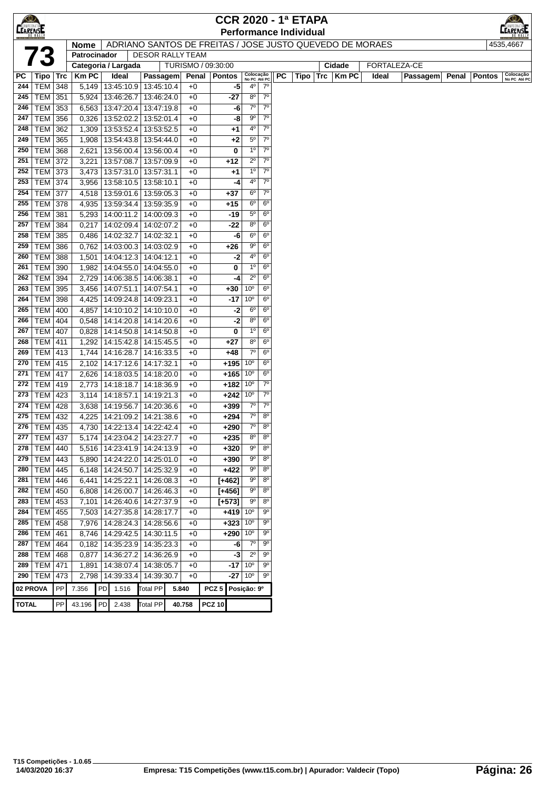| <b>CEARENSE</b> |                 |     |                               |                      |  |                                                          |        | <b>CCR 2020 - 1ª ETAPA</b> |                           |                |             |  |  |              |             |              |                 |         |               |                           |
|-----------------|-----------------|-----|-------------------------------|----------------------|--|----------------------------------------------------------|--------|----------------------------|---------------------------|----------------|-------------|--|--|--------------|-------------|--------------|-----------------|---------|---------------|---------------------------|
|                 |                 |     | <b>Performance Individual</b> |                      |  |                                                          |        |                            |                           |                |             |  |  |              |             |              |                 | EARENSE |               |                           |
|                 |                 |     | <b>Nome</b>                   |                      |  | ADRIANO SANTOS DE FREITAS / JOSE JUSTO QUEVEDO DE MORAES |        |                            |                           |                |             |  |  |              |             |              |                 |         |               | 4535.4667                 |
|                 |                 |     | Patrocinador                  |                      |  | <b>DESOR RALLY TEAM</b>                                  |        |                            |                           |                |             |  |  |              |             |              |                 |         |               |                           |
|                 |                 |     | Categoria / Largada           |                      |  |                                                          |        | TURISMO / 09:30:00         |                           |                |             |  |  |              | Cidade      | FORTALEZA-CE |                 |         |               |                           |
| РC              | Tipo   Trc      |     | <b>KmPC</b>                   | Ideal                |  | Passagem                                                 | Penal  | <b>Pontos</b>              | Colocação<br>No PC Até PC |                | <b>PC</b>   |  |  | $Tipo$   Trc | <b>KmPC</b> | Ideal        | <b>Passagem</b> | Penal   | <b>Pontos</b> | Colocação<br>No PC Até PC |
| 244             | <b>TEM 348</b>  |     |                               |                      |  | 5,149   13:45:10.9   13:45:10.4                          | $+0$   | -5                         | $4^{\circ}$               | $7^{\circ}$    |             |  |  |              |             |              |                 |         |               |                           |
| 245             | TEM             | 351 |                               | 5,924   13:46:26.7   |  | 13:46:24.0                                               | $+0$   | -27                        | $8^{\circ}$               | $7^{\circ}$    |             |  |  |              |             |              |                 |         |               |                           |
| 246             | <b>TEM</b>      | 353 |                               | 6,563   13:47:20.4   |  | 13:47:19.8                                               | $+0$   | -6                         | $7^\circ$                 | $7^{\circ}$    |             |  |  |              |             |              |                 |         |               |                           |
| 247             | <b>TEM</b>      | 356 | 0,326                         | 13:52:02.2           |  | 13:52:01.4                                               | $+0$   | -8                         | $9^{\circ}$               | $7^{\circ}$    |             |  |  |              |             |              |                 |         |               |                           |
| 248             | <b>TEM 362</b>  |     | 1,309                         | 13:53:52.4           |  | 13:53:52.5                                               | $+0$   | +1                         | 40                        | $7^{\circ}$    |             |  |  |              |             |              |                 |         |               |                           |
| 249             | <b>TEM 365</b>  |     | 1,908                         |                      |  | 13:54:43.8 13:54:44.0                                    | $+0$   | $+2$                       | $5^{\circ}$               |                | $7^\circ$   |  |  |              |             |              |                 |         |               |                           |
| 250             | <b>TEM</b>      | 368 | 2,621                         | 13:56:00.4           |  | 13:56:00.4                                               | $+0$   | 0                          | 1 <sup>0</sup>            |                | $7^\circ$   |  |  |              |             |              |                 |         |               |                           |
| 251             | <b>TEM 372</b>  |     | 3,221                         | 13:57:08.7           |  | 13:57:09.9                                               | $+0$   | $+12$                      | $2^{\circ}$               | $7^{\circ}$    |             |  |  |              |             |              |                 |         |               |                           |
| 252             | <b>TEM 373</b>  |     | 3,473                         | 13:57:31.0           |  | 13:57:31.1                                               | $+0$   | $^{+1}$                    | 1 <sup>o</sup>            | $7^{\circ}$    |             |  |  |              |             |              |                 |         |               |                           |
| 253             | <b>TEM 374</b>  |     | 3,956                         |                      |  | $13:58:10.5$ 13:58:10.1                                  | $+0$   | -4                         | 4º                        |                | $7^{\circ}$ |  |  |              |             |              |                 |         |               |                           |
| 254             | <b>TEM</b>      | 377 | 4,518                         |                      |  | 13:59:01.6   13:59:05.3                                  | $+0$   | $+37$                      | $6^{\circ}$               | $7^{\circ}$    |             |  |  |              |             |              |                 |         |               |                           |
| 255             | TEM             | 378 | 4,935                         | 13:59:34.4           |  | 13:59:35.9                                               | $+0$   | $+15$                      | $6^{\circ}$               | 6 <sup>o</sup> |             |  |  |              |             |              |                 |         |               |                           |
| 256             | TEM             | 381 | 5,293                         | 14:00:11.2           |  | 14:00:09.3                                               | $+0$   | -19                        | $5^{\circ}$               | 6 <sup>o</sup> |             |  |  |              |             |              |                 |         |               |                           |
| 257             | $TEM$ 384       |     | 0,217                         | 14:02:09.4           |  | 14:02:07.2                                               | $+0$   | -22                        | $8^{\circ}$               | 6 <sup>o</sup> |             |  |  |              |             |              |                 |         |               |                           |
| 258             | <b>TEM 385</b>  |     | 0,486                         | 14:02:32.7           |  | 14:02:32.1                                               | $+0$   | -6                         | $6^{\circ}$               | 6 <sup>o</sup> |             |  |  |              |             |              |                 |         |               |                           |
| 259             | <b>TEM</b>      | 386 | 0,762                         | 14:03:00.3           |  | 14:03:02.9                                               | $+0$   | +26                        | 90                        | 6 <sup>o</sup> |             |  |  |              |             |              |                 |         |               |                           |
| 260             | TEM             | 388 | 1,501                         | 14:04:12.3           |  | 14:04:12.1                                               | $+0$   | -2                         | 40                        | 6 <sup>o</sup> |             |  |  |              |             |              |                 |         |               |                           |
| 261             | TEM   390       |     | 1,982                         | 14:04:55.0           |  | 14:04:55.0                                               | $+0$   | 0                          | $1^{\circ}$               | 6 <sup>o</sup> |             |  |  |              |             |              |                 |         |               |                           |
| 262             | <b>TEM 394</b>  |     | 2,729                         | 14:06:38.5           |  | 14:06:38.1                                               | $+0$   | -4                         | $2^{\circ}$               | 6 <sup>o</sup> |             |  |  |              |             |              |                 |         |               |                           |
| 263             | <b>TEM</b>      | 395 | 3,456                         | 14:07:51.1           |  | 14:07:54.1                                               | $+0$   | +30                        | 10 <sup>o</sup>           | $6^{\circ}$    |             |  |  |              |             |              |                 |         |               |                           |
| 264             | <b>TEM</b>      | 398 | 4,425                         | 14:09:24.8           |  | 14:09:23.1                                               | $+0$   | -17                        | 10 <sup>o</sup>           | 6 <sup>o</sup> |             |  |  |              |             |              |                 |         |               |                           |
| 265             | <b>TEM</b>      | 400 | 4,857                         |                      |  | 14:10:10.2 14:10:10.0                                    | $+0$   | -2                         | $6^{\circ}$               | 6 <sup>o</sup> |             |  |  |              |             |              |                 |         |               |                           |
| 266             | <b>TEM 404</b>  |     | 0,548                         |                      |  | 14:14:20.8 14:14:20.6                                    | $+0$   | -2                         | $8^{\circ}$               | 6 <sup>o</sup> |             |  |  |              |             |              |                 |         |               |                           |
| 267             | <b>TEM 407</b>  |     |                               |                      |  | $0,828$   14:14:50.8   14:14:50.8                        | $+0$   | 0                          | $1^{\circ}$               | 6 <sup>o</sup> |             |  |  |              |             |              |                 |         |               |                           |
| 268             | <b>TEM 411</b>  |     |                               |                      |  | 1,292   14:15:42.8   14:15:45.5                          | $+0$   | +27                        | 80                        | 6 <sup>o</sup> |             |  |  |              |             |              |                 |         |               |                           |
| 269             | <b>TEM 413</b>  |     |                               | 1,744 14:16:28.7     |  | 14:16:33.5                                               | $+0$   | $+48$                      | $7^\circ$                 | 6 <sup>o</sup> |             |  |  |              |             |              |                 |         |               |                           |
| 270             | <b>TEM 415</b>  |     | 2,102                         | 14:17:12.6           |  | 14:17:32.1                                               | $+0$   | $+195$                     | 10 <sup>o</sup>           | 6 <sup>o</sup> |             |  |  |              |             |              |                 |         |               |                           |
| 271             | TEM   417       |     | 2,626                         | 14:18:03.5           |  | 14:18:20.0                                               | $+0$   | $+165$                     | 10 <sup>o</sup>           | 6 <sup>o</sup> |             |  |  |              |             |              |                 |         |               |                           |
| 272             | <b>TEM</b>      | 419 | 2,773                         | 14:18:18.7           |  | 14:18:36.9                                               | $+0$   | $+182$                     | 10 <sup>o</sup>           |                | $7^{\circ}$ |  |  |              |             |              |                 |         |               |                           |
| 273             | TEM             | 423 | 3,114                         | 14:18:57.1           |  | 14:19:21.3                                               | $+0$   | $+242$                     | 10 <sup>o</sup>           |                | $7^{\circ}$ |  |  |              |             |              |                 |         |               |                           |
| 274             | TEM             | 428 | 3,638                         | 14:19:56.7           |  | 14:20:36.6                                               | $+0$   | $+399$                     | $7^\circ$                 | $7^{\circ}$    |             |  |  |              |             |              |                 |         |               |                           |
| 275             | <b>TEM 432</b>  |     | 4,225                         | 14:21:09.2           |  | 14:21:38.6                                               | $+0$   | $+294$                     | 7 <sup>o</sup>            | $8^{\circ}$    |             |  |  |              |             |              |                 |         |               |                           |
| 276             | <b>TEM 435</b>  |     |                               |                      |  | 4,730   14:22:13.4   14:22:42.4                          | $+0$   | $+290$                     | $7^\circ$                 | $8^{\circ}$    |             |  |  |              |             |              |                 |         |               |                           |
|                 | 277   TEM   437 |     |                               |                      |  | 5,174   14:23:04.2   14:23:27.7                          | $+0$   | +235                       | $8^{\circ}$               |                | $8^{\circ}$ |  |  |              |             |              |                 |         |               |                           |
| 278             | $TEM$ 440       |     |                               |                      |  | 5,516   14:23:41.9   14:24:13.9                          | $+0$   | $+320$                     | $9^{\circ}$               |                | $8^{\circ}$ |  |  |              |             |              |                 |         |               |                           |
| 279             | TEM   443       |     |                               |                      |  | 5,890   14:24:22.0   14:25:01.0                          | $+0$   | $+390$                     | $9^{\circ}$               | $8^{\circ}$    |             |  |  |              |             |              |                 |         |               |                           |
| 280             | TEM 445         |     |                               | 6,148 14:24:50.7     |  | 14:25:32.9                                               | $+0$   | $+422$                     | 90                        | $8^{\circ}$    |             |  |  |              |             |              |                 |         |               |                           |
| 281             | <b>TEM</b>      | 446 |                               | $6,441$   14:25:22.1 |  | 14:26:08.3                                               | $+0$   | $[+462]$                   | $9^{\circ}$               | $8^{\circ}$    |             |  |  |              |             |              |                 |         |               |                           |
| 282             | TEM             | 450 |                               | 6,808   14:26:00.7   |  | 14:26:46.3                                               | $+0$   | $[+456]$                   | 90                        | $8^{\circ}$    |             |  |  |              |             |              |                 |         |               |                           |
| 283             | TEM 453         |     |                               |                      |  | 7,101   14:26:40.6   14:27:37.9                          | $+0$   | $[+573]$                   | 90                        | $8^{\circ}$    |             |  |  |              |             |              |                 |         |               |                           |
| 284             | <b>TEM 455</b>  |     |                               |                      |  | 7,503   14:27:35.8   14:28:17.7                          | $+0$   | $+419$                     | 10 <sup>o</sup>           | $9^{\circ}$    |             |  |  |              |             |              |                 |         |               |                           |
| 285             | TEM 458         |     |                               |                      |  | 7,976   14:28:24.3   14:28:56.6                          | $+0$   | $+323 10^{\circ}$          |                           |                | $9^{\circ}$ |  |  |              |             |              |                 |         |               |                           |
| 286             | TEM 461         |     |                               |                      |  | 8,746   14:29:42.5   14:30:11.5                          | $+0$   | $+290$                     | 10 <sup>o</sup>           |                | 90          |  |  |              |             |              |                 |         |               |                           |
| 287             | <b>TEM 464</b>  |     |                               |                      |  | 0,182   14:35:23.9   14:35:23.3                          | $+0$   | -6                         | $7^\circ$                 |                | $9^{\circ}$ |  |  |              |             |              |                 |         |               |                           |
| 288             | TEM 468         |     |                               | $0,877$   14:36:27.2 |  | 14:36:26.9                                               | $+0$   | -3                         | $2^{\circ}$               | $9^{\circ}$    |             |  |  |              |             |              |                 |         |               |                           |
| 289             | <b>TEM 471</b>  |     | 1,891                         | 14:38:07.4           |  | 14:38:05.7                                               | $+0$   | -17                        | 10 <sup>o</sup>           | $9^{\circ}$    |             |  |  |              |             |              |                 |         |               |                           |
| 290             | <b>TEM</b>      | 473 |                               | 2,798   14:39:33.4   |  | 14:39:30.7                                               | $+0$   |                            | $-27 10^{\circ}$          | 90             |             |  |  |              |             |              |                 |         |               |                           |
| 02 PROVA        |                 | PP  | 7.356                         | PD<br>1.516          |  | <b>Total PP</b>                                          | 5.840  | PCZ <sub>5</sub>           | Posição: 9º               |                |             |  |  |              |             |              |                 |         |               |                           |
| <b>TOTAL</b>    |                 | PP  | 43.196                        | PD<br>2.438          |  | <b>Total PP</b>                                          | 40.758 | <b>PCZ 10</b>              |                           |                |             |  |  |              |             |              |                 |         |               |                           |
|                 |                 |     |                               |                      |  |                                                          |        |                            |                           |                |             |  |  |              |             |              |                 |         |               |                           |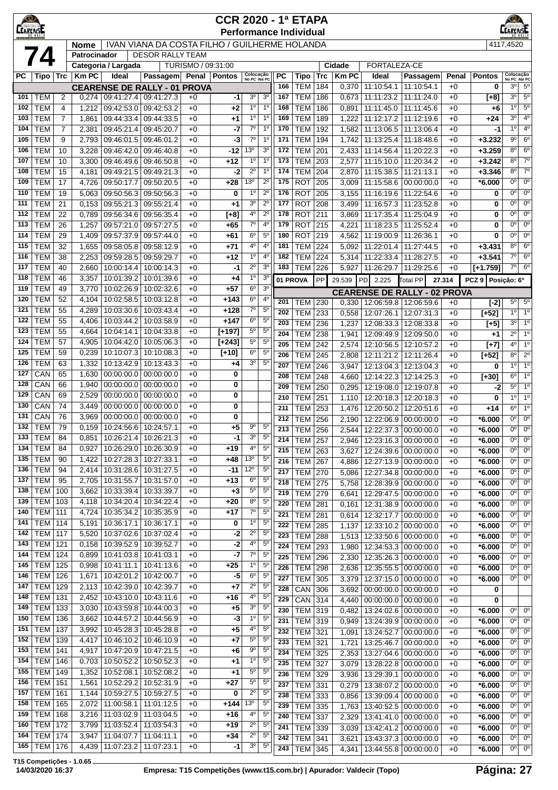|                                                                                         | LEARENSE<br><b>CCR 2020 - 1ª ETAPA</b><br><b>Performance Individual</b> |                                  |                |                             |                                     |                    |                  |                                  |                               |            |                              |            |                | <b>EARENSE</b>                                 |                          |              |                      |                                  |                                  |
|-----------------------------------------------------------------------------------------|-------------------------------------------------------------------------|----------------------------------|----------------|-----------------------------|-------------------------------------|--------------------|------------------|----------------------------------|-------------------------------|------------|------------------------------|------------|----------------|------------------------------------------------|--------------------------|--------------|----------------------|----------------------------------|----------------------------------|
| IVAN VIANA DA COSTA FILHO / GUILHERME HOLANDA<br><b>Nome</b><br><b>DESOR RALLY TEAM</b> |                                                                         |                                  |                |                             |                                     |                    |                  |                                  |                               |            |                              |            | 4117,4520      |                                                |                          |              |                      |                                  |                                  |
|                                                                                         | 74                                                                      |                                  | Patrocinador   | Categoria / Largada         |                                     | TURISMO / 09:31:00 |                  |                                  |                               |            |                              |            | Cidade         | FORTALEZA-CE                                   |                          |              |                      |                                  |                                  |
| РC                                                                                      | Tipo                                                                    | Trc                              | <b>KmPC</b>    | Ideal                       | <b>Passagem</b>                     |                    | Penal   Pontos   | Colocação<br>No PC Até PC        |                               | PC         | Tipo                         | <b>Trc</b> | <b>Km PC</b>   | Ideal                                          | Passagem                 | Penal        | <b>Pontos</b>        | Colocação<br>No PC Até PC        |                                  |
|                                                                                         |                                                                         |                                  |                |                             | <b>CEARENSE DE RALLY - 01 PROVA</b> |                    |                  |                                  |                               | 166        | <b>TEM</b>                   | 184        | 0,370          | 11:10:54.1                                     | 11:10:54.1               | $+0$         | 0                    | 30                               | $5^{\circ}$                      |
| 101                                                                                     | <b>TEM</b>                                                              | 2                                | 0,274          | 09:41:27.4                  | 09:41:27.3                          | $+0$               | -1               | 3 <sup>0</sup>                   | 3 <sup>0</sup>                | 167        | <b>TEM</b>                   | 186        | 0,673          | 11:11:23.2                                     | 11:11:24.0               | $+0$         | $[+8]$               | 3 <sup>0</sup>                   | 5 <sup>o</sup>                   |
| 102<br>103                                                                              | <b>TEM</b><br><b>TEM</b>                                                | $\overline{4}$<br>$\overline{7}$ | 1,212<br>1,861 | 09:42:53.0<br>09:44:33.4    | 09:42:53.2<br>09:44:33.5            | $+0$<br>$+0$       | +2<br>+1         | 1 <sup>0</sup><br>1 <sup>0</sup> | 1 <sup>0</sup><br>$1^{\circ}$ | 168<br>169 | <b>TEM</b><br><b>TEM</b>     | 186<br>189 | 0,891<br>1,222 | 11:11:45.0<br>11:12:17.2                       | 11:11:45.6<br>11:12:19.6 | $+0$<br>$+0$ | $+6$<br>$+24$        | $1^{\circ}$<br>3 <sup>0</sup>    | $5^{\circ}$<br>$4^{\circ}$       |
| 104                                                                                     | <b>TEM</b>                                                              | 7                                | 2,381          | 09:45:21.4                  | 09:45:20.7                          | $+0$               | -7               | $7^{\circ}$                      | 1 <sup>0</sup>                | 170        | <b>TEM</b>                   | 192        | 1,582          | 11:13:06.5                                     | 11:13:06.4               | $+0$         | -1                   | 1 <sup>0</sup>                   | $4^{\circ}$                      |
| 105                                                                                     | <b>TEM</b>                                                              | 9                                | 2,793          | 09:46:01.5                  | 09:46:01.2                          | $+0$               | -3               | $7^{\circ}$                      | 1 <sup>0</sup>                | 171        | <b>TEM</b>                   | 194        | 1,742          | 11:13:25.4                                     | 11:18:48.6               | $+0$         | $+3.232$             | $9^{\circ}$                      | 6 <sup>o</sup>                   |
| 106                                                                                     | <b>TEM</b>                                                              | 10                               | 3,228          | 09:46:42.0                  | 09:46:40.8                          | $+0$               | -12              | 13 <sup>o</sup>                  | 3 <sup>o</sup>                | 172        | <b>TEM</b>                   | 201        | 2,433          | 11:14:56.4                                     | 11:20:22.3               | $+0$         | $+3.259$             | $8^{\circ}$                      | $6^{\circ}$                      |
| 107                                                                                     | <b>TEM</b>                                                              | 10                               | 3,300          | 09:46:49.6                  | 09:46:50.8                          | $+0$               | $+12$            | $1^{\circ}$                      | 1 <sup>0</sup>                | 173        | <b>TEM</b>                   | 203        | 2,577          | 11:15:10.0                                     | 11:20:34.2               | $+0$         | $+3.242$             | $8^{\circ}$                      | $7^{\circ}$                      |
| 108<br>109                                                                              | <b>TEM</b><br><b>TEM</b>                                                | 15<br>17                         | 4,181<br>4,726 | 09:49:21.5<br>09:50:17.7    | 09:49:21.3<br>09:50:20.5            | $+0$               | -2<br>$+28$      | $2^{\circ}$<br>13 <sup>0</sup>   | 1 <sup>0</sup><br>$2^{\circ}$ | 174<br>175 | <b>TEM</b><br><b>ROT</b>     | 204<br>205 | 2,870          | 11:15:38.5<br>11:15:58.6                       | 11:21:13.1<br>00:00:00.0 | $+0$<br>$+0$ | $+3.346$<br>$*6.000$ | $8^{\circ}$<br>$0^{\circ}$       | $7^{\circ}$<br>$0^{\circ}$       |
| 110                                                                                     | <b>TEM</b>                                                              | 19                               | 5,063          | 09:50:56.3                  | 09:50:56.3                          | $+0$<br>$+0$       | 0                | 1 <sup>0</sup>                   | $2^{\circ}$                   | 176        | <b>ROT</b>                   | 205        | 3,009<br>3,155 | 11:16:19.6                                     | 11:22:54.6               | $+0$         | 0                    | $0^{\circ}$                      | $0^{\circ}$                      |
| 111                                                                                     | <b>TEM</b>                                                              | 21                               | 0,153          | 09:55:21.3                  | 09:55:21.4                          | $+0$               | +1               | 3 <sup>o</sup>                   | $2^{\circ}$                   | 177        | <b>ROT</b>                   | 208        | 3.499          | 11:16:57.3                                     | 11:23:52.8               | $+0$         | 0                    | $0^{\circ}$                      | $0^{\circ}$                      |
| 112                                                                                     | <b>TEM</b>                                                              | 22                               | 0,789          | 09:56:34.6                  | 09:56:35.4                          | $+0$               | $[+8]$           | 4°                               | $2^{\circ}$                   | 178        | <b>ROT</b>                   | 211        | 3,869          | 11:17:35.4                                     | 11:25:04.9               | $+0$         | 0                    | $0^{\circ}$                      | $0^{\circ}$                      |
| 113                                                                                     | <b>TEM</b>                                                              | 26                               | 1,257          | 09:57:21.0                  | 09:57:27.5                          | $+0$               | +65              | $7^{\circ}$                      | $4^{\circ}$                   | 179        | <b>ROT</b>                   | 215        | 4,221          | 11:18:23.5                                     | 11:25:52.4               | $+0$         | 0                    | $0^{\circ}$                      | $0^{\circ}$                      |
| 114                                                                                     | <b>TEM</b>                                                              | 29                               | 1,409          | 09:57:37.9                  | 09:57:44.0                          | $+0$               | +61              | $6^{\circ}$                      | $5^{\circ}$                   | 180        | <b>ROT</b>                   | 219        | 4,562          | 11:19:00.9                                     | 11:26:36.1               | $+0$         | 0                    | $0^{\circ}$                      | $0^{\circ}$                      |
| 115<br>116                                                                              | <b>TEM</b><br><b>TEM</b>                                                | 32<br>38                         | 1,655<br>2,253 | 09:58:05.8<br>09:59:28.5    | 09:58:12.9<br>09:59:29.7            | $+0$<br>$+0$       | $+71$<br>$+12$   | 4°<br>$1^{\circ}$                | $4^{\circ}$<br>4 <sup>0</sup> | 181<br>182 | <b>TEM</b><br><b>TEM</b>     | 224<br>224 | 5,092<br>5,314 | 11:22:01.4<br>11:22:33.4                       | 11:27:44.5<br>11:28:27.5 | $+0$<br>$+0$ | $+3.431$<br>$+3.541$ | $8^{\circ}$<br>$7^\circ$         | $6^{\circ}$<br>$6^{\circ}$       |
| 117                                                                                     | <b>TEM</b>                                                              | 40                               | 2,660          | 10:00:14.4                  | 10:00:14.3                          | $+0$               | -1               | $2^{\circ}$                      | 3 <sup>o</sup>                | 183        | <b>TEM</b>                   | 226        | 5,927          | 11:26:29.7   11:29:25.6                        |                          | $+0$         | $[+1.759]$           | $7^\circ$                        | $6^{\circ}$                      |
| 118                                                                                     | <b>TEM</b>                                                              | 46                               | 3,357          | 10:01:39.2                  | 10:01:39.6                          | $+0$               | +4               | 1 <sup>0</sup>                   | 3 <sup>o</sup>                | 01 PROVA   |                              | PP         | 29.539         | <b>PD</b><br>2.225                             | <b>Total PP</b>          | 27.314       | PCZ 9 Posicão: 6º    |                                  |                                  |
| 119                                                                                     | <b>TEM</b>                                                              | 49                               | 3,770          | 10:02:26.9                  | 10:02:32.6                          | $+0$               | $+57$            | $6^{\circ}$                      | 3 <sup>o</sup>                |            |                              |            |                | <b>CEARENSE DE RALLY - 02 PROVA</b>            |                          |              |                      |                                  |                                  |
| 120                                                                                     | <b>TEM</b>                                                              | 52                               | 4,104          | 10:02:58.5                  | 10:03:12.8                          | $+0$               | +143             | $6^{\circ}$                      | 4 <sup>0</sup>                | 201        | TEM                          | 230        | 0,330          | 12:06:59.8 12:06:59.6                          |                          | $+0$         | $[-2]$               | $5^\circ$                        | $5^\circ$                        |
| 121                                                                                     | <b>TEM</b>                                                              | 55                               | 4,289          | 10:03:30.6                  | 10:03:43.4                          | $+0$               | $+128$           | $7^{\circ}$<br>$6^{\circ}$       | $5^{\circ}$<br>5 <sup>o</sup> | 202        | <b>TEM</b>                   | 233        | 0,558          | 12:07:26.1                                     | 12:07:31.3               | $+0$         | $[+52]$              | $1^{\circ}$                      | 1 <sup>0</sup>                   |
| 122<br>123                                                                              | <b>TEM</b><br><b>TEM</b>                                                | 55<br>55                         | 4,406<br>4,664 | 10:03:44.2<br>10:04:14.1    | 10:03:58.9<br>10:04:33.8            | $+0$<br>$+0$       | +147<br>$[+197]$ | $5^{\circ}$                      | $5^{\circ}$                   | 203        | <b>TEM</b>                   | 236        | 1,237          | 12:08:33.3                                     | 12:08:33.8               | $+0$         | $[+5]$               | 3 <sup>0</sup>                   | 1 <sup>0</sup>                   |
| 124                                                                                     | <b>TEM</b>                                                              | 57                               | 4,905          | 10:04:42.0                  | 10:05:06.3                          | $+0$               | $[+243]$         | $5^{\circ}$                      | $5^{\circ}$                   | 204<br>205 | <b>TEM</b><br><b>TEM</b>     | 238<br>242 | 1,941<br>2,574 | 12:09:49.9<br>12:10:56.5                       | 12:09:50.0<br>12:10:57.2 | $+0$<br>$+0$ | +1<br>$[+7]$         | $2^{\circ}$<br>4 <sup>o</sup>    | $1^{\circ}$<br>1 <sup>o</sup>    |
| 125                                                                                     | <b>TEM</b>                                                              | 59                               | 0,239          | 10:10:07.3                  | 10:10:08.3                          | $+0$               | $[+10]$          | $6^{\circ}$                      | $5^{\circ}$                   | 206        | <b>TEM</b>                   | 245        | 2,808          | 12:11:21.2                                     | 12:11:26.4               | $+0$         | $[+52]$              | $8^{\circ}$                      | $2^{\circ}$                      |
| 126                                                                                     | <b>TEM</b>                                                              | 63                               | 1,332          | 10:13:42.9                  | 10:13:43.3                          | $+0$               | +4               | 3 <sup>0</sup>                   | $5^{\circ}$                   | 207        | <b>TEM</b>                   | 246        | 3,947          | 12:13:04.3                                     | 12:13:04.3               | $+0$         | 0                    | 1 <sup>0</sup>                   | 1 <sup>0</sup>                   |
| 127                                                                                     | CAN                                                                     | 65                               | 1,630          | 00:00:00.0                  | 00:00:00.0                          | $+0$               | 0                |                                  |                               | 208        | <b>TEM</b>                   | 248        | 4,660          | 12:14:22.3                                     | 12:14:25.3               | $+0$         | [+30]                | $6^{\circ}$                      | 1 <sup>o</sup>                   |
| 128<br>129                                                                              | CAN<br>CAN                                                              | 66<br>69                         | 1,940<br>2,529 | 00:00:00.0<br>00:00:00.0    | 00:00:00.0<br>00:00:00.0            | $+0$<br>$+0$       | 0<br>0           |                                  |                               | 209        | <b>TEM</b>                   | 250        | 0,295          | 12:19:08.0                                     | 12:19:07.8               | $+0$         | -2                   | $5^{\circ}$                      | 10                               |
| 130                                                                                     | CAN                                                                     | 74                               | 3,449          | 00:00:00.0                  | 00:00:00.0                          | $+0$               | 0                |                                  |                               | 210        | <b>TEM</b>                   | 251        | 1,110          | 12:20:18.3<br>12:20:50.2                       | 12:20:18.3               | $+0$         | 0                    | $1^{\circ}$<br>$6^{\circ}$       | 1 <sup>0</sup><br>1 <sup>0</sup> |
| 131                                                                                     | CAN                                                                     | 76                               | 3,969          | 00:00:00.0                  | 00:00:00.0                          | $+0$               | 0                |                                  |                               | 211<br>212 | <b>TEM</b><br><b>TEM</b>     | 253<br>256 | 1,476<br>2,190 | 12:22:06.9                                     | 12:20:51.6<br>00:00:00.0 | $+0$<br>$+0$ | $+14$<br>$*6.000$    | $0^{\circ}$                      | $0^{\circ}$                      |
| 132                                                                                     | <b>TEM</b>                                                              | 79                               | 0,159          | 10:24:56.6                  | 10:24:57.1                          | $+0$               | +5               | 90                               | $5^{\circ}$                   | 213        | <b>TEM</b>                   | 256        | 2,544          | 12:22:37.3                                     | 00:00:00.0               | $+0$         | *6.000               | 0°                               | 0 <sup>o</sup>                   |
|                                                                                         | $133$ TEM                                                               | 84                               |                | 0,851 10:26:21.4 10:26:21.3 |                                     | $+0$               | -1               | 3 <sup>o</sup>                   | $5^{\circ}$                   | 214        | <b>TEM 257</b>               |            | 2,946          | 12:23:16.3   00:00:00.0                        |                          | $+0$         | $*6.000$             | 0°                               | $0^{\circ}$                      |
| 134                                                                                     | <b>TEM</b>                                                              | 84                               | 0,927          | 10:26:29.0                  | 10:26:30.9                          | $+0$               | +19              | $4^{\circ}$                      | $5^{\circ}$                   | 215        | <b>TEM</b>                   | 263        | 3,627          | 12:24:39.6                                     | 00:00:00.0               | $+0$         | $*6.000$             | $0^{\circ}$                      | $0^{\circ}$                      |
| 135<br>136                                                                              | <b>TEM</b><br><b>TEM</b>                                                | 90<br>94                         | 1,422<br>2,414 | 10:27:28.3<br>10:31:28.6    | 10:27:33.1<br>10:31:27.5            | $+0$<br>$+0$       | $+48$<br>-11     | 13 <sup>o</sup><br>$12^{\circ}$  | $5^{\circ}$<br>$5^{\circ}$    | 216        | TEM                          | 267        | 4,886          | 12:27:13.9                                     | 00:00:00.0               | $+0$         | $*6.000$             | 0°                               | $0^{\circ}$                      |
| 137                                                                                     | <b>TEM</b>                                                              | 95                               | 2,705          | 10:31:55.7                  | 10:31:57.0                          | $+0$               | $+13$            | $6^{\circ}$                      | $5^{\circ}$                   | 217<br>218 | <b>TEM</b><br><b>TEM 275</b> | 270        | 5,086<br>5,758 | 12:27:34.8<br>12:28:39.9                       | 00:00:00.0<br>00:00:00.0 | $+0$<br>$+0$ | $*6.000$<br>$*6.000$ | 0 <sup>o</sup><br>0 <sup>o</sup> | $0^{\circ}$<br>$0^{\circ}$       |
| 138                                                                                     | <b>TEM</b>                                                              | 100                              | 3,662          | 10:33:39.4                  | 10:33:39.7                          | $+0$               | $+3$             | $5^{\circ}$                      | $5^{\circ}$                   | 219        | <b>TEM 279</b>               |            | 6,641          | 12:29:47.5 00:00:00.0                          |                          | $+0$         | $*6.000$             | $0^{\circ}$                      | $0^{\circ}$                      |
| 139                                                                                     | <b>TEM</b>                                                              | 103                              | 4,118          | 10:34:20.4                  | 10:34:22.4                          | $+0$               | +20              | $8^{\circ}$                      | $5^{\circ}$                   | 220        | TEM                          | 281        | 0,161          | 12:31:38.9 00:00:00.0                          |                          | $+0$         | $*6.000$             | $0^{\circ}$                      | $0^{\circ}$                      |
| 140                                                                                     | <b>TEM</b>                                                              | 111                              | 4,724          | 10:35:34.2                  | 10:35:35.9                          | $+0$               | $+17$            | $7^\circ$                        | $5^{\circ}$                   | 221        | TEM                          | 281        | 0.614          | 12:32:17.7                                     | 00:00:00.0               | $+0$         | $*6.000$             | $0^{\circ}$                      | $0^{\circ}$                      |
| 141<br>142                                                                              | TEM  <br><b>TEM</b>                                                     | 114<br>117                       | 5,191<br>5,520 | 10:36:17.1<br>10:37:02.6    | 10:36:17.1<br>10:37:02.4            | $+0$               | 0                | $1^{\circ}$<br>$2^{\circ}$       | $5^{\circ}$<br>5 <sup>0</sup> | 222        | <b>TEM</b>                   | 285        | 1,137          | 12:33:10.2                                     | 00:00:00.0               | $+0$         | $*6.000$             | $0^{\circ}$                      | $0^{\circ}$                      |
| 143                                                                                     | TEM                                                                     | 121                              | 0,158          | 10:39:52.9                  | 10:39:52.7                          | $+0$<br>$+0$       | -2<br>$-2$       | $4^{\circ}$                      | $5^{\circ}$                   | 223<br>224 | <b>TEM</b>                   | 288        | 1,513          | 12:33:50.6                                     | 00:00:00.0               | $+0$         | $*6.000$             | $0^{\circ}$<br>$0^{\circ}$       | $0^{\circ}$<br>$0^{\circ}$       |
| 144                                                                                     | <b>TEM</b>                                                              | 124                              | 0,899          | 10:41:03.8                  | 10:41:03.1                          | $+0$               | $-7$             | $7^\circ$                        | $5^{\circ}$                   | 225        | TEM<br><b>TEM</b>            | 293<br>296 | 1,980<br>2,330 | 12:34:53.3<br>12:35:26.3                       | 00:00:00.0<br>00:00:00.0 | $+0$<br>$+0$ | $*6.000$<br>$*6.000$ | 0 <sup>o</sup>                   | $0^{\circ}$                      |
| 145                                                                                     | <b>TEM</b>                                                              | 125                              | 0,998          | 10:41:11.1                  | 10:41:13.6                          | $+0$               | $+25$            | $1^{\circ}$                      | $5^{\circ}$                   | 226        | <b>TEM</b>                   | 298        | 2,636          | 12:35:55.5                                     | 0.000000                 | $+0$         | $*6.000$             | 0 <sup>o</sup>                   | $0^{\circ}$                      |
| 146                                                                                     | <b>TEM</b>                                                              | 126                              | 1,671          | 10:42:01.2                  | 10:42:00.7                          | $+0$               | -5               | $6^{\circ}$                      | $5^{\circ}$                   | 227        | <b>TEM</b>                   | 305        | 3,379          | 12:37:15.0                                     | 00:00:00.0               | $+0$         | $*6.000$             | 0 <sup>0</sup>                   | $0^{\circ}$                      |
| 147                                                                                     | <b>TEM</b>                                                              | 129                              | 2,113          | 10:42:39.0                  | 10:42:39.7                          | $+0$               | $+7$             | $2^{\circ}$                      | $5^{\circ}$                   | 228        | CAN                          | 306        | 3,692          | $00:00:00.0$   $00:00:00.0$                    |                          | $+0$         | 0                    |                                  |                                  |
| 148<br>149                                                                              | <b>TEM</b><br><b>TEM</b>                                                | 131<br>133                       | 2,452<br>3,030 | 10:43:10.0<br>10:43:59.8    | 10:43:11.6<br>10:44:00.3            | $+0$<br>$+0$       | $+16$<br>+5      | 4°<br>3 <sup>o</sup>             | $5^{\circ}$<br>$5^{\circ}$    | 229        | CAN                          | 314        | 4,440          | $00:00:00.0$   $00:00:00.0$                    |                          | $+0$         | 0                    |                                  |                                  |
| 150                                                                                     | <b>TEM</b>                                                              | 136                              | 3,662          | 10:44:57.2                  | 10:44:56.9                          | $+0$               | -3               | 1 <sup>0</sup>                   | $5^{\circ}$                   | 230        | TEM                          | 319        | 0,482          | 13:24:02.6 00:00:00.0                          |                          | $+0$         | $*6.000$             | $0^{\circ}$<br>$0^{\circ}$       | $0^{\circ}$<br>$0^{\circ}$       |
| 151                                                                                     | <b>TEM</b>                                                              | 137                              | 3,992          | 10:45:28.3                  | 10:45:28.8                          | $+0$               | +5               | 4º                               | $5^{\circ}$                   | 231<br>232 | $TEM$ 319<br><b>TEM</b>      | 321        | 0,949<br>1,091 | 13:24:39.9<br>13:24:52.7                       | 00:00:00.0<br>00:00:00.0 | $+0$<br>$+0$ | $*6.000$<br>$*6.000$ | 0 <sup>0</sup>                   | $0^{\circ}$                      |
| 152                                                                                     | <b>TEM</b>                                                              | 139                              | 4,417          | 10:46:10.2                  | 10:46:10.9                          | $+0$               | $+7$             | $5^{\circ}$                      | $5^{\circ}$                   | 233        | <b>TEM</b>                   | 321        | 1,721          | 13:25:46.7                                     | 00:00:00.0               | $+0$         | $*6.000$             | 0 <sup>o</sup>                   | $0^{\circ}$                      |
| 153                                                                                     | <b>TEM</b>                                                              | 141                              | 4,917          | 10:47:20.9                  | 10:47:21.5                          | $+0$               | +6               | $9^{\circ}$                      | $5^{\circ}$                   | 234        | <b>TEM</b>                   | 325        | 2,353          | 13:27:04.6   00:00:00.0                        |                          | $+0$         | $*6.000$             | 0 <sup>o</sup>                   | $0^{\circ}$                      |
| 154                                                                                     | <b>TEM</b>                                                              | 146                              | 0,703          | 10:50:52.2                  | 10:50:52.3                          | $+0$               | +1               | $1^{\circ}$                      | $5^{\circ}$                   | 235        | <b>TEM</b>                   | 327        | 3,079          | 13:28:22.8                                     | 00:00:00.0               | $+0$         | $*6.000$             | 0 <sup>o</sup>                   | $0^{\circ}$                      |
| 155<br>156                                                                              | <b>TEM</b><br>TEM                                                       | 149<br>151                       | 1,352<br>1,561 | 10:52:08.1<br>10:52:29.2    | 10:52:08.2<br>10:52:31.9            | $+0$<br>$+0$       | +1<br>$+27$      | $5^{\rm o}$<br>$5^{\rm o}$       | $5^{\circ}$<br>$5^{\circ}$    | 236        | TEM                          | 329        | 3,936          | 13:29:39.1                                     | 00:00:00.0               | $+0$         | $*6.000$             | 0 <sup>o</sup>                   | $0^{\circ}$                      |
| 157                                                                                     | TEM                                                                     | 161                              | 1,144          | 10:59:27.5                  | 10:59:27.5                          | $+0$               | 0                | $2^{\circ}$                      | $5^{\circ}$                   | 237<br>238 | TEM<br><b>TEM</b>            | 331<br>333 | 0,279<br>0,856 | 13:38:07.2 00:00:00.0<br>13:39:09.4 00:00:00.0 |                          | $+0$<br>$+0$ | $*6.000$<br>$*6.000$ | 0 <sup>0</sup><br>$0^{\circ}$    | 0 <sup>o</sup><br>$0^{\circ}$    |
| 158                                                                                     | <b>TEM</b>                                                              | 165                              | 2,072          | 11:00:58.1                  | 11:01:12.5                          | $+0$               | $+144$           | 13 <sup>o</sup>                  | 5 <sup>0</sup>                | 239        | <b>TEM</b>                   | 335        | 1,763          | 13:40:52.5 00:00:00.0                          |                          | $+0$         | $*6.000$             | $0^{\circ}$                      | $0^{\circ}$                      |
| 159                                                                                     | <b>TEM</b>                                                              | 168                              | 3,216          | 11:03:02.9                  | 11:03:04.5                          | $+0$               | +16              | 4º                               | $5^{\circ}$                   | 240        | TEM                          | 337        | 2,329          | 13:41:41.0                                     | 00:00:00.0               | $+0$         | $*6.000$             | 0°                               | $0^{\circ}$                      |
| 160                                                                                     | <b>TEM</b>                                                              | 172                              | 3,799          | 11:03:52.4                  | 11:03:54.3                          | $+0$               | $+19$            | $2^{\circ}$                      | $5^{\circ}$                   | 241        | <b>TEM</b>                   | 339        | 3,039          | 13:42:41.2                                     | 00:00:00.0               | $+0$         | $*6.000$             | 0 <sup>o</sup>                   | $0^{\circ}$                      |
| 164<br>165                                                                              | <b>TEM</b>                                                              | 174                              | 3,947          | 11:04:07.7                  | 11:04:11.1                          | $+0$               | $+34$            | $2^{\circ}$<br>3 <sup>0</sup>    | $5^{\circ}$<br>$5^{\circ}$    | 242        | <b>TEM 341</b>               |            | 3,621          | 13:43:37.3 00:00:00.0                          |                          | $+0$         | $*6.000$             | $0^{\circ}$                      | $0^{\circ}$                      |
|                                                                                         | <b>TEM</b>                                                              | 176                              | 4,439          | 11:07:23.2                  | 11:07:23.1                          | $+0$               | -1               |                                  |                               | 243        | TEM                          | 345        | 4,341          | 13:44:55.8 00:00:00.0                          |                          | $+0$         | $*6.000$             | 0 <sup>o</sup>                   | $0^{\circ}$                      |